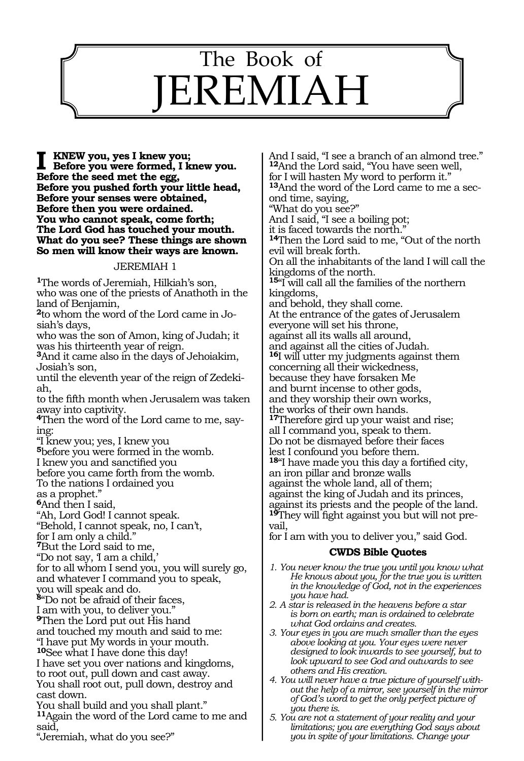# $\overline{\phantom{0}}$ The Book of JEREMIAH

**I** KNEW you, yes I knew you;<br>Before you were formed, I knew you. **Before the seed met the egg, Before you pushed forth your little head, Before your senses were obtained, Before then you were ordained. You who cannot speak, come forth; The Lord God has touched your mouth. What do you see? These things are shown So men will know their ways are known.** 

#### JEREMIAH 1

**<sup>1</sup>**The words of Jeremiah, Hilkiah's son, who was one of the priests of Anathoth in the land of Benjamin,

**2**to whom the word of the Lord came in Josiah's days,

who was the son of Amon, king of Judah; it was his thirteenth year of reign.

**<sup>3</sup>**And it came also in the days of Jehoiakim, Josiah's son,

until the eleventh year of the reign of Zedekiah,

to the fifth month when Jerusalem was taken away into captivity.

**<sup>4</sup>**Then the word of the Lord came to me, say- ing:

"I knew you; yes, I knew you

**<sup>5</sup>**before you were formed in the womb.

I knew you and sanctified you

before you came forth from the womb.

To the nations I ordained you

as a prophet."

**<sup>6</sup>**And then I said,

"Ah, Lord God! I cannot speak.

"Behold, I cannot speak, no, I can't,

for I am only a child."

**<sup>7</sup>**But the Lord said to me,

"Do not say, 'I am a child,

for to all whom I send you, you will surely go, and whatever I command you to speak, you will speak and do.

**<sup>8</sup>**"Do not be afraid of their faces, I am with you, to deliver you."

**<sup>9</sup>**Then the Lord put out His hand and touched my mouth and said to me: "I have put My words in your mouth. **<sup>10</sup>**See what I have done this day! I have set you over nations and kingdoms, to root out, pull down and cast away. You shall root out, pull down, destroy and cast down.

You shall build and you shall plant." **<sup>11</sup>**Again the word of the Lord came to me and said,

"Jeremiah, what do you see?"

And I said, "I see a branch of an almond tree." **<sup>12</sup>**And the Lord said, "You have seen well, for I will hasten My word to perform it." **13**And the word of the Lord came to me a second time, saying, "What do you see?" And I said, "I see a boiling pot; it is faced towards the north." **<sup>14</sup>**Then the Lord said to me, "Out of the north evil will break forth. On all the inhabitants of the land I will call the kingdoms of the north. **<sup>15</sup>**"I will call all the families of the northern kingdoms, and behold, they shall come. At the entrance of the gates of Jerusalem everyone will set his throne, against all its walls all around, and against all the cities of Judah. **<sup>16</sup>**I will utter my judgments against them concerning all their wickedness, because they have forsaken Me and burnt incense to other gods, and they worship their own works, the works of their own hands. **<sup>17</sup>**Therefore gird up your waist and rise; all I command you, speak to them. Do not be dismayed before their faces lest I confound you before them. **<sup>18</sup>**"I have made you this day a fortified city, an iron pillar and bronze walls against the whole land, all of them; against the king of Judah and its princes, against its priests and the people of the land. **19**They will fight against you but will not prevail,

for I am with you to deliver you," said God.

- *1. You never know the true you until you know what He knows about you, for the true you is written in the knowledge of God, not in the experiences you have had.*
- *2. A star is released in the heavens before a star is born on earth; man is ordained to celebrate what God ordains and creates.*
- *3. Your eyes in you are much smaller than the eyes above looking at you. Your eyes were never designed to look inwards to see yourself, but to look upward to see God and outwards to see others and His creation.*
- *4. You will never have a true picture of yourself without the help of a mirror, see yourself in the mirror of God's word to get the only perfect picture of you there is.*
- *5. You are not a statement of your reality and your limitations; you are everything God says about you in spite of your limitations. Change your*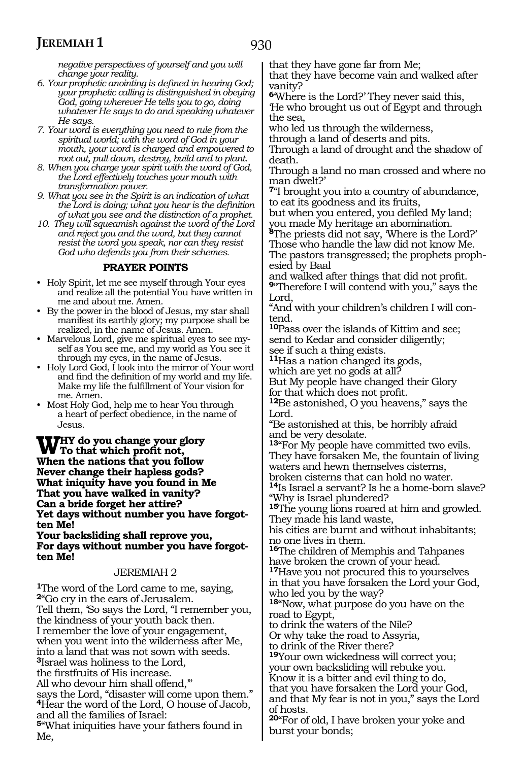*negative perspectives of yourself and you will change your reality.* 

- *6. Your prophetic anointing is defined in hearing God; your prophetic calling is distinguished in obeying God, going wherever He tells you to go, doing whatever He says to do and speaking whatever He says.*
- *7. Your word is everything you need to rule from the spiritual world; with the word of God in your mouth, your word is charged and empowered to root out, pull down, destroy, build and to plant.*
- *8. When you charge your spirit with the word of God, the Lord effectively touches your mouth with transformation power.*
- *9. What you see in the Spirit is an indication of what the Lord is doing; what you hear is the definition of what you see and the distinction of a prophet.*
- *10. They will squeamish against the word of the Lord and reject you and the word, but they cannot resist the word you speak, nor can they resist God who defends you from their schemes.*

### **PRAYER POINTS**

- Holy Spirit, let me see myself through Your eyes and realize all the potential You have written in me and about me. Amen.
- By the power in the blood of Jesus, my star shall manifest its earthly glory; my purpose shall be realized, in the name of Jesus. Amen.
- Marvelous Lord, give me spiritual eyes to see myself as You see me, and my world as You see it through my eyes, in the name of Jesus.
- Holy Lord God, I look into the mirror of Your word and find the definition of my world and my life. Make my life the fulfillment of Your vision for me. Amen.
- Most Holy God, help me to hear You through a heart of perfect obedience, in the name of Jesus.

**Why do you change your glory To that which profit not, When the nations that you follow Never change their hapless gods? What iniquity have you found in Me That you have walked in vanity? Can a bride forget her attire? Yet days without number you have forgotten Me!**

#### **Your backsliding shall reprove you, For days without number you have forgotten Me!**

#### JEREMIAH 2

**<sup>1</sup>**The word of the Lord came to me, saying, **<sup>2</sup>**"Go cry in the ears of Jerusalem. Tell them, 'So says the Lord, "I remember you, the kindness of your youth back then. I remember the love of your engagement, when you went into the wilderness after Me, into a land that was not sown with seeds. **<sup>3</sup>**Israel was holiness to the Lord, the firstfruits of His increase. All who devour him shall offend," says the Lord, "disaster will come upon them." **<sup>4</sup>**Hear the word of the Lord, O house of Jacob, and all the families of Israel: **<sup>5</sup>**"What iniquities have your fathers found in Me,

that they have gone far from Me;

that they have become vain and walked after vanity?

**<sup>6</sup>**'Where is the Lord?' They never said this, 'He who brought us out of Egypt and through the sea,

who led us through the wilderness,

through a land of deserts and pits. Through a land of drought and the shadow of death.

Through a land no man crossed and where no man dwelt?'

**<sup>7</sup>**"I brought you into a country of abundance, to eat its goodness and its fruits,

but when you entered, you defiled My land; you made My heritage an abomination.

**<sup>8</sup>**The priests did not say, 'Where is the Lord?' Those who handle the law did not know Me. The pastors transgressed; the prophets prophesied by Baal

and walked after things that did not profit. **<sup>9</sup>**"Therefore I will contend with you," says the Lord,

"And with your children's children I will contend.

**<sup>10</sup>**Pass over the islands of Kittim and see; send to Kedar and consider diligently; see if such a thing exists.

**<sup>11</sup>**Has a nation changed its gods,

which are yet no gods at all?

But My people have changed their Glory for that which does not profit.

**<sup>12</sup>**Be astonished, O you heavens," says the Lord.

"Be astonished at this, be horribly afraid and be very desolate.

**<sup>13</sup>**"For My people have committed two evils. They have forsaken Me, the fountain of living waters and hewn themselves cisterns,

broken cisterns that can hold no water. **<sup>14</sup>**Is Israel a servant? Is he a home-born slave? "Why is Israel plundered?

**<sup>15</sup>**The young lions roared at him and growled. They made his land waste,

his cities are burnt and without inhabitants; no one lives in them.

**<sup>16</sup>**The children of Memphis and Tahpanes have broken the crown of your head.

**<sup>17</sup>**Have you not procured this to yourselves in that you have forsaken the Lord your God, who led you by the way?

**<sup>18</sup>**"Now, what purpose do you have on the road to Egypt,

to drink the waters of the Nile?

Or why take the road to Assyria,

to drink of the River there?

**<sup>19</sup>**Your own wickedness will correct you; your own backsliding will rebuke you. Know it is a bitter and evil thing to do, that you have forsaken the Lord your God, and that My fear is not in you," says the Lord of hosts.

**<sup>20</sup>**"For of old, I have broken your yoke and burst your bonds;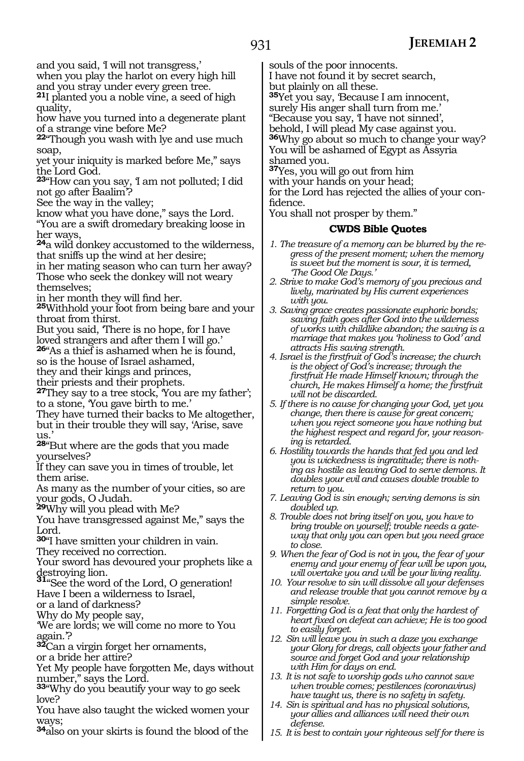and you said, 'I will not transgress,'

when you play the harlot on every high hill

and you stray under every green tree. **<sup>21</sup>**I planted you a noble vine, a seed of high quality,

how have you turned into a degenerate plant of a strange vine before Me?

**<sup>22</sup>**"Though you wash with lye and use much soap,

yet your iniquity is marked before Me," says the Lord God.

**<sup>23</sup>**"How can you say, 'I am not polluted; I did not go after Baalim'?

See the way in the valley;

know what you have done," says the Lord.

"You are a swift dromedary breaking loose in her ways,

**<sup>24</sup>**a wild donkey accustomed to the wilderness, that sniffs up the wind at her desire;

in her mating season who can turn her away? Those who seek the donkey will not weary themselves;

in her month they will find her.

**<sup>25</sup>**Withhold your foot from being bare and your throat from thirst.

But you said, 'There is no hope, for I have loved strangers and after them I will go.'

**<sup>26</sup>**"As a thief is ashamed when he is found,

so is the house of Israel ashamed,

they and their kings and princes,

their priests and their prophets.

**<sup>27</sup>**They say to a tree stock, 'You are my father'; to a stone, 'You gave birth to me.'

They have turned their backs to Me altogether, but in their trouble they will say, 'Arise, save us.'

**<sup>28</sup>**"But where are the gods that you made yourselves?

If they can save you in times of trouble, let them arise.

As many as the number of your cities, so are your gods, O Judah.

**<sup>29</sup>**Why will you plead with Me?

You have transgressed against Me," says the Lord.

**<sup>30</sup>**"I have smitten your children in vain.

They received no correction.

Your sword has devoured your prophets like a

destroying lion. **<sup>31</sup>**"See the word of the Lord, O generation! Have I been a wilderness to Israel,

or a land of darkness?

Why do My people say,

'We are lords; we will come no more to You again.'?

**<sup>32</sup>**Can a virgin forget her ornaments, or a bride her attire?

Yet My people have forgotten Me, days without number," says the Lord.

**<sup>33</sup>**"Why do you beautify your way to go seek love?

You have also taught the wicked women your ways:

**<sup>34</sup>**also on your skirts is found the blood of the

souls of the poor innocents.

I have not found it by secret search,

but plainly on all these.

**<sup>35</sup>**Yet you say, 'Because I am innocent,

surely His anger shall turn from me.'

"Because you say, 'I have not sinned',

behold, I will plead My case against you. **<sup>36</sup>**Why go about so much to change your way? You will be ashamed of Egypt as Assyria shamed you.

**<sup>37</sup>**Yes, you will go out from him

with your hands on your head;

for the Lord has rejected the allies of your confidence.

You shall not prosper by them."

- *1. The treasure of a memory can be blurred by the regress of the present moment; when the memory is sweet but the moment is sour, it is termed, 'The Good Ole Days.'*
- *2. Strive to make God's memory of you precious and lively, marinated by His current experiences with you.*
- *3. Saving grace creates passionate euphoric bonds; saving faith goes after God into the wilderness of works with childlike abandon; the saving is a marriage that makes you 'holiness to God' and attracts His saving strength.*
- *4. Israel is the firstfruit of God's increase; the church is the object of God's increase; through the firstfruit He made Himself known; through the church, He makes Himself a home; the firstfruit will not be discarded.*
- *5. If there is no cause for changing your God, yet you change, then there is cause for great concern; when you reject someone you have nothing but the highest respect and regard for, your reasoning is retarded.*
- *6. Hostility towards the hands that fed you and led you is wickedness is ingratitude; there is nothing as hostile as leaving God to serve demons. It doubles your evil and causes double trouble to return to you.*
- *7. Leaving God is sin enough; serving demons is sin doubled up.*
- *8. Trouble does not bring itself on you, you have to bring trouble on yourself; trouble needs a gateway that only you can open but you need grace to close.*
- *9. When the fear of God is not in you, the fear of your enemy and your enemy of fear will be upon you, will overtake you and will be your living reality.*
- *10. Your resolve to sin will dissolve all your defenses and release trouble that you cannot remove by a simple resolve.*
- *11. Forgetting God is a feat that only the hardest of heart fixed on defeat can achieve; He is too good to easily forget.*
- *12. Sin will leave you in such a daze you exchange your Glory for dregs, call objects your father and source and forget God and your relationship with Him for days on end.*
- *13. It is not safe to worship gods who cannot save when trouble comes; pestilences (coronavirus) have taught us, there is no safety in safety.*
- *14. Sin is spiritual and has no physical solutions, your allies and alliances will need their own defense.*
- *15. It is best to contain your righteous self for there is*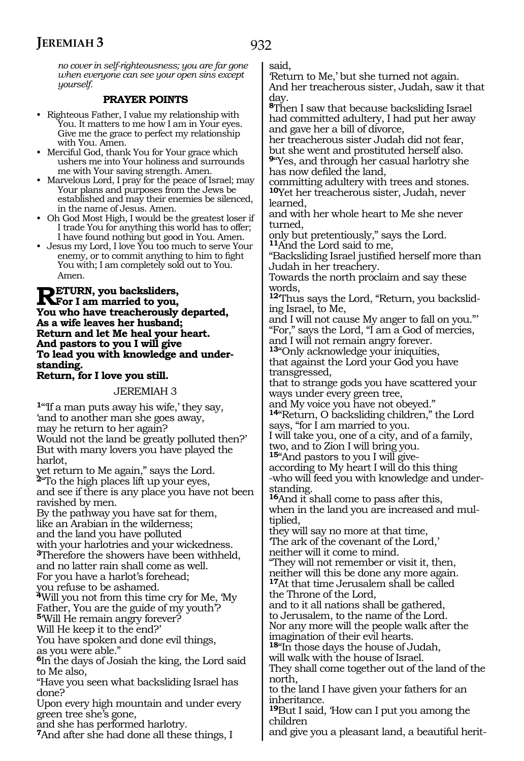*no cover in self-righteousness; you are far gone when everyone can see your open sins except yourself.*

#### **PRAYER POINTS**

- Righteous Father, I value my relationship with You. It matters to me how I am in Your eyes. Give me the grace to perfect my relationship with You. Amen.
- Merciful God, thank You for Your grace which ushers me into Your holiness and surrounds me with Your saving strength. Amen.
- Marvelous Lord, I pray for the peace of Israel; may Your plans and purposes from the Jews be established and may their enemies be silenced, in the name of Jesus. Amen.
- Oh God Most High, I would be the greatest loser if I trade You for anything this world has to offer; I have found nothing but good in You. Amen.
- Jesus my Lord, I love You too much to serve Your enemy, or to commit anything to him to fight You with; I am completely sold out to You. Amen.

**Return, you backsliders, For I am married to you, You who have treacherously departed, As a wife leaves her husband; Return and let Me heal your heart. And pastors to you I will give To lead you with knowledge and understanding.**

#### **Return, for I love you still.**

#### JEREMIAH 3

**<sup>1</sup>**"'If a man puts away his wife,' they say, 'and to another man she goes away, may he return to her again? Would not the land be greatly polluted then?' But with many lovers you have played the harlot, yet return to Me again," says the Lord. **<sup>2</sup>**"To the high places lift up your eyes, and see if there is any place you have not been ravished by men.

By the pathway you have sat for them, like an Arabian in the wilderness; and the land you have polluted with your harlotries and your wickedness. **<sup>3</sup>**Therefore the showers have been withheld, and no latter rain shall come as well.

For you have a harlot's forehead;

you refuse to be ashamed.

**<sup>4</sup>**Will you not from this time cry for Me, 'My Father, You are the guide of my youth'? **<sup>5</sup>**'Will He remain angry forever?

Will He keep it to the end?'

You have spoken and done evil things, as you were able."

**<sup>6</sup>**In the days of Josiah the king, the Lord said to Me also,

"Have you seen what backsliding Israel has done?

Upon every high mountain and under every green tree she's gone,

and she has performed harlotry.

**<sup>7</sup>**And after she had done all these things, I

said,

'Return to Me,' but she turned not again. And her treacherous sister, Judah, saw it that day.

**<sup>8</sup>**Then I saw that because backsliding Israel had committed adultery, I had put her away and gave her a bill of divorce,

her treacherous sister Judah did not fear, but she went and prostituted herself also. **<sup>9</sup>**"Yes, and through her casual harlotry she has now defiled the land,

committing adultery with trees and stones. **<sup>10</sup>**Yet her treacherous sister, Judah, never learned,

and with her whole heart to Me she never turned,

only but pretentiously," says the Lord. **<sup>11</sup>**And the Lord said to me,

"Backsliding Israel justified herself more than Judah in her treachery.

Towards the north proclaim and say these words,

**12**'Thus says the Lord, "Return, you backsliding Israel, to Me,

and I will not cause My anger to fall on you."' "For," says the Lord, "I am a God of mercies,

and I will not remain angry forever.

**<sup>13</sup>**"Only acknowledge your iniquities, that against the Lord your God you have transgressed,

that to strange gods you have scattered your ways under every green tree,

and My voice you have not obeyed."

**<sup>14</sup>**"Return, O backsliding children," the Lord says, "for I am married to you.

I will take you, one of a city, and of a family, two, and to Zion I will bring you.

**15**"And pastors to you I will give-

according to My heart I will do this thing -who will feed you with knowledge and under- standing.

**<sup>16</sup>**And it shall come to pass after this, when in the land you are increased and multiplied,

they will say no more at that time, 'The ark of the covenant of the Lord,' neither will it come to mind.

"They will not remember or visit it, then, neither will this be done any more again. **<sup>17</sup>**At that time Jerusalem shall be called

the Throne of the Lord, and to it all nations shall be gathered, to Jerusalem, to the name of the Lord. Nor any more will the people walk after the

imagination of their evil hearts.

**<sup>18</sup>**"In those days the house of Judah,

will walk with the house of Israel. They shall come together out of the land of the north,

to the land I have given your fathers for an inheritance.

**<sup>19</sup>**But I said, 'How can I put you among the children

and give you a pleasant land, a beautiful herit-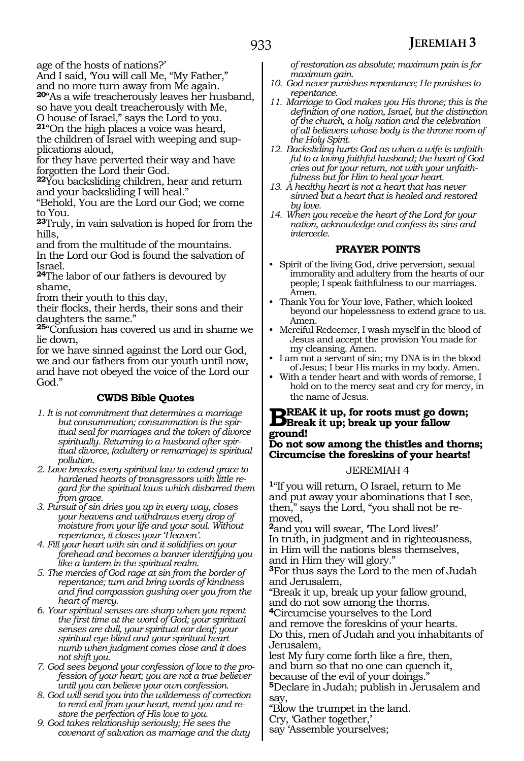age of the hosts of nations?'

And I said, 'You will call Me, "My Father,"

and no more turn away from Me again. **<sup>20</sup>**"As a wife treacherously leaves her husband,

so have you dealt treacherously with Me, O house of Israel," says the Lord to you.

**<sup>21</sup>**"On the high places a voice was heard,

the children of Israel with weeping and supplications aloud,

for they have perverted their way and have forgotten the Lord their God.

**<sup>22</sup>**You backsliding children, hear and return and your backsliding I will heal."

"Behold, You are the Lord our God; we come to You.

**<sup>23</sup>**Truly, in vain salvation is hoped for from the hills,

and from the multitude of the mountains. In the Lord our God is found the salvation of Israel.

**<sup>24</sup>**The labor of our fathers is devoured by shame,

from their youth to this day,

their flocks, their herds, their sons and their daughters the same."

**<sup>25</sup>**"Confusion has covered us and in shame we lie down,

for we have sinned against the Lord our God, we and our fathers from our youth until now, and have not obeyed the voice of the Lord our God."

### **CWDS Bible Quotes**

- *1. It is not commitment that determines a marriage but consummation; consummation is the spiritual seal for marriages and the token of divorce spiritually. Returning to a husband after spiritual divorce, (adultery or remarriage) is spiritual pollution.*
- *2. Love breaks every spiritual law to extend grace to hardened hearts of transgressors with little regard for the spiritual laws which disbarred them from grace.*
- *3. Pursuit of sin dries you up in every way, closes your heavens and withdraws every drop of moisture from your life and your soul. Without repentance, it closes your 'Heaven'.*
- *4. Fill your heart with sin and it solidifies on your forehead and becomes a banner identifying you like a lantern in the spiritual realm.*
- *5. The mercies of God rage at sin from the border of repentance; turn and bring words of kindness and find compassion gushing over you from the heart of mercy.*
- *6. Your spiritual senses are sharp when you repent the first time at the word of God; your spiritual senses are dull, your spiritual ear deaf; your spiritual eye blind and your spiritual heart numb when judgment comes close and it does not shift you.*
- *7. God sees beyond your confession of love to the profession of your heart; you are not a true believer until you can believe your own confession.*
- *8. God will send you into the wilderness of correction to rend evil from your heart, mend you and restore the perfection of His love to you.*
- *9. God takes relationship seriously; He sees the covenant of salvation as marriage and the duty*

*of restoration as absolute; maximum pain is for maximum gain.*

- *10. God never punishes repentance; He punishes to repentance.*
- *11. Marriage to God makes you His throne; this is the definition of one nation, Israel, but the distinction of the church, a holy nation and the celebration of all believers whose body is the throne room of the Holy Spirit.*
- *12. Backsliding hurts God as when a wife is unfaithful to a loving faithful husband; the heart of God cries out for your return, not with your unfaithfulness but for Him to heal your heart.*
- *13. A healthy heart is not a heart that has never sinned but a heart that is healed and restored by love.*
- *14. When you receive the heart of the Lord for your nation, acknowledge and confess its sins and intercede.*

#### **PRAYER POINTS**

- Spirit of the living God, drive perversion, sexual immorality and adultery from the hearts of our people; I speak faithfulness to our marriages. Amen.
- Thank You for Your love, Father, which looked beyond our hopelessness to extend grace to us. Amen.
- Merciful Redeemer, I wash myself in the blood of Jesus and accept the provision You made for my cleansing. Amen.
- I am not a servant of sin; my DNA is in the blood of Jesus; I bear His marks in my body. Amen.
- With a tender heart and with words of remorse, I hold on to the mercy seat and cry for mercy, in the name of Jesus.

### **Break it up, for roots must go down; Break it up; break up your fallow ground! Do not sow among the thistles and thorns;**

#### **Circumcise the foreskins of your hearts!** JEREMIAH 4

**<sup>1</sup>**"If you will return, O Israel, return to Me and put away your abominations that I see, then," says the Lord, "you shall not be removed,

<sup>2</sup>and you will swear, The Lord lives!' In truth, in judgment and in righteousness, in Him will the nations bless themselves, and in Him they will glory."

**<sup>3</sup>**For thus says the Lord to the men of Judah and Jerusalem,

"Break it up, break up your fallow ground, and do not sow among the thorns.

**<sup>4</sup>**Circumcise yourselves to the Lord

and remove the foreskins of your hearts. Do this, men of Judah and you inhabitants of Jerusalem,

lest My fury come forth like a fire, then, and burn so that no one can quench it, because of the evil of your doings."

**<sup>5</sup>**Declare in Judah; publish in Jerusalem and say,

"Blow the trumpet in the land.

Cry, 'Gather together,'

say 'Assemble yourselves;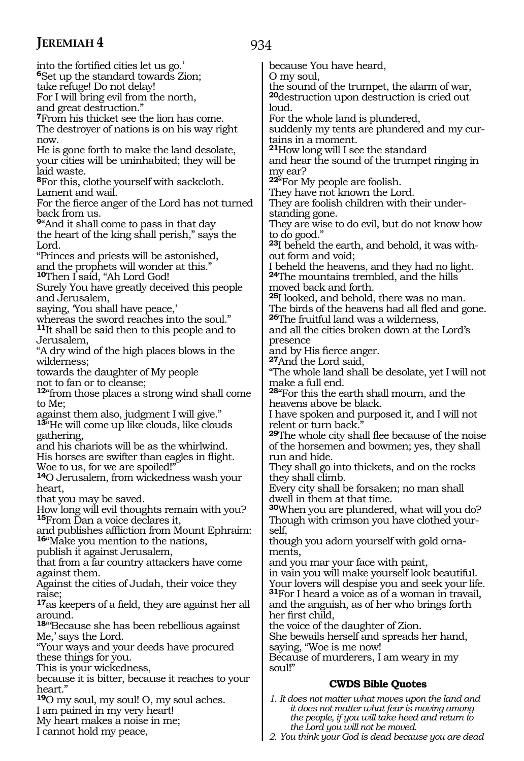I cannot hold my peace,

934

into the fortified cities let us go.' **<sup>6</sup>**Set up the standard towards Zion; take refuge! Do not delay! For I will bring evil from the north, and great destruction." **<sup>7</sup>**From his thicket see the lion has come. The destroyer of nations is on his way right now. He is gone forth to make the land desolate, your cities will be uninhabited; they will be laid waste. **<sup>8</sup>**For this, clothe yourself with sackcloth. Lament and wail. For the fierce anger of the Lord has not turned back from us. **<sup>9</sup>**"And it shall come to pass in that day the heart of the king shall perish," says the Lord. "Princes and priests will be astonished, and the prophets will wonder at this." **<sup>10</sup>**Then I said, "Ah Lord God! Surely You have greatly deceived this people and Jerusalem, saying, You shall have peace,' whereas the sword reaches into the soul." **<sup>11</sup>**It shall be said then to this people and to Jerusalem, "A dry wind of the high places blows in the wilderness; towards the daughter of My people not to fan or to cleanse; **<sup>12</sup>**"from those places a strong wind shall come to Me; against them also, judgment I will give." **<sup>13</sup>**"He will come up like clouds, like clouds gathering, and his chariots will be as the whirlwind. His horses are swifter than eagles in flight. Woe to us, for we are spoiled!" **<sup>14</sup>**O Jerusalem, from wickedness wash your heart, that you may be saved. How long will evil thoughts remain with you? **<sup>15</sup>**From Dan a voice declares it, and publishes affliction from Mount Ephraim: **<sup>16</sup>**"Make you mention to the nations, publish it against Jerusalem, that from a far country attackers have come against them. Against the cities of Judah, their voice they raise; **<sup>17</sup>**as keepers of a field, they are against her all around. **<sup>18</sup>**"'Because she has been rebellious against Me,' says the Lord. "Your ways and your deeds have procured these things for you. This is your wickedness, because it is bitter, because it reaches to your heart." **<sup>19</sup>**O my soul, my soul! O, my soul aches. I am pained in my very heart! My heart makes a noise in me; because You have heard, O my soul, the sound of the trumpet, the alarm of war, **<sup>20</sup>**destruction upon destruction is cried out loud. For the whole land is plundered, suddenly my tents are plundered and my curtains in a moment. **<sup>21</sup>**How long will I see the standard and hear the sound of the trumpet ringing in my ear? **<sup>22</sup>**"For My people are foolish. They have not known the Lord. They are foolish children with their under- standing gone. They are wise to do evil, but do not know how to do good." **23**I beheld the earth, and behold, it was without form and void; I beheld the heavens, and they had no light. **<sup>24</sup>**The mountains trembled, and the hills moved back and forth. **<sup>25</sup>**I looked, and behold, there was no man. The birds of the heavens had all fled and gone. **<sup>26</sup>**The fruitful land was a wilderness, and all the cities broken down at the Lord's presence<br>and by His fierce anger. 27And the Lord said, "The whole land shall be desolate, yet I will not make a full end. **<sup>28</sup>**"For this the earth shall mourn, and the heavens above be black. I have spoken and purposed it, and I will not relent or turn back. **<sup>29</sup>**The whole city shall flee because of the noise of the horsemen and bowmen; yes, they shall run and hide. They shall go into thickets, and on the rocks they shall climb. Every city shall be forsaken; no man shall dwell in them at that time. **<sup>30</sup>**When you are plundered, what will you do? Though with crimson you have clothed yourself, though you adorn yourself with gold ornaments, and you mar your face with paint, in vain you will make yourself look beautiful. Your lovers will despise you and seek your life. **<sup>31</sup>**For I heard a voice as of a woman in travail, and the anguish, as of her who brings forth her first child, the voice of the daughter of Zion. She bewails herself and spreads her hand, saying, "Woe is me now! Because of murderers, I am weary in my soul!" **CWDS Bible Quotes** *1. It does not matter what moves upon the land and it does not matter what fear is moving among the people, if you will take heed and return to* 

*the Lord you will not be moved. 2. You think your God is dead because you are dead*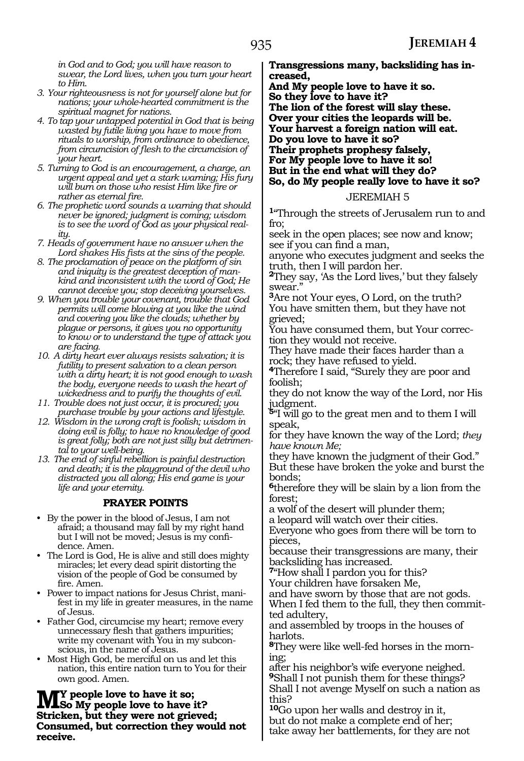*in God and to God; you will have reason to swear, the Lord lives, when you turn your heart to Him.*

- *3. Your righteousness is not for yourself alone but for nations; your whole-hearted commitment is the spiritual magnet for nations.*
- *4. To tap your untapped potential in God that is being wasted by futile living you have to move from rituals to worship, from ordinance to obedience, from circumcision of flesh to the circumcision of your heart.*
- *5. Turning to God is an encouragement, a charge, an urgent appeal and yet a stark warning; His fury will burn on those who resist Him like fire or rather as eternal fire.*
- *6. The prophetic word sounds a warning that should never be ignored; judgment is coming; wisdom is to see the word of God as your physical reality.*
- *7. Heads of government have no answer when the Lord shakes His fists at the sins of the people.*
- *8. The proclamation of peace on the platform of sin and iniquity is the greatest deception of mankind and inconsistent with the word of God; He cannot deceive you; stop deceiving yourselves.*
- *9. When you trouble your covenant, trouble that God permits will come blowing at you like the wind and covering you like the clouds; whether by plague or persons, it gives you no opportunity to know or to understand the type of attack you are facing.*
- *10. A dirty heart ever always resists salvation; it is futility to present salvation to a clean person with a dirty heart; it is not good enough to wash the body, everyone needs to wash the heart of wickedness and to purify the thoughts of evil.*
- *11. Trouble does not just occur, it is procured; you purchase trouble by your actions and lifestyle.*
- *12. Wisdom in the wrong craft is foolish; wisdom in doing evil is folly; to have no knowledge of good is great folly; both are not just silly but detrimental to your well-being.*
- *13. The end of sinful rebellion is painful destruction and death; it is the playground of the devil who distracted you all along; His end game is your life and your eternity.*

#### **PRAYER POINTS**

- By the power in the blood of Jesus, I am not afraid; a thousand may fall by my right hand but I will not be moved; Jesus is my confidence. Amen.
- The Lord is God, He is alive and still does mighty miracles; let every dead spirit distorting the vision of the people of God be consumed by fire. Amen.
- Power to impact nations for Jesus Christ, manifest in my life in greater measures, in the name of Jesus.
- Father God, circumcise my heart; remove every unnecessary flesh that gathers impurities; write my covenant with You in my subconscious, in the name of Jesus.
- Most High God, be merciful on us and let this nation, this entire nation turn to You for their own good. Amen.

**M**<sup>Y</sup> people love to have it so;<br>Striction, but they were not wished **Stricken, but they were not grieved; Consumed, but correction they would not receive.**

**Transgressions many, backsliding has increased,**

**And My people love to have it so.**

**So they love to have it? The lion of the forest will slay these. Over your cities the leopards will be. Your harvest a foreign nation will eat. Do you love to have it so? Their prophets prophesy falsely, For My people love to have it so! But in the end what will they do? So, do My people really love to have it so?**

#### JEREMIAH 5

**<sup>1</sup>**"Through the streets of Jerusalem run to and fro;

seek in the open places; see now and know; see if you can find a man,

anyone who executes judgment and seeks the truth, then I will pardon her.

**<sup>2</sup>**They say, 'As the Lord lives,' but they falsely swear."

**<sup>3</sup>**Are not Your eyes, O Lord, on the truth? You have smitten them, but they have not grieved;

You have consumed them, but Your correction they would not receive.

They have made their faces harder than a rock; they have refused to yield.

**<sup>4</sup>**Therefore I said, "Surely they are poor and foolish;

they do not know the way of the Lord, nor His judgment.

**<sup>5</sup>**"I will go to the great men and to them I will speak,

for they have known the way of the Lord; *they have known Me;*

they have known the judgment of their God." But these have broken the yoke and burst the bonds;

**<sup>6</sup>**therefore they will be slain by a lion from the forest;

a wolf of the desert will plunder them;

a leopard will watch over their cities. Everyone who goes from there will be torn to pieces,

because their transgressions are many, their backsliding has increased.

**<sup>7</sup>**"How shall I pardon you for this?

Your children have forsaken Me,

and have sworn by those that are not gods. When I fed them to the full, they then committed adultery,

and assembled by troops in the houses of harlots.

**8**They were like well-fed horses in the morning;

after his neighbor's wife everyone neighed. **<sup>9</sup>**Shall I not punish them for these things? Shall I not avenge Myself on such a nation as this?

**<sup>10</sup>**Go upon her walls and destroy in it, but do not make a complete end of her; take away her battlements, for they are not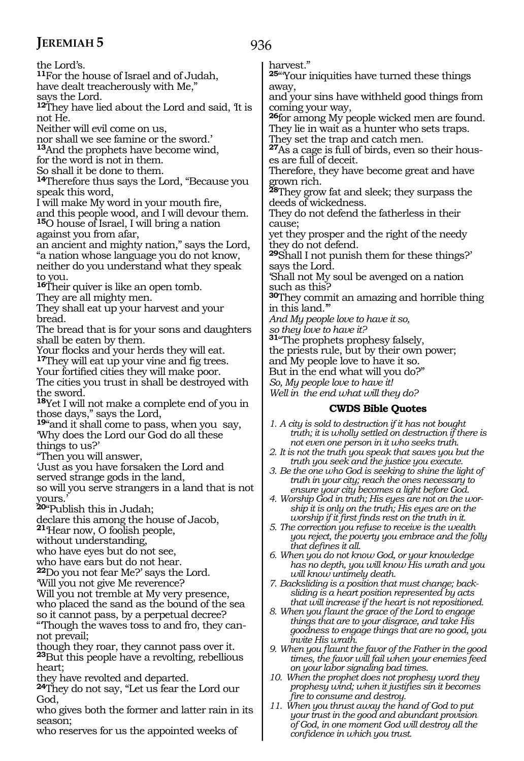the Lord's. **<sup>11</sup>**For the house of Israel and of Judah, have dealt treacherously with Me," says the Lord. **<sup>12</sup>**They have lied about the Lord and said, 'It is not He. Neither will evil come on us, nor shall we see famine or the sword.' **<sup>13</sup>**And the prophets have become wind, for the word is not in them. So shall it be done to them. **<sup>14</sup>**Therefore thus says the Lord, "Because you speak this word, I will make My word in your mouth fire, and this people wood, and I will devour them. **<sup>15</sup>**O house of Israel, I will bring a nation against you from afar, an ancient and mighty nation," says the Lord, "a nation whose language you do not know, neither do you understand what they speak to you. **<sup>16</sup>**Their quiver is like an open tomb. They are all mighty men. They shall eat up your harvest and your bread. The bread that is for your sons and daughters shall be eaten by them.<br>Your flocks and your herds they will eat. <sup>17</sup>They will eat up your vine and fig trees. Your fortified cities they will make poor. The cities you trust in shall be destroyed with the sword. **<sup>18</sup>**Yet I will not make a complete end of you in those days," says the Lord, **<sup>19</sup>**"and it shall come to pass, when you say, 'Why does the Lord our God do all these things to us?' "Then you will answer, 'Just as you have forsaken the Lord and served strange gods in the land, so will you serve strangers in a land that is not yours.' **<sup>20</sup>**"Publish this in Judah; declare this among the house of Jacob, **<sup>21</sup>**'Hear now, O foolish people, without understanding, who have eyes but do not see, who have ears but do not hear. **<sup>22</sup>**Do you not fear Me?' says the Lord.

'Will you not give Me reverence?

Will you not tremble at My very presence, who placed the sand as the bound of the sea so it cannot pass, by a perpetual decree?

"'Though the waves toss to and fro, they cannot prevail;

though they roar, they cannot pass over it. **<sup>23</sup>**But this people have a revolting, rebellious heart;

they have revolted and departed.

**<sup>24</sup>**They do not say, "Let us fear the Lord our God,

who gives both the former and latter rain in its season;

who reserves for us the appointed weeks of

936

harvest."

**<sup>25</sup>**"'Your iniquities have turned these things away,

and your sins have withheld good things from coming your way,

**<sup>26</sup>**for among My people wicked men are found. They lie in wait as a hunter who sets traps.

They set the trap and catch men.

**27**As a cage is full of birds, even so their houses are full of deceit.

Therefore, they have become great and have grown rich.

**<sup>28</sup>**They grow fat and sleek; they surpass the deeds of wickedness.

They do not defend the fatherless in their cause;

yet they prosper and the right of the needy they do not defend.

**<sup>29</sup>**Shall I not punish them for these things?' says the Lord.

'Shall not My soul be avenged on a nation such as this?

**<sup>30</sup>**They commit an amazing and horrible thing in this land.'"

*And My people love to have it so,* 

*so they love to have it?* 

**<sup>31</sup>**"The prophets prophesy falsely,

the priests rule, but by their own power;

and My people love to have it so.

But in the end what will you do?"

*So, My people love to have it! Well in the end what will they do?*

- *1. A city is sold to destruction if it has not bought truth; it is wholly settled on destruction if there is not even one person in it who seeks truth.*
- *2. It is not the truth you speak that saves you but the truth you seek and the justice you execute.*
- *3. Be the one who God is seeking to shine the light of truth in your city; reach the ones necessary to ensure your city becomes a light before God.*
- *4. Worship God in truth; His eyes are not on the worship it is only on the truth; His eyes are on the worship if it first finds rest on the truth in it.*
- *5. The correction you refuse to receive is the wealth you reject, the poverty you embrace and the folly that defines it all.*
- *6. When you do not know God, or your knowledge has no depth, you will know His wrath and you will know untimely death.*
- *7. Backsliding is a position that must change; backsliding is a heart position represented by acts that will increase if the heart is not repositioned.*
- *8. When you flaunt the grace of the Lord to engage things that are to your disgrace, and take His goodness to engage things that are no good, you invite His wrath.*
- *9. When you flaunt the favor of the Father in the good times, the favor will fail when your enemies feed on your labor signaling bad times.*
- *10. When the prophet does not prophesy word they prophesy wind; when it justifies sin it becomes fire to consume and destroy.*
- *11. When you thrust away the hand of God to put your trust in the good and abundant provision of God, in one moment God will destroy all the confidence in which you trust.*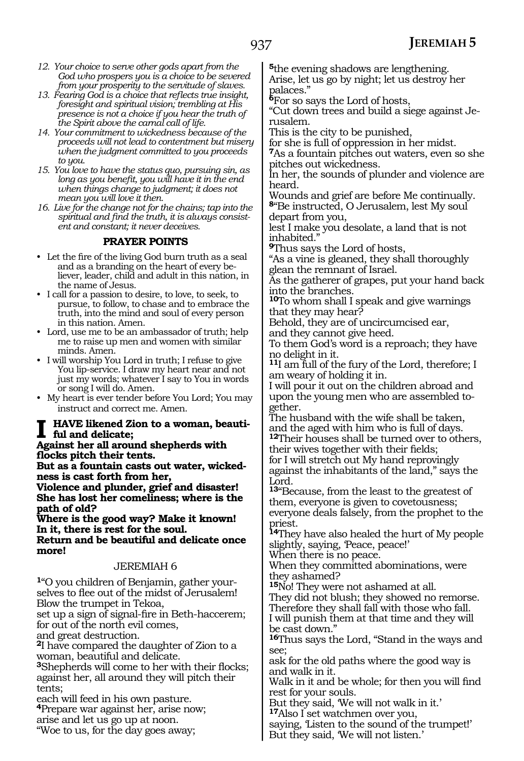- *12. Your choice to serve other gods apart from the God who prospers you is a choice to be severed from your prosperity to the servitude of slaves.*
- *13. Fearing God is a choice that reflects true insight, foresight and spiritual vision; trembling at His presence is not a choice if you hear the truth of the Spirit above the carnal call of life.*
- *14. Your commitment to wickedness because of the proceeds will not lead to contentment but misery when the judgment committed to you proceeds to you.*
- *15. You love to have the status quo, pursuing sin, as long as you benefit, you will have it in the end when things change to judgment; it does not mean you will love it then.*
- *16. Live for the change not for the chains; tap into the spiritual and find the truth, it is always consistent and constant; it never deceives.*

#### **PRAYER POINTS**

- Let the fire of the living God burn truth as a seal and as a branding on the heart of every believer, leader, child and adult in this nation, in the name of Jesus.
- I call for a passion to desire, to love, to seek, to pursue, to follow, to chase and to embrace the truth, into the mind and soul of every person in this nation. Amen.
- Lord, use me to be an ambassador of truth; help me to raise up men and women with similar minds. Amen.
- I will worship You Lord in truth; I refuse to give You lip-service. I draw my heart near and not just my words; whatever I say to You in words or song I will do. Amen.
- My heart is ever tender before You Lord; You may instruct and correct me. Amen.

#### **HAVE** likened Zion to a woman, beauti**ful and delicate;**

**Against her all around shepherds with flocks pitch their tents.**

**But as a fountain casts out water, wickedness is cast forth from her,** 

**Violence and plunder, grief and disaster! She has lost her comeliness; where is the path of old?** 

**Where is the good way? Make it known! In it, there is rest for the soul. Return and be beautiful and delicate once more!**

#### JEREMIAH 6

**1**"O you children of Benjamin, gather yourselves to flee out of the midst of Jerusalem! Blow the trumpet in Tekoa,

set up a sign of signal-fire in Beth-haccerem; for out of the north evil comes,

and great destruction.

**<sup>2</sup>**I have compared the daughter of Zion to a woman, beautiful and delicate.

**<sup>3</sup>**Shepherds will come to her with their flocks; against her, all around they will pitch their tents;

each will feed in his own pasture. **<sup>4</sup>**Prepare war against her, arise now; arise and let us go up at noon.

"Woe to us, for the day goes away;

**<sup>5</sup>**the evening shadows are lengthening. Arise, let us go by night; let us destroy her palaces."

**<sup>6</sup>**For so says the Lord of hosts,

"Cut down trees and build a siege against Je- rusalem.

This is the city to be punished,

for she is full of oppression in her midst. **<sup>7</sup>**As a fountain pitches out waters, even so she pitches out wickedness.

In her, the sounds of plunder and violence are heard.

Wounds and grief are before Me continually. **<sup>8</sup>**"Be instructed, O Jerusalem, lest My soul

depart from you, lest I make you desolate, a land that is not inhabited."

**<sup>9</sup>**Thus says the Lord of hosts,

"As a vine is gleaned, they shall thoroughly glean the remnant of Israel.

As the gatherer of grapes, put your hand back into the branches.

**<sup>10</sup>**To whom shall I speak and give warnings that they may hear?

Behold, they are of uncircumcised ear, and they cannot give heed.

To them God's word is a reproach; they have no delight in it.

**<sup>11</sup>**I am full of the fury of the Lord, therefore; I am weary of holding it in.

I will pour it out on the children abroad and upon the young men who are assembled together.

The husband with the wife shall be taken, and the aged with him who is full of days. **<sup>12</sup>**Their houses shall be turned over to others,

their wives together with their fields; for I will stretch out My hand reprovingly against the inhabitants of the land," says the Lord.

**<sup>13</sup>**"Because, from the least to the greatest of them, everyone is given to covetousness; everyone deals falsely, from the prophet to the priest.

**<sup>14</sup>**They have also healed the hurt of My people slightly, saying, 'Peace, peace!'

When there is no peace.

When they committed abominations, were they ashamed?

**<sup>15</sup>**No! They were not ashamed at all.

They did not blush; they showed no remorse. Therefore they shall fall with those who fall.

I will punish them at that time and they will be cast down."

**<sup>16</sup>**Thus says the Lord, "Stand in the ways and see;

ask for the old paths where the good way is and walk in it.

Walk in it and be whole; for then you will find rest for your souls.

But they said, 'We will not walk in it.'

**<sup>17</sup>**Also I set watchmen over you,

saying, 'Listen to the sound of the trumpet!' But they said, 'We will not listen.'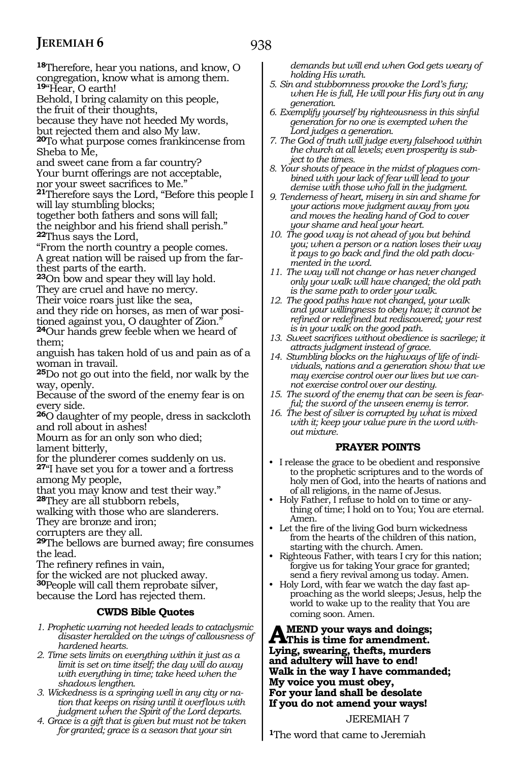938

**<sup>18</sup>**Therefore, hear you nations, and know, O congregation, know what is among them. **<sup>19</sup>**"Hear, O earth! Behold, I bring calamity on this people, the fruit of their thoughts, because they have not heeded My words, but rejected them and also My law. **<sup>20</sup>**To what purpose comes frankincense from Sheba to Me, and sweet cane from a far country? Your burnt offerings are not acceptable, nor your sweet sacrifices to Me." **<sup>21</sup>**Therefore says the Lord, "Before this people I will lay stumbling blocks; together both fathers and sons will fall; the neighbor and his friend shall perish." **<sup>22</sup>**Thus says the Lord, "From the north country a people comes. A great nation will be raised up from the farthest parts of the earth. **<sup>23</sup>**On bow and spear they will lay hold. They are cruel and have no mercy. Their voice roars just like the sea, and they ride on horses, as men of war positioned against you, O daughter of Zion." **<sup>24</sup>**Our hands grew feeble when we heard of them; anguish has taken hold of us and pain as of a woman in travail. **<sup>25</sup>**Do not go out into the field, nor walk by the way, openly. Because of the sword of the enemy fear is on every side. **<sup>26</sup>**O daughter of my people, dress in sackcloth and roll about in ashes! Mourn as for an only son who died; lament bitterly, for the plunderer comes suddenly on us. **<sup>27</sup>**"I have set you for a tower and a fortress among My people, that you may know and test their way." **<sup>28</sup>**They are all stubborn rebels, walking with those who are slanderers. They are bronze and iron; corrupters are they all. **<sup>29</sup>**The bellows are burned away; fire consumes the lead. The refinery refines in vain, for the wicked are not plucked away. **<sup>30</sup>**People will call them reprobate silver, because the Lord has rejected them. **CWDS Bible Quotes** *1. Prophetic warning not heeded leads to cataclysmic disaster heralded on the wings of callousness of hardened hearts. 2. Time sets limits on everything within it just as a limit is set on time itself; the day will do away with everything in time; take heed when the shadows lengthen.*

- *3. Wickedness is a springing well in any city or nation that keeps on rising until it overflows with judgment when the Spirit of the Lord departs.*
- *4. Grace is a gift that is given but must not be taken for granted; grace is a season that your sin*

*demands but will end when God gets weary of holding His wrath.*

- *5. Sin and stubbornness provoke the Lord's fury; when He is full, He will pour His fury out in any generation.*
- *6. Exemplify yourself by righteousness in this sinful generation for no one is exempted when the Lord judges a generation.*
- *7. The God of truth will judge every falsehood within the church at all levels; even prosperity is subject to the times.*
- *8. Your shouts of peace in the midst of plagues combined with your lack of fear will lead to your demise with those who fall in the judgment.*
- *9. Tenderness of heart, misery in sin and shame for your actions move judgment away from you and moves the healing hand of God to cover your shame and heal your heart.*
- *10. The good way is not ahead of you but behind you; when a person or a nation loses their way it pays to go back and find the old path documented in the word.*
- *11. The way will not change or has never changed only your walk will have changed; the old path is the same path to order your walk.*
- *12. The good paths have not changed, your walk and your willingness to obey have; it cannot be refined or redefined but rediscovered; your rest is in your walk on the good path.*
- *13. Sweet sacrifices without obedience is sacrilege; it attracts judgment instead of grace.*
- *14. Stumbling blocks on the highways of life of individuals, nations and a generation show that we may exercise control over our lives but we cannot exercise control over our destiny.*
- *15. The sword of the enemy that can be seen is fearful; the sword of the unseen enemy is terror.*
- *16. The best of silver is corrupted by what is mixed with it; keep your value pure in the word without mixture.*

#### **PRAYER POINTS**

- I release the grace to be obedient and responsive to the prophetic scriptures and to the words of holy men of God, into the hearts of nations and of all religions, in the name of Jesus.
- Holy Father, I refuse to hold on to time or anything of time; I hold on to You; You are eternal. Amen.
- Let the fire of the living God burn wickedness from the hearts of the children of this nation, starting with the church. Amen.
- Righteous Father, with tears I cry for this nation; forgive us for taking Your grace for granted; send a fiery revival among us today. Amen.
- Holy Lord, with fear we watch the day fast approaching as the world sleeps; Jesus, help the world to wake up to the reality that You are coming soon. Amen.

#### AMEND your ways and doings;<br> **This is time for amendment. Lying, swearing, thefts, murders and adultery will have to end! Walk in the way I have commanded; My voice you must obey, For your land shall be desolate If you do not amend your ways!**

JEREMIAH 7

**<sup>1</sup>**The word that came to Jeremiah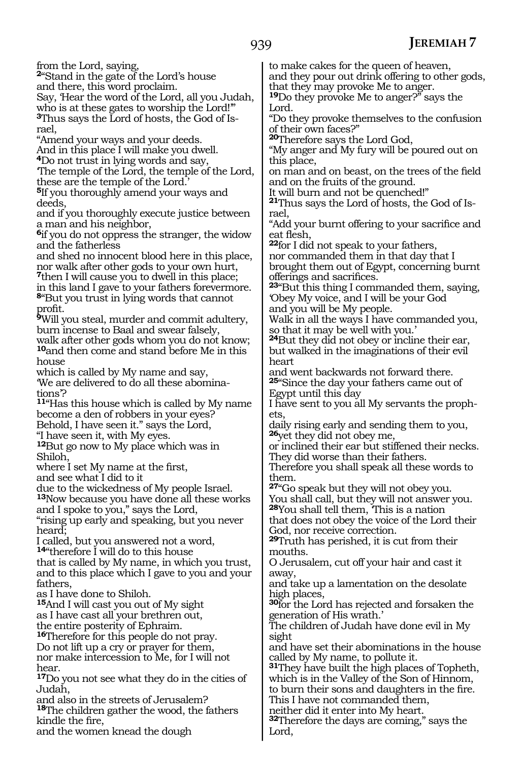from the Lord, saying,

**<sup>2</sup>**"Stand in the gate of the Lord's house

and there, this word proclaim. Say, 'Hear the word of the Lord, all you Judah,

who is at these gates to worship the Lord!" **3**Thus says the Lord of hosts, the God of Israel,

"Amend your ways and your deeds.

And in this place I will make you dwell.

**<sup>4</sup>**Do not trust in lying words and say, 'The temple of the Lord, the temple of the Lord,

these are the temple of the Lord.' **<sup>5</sup>**If you thoroughly amend your ways and deeds,

and if you thoroughly execute justice between a man and his neighbor,

**<sup>6</sup>**if you do not oppress the stranger, the widow and the fatherless

and shed no innocent blood here in this place, nor walk after other gods to your own hurt,

**<sup>7</sup>**then I will cause you to dwell in this place; in this land I gave to your fathers forevermore. **<sup>8</sup>**"But you trust in lying words that cannot profit.

**<sup>9</sup>**Will you steal, murder and commit adultery, burn incense to Baal and swear falsely, walk after other gods whom you do not know; **<sup>10</sup>**and then come and stand before Me in this

house which is called by My name and say, 'We are delivered to do all these abomina-

tions'?

**<sup>11</sup>**"Has this house which is called by My name become a den of robbers in your eyes? Behold, I have seen it." says the Lord,

"I have seen it, with My eyes.

**<sup>12</sup>**But go now to My place which was in Shiloh,

where I set My name at the first,

and see what I did to it

due to the wickedness of My people Israel.

**<sup>13</sup>**Now because you have done all these works and I spoke to you," says the Lord,

"rising up early and speaking, but you never heard;

I called, but you answered not a word,

**<sup>14</sup>**"therefore I will do to this house

that is called by My name, in which you trust, and to this place which I gave to you and your fathers,

as I have done to Shiloh.

**<sup>15</sup>**And I will cast you out of My sight

as I have cast all your brethren out,

the entire posterity of Ephraim.

**<sup>16</sup>**Therefore for this people do not pray. Do not lift up a cry or prayer for them,

nor make intercession to Me, for I will not hear.

**<sup>17</sup>**Do you not see what they do in the cities of Judah,

and also in the streets of Jerusalem? **<sup>18</sup>**The children gather the wood, the fathers kindle the fire,

and the women knead the dough

to make cakes for the queen of heaven, and they pour out drink offering to other gods, that they may provoke Me to anger.

**<sup>19</sup>**Do they provoke Me to anger?" says the Lord.

"Do they provoke themselves to the confusion of their own faces?"

**<sup>20</sup>**Therefore says the Lord God,

"My anger and My fury will be poured out on this place,

on man and on beast, on the trees of the field and on the fruits of the ground.

It will burn and not be quenched!"

**<sup>21</sup>**Thus says the Lord of hosts, the God of Is- rael,

"Add your burnt offering to your sacrifice and eat flesh,

**<sup>22</sup>**for I did not speak to your fathers, nor commanded them in that day that I brought them out of Egypt, concerning burnt offerings and sacrifices.

**<sup>23</sup>**"But this thing I commanded them, saying, 'Obey My voice, and I will be your God

and you will be My people. Walk in all the ways I have commanded you,

so that it may be well with you.' **<sup>24</sup>**But they did not obey or incline their ear,

but walked in the imaginations of their evil heart

and went backwards not forward there. **<sup>25</sup>**"Since the day your fathers came out of Egypt until this day

I have sent to you all My servants the prophets,

daily rising early and sending them to you, **<sup>26</sup>**yet they did not obey me,

or inclined their ear but stiffened their necks. They did worse than their fathers.

Therefore you shall speak all these words to them.

**<sup>27</sup>**"Go speak but they will not obey you.

You shall call, but they will not answer you. **<sup>28</sup>**You shall tell them, 'This is a nation

that does not obey the voice of the Lord their God, nor receive correction.

**<sup>29</sup>**Truth has perished, it is cut from their mouths.

O Jerusalem, cut off your hair and cast it away,

and take up a lamentation on the desolate high places,

**<sup>30</sup>**for the Lord has rejected and forsaken the generation of His wrath.'

The children of Judah have done evil in My sight

and have set their abominations in the house called by My name, to pollute it.

**<sup>31</sup>**They have built the high places of Topheth, which is in the Valley of the Son of Hinnom, to burn their sons and daughters in the fire.

This I have not commanded them,

neither did it enter into My heart.

**<sup>32</sup>**Therefore the days are coming," says the Lord,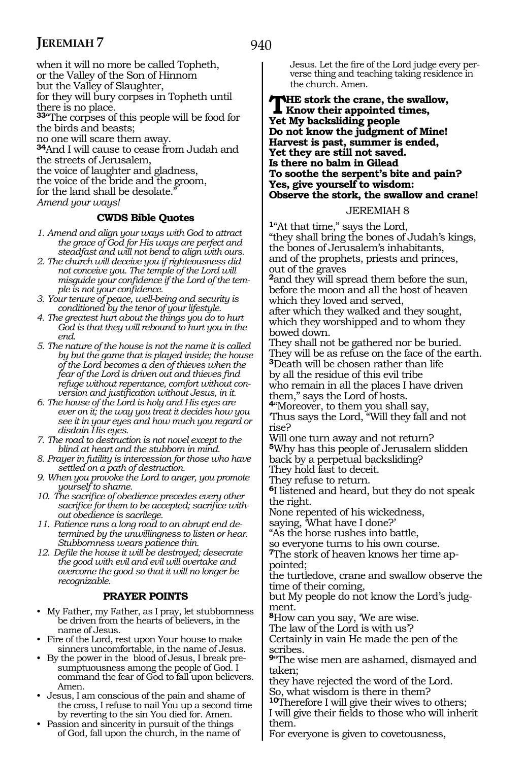940

when it will no more be called Topheth, or the Valley of the Son of Hinnom but the Valley of Slaughter,

for they will bury corpses in Topheth until there is no place.

**<sup>33</sup>**"The corpses of this people will be food for the birds and beasts;

no one will scare them away.

**<sup>34</sup>**And I will cause to cease from Judah and the streets of Jerusalem, the voice of laughter and gladness,

the voice of the bride and the groom,

for the land shall be desolate.

*Amend your ways!*

#### **CWDS Bible Quotes**

- *1. Amend and align your ways with God to attract the grace of God for His ways are perfect and steadfast and will not bend to align with ours.*
- *2. The church will deceive you if righteousness did not conceive you. The temple of the Lord will misguide your confidence if the Lord of the temple is not your confidence.*
- *3. Your tenure of peace, well-being and security is conditioned by the tenor of your lifestyle.*
- *4. The greatest hurt about the things you do to hurt God is that they will rebound to hurt you in the end.*
- *5. The nature of the house is not the name it is called by but the game that is played inside; the house of the Lord becomes a den of thieves when the fear of the Lord is driven out and thieves find refuge without repentance, comfort without conversion and justification without Jesus, in it.*
- *6. The house of the Lord is holy and His eyes are ever on it; the way you treat it decides how you see it in your eyes and how much you regard or disdain His eyes.*
- *7. The road to destruction is not novel except to the blind at heart and the stubborn in mind.*
- *8. Prayer in futility is intercession for those who have settled on a path of destruction.*
- *9. When you provoke the Lord to anger, you promote yourself to shame.*
- *10. The sacrifice of obedience precedes every other sacrifice for them to be accepted; sacrifice without obedience is sacrilege.*
- *11. Patience runs a long road to an abrupt end determined by the unwillingness to listen or hear. Stubbornness wears patience thin.*
- *12. Defile the house it will be destroyed; desecrate the good with evil and evil will overtake and overcome the good so that it will no longer be recognizable.*

#### **PRAYER POINTS**

- My Father, my Father, as I pray, let stubbornness be driven from the hearts of believers, in the name of Jesus.
- Fire of the Lord, rest upon Your house to make sinners uncomfortable, in the name of Jesus.
- By the power in the blood of Jesus, I break presumptuousness among the people of God. I command the fear of God to fall upon believers. Amen.
- Jesus, I am conscious of the pain and shame of the cross, I refuse to nail You up a second time by reverting to the sin You died for. Amen.
- Passion and sincerity in pursuit of the things of God, fall upon the church, in the name of

Jesus. Let the fire of the Lord judge every perverse thing and teaching taking residence in the church. Amen.

#### **THE stork the crane, the swallow,**<br> **Know their appointed times,**<br> **Know the beat of the space of the start of the start of the space of the start of the start of the start of the start of the start of the start of the st Yet My backsliding people Do not know the judgment of Mine! Harvest is past, summer is ended, Yet they are still not saved. Is there no balm in Gilead To soothe the serpent's bite and pain? Yes, give yourself to wisdom: Observe the stork, the swallow and crane!**

#### JEREMIAH 8

**<sup>1</sup>**"At that time," says the Lord, "they shall bring the bones of Judah's kings, the bones of Jerusalem's inhabitants, and of the prophets, priests and princes, out of the graves

**<sup>2</sup>**and they will spread them before the sun, before the moon and all the host of heaven which they loved and served,

after which they walked and they sought, which they worshipped and to whom they bowed down.

They shall not be gathered nor be buried. They will be as refuse on the face of the earth. **<sup>3</sup>**Death will be chosen rather than life by all the residue of this evil tribe who remain in all the places I have driven them," says the Lord of hosts.

**<sup>4</sup>**"Moreover, to them you shall say, 'Thus says the Lord, "Will they fall and not rise?

Will one turn away and not return? **<sup>5</sup>**Why has this people of Jerusalem slidden back by a perpetual backsliding?

They hold fast to deceit. They refuse to return.

**<sup>6</sup>**I listened and heard, but they do not speak the right.

None repented of his wickedness, saying, 'What have I done?'

"As the horse rushes into battle,

so everyone turns to his own course.

**7**The stork of heaven knows her time appointed;

the turtledove, crane and swallow observe the time of their coming,

but My people do not know the Lord's judgment.

**<sup>8</sup>**How can you say, 'We are wise.

The law of the Lord is with us'? Certainly in vain He made the pen of the scribes.

**<sup>9</sup>**"The wise men are ashamed, dismayed and taken;

they have rejected the word of the Lord. So, what wisdom is there in them?

**<sup>10</sup>**Therefore I will give their wives to others; I will give their fields to those who will inherit them.

For everyone is given to covetousness,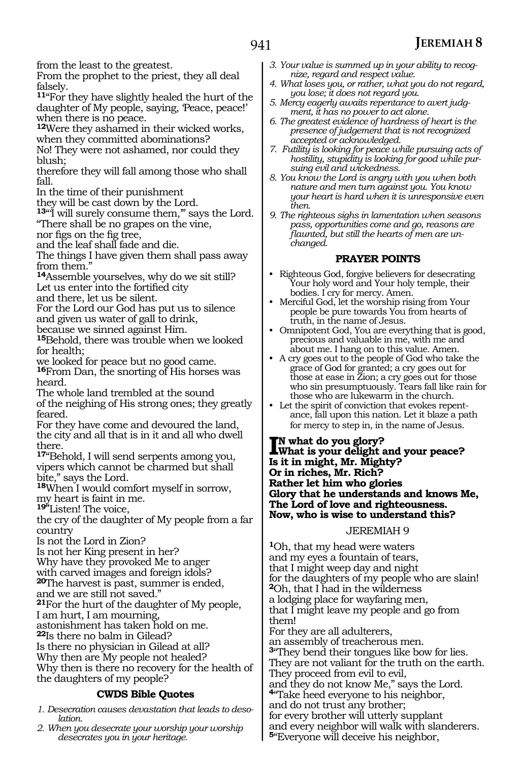from the least to the greatest.

From the prophet to the priest, they all deal falsely.

**<sup>11</sup>**"For they have slightly healed the hurt of the daughter of My people, saying, Peace, peace!' when there is no peace.

**<sup>12</sup>**Were they ashamed in their wicked works, when they committed abominations?

No! They were not ashamed, nor could they blush;

therefore they will fall among those who shall fall.

In the time of their punishment

they will be cast down by the Lord.

13<sup>"</sup> if will surely consume them," says the Lord. "There shall be no grapes on the vine,

nor figs on the fig tree,

and the leaf shall fade and die.

The things I have given them shall pass away from them."

**<sup>14</sup>**Assemble yourselves, why do we sit still? Let us enter into the fortified city

and there, let us be silent.

For the Lord our God has put us to silence and given us water of gall to drink,

because we sinned against Him.

**<sup>15</sup>**Behold, there was trouble when we looked for health;

we looked for peace but no good came.

**<sup>16</sup>**From Dan, the snorting of His horses was heard.

The whole land trembled at the sound of the neighing of His strong ones; they greatly feared.

For they have come and devoured the land, the city and all that is in it and all who dwell there.

**<sup>17</sup>**"Behold, I will send serpents among you, vipers which cannot be charmed but shall bite," says the Lord.

**<sup>18</sup>**When I would comfort myself in sorrow, my heart is faint in me.

**19"**Listen! The voice,

the cry of the daughter of My people from a far country

Is not the Lord in Zion?

Is not her King present in her?

Why have they provoked Me to anger

with carved images and foreign idols?

**<sup>20</sup>**The harvest is past, summer is ended,

and we are still not saved."

**<sup>21</sup>**For the hurt of the daughter of My people,

I am hurt, I am mourning,

astonishment has taken hold on me.

**<sup>22</sup>**Is there no balm in Gilead?

Is there no physician in Gilead at all?

Why then are My people not healed?

Why then is there no recovery for the health of the daughters of my people?

#### **CWDS Bible Quotes**

*1. Desecration causes devastation that leads to desolation.* 

*2. When you desecrate your worship your worship desecrates you in your heritage.* 

- *3. Your value is summed up in your ability to recognize, regard and respect value.*
- *4. What loses you, or rather, what you do not regard, you lose; it does not regard you.*
- *5. Mercy eagerly awaits repentance to avert judgment, it has no power to act alone.*
- *6. The greatest evidence of hardness of heart is the presence of judgement that is not recognized accepted or acknowledged.*
- *7. Futility is looking for peace while pursuing acts of hostility, stupidity is looking for good while pursuing evil and wickedness.*
- *8. You know the Lord is angry with you when both nature and men turn against you. You know your heart is hard when it is unresponsive even then.*
- *9. The righteous sighs in lamentation when seasons pass, opportunities come and go, reasons are flaunted, but still the hearts of men are unchanged.*

### **PRAYER POINTS**

- Righteous God, forgive believers for desecrating Your holy word and Your holy temple, their bodies. I cry for mercy. Amen.
- Merciful God, let the worship rising from Your people be pure towards You from hearts of truth, in the name of Jesus.
- Omnipotent God, You are everything that is good, precious and valuable in me, with me and about me. I hang on to this value. Amen.
- A cry goes out to the people of God who take the grace of God for granted; a cry goes out for those at ease in Zion; a cry goes out for those who sin presumptuously. Tears fall like rain for those who are lukewarm in the church.
- Let the spirit of conviction that evokes repentance, fall upon this nation. Let it blaze a path for mercy to step in, in the name of Jesus.

#### **I**<sup>N</sup> what do you glory?<br>What is your delight a<br>Lait in might. My Might **What is your delight and your peace? Is it in might, Mr. Mighty? Or in riches, Mr. Rich? Rather let him who glories Glory that he understands and knows Me, The Lord of love and righteousness. Now, who is wise to understand this?**

#### JEREMIAH 9

**<sup>1</sup>**Oh, that my head were waters and my eyes a fountain of tears, that I might weep day and night for the daughters of my people who are slain! **<sup>2</sup>**Oh, that I had in the wilderness a lodging place for wayfaring men, that I might leave my people and go from them! For they are all adulterers, an assembly of treacherous men. **<sup>3</sup>**"They bend their tongues like bow for lies. They are not valiant for the truth on the earth. They proceed from evil to evil, and they do not know Me," says the Lord. **<sup>4</sup>**"Take heed everyone to his neighbor, and do not trust any brother; for every brother will utterly supplant and every neighbor will walk with slanderers. **<sup>5</sup>**"Everyone will deceive his neighbor,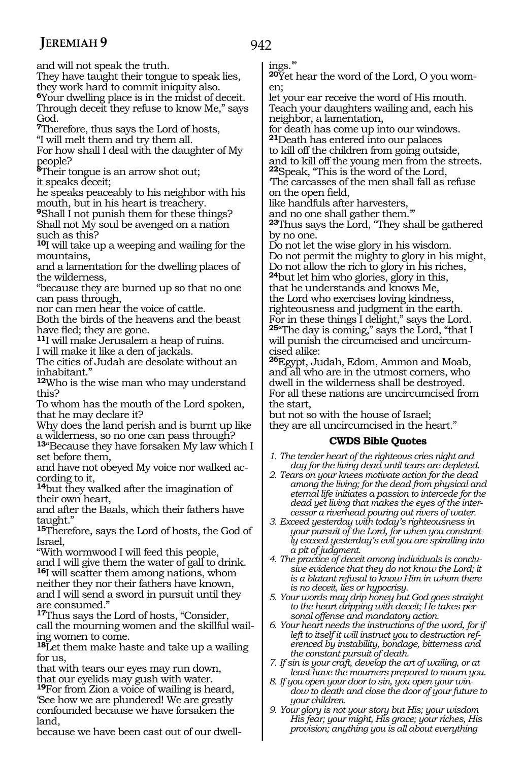and will not speak the truth.

They have taught their tongue to speak lies, they work hard to commit iniquity also. **<sup>6</sup>**Your dwelling place is in the midst of deceit. Through deceit they refuse to know Me," says God.

**<sup>7</sup>**Therefore, thus says the Lord of hosts, "I will melt them and try them all.

For how shall I deal with the daughter of My people?

**<sup>8</sup>**Their tongue is an arrow shot out; it speaks deceit;

he speaks peaceably to his neighbor with his mouth, but in his heart is treachery.

**<sup>9</sup>**Shall I not punish them for these things? Shall not My soul be avenged on a nation such as this?

**<sup>10</sup>**I will take up a weeping and wailing for the mountains,

and a lamentation for the dwelling places of the wilderness,

"because they are burned up so that no one can pass through,

nor can men hear the voice of cattle.

Both the birds of the heavens and the beast have fled; they are gone.

**<sup>11</sup>**I will make Jerusalem a heap of ruins. I will make it like a den of jackals.

The cities of Judah are desolate without an inhabitant."

**<sup>12</sup>**Who is the wise man who may understand this?

To whom has the mouth of the Lord spoken, that he may declare it?

Why does the land perish and is burnt up like a wilderness, so no one can pass through?

**<sup>13</sup>**"Because they have forsaken My law which I set before them,

and have not obeyed My voice nor walked ac- cording to it,

**<sup>14</sup>**but they walked after the imagination of their own heart,

and after the Baals, which their fathers have taught."

**<sup>15</sup>**Therefore, says the Lord of hosts, the God of Israel,

"With wormwood I will feed this people, and I will give them the water of gall to drink. **<sup>16</sup>**I will scatter them among nations, whom neither they nor their fathers have known, and I will send a sword in pursuit until they are consumed."

**<sup>17</sup>**Thus says the Lord of hosts, "Consider, call the mourning women and the skillful wailing women to come.

**<sup>18</sup>**Let them make haste and take up a wailing for us,

that with tears our eyes may run down, that our eyelids may gush with water.

**<sup>19</sup>**For from Zion a voice of wailing is heard, 'See how we are plundered! We are greatly confounded because we have forsaken the land,

because we have been cast out of our dwell-

ings.'"

**20**Yet hear the word of the Lord, O you women;

let your ear receive the word of His mouth. Teach your daughters wailing and, each his neighbor, a lamentation,

for death has come up into our windows. **<sup>21</sup>**Death has entered into our palaces

to kill off the children from going outside, and to kill off the young men from the streets. **<sup>22</sup>**Speak, "This is the word of the Lord,

'The carcasses of the men shall fall as refuse on the open field,

like handfuls after harvesters,

and no one shall gather them."

**<sup>23</sup>**Thus says the Lord, "They shall be gathered by no one.

Do not let the wise glory in his wisdom. Do not permit the mighty to glory in his might, Do not allow the rich to glory in his riches,

**<sup>24</sup>**but let him who glories, glory in this, that he understands and knows Me, the Lord who exercises loving kindness, righteousness and judgment in the earth. For in these things I delight," says the Lord. **<sup>25</sup>**"The day is coming," says the Lord, "that I will punish the circumcised and uncircumcised alike:

**<sup>26</sup>**Egypt, Judah, Edom, Ammon and Moab, and all who are in the utmost corners, who dwell in the wilderness shall be destroyed. For all these nations are uncircumcised from the start,

but not so with the house of Israel; they are all uncircumcised in the heart."

### **CWDS Bible Quotes**

*1. The tender heart of the righteous cries night and day for the living dead until tears are depleted.* 

- *2. Tears on your knees motivate action for the dead among the living; for the dead from physical and eternal life initiates a passion to intercede for the dead yet living that makes the eyes of the intercessor a riverhead pouring out rivers of water.*
- *3. Exceed yesterday with today's righteousness in your pursuit of the Lord, for when you constantly exceed yesterday's evil you are spiralling into a pit of judgment.*
- *4. The practice of deceit among individuals is conclusive evidence that they do not know the Lord; it is a blatant refusal to know Him in whom there is no deceit, lies or hypocrisy.*
- *5. Your words may drip honey but God goes straight to the heart dripping with deceit; He takes personal offense and mandatory action.*
- *6. Your heart needs the instructions of the word, for if left to itself it will instruct you to destruction referenced by instability, bondage, bitterness and the constant pursuit of death.*
- *7. If sin is your craft, develop the art of wailing, or at least have the mourners prepared to mourn you.*
- *8. If you open your door to sin, you open your window to death and close the door of your future to your children.*
- *9. Your glory is not your story but His; your wisdom His fear; your might, His grace; your riches, His provision; anything you is all about everything*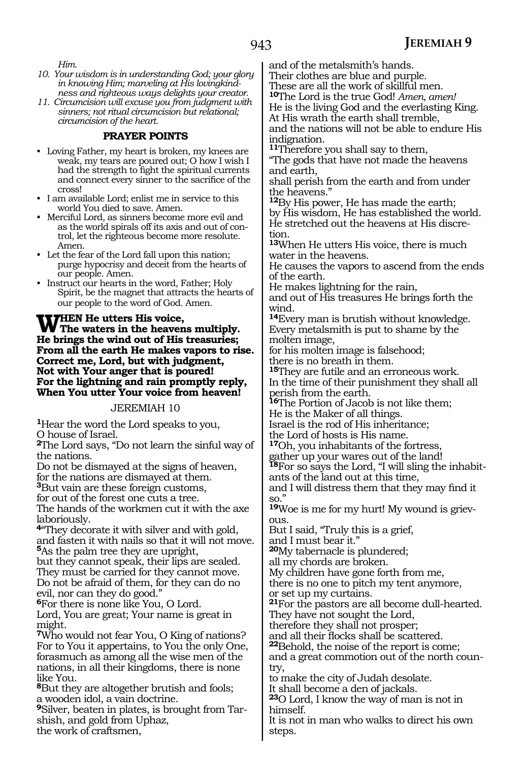*Him.*

- *10. Your wisdom is in understanding God; your glory in knowing Him; marveling at His lovingkindness and righteous ways delights your creator.*
- *11. Circumcision will excuse you from judgment with sinners; not ritual circumcision but relational; circumcision of the heart.*

#### **PRAYER POINTS**

- Loving Father, my heart is broken, my knees are weak, my tears are poured out; O how I wish I had the strength to fight the spiritual currents and connect every sinner to the sacrifice of the cross!
- I am available Lord; enlist me in service to this world You died to save. Amen.
- Merciful Lord, as sinners become more evil and as the world spirals off its axis and out of control, let the righteous become more resolute. Amen.
- Let the fear of the Lord fall upon this nation; purge hypocrisy and deceit from the hearts of our people. Amen.
- Instruct our hearts in the word, Father; Holy Spirit, be the magnet that attracts the hearts of our people to the word of God. Amen.

#### **WHEN** He utters His voice,<br> **W** The waters in the heavens multiply. **He brings the wind out of His treasuries; From all the earth He makes vapors to rise. Correct me, Lord, but with judgment, Not with Your anger that is poured! For the lightning and rain promptly reply, When You utter Your voice from heaven!**

#### JEREMIAH 10

**<sup>1</sup>**Hear the word the Lord speaks to you, O house of Israel.

**<sup>2</sup>**The Lord says, "Do not learn the sinful way of the nations.

Do not be dismayed at the signs of heaven,

for the nations are dismayed at them.

**<sup>3</sup>**But vain are these foreign customs, for out of the forest one cuts a tree.

The hands of the workmen cut it with the axe laboriously.

**<sup>4</sup>**"They decorate it with silver and with gold, and fasten it with nails so that it will not move. **<sup>5</sup>**As the palm tree they are upright,

but they cannot speak, their lips are sealed. They must be carried for they cannot move. Do not be afraid of them, for they can do no evil, nor can they do good."

**<sup>6</sup>**For there is none like You, O Lord. Lord, You are great; Your name is great in might.

**<sup>7</sup>**Who would not fear You, O King of nations? For to You it appertains, to You the only One, forasmuch as among all the wise men of the nations, in all their kingdoms, there is none like You.

**<sup>8</sup>**But they are altogether brutish and fools; a wooden idol, a vain doctrine.

**<sup>9</sup>**Silver, beaten in plates, is brought from Tar- shish, and gold from Uphaz, the work of craftsmen,

and of the metalsmith's hands.

Their clothes are blue and purple.

These are all the work of skillful men.

**<sup>10</sup>**The Lord is the true God! *Amen, amen!* He is the living God and the everlasting King.

At His wrath the earth shall tremble, and the nations will not be able to endure His indignation.

**<sup>11</sup>**Therefore you shall say to them,

"The gods that have not made the heavens and earth,

shall perish from the earth and from under the heavens."

**<sup>12</sup>**By His power, He has made the earth; by His wisdom, He has established the world. He stretched out the heavens at His discretion.

**<sup>13</sup>**When He utters His voice, there is much water in the heavens.

He causes the vapors to ascend from the ends of the earth.

He makes lightning for the rain,

and out of His treasures He brings forth the wind.

**<sup>14</sup>**Every man is brutish without knowledge. Every metalsmith is put to shame by the molten image,

for his molten image is falsehood;

there is no breath in them.

**<sup>15</sup>**They are futile and an erroneous work. In the time of their punishment they shall all perish from the earth.

**<sup>16</sup>**The Portion of Jacob is not like them; He is the Maker of all things.

Israel is the rod of His inheritance;

the Lord of hosts is His name.

**<sup>17</sup>**Oh, you inhabitants of the fortress,

gather up your wares out of the land! **18**For so says the Lord, "I will sling the inhabitants of the land out at this time,

and I will distress them that they may find it so."

**19**Woe is me for my hurt! My wound is grievous.

But I said, "Truly this is a grief,

and I must bear it."

**<sup>20</sup>**My tabernacle is plundered;

all my chords are broken.

My children have gone forth from me,

there is no one to pitch my tent anymore,

or set up my curtains. **<sup>21</sup>**For the pastors are all become dull-hearted.

They have not sought the Lord, therefore they shall not prosper;

and all their flocks shall be scattered.

**<sup>22</sup>**Behold, the noise of the report is come;

and a great commotion out of the north country,

to make the city of Judah desolate.

It shall become a den of jackals.

**<sup>23</sup>**O Lord, I know the way of man is not in himself.

It is not in man who walks to direct his own steps.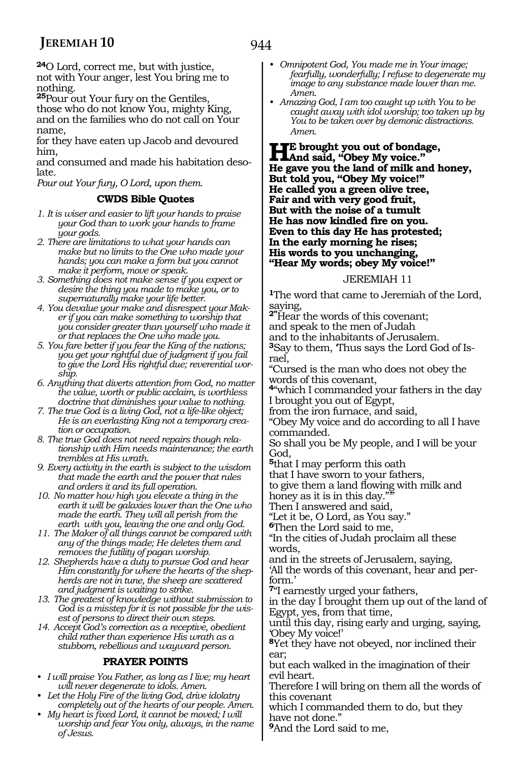944

**<sup>24</sup>**O Lord, correct me, but with justice, not with Your anger, lest You bring me to nothing.

**<sup>25</sup>**Pour out Your fury on the Gentiles, those who do not know You, mighty King, and on the families who do not call on Your name,

for they have eaten up Jacob and devoured him,

and consumed and made his habitation desolate.

*Pour out Your fury, O Lord, upon them.*

#### **CWDS Bible Quotes**

- *1. It is wiser and easier to lift your hands to praise your God than to work your hands to frame your gods.*
- *2. There are limitations to what your hands can make but no limits to the One who made your hands; you can make a form but you cannot make it perform, move or speak.*
- *3. Something does not make sense if you expect or desire the thing you made to make you, or to supernaturally make your life better.*
- *4. You devalue your make and disrespect your Maker if you can make something to worship that you consider greater than yourself who made it or that replaces the One who made you.*
- *5. You fare better if you fear the King of the nations; you get your rightful due of judgment if you fail to give the Lord His rightful due; reverential worship.*
- *6. Anything that diverts attention from God, no matter the value, worth or public acclaim, is worthless doctrine that diminishes your value to nothing.*
- *7. The true God is a living God, not a life-like object; He is an everlasting King not a temporary creation or occupation.*
- *8. The true God does not need repairs though relationship with Him needs maintenance; the earth trembles at His wrath.*
- *9. Every activity in the earth is subject to the wisdom that made the earth and the power that rules and orders it and its full operation.*
- *10. No matter how high you elevate a thing in the earth it will be galaxies lower than the One who made the earth. They will all perish from the earth with you, leaving the one and only God.*
- *11. The Maker of all things cannot be compared with any of the things made; He deletes them and removes the futility of pagan worship.*
- *12. Shepherds have a duty to pursue God and hear Him constantly for where the hearts of the shepherds are not in tune, the sheep are scattered and judgment is waiting to strike.*
- *13. The greatest of knowledge without submission to God is a misstep for it is not possible for the wisest of persons to direct their own steps.*
- *14. Accept God's correction as a receptive, obedient child rather than experience His wrath as a stubborn, rebellious and wayward person.*

#### **PRAYER POINTS**

- *• I will praise You Father, as long as I live; my heart will never degenerate to idols. Amen.*
- *• Let the Holy Fire of the living God, drive idolatry completely out of the hearts of our people. Amen.*
- *• My heart is fixed Lord, it cannot be moved; I will worship and fear You only, always, in the name of Jesus.*
- *• Omnipotent God, You made me in Your image; fearfully, wonderfully; I refuse to degenerate my image to any substance made lower than me. Amen.*
- *• Amazing God, I am too caught up with You to be caught away with idol worship; too taken up by You to be taken over by demonic distractions. Amen.*

**He brought you out of bondage, And said, "Obey My voice." He gave you the land of milk and honey, But told you, "Obey My voice!" He called you a green olive tree, Fair and with very good fruit, But with the noise of a tumult He has now kindled fire on you. Even to this day He has protested; In the early morning he rises; His words to you unchanging, "Hear My words; obey My voice!"**

#### JEREMIAH 11

**<sup>1</sup>**The word that came to Jeremiah of the Lord, saying,

**2"**Hear the words of this covenant; and speak to the men of Judah and to the inhabitants of Jerusalem. **3**Say to them, 'Thus says the Lord God of Israel,

"Cursed is the man who does not obey the words of this covenant,

**<sup>4</sup>**"which I commanded your fathers in the day I brought you out of Egypt,

from the iron furnace, and said,

"Obey My voice and do according to all I have commanded.

So shall you be My people, and I will be your God,

**<sup>5</sup>**that I may perform this oath

that I have sworn to your fathers,

to give them a land flowing with milk and

honey as it is in this day."

Then I answered and said, "Let it be, O Lord, as You say."

**<sup>6</sup>**Then the Lord said to me,

"In the cities of Judah proclaim all these words,

and in the streets of Jerusalem, saying,

'All the words of this covenant, hear and perform.'

**<sup>7</sup>**"I earnestly urged your fathers,

in the day I brought them up out of the land of Egypt, yes, from that time,

until this day, rising early and urging, saying, 'Obey My voice!'

**<sup>8</sup>**Yet they have not obeyed, nor inclined their ear;

but each walked in the imagination of their evil heart.

Therefore I will bring on them all the words of this covenant

which I commanded them to do, but they have not done."

**<sup>9</sup>**And the Lord said to me,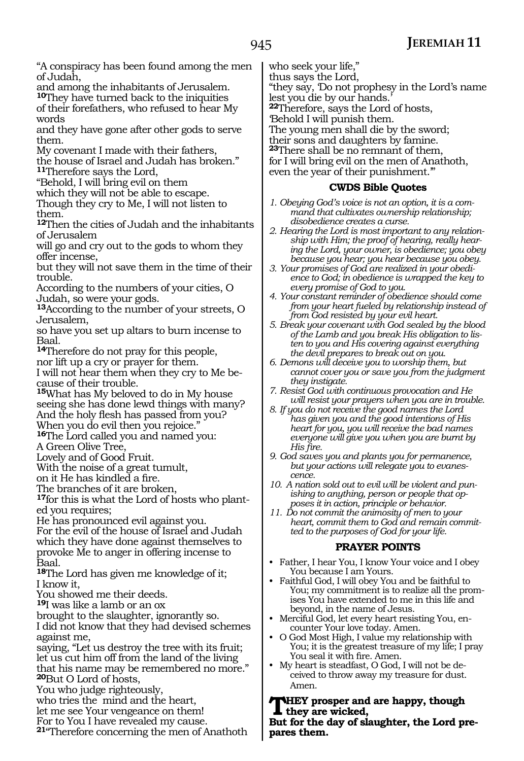"A conspiracy has been found among the men of Judah,

and among the inhabitants of Jerusalem. **<sup>10</sup>**They have turned back to the iniquities of their forefathers, who refused to hear My words

and they have gone after other gods to serve them.

My covenant I made with their fathers, the house of Israel and Judah has broken." **<sup>11</sup>**Therefore says the Lord,

"Behold, I will bring evil on them

which they will not be able to escape.

Though they cry to Me, I will not listen to them.

**<sup>12</sup>**Then the cities of Judah and the inhabitants of Jerusalem

will go and cry out to the gods to whom they offer incense,

but they will not save them in the time of their trouble.

According to the numbers of your cities, O Judah, so were your gods.

**<sup>13</sup>**According to the number of your streets, O Jerusalem,

so have you set up altars to burn incense to Baal.

**<sup>14</sup>**Therefore do not pray for this people, nor lift up a cry or prayer for them.

I will not hear them when they cry to Me because of their trouble.

**<sup>15</sup>**What has My beloved to do in My house seeing she has done lewd things with many? And the holy flesh has passed from you? When you do evil then you rejoice."

**<sup>16</sup>**The Lord called you and named you:

A Green Olive Tree,

Lovely and of Good Fruit.

With the noise of a great tumult,

on it He has kindled a fire.

The branches of it are broken,

**17**for this is what the Lord of hosts who planted you requires;

He has pronounced evil against you.

For the evil of the house of Israel and Judah which they have done against themselves to provoke Me to anger in offering incense to Baal.

**<sup>18</sup>**The Lord has given me knowledge of it; I know it,

You showed me their deeds.

**<sup>19</sup>**I was like a lamb or an ox

brought to the slaughter, ignorantly so. I did not know that they had devised schemes against me,

saying, "Let us destroy the tree with its fruit; let us cut him off from the land of the living that his name may be remembered no more." **<sup>20</sup>**But O Lord of hosts,

You who judge righteously,

who tries the mind and the heart,

let me see Your vengeance on them!

For to You I have revealed my cause.

**<sup>21</sup>**"Therefore concerning the men of Anathoth

who seek your life,"

thus says the Lord, "they say, 'Do not prophesy in the Lord's name lest you die by our hands.' **<sup>22</sup>**Therefore, says the Lord of hosts, 'Behold I will punish them. The young men shall die by the sword; their sons and daughters by famine. **<sup>23</sup>**There shall be no remnant of them, for I will bring evil on the men of Anathoth, even the year of their punishment.'"

#### **CWDS Bible Quotes**

- *1. Obeying God's voice is not an option, it is a command that cultivates ownership relationship; disobedience creates a curse.*
- *2. Hearing the Lord is most important to any relationship with Him; the proof of hearing, really hearing the Lord, your owner, is obedience; you obey because you hear; you hear because you obey.*
- *3. Your promises of God are realized in your obedience to God; in obedience is wrapped the key to every promise of God to you.*
- *4. Your constant reminder of obedience should come from your heart fueled by relationship instead of from God resisted by your evil heart.*
- *5. Break your covenant with God sealed by the blood of the Lamb and you break His obligation to listen to you and His covering against everything the devil prepares to break out on you.*
- *6. Demons will deceive you to worship them, but cannot cover you or save you from the judgment they instigate.*
- *7. Resist God with continuous provocation and He will resist your prayers when you are in trouble.*
- *8. If you do not receive the good names the Lord has given you and the good intentions of His heart for you, you will receive the bad names everyone will give you when you are burnt by His fire.*
- *9. God saves you and plants you for permanence, but your actions will relegate you to evanescence.*
- *10. A nation sold out to evil will be violent and punishing to anything, person or people that opposes it in action, principle or behavior.*
- *11. Do not commit the animosity of men to your heart, commit them to God and remain committed to the purposes of God for your life.*

#### **PRAYER POINTS**

- Father, I hear You, I know Your voice and I obey You because I am Yours.
- Faithful God, I will obey You and be faithful to You; my commitment is to realize all the promises You have extended to me in this life and beyond, in the name of Jesus.
- Merciful God, let every heart resisting You, encounter Your love today. Amen.
- O God Most High, I value my relationship with You; it is the greatest treasure of my life; I pray You seal it with fire. Amen.
- My heart is steadfast, O God, I will not be deceived to throw away my treasure for dust. Amen.

**They prosper and are happy, though they are wicked, But for the day of slaughter, the Lord pre-**

**pares them.**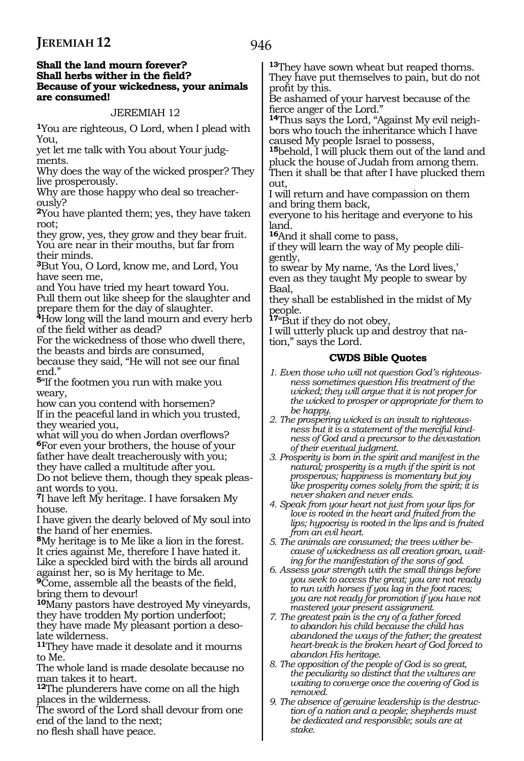#### **Shall the land mourn forever? Shall herbs wither in the field? Because of your wickedness, your animals are consumed!**

#### JEREMIAH 12

**<sup>1</sup>**You are righteous, O Lord, when I plead with You,

yet let me talk with You about Your judg- ments.

Why does the way of the wicked prosper? They live prosperously.

Why are those happy who deal so treacher- ously?

**<sup>2</sup>**You have planted them; yes, they have taken root;

they grow, yes, they grow and they bear fruit. You are near in their mouths, but far from their minds.

**<sup>3</sup>**But You, O Lord, know me, and Lord, You have seen me,

and You have tried my heart toward You. Pull them out like sheep for the slaughter and prepare them for the day of slaughter.

**<sup>4</sup>**How long will the land mourn and every herb of the field wither as dead?

For the wickedness of those who dwell there, the beasts and birds are consumed,

because they said, "He will not see our final end."

**<sup>5</sup>**"If the footmen you run with make you weary,

how can you contend with horsemen? If in the peaceful land in which you trusted, they wearied you,

what will you do when Jordan overflows? **<sup>6</sup>**For even your brothers, the house of your father have dealt treacherously with you; they have called a multitude after you.

Do not believe them, though they speak pleas- ant words to you.

**<sup>7</sup>**I have left My heritage. I have forsaken My house.

I have given the dearly beloved of My soul into the hand of her enemies.

**<sup>8</sup>**My heritage is to Me like a lion in the forest. It cries against Me, therefore I have hated it. Like a speckled bird with the birds all around against her, so is My heritage to Me.

**<sup>9</sup>**Come, assemble all the beasts of the field, bring them to devour!

**<sup>10</sup>**Many pastors have destroyed My vineyards, they have trodden My portion underfoot; they have made My pleasant portion a deso-

late wilderness. **<sup>11</sup>**They have made it desolate and it mourns

to Me.

The whole land is made desolate because no man takes it to heart.

**<sup>12</sup>**The plunderers have come on all the high places in the wilderness.

The sword of the Lord shall devour from one end of the land to the next;

no flesh shall have peace.

**<sup>13</sup>**They have sown wheat but reaped thorns. They have put themselves to pain, but do not profit by this.

Be ashamed of your harvest because of the fierce anger of the Lord."

**14**Thus says the Lord, "Against My evil neighbors who touch the inheritance which I have caused My people Israel to possess,

**<sup>15</sup>**behold, I will pluck them out of the land and pluck the house of Judah from among them. Then it shall be that after I have plucked them out,

I will return and have compassion on them and bring them back,

everyone to his heritage and everyone to his land.

**<sup>16</sup>**And it shall come to pass,

if they will learn the way of My people diligently,

to swear by My name, 'As the Lord lives,' even as they taught My people to swear by Baal,

they shall be established in the midst of My people.

**<sup>17</sup>**"But if they do not obey,

I will utterly pluck up and destroy that nation," says the Lord.

- *1. Even those who will not question God's righteousness sometimes question His treatment of the wicked; they will argue that it is not proper for the wicked to prosper or appropriate for them to be happy.*
- *2. The prospering wicked is an insult to righteousness but it is a statement of the merciful kindness of God and a precursor to the devastation of their eventual judgment.*
- *3. Prosperity is born in the spirit and manifest in the natural; prosperity is a myth if the spirit is not prosperous; happiness is momentary but joy like prosperity comes solely from the spirit; it is never shaken and never ends.*
- *4. Speak from your heart not just from your lips for love is rooted in the heart and fruited from the lips; hypocrisy is rooted in the lips and is fruited from an evil heart.*
- *5. The animals are consumed; the trees wither because of wickedness as all creation groan, waiting for the manifestation of the sons of god.*
- *6. Assess your strength with the small things before you seek to access the great; you are not ready to run with horses if you lag in the foot races; you are not ready for promotion if you have not mastered your present assignment.*
- *7. The greatest pain is the cry of a father forced to abandon his child because the child has abandoned the ways of the father; the greatest heart-break is the broken heart of God forced to abandon His heritage.*
- *8. The opposition of the people of God is so great, the peculiarity so distinct that the vultures are waiting to converge once the covering of God is removed.*
- *9. The absence of genuine leadership is the destruction of a nation and a people; shepherds must be dedicated and responsible; souls are at stake.*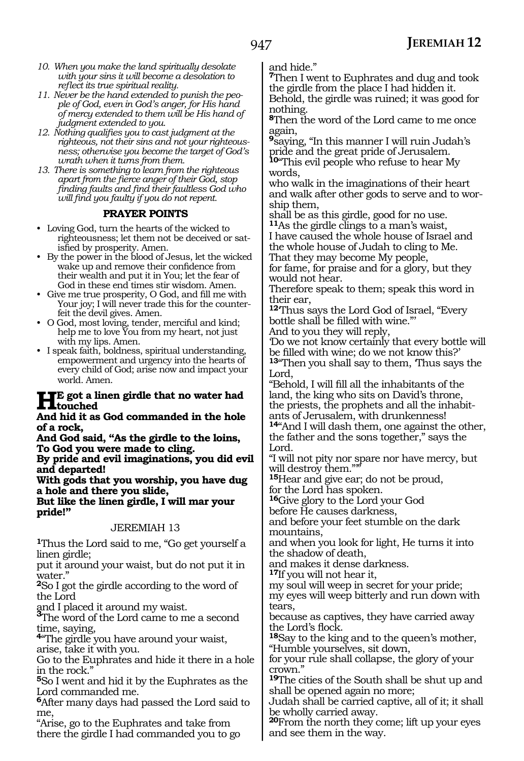- *10. When you make the land spiritually desolate with your sins it will become a desolation to reflect its true spiritual reality.*
- *11. Never be the hand extended to punish the people of God, even in God's anger, for His hand of mercy extended to them will be His hand of judgment extended to you.*
- *12. Nothing qualifies you to cast judgment at the righteous, not their sins and not your righteousness; otherwise you become the target of God's wrath when it turns from them.*
- *13. There is something to learn from the righteous apart from the fierce anger of their God, stop finding faults and find their faultless God who will find you faulty if you do not repent.*

#### **PRAYER POINTS**

- Loving God, turn the hearts of the wicked to righteousness; let them not be deceived or satisfied by prosperity. Amen.
- By the power in the blood of Jesus, let the wicked wake up and remove their confidence from their wealth and put it in You; let the fear of God in these end times stir wisdom. Amen.
- Give me true prosperity, O God, and fill me with Your joy; I will never trade this for the counterfeit the devil gives. Amen.
- O God, most loving, tender, merciful and kind; help me to love You from my heart, not just with my lips. Amen.
- I speak faith, boldness, spiritual understanding, empowerment and urgency into the hearts of every child of God; arise now and impact your world. Amen.

#### **He got a linen girdle that no water had touched**

**And hid it as God commanded in the hole of a rock,**

**And God said, "As the girdle to the loins, To God you were made to cling.**

**By pride and evil imaginations, you did evil and departed!**

**With gods that you worship, you have dug a hole and there you slide, But like the linen girdle, I will mar your pride!"**

### JEREMIAH 13

**<sup>1</sup>**Thus the Lord said to me, "Go get yourself a linen girdle;

put it around your waist, but do not put it in water."

**<sup>2</sup>**So I got the girdle according to the word of the Lord

and I placed it around my waist. **<sup>3</sup>**The word of the Lord came to me a second time, saying,

**<sup>4</sup>**"The girdle you have around your waist, arise, take it with you.

Go to the Euphrates and hide it there in a hole in the rock."

**<sup>5</sup>**So I went and hid it by the Euphrates as the Lord commanded me.

**<sup>6</sup>**After many days had passed the Lord said to me,

"Arise, go to the Euphrates and take from there the girdle I had commanded you to go and hide."

**<sup>7</sup>**Then I went to Euphrates and dug and took the girdle from the place I had hidden it. Behold, the girdle was ruined; it was good for

nothing. **<sup>8</sup>**Then the word of the Lord came to me once again,

**<sup>9</sup>**saying, "In this manner I will ruin Judah's pride and the great pride of Jerusalem.

**<sup>10</sup>**"This evil people who refuse to hear My words,

who walk in the imaginations of their heart and walk after other gods to serve and to worship them,

shall be as this girdle, good for no use. **<sup>11</sup>**As the girdle clings to a man's waist, I have caused the whole house of Israel and the whole house of Judah to cling to Me.

That they may become My people,

for fame, for praise and for a glory, but they would not hear.

Therefore speak to them; speak this word in their ear,

**<sup>12</sup>**'Thus says the Lord God of Israel, "Every bottle shall be filled with wine."'

And to you they will reply,

'Do we not know certainly that every bottle will be filled with wine; do we not know this?' **<sup>13</sup>**"Then you shall say to them, 'Thus says the Lord,

"Behold, I will fill all the inhabitants of the land, the king who sits on David's throne, the priests, the prophets and all the inhabitants of Jerusalem, with drunkenness! **<sup>14</sup>**"And I will dash them, one against the other,

the father and the sons together," says the Lord.

"I will not pity nor spare nor have mercy, but will destroy them.""

**<sup>15</sup>**Hear and give ear; do not be proud, for the Lord has spoken.

**<sup>16</sup>**Give glory to the Lord your God

before He causes darkness,

and before your feet stumble on the dark mountains,

and when you look for light, He turns it into the shadow of death,

and makes it dense darkness.

**<sup>17</sup>**If you will not hear it,

my soul will weep in secret for your pride;

my eyes will weep bitterly and run down with tears,

because as captives, they have carried away the Lord's flock.

**<sup>18</sup>**Say to the king and to the queen's mother, "Humble yourselves, sit down,

for your rule shall collapse, the glory of your crown."

**<sup>19</sup>**The cities of the South shall be shut up and shall be opened again no more;

Judah shall be carried captive, all of it; it shall be wholly carried away.

**<sup>20</sup>**From the north they come; lift up your eyes and see them in the way.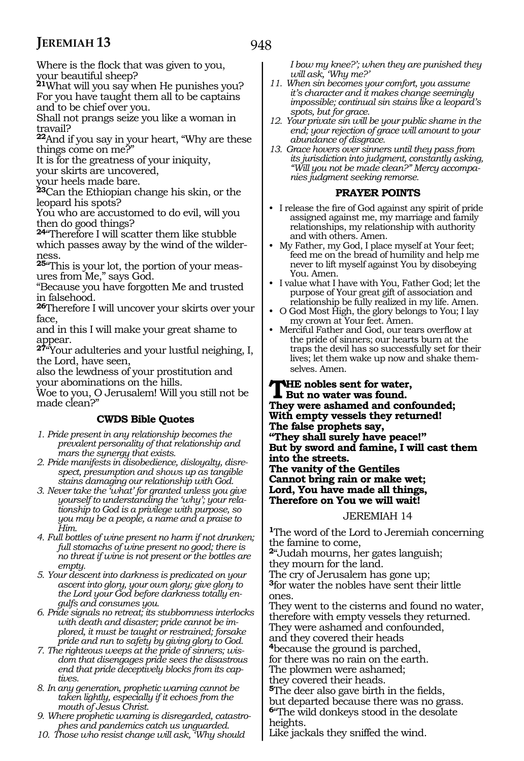Where is the flock that was given to you, your beautiful sheep?

**<sup>21</sup>**What will you say when He punishes you? For you have taught them all to be captains and to be chief over you.

Shall not prangs seize you like a woman in travail?

**<sup>22</sup>**And if you say in your heart, "Why are these things come on me?"

It is for the greatness of your iniquity, your skirts are uncovered,

your heels made bare.

**<sup>23</sup>**Can the Ethiopian change his skin, or the leopard his spots?

You who are accustomed to do evil, will you then do good things?

**<sup>24</sup>**"Therefore I will scatter them like stubble which passes away by the wind of the wilderness.

**25**"This is your lot, the portion of your measures from Me," says God.

"Because you have forgotten Me and trusted in falsehood.

**<sup>26</sup>**Therefore I will uncover your skirts over your face,

and in this I will make your great shame to appear.

**<sup>27</sup>**"Your adulteries and your lustful neighing, I, the Lord, have seen,

also the lewdness of your prostitution and your abominations on the hills.

Woe to you, O Jerusalem! Will you still not be made clean?"

### **CWDS Bible Quotes**

- *1. Pride present in any relationship becomes the prevalent personality of that relationship and mars the synergy that exists.*
- *2. Pride manifests in disobedience, disloyalty, disrespect, presumption and shows up as tangible stains damaging our relationship with God.*
- *3. Never take the 'what' for granted unless you give yourself to understanding the 'why'; your relationship to God is a privilege with purpose, so you may be a people, a name and a praise to Him.*

*4. Full bottles of wine present no harm if not drunken; full stomachs of wine present no good; there is no threat if wine is not present or the bottles are empty.*

*5. Your descent into darkness is predicated on your ascent into glory, your own glory; give glory to the Lord your God before darkness totally engulfs and consumes you.*

*6. Pride signals no retreat; its stubbornness interlocks with death and disaster; pride cannot be implored, it must be taught or restrained; forsake pride and run to safety by giving glory to God.*

- *7. The righteous weeps at the pride of sinners; wisdom that disengages pride sees the disastrous end that pride deceptively blocks from its captives.*
- *8. In any generation, prophetic warning cannot be taken lightly, especially if it echoes from the mouth of Jesus Christ.*
- *9. Where prophetic warning is disregarded, catastrophes and pandemics catch us unguarded.*
- *10. Those who resist change will ask, 'Why should*

*I bow my knee?'; when they are punished they will ask, 'Why me?'* 

- *11. When sin becomes your comfort, you assume it's character and it makes change seemingly impossible; continual sin stains like a leopard's spots, but for grace.*
- *12. Your private sin will be your public shame in the end; your rejection of grace will amount to your abundance of disgrace.*
- *13. Grace hovers over sinners until they pass from its jurisdiction into judgment, constantly asking, "Will you not be made clean?" Mercy accompanies judgment seeking remorse.*

#### **PRAYER POINTS**

- I release the fire of God against any spirit of pride assigned against me, my marriage and family relationships, my relationship with authority and with others. Amen.
- My Father, my God, I place myself at Your feet; feed me on the bread of humility and help me never to lift myself against You by disobeying You. Amen.
- I value what I have with You, Father God; let the purpose of Your great gift of association and relationship be fully realized in my life. Amen.
- O God Most High, the glory belongs to You; I lay my crown at Your feet. Amen.
- Merciful Father and God, our tears overflow at the pride of sinners; our hearts burn at the traps the devil has so successfully set for their lives; let them wake up now and shake themselves. Amen.

#### **THE nobles sent for water,<br>But no water was found. They were ashamed and confounded; With empty vessels they returned! The false prophets say, "They shall surely have peace!" But by sword and famine, I will cast them into the streets. The vanity of the Gentiles Cannot bring rain or make wet; Lord, You have made all things, Therefore on You we will wait!**

#### JEREMIAH 14

**<sup>1</sup>**The word of the Lord to Jeremiah concerning the famine to come,

**<sup>2</sup>**"Judah mourns, her gates languish; they mourn for the land.

The cry of Jerusalem has gone up; **<sup>3</sup>**for water the nobles have sent their little ones.

They went to the cisterns and found no water, therefore with empty vessels they returned. They were ashamed and confounded, and they covered their heads **<sup>4</sup>**because the ground is parched, for there was no rain on the earth. The plowmen were ashamed; they covered their heads. **<sup>5</sup>**The deer also gave birth in the fields, but departed because there was no grass.

**<sup>6</sup>**"The wild donkeys stood in the desolate heights.

Like jackals they sniffed the wind.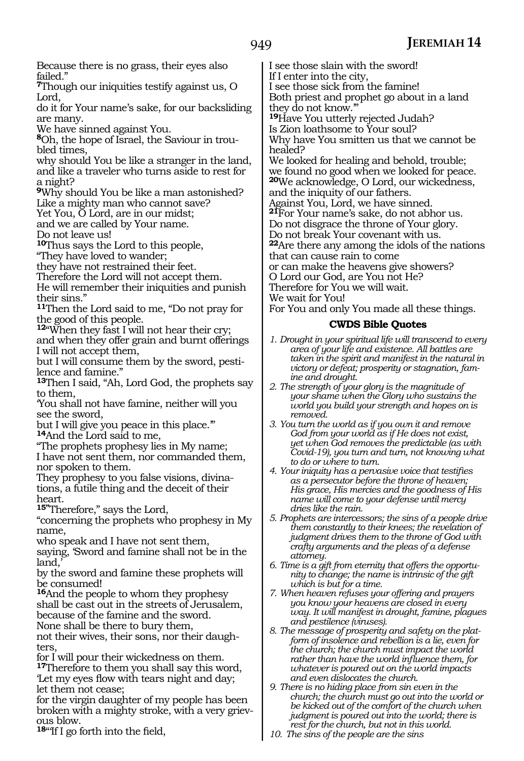Because there is no grass, their eyes also failed."

**<sup>7</sup>**Though our iniquities testify against us, O Lord,

do it for Your name's sake, for our backsliding are many.

We have sinned against You.

**8**Oh, the hope of Israel, the Saviour in troubled times,

why should You be like a stranger in the land, and like a traveler who turns aside to rest for a night?

**<sup>9</sup>**Why should You be like a man astonished? Like a mighty man who cannot save?

Yet You, O Lord, are in our midst;

and we are called by Your name.

Do not leave us!

**<sup>10</sup>**Thus says the Lord to this people,

"They have loved to wander;

they have not restrained their feet.

Therefore the Lord will not accept them. He will remember their iniquities and punish their sins."

**<sup>11</sup>**Then the Lord said to me, "Do not pray for the good of this people.

**<sup>12</sup>**"When they fast I will not hear their cry;

and when they offer grain and burnt offerings I will not accept them,

but I will consume them by the sword, pestilence and famine."

**<sup>13</sup>**Then I said, "Ah, Lord God, the prophets say to them,

'You shall not have famine, neither will you see the sword,

but I will give you peace in this place.'" **<sup>14</sup>**And the Lord said to me,

"The prophets prophesy lies in My name; I have not sent them, nor commanded them, nor spoken to them.

They prophesy to you false visions, divinations, a futile thing and the deceit of their heart.

**15"**Therefore," says the Lord,

"concerning the prophets who prophesy in My name,

who speak and I have not sent them, saying, 'Sword and famine shall not be in the

land.

by the sword and famine these prophets will be consumed!

**<sup>16</sup>**And the people to whom they prophesy shall be cast out in the streets of Jerusalem, because of the famine and the sword.

None shall be there to bury them,

not their wives, their sons, nor their daugh- ters,

for I will pour their wickedness on them. **<sup>17</sup>**Therefore to them you shall say this word, 'Let my eyes flow with tears night and day; let them not cease;

for the virgin daughter of my people has been broken with a mighty stroke, with a very grievous blow.

**<sup>18</sup>**"'If I go forth into the field,

I see those slain with the sword! If I enter into the city, I see those sick from the famine! Both priest and prophet go about in a land they do not know.'" **<sup>19</sup>**Have You utterly rejected Judah? Is Zion loathsome to Your soul? Why have You smitten us that we cannot be healed? We looked for healing and behold, trouble; we found no good when we looked for peace. **<sup>20</sup>**We acknowledge, O Lord, our wickedness, and the iniquity of our fathers. Against You, Lord, we have sinned. **<sup>21</sup>**For Your name's sake, do not abhor us. Do not disgrace the throne of Your glory. Do not break Your covenant with us. **<sup>22</sup>**Are there any among the idols of the nations that can cause rain to come

or can make the heavens give showers?

O Lord our God, are You not He?

Therefore for You we will wait.

We wait for You!

For You and only You made all these things.

- *1. Drought in your spiritual life will transcend to every area of your life and existence. All battles are taken in the spirit and manifest in the natural in victory or defeat; prosperity or stagnation, famine and drought.*
- *2. The strength of your glory is the magnitude of your shame when the Glory who sustains the world you build your strength and hopes on is removed.*
- *3. You turn the world as if you own it and remove God from your world as if He does not exist, yet when God removes the predictable (as with Covid-19), you turn and turn, not knowing what to do or where to turn.*
- *4. Your iniquity has a pervasive voice that testifies as a persecutor before the throne of heaven; His grace, His mercies and the goodness of His name will come to your defense until mercy dries like the rain.*
- *5. Prophets are intercessors; the sins of a people drive them constantly to their knees; the revelation of judgment drives them to the throne of God with crafty arguments and the pleas of a defense attorney.*
- *6. Time is a gift from eternity that offers the opportunity to change; the name is intrinsic of the gift which is but for a time.*
- *7. When heaven refuses your offering and prayers you know your heavens are closed in every way. It will manifest in drought, famine, plagues and pestilence (viruses).*
- *8. The message of prosperity and safety on the platform of insolence and rebellion is a lie, even for the church; the church must impact the world rather than have the world influence them, for whatever is poured out on the world impacts and even dislocates the church.*
- *9. There is no hiding place from sin even in the church; the church must go out into the world or be kicked out of the comfort of the church when judgment is poured out into the world; there is rest for the church, but not in this world.*
- *10. The sins of the people are the sins*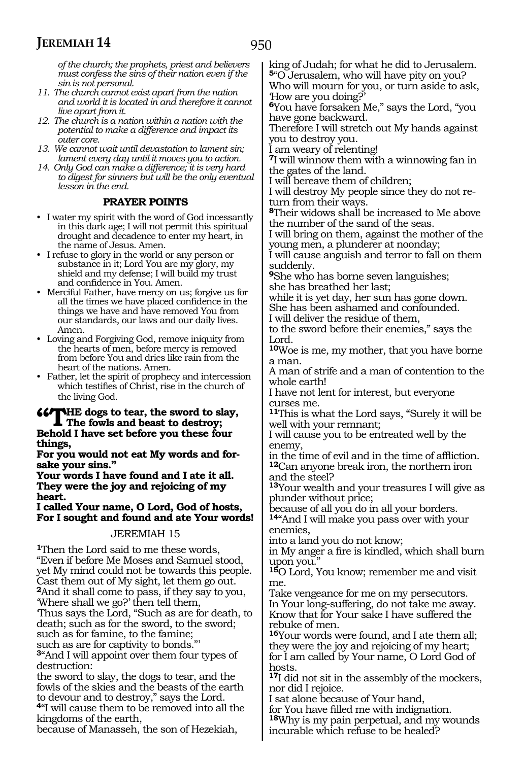*of the church; the prophets, priest and believers must confess the sins of their nation even if the sin is not personal.*

- *11. The church cannot exist apart from the nation and world it is located in and therefore it cannot live apart from it.*
- *12. The church is a nation within a nation with the potential to make a difference and impact its outer core.*
- *13. We cannot wait until devastation to lament sin; lament every day until it moves you to action.*
- *14. Only God can make a difference; it is very hard to digest for sinners but will be the only eventual lesson in the end.*

#### **PRAYER POINTS**

- I water my spirit with the word of God incessantly in this dark age; I will not permit this spiritual drought and decadence to enter my heart, in the name of Jesus. Amen.
- I refuse to glory in the world or any person or substance in it; Lord You are my glory, my shield and my defense; I will build my trust and confidence in You. Amen.
- Merciful Father, have mercy on us; forgive us for all the times we have placed confidence in the things we have and have removed You from our standards, our laws and our daily lives. Amen.
- Loving and Forgiving God, remove iniquity from the hearts of men, before mercy is removed from before You and dries like rain from the heart of the nations. Amen.
- Father, let the spirit of prophecy and intercession which testifies of Christ, rise in the church of the living God.

### **"The dogs to tear, the sword to slay,**<br>
The fowls and beast to destroy;<br>
Reheld I have get before you these four **Behold I have set before you these four things,**

**For you would not eat My words and for- sake your sins."**

**Your words I have found and I ate it all. They were the joy and rejoicing of my heart.**

**I called Your name, O Lord, God of hosts, For I sought and found and ate Your words!**

#### JEREMIAH 15

**<sup>1</sup>**Then the Lord said to me these words, "Even if before Me Moses and Samuel stood, yet My mind could not be towards this people. Cast them out of My sight, let them go out. **<sup>2</sup>**And it shall come to pass, if they say to you, 'Where shall we go?' then tell them, 'Thus says the Lord, "Such as are for death, to death; such as for the sword, to the sword;

such as for famine, to the famine; such as are for captivity to bonds.'

**<sup>3</sup>**"And I will appoint over them four types of destruction:

the sword to slay, the dogs to tear, and the fowls of the skies and the beasts of the earth to devour and to destroy," says the Lord.

**<sup>4</sup>**"I will cause them to be removed into all the kingdoms of the earth,

because of Manasseh, the son of Hezekiah,

king of Judah; for what he did to Jerusalem. **<sup>5</sup>**"O Jerusalem, who will have pity on you?

Who will mourn for you, or turn aside to ask, 'How are you doing?'

**<sup>6</sup>**You have forsaken Me," says the Lord, "you have gone backward.

Therefore I will stretch out My hands against you to destroy you.

I am weary of relenting!

**<sup>7</sup>**I will winnow them with a winnowing fan in the gates of the land.

I will bereave them of children;

I will destroy My people since they do not return from their ways.

**<sup>8</sup>**Their widows shall be increased to Me above the number of the sand of the seas.

I will bring on them, against the mother of the young men, a plunderer at noonday;

I will cause anguish and terror to fall on them suddenly.

**<sup>9</sup>**She who has borne seven languishes; she has breathed her last;

while it is yet day, her sun has gone down. She has been ashamed and confounded.

I will deliver the residue of them,

to the sword before their enemies," says the Lord.

**<sup>10</sup>**Woe is me, my mother, that you have borne a man.

A man of strife and a man of contention to the whole earth!

I have not lent for interest, but everyone curses me.

**<sup>11</sup>**This is what the Lord says, "Surely it will be well with your remnant;

I will cause you to be entreated well by the enemy,

in the time of evil and in the time of affliction. **<sup>12</sup>**Can anyone break iron, the northern iron and the steel?

**<sup>13</sup>**Your wealth and your treasures I will give as plunder without price;

because of all you do in all your borders.

**<sup>14</sup>**"And I will make you pass over with your enemies,

into a land you do not know;

in My anger a fire is kindled, which shall burn upon you.'

**<sup>15</sup>**O Lord, You know; remember me and visit me.

Take vengeance for me on my persecutors. In Your long-suffering, do not take me away. Know that for Your sake I have suffered the rebuke of men.

**<sup>16</sup>**Your words were found, and I ate them all; they were the joy and rejoicing of my heart; for I am called by Your name, O Lord God of hosts.

**<sup>17</sup>**I did not sit in the assembly of the mockers, nor did I rejoice.

I sat alone because of Your hand,

for You have filled me with indignation. **<sup>18</sup>**Why is my pain perpetual, and my wounds

incurable which refuse to be healed?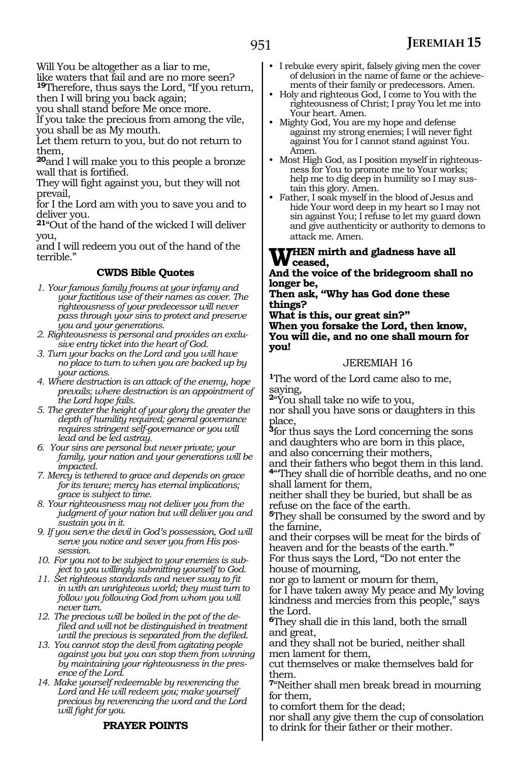Will You be altogether as a liar to me, like waters that fail and are no more seen?

**<sup>19</sup>**Therefore, thus says the Lord, "If you return, then I will bring you back again;

you shall stand before Me once more.

If you take the precious from among the vile, you shall be as My mouth.

Let them return to you, but do not return to them,

**<sup>20</sup>**and I will make you to this people a bronze wall that is fortified.

They will fight against you, but they will not prevail,

for I the Lord am with you to save you and to deliver you.

**<sup>21</sup>**"Out of the hand of the wicked I will deliver you,

and I will redeem you out of the hand of the terrible."

#### **CWDS Bible Quotes**

- *1. Your famous family frowns at your infamy and your factitious use of their names as cover. The righteousness of your predecessor will never pass through your sins to protect and preserve you and your generations.*
- *2. Righteousness is personal and provides an exclusive entry ticket into the heart of God.*
- *3. Turn your backs on the Lord and you will have no place to turn to when you are backed up by your actions.*
- *4. Where destruction is an attack of the enemy, hope prevails; where destruction is an appointment of the Lord hope fails.*
- *5. The greater the height of your glory the greater the depth of humility required; general governance requires stringent self-governance or you will lead and be led astray.*
- *6. Your sins are personal but never private; your family, your nation and your generations will be impacted.*
- *7. Mercy is tethered to grace and depends on grace for its tenure; mercy has eternal implications; grace is subject to time.*
- *8. Your righteousness may not deliver you from the judgment of your nation but will deliver you and sustain you in it.*
- *9. If you serve the devil in God's possession, God will serve you notice and sever you from His possession.*
- *10. For you not to be subject to your enemies is subject to you willingly submitting yourself to God.*
- *11. Set righteous standards and never sway to fit in with an unrighteous world; they must turn to follow you following God from whom you will never turn.*
- *12. The precious will be boiled in the pot of the defiled and will not be distinguished in treatment until the precious is separated from the defiled.*
- *13. You cannot stop the devil from agitating people against you but you can stop them from winning by maintaining your righteousness in the presence of the Lord.*

*14. Make yourself redeemable by reverencing the Lord and He will redeem you; make yourself precious by reverencing the word and the Lord will fight for you.*

### **PRAYER POINTS**

- I rebuke every spirit, falsely giving men the cover of delusion in the name of fame or the achievements of their family or predecessors. Amen.
- Holy and righteous God, I come to You with the righteousness of Christ; I pray You let me into Your heart. Amen.
- Mighty God, You are my hope and defense against my strong enemies; I will never fight against You for I cannot stand against You. Amen.
- Most High God, as I position myself in righteousness for You to promote me to Your works; help me to dig deep in humility so I may sustain this glory. Amen.
- Father, I soak myself in the blood of Jesus and hide Your word deep in my heart so I may not sin against You; I refuse to let my guard down and give authenticity or authority to demons to attack me. Amen.

### **THEN** mirth and gladness have all **ceased,**

**And the voice of the bridegroom shall no longer be,**

**Then ask, "Why has God done these things?** 

**What is this, our great sin?"**

**When you forsake the Lord, then know, You will die, and no one shall mourn for you!**

#### JEREMIAH 16

**<sup>1</sup>**The word of the Lord came also to me, saying,

**<sup>2</sup>**"You shall take no wife to you,

nor shall you have sons or daughters in this place,

**<sup>3</sup>**for thus says the Lord concerning the sons and daughters who are born in this place, and also concerning their mothers,

and their fathers who begot them in this land. **<sup>4</sup>**"'They shall die of horrible deaths, and no one shall lament for them,

neither shall they be buried, but shall be as refuse on the face of the earth.

**<sup>5</sup>**They shall be consumed by the sword and by the famine,

and their corpses will be meat for the birds of heaven and for the beasts of the earth.'" For thus says the Lord, "Do not enter the

house of mourning, nor go to lament or mourn for them,

for I have taken away My peace and My loving kindness and mercies from this people," says the Lord.

**<sup>6</sup>**They shall die in this land, both the small and great,

and they shall not be buried, neither shall men lament for them,

cut themselves or make themselves bald for them.

**<sup>7</sup>**"Neither shall men break bread in mourning for them,

to comfort them for the dead;

nor shall any give them the cup of consolation to drink for their father or their mother.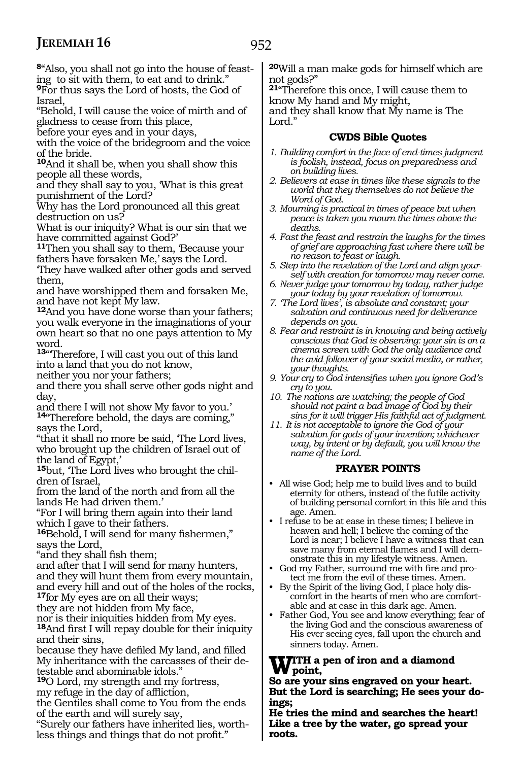**8**"Also, you shall not go into the house of feasting to sit with them, to eat and to drink."

**<sup>9</sup>**For thus says the Lord of hosts, the God of Israel,

"Behold, I will cause the voice of mirth and of gladness to cease from this place,

before your eyes and in your days,

with the voice of the bridegroom and the voice of the bride.

**<sup>10</sup>**And it shall be, when you shall show this people all these words,

and they shall say to you, 'What is this great punishment of the Lord?

Why has the Lord pronounced all this great destruction on us?

What is our iniquity? What is our sin that we have committed against God?'

**<sup>11</sup>**Then you shall say to them, 'Because your fathers have forsaken Me,' says the Lord.

'They have walked after other gods and served them,

and have worshipped them and forsaken Me, and have not kept My law.

**<sup>12</sup>**And you have done worse than your fathers; you walk everyone in the imaginations of your own heart so that no one pays attention to My word.

**<sup>13</sup>**"'Therefore, I will cast you out of this land into a land that you do not know,

neither you nor your fathers;

and there you shall serve other gods night and day,

and there I will not show My favor to you.' **<sup>14</sup>**"Therefore behold, the days are coming," says the Lord,

"that it shall no more be said, 'The Lord lives, who brought up the children of Israel out of the land of Egypt,'

**15**but, 'The Lord lives who brought the children of Israel,

from the land of the north and from all the lands He had driven them.'

"For I will bring them again into their land which I gave to their fathers.

**<sup>16</sup>**Behold, I will send for many fishermen," says the Lord,

"and they shall fish them;

and after that I will send for many hunters, and they will hunt them from every mountain, and every hill and out of the holes of the rocks, **<sup>17</sup>**for My eyes are on all their ways;

they are not hidden from My face,

nor is their iniquities hidden from My eyes. **<sup>18</sup>**And first I will repay double for their iniquity and their sins,

because they have defiled My land, and filled My inheritance with the carcasses of their detestable and abominable idols."

**<sup>19</sup>**O Lord, my strength and my fortress, my refuge in the day of affliction,

the Gentiles shall come to You from the ends of the earth and will surely say,

"Surely our fathers have inherited lies, worthless things and things that do not profit."

**<sup>20</sup>**Will a man make gods for himself which are not gods?"

**<sup>21</sup>**"Therefore this once, I will cause them to know My hand and My might,

and they shall know that My name is The Lord."

#### **CWDS Bible Quotes**

- *1. Building comfort in the face of end-times judgment is foolish, instead, focus on preparedness and on building lives.*
- *2. Believers at ease in times like these signals to the world that they themselves do not believe the Word of God.*
- *3. Mourning is practical in times of peace but when peace is taken you mourn the times above the deaths.*
- *4. Fast the feast and restrain the laughs for the times of grief are approaching fast where there will be no reason to feast or laugh.*
- *5. Step into the revelation of the Lord and align yourself with creation for tomorrow may never come.*
- *6. Never judge your tomorrow by today, rather judge your today by your revelation of tomorrow.*
- *7. 'The Lord lives', is absolute and constant; your salvation and continuous need for deliverance depends on you.*
- *8. Fear and restraint is in knowing and being actively conscious that God is observing: your sin is on a cinema screen with God the only audience and the avid follower of your social media, or rather, your thoughts.*
- *9. Your cry to God intensifies when you ignore God's cry to you.*
- *10. The nations are watching; the people of God should not paint a bad image of God by their sins for it will trigger His faithful act of judgment.*
- *11. It is not acceptable to ignore the God of your salvation for gods of your invention; whichever way, by intent or by default, you will know the name of the Lord.*

#### **PRAYER POINTS**

- All wise God; help me to build lives and to build eternity for others, instead of the futile activity of building personal comfort in this life and this age. Amen.
- I refuse to be at ease in these times; I believe in heaven and hell; I believe the coming of the Lord is near; I believe I have a witness that can save many from eternal flames and I will demonstrate this in my lifestyle witness. Amen.
- God my Father, surround me with fire and protect me from the evil of these times. Amen.
- By the Spirit of the living God, I place holy discomfort in the hearts of men who are comfortable and at ease in this dark age. Amen.
- Father God, You see and know everything; fear of the living God and the conscious awareness of His ever seeing eyes, fall upon the church and sinners today. Amen.

#### **WITH a pen of iron and a diamond point,**

**So are your sins engraved on your heart. But the Lord is searching; He sees your doings;**

**He tries the mind and searches the heart! Like a tree by the water, go spread your roots.**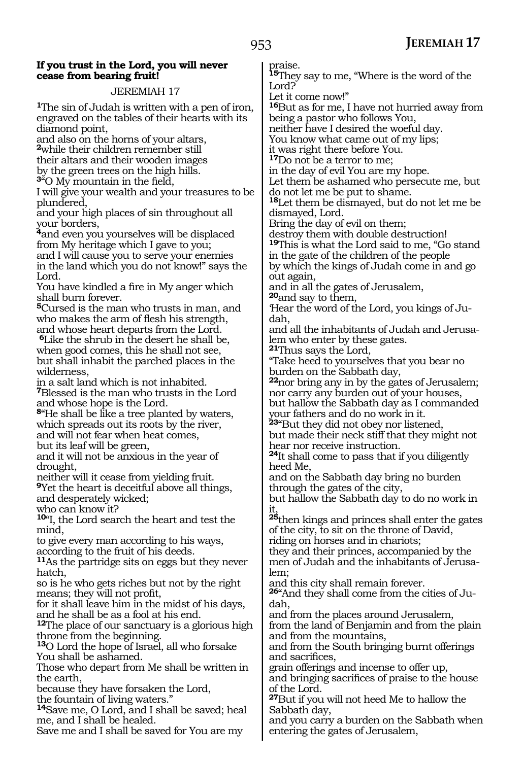### 953

#### **If you trust in the Lord, you will never cease from bearing fruit!**

#### JEREMIAH 17

**<sup>1</sup>**The sin of Judah is written with a pen of iron, engraved on the tables of their hearts with its diamond point,

and also on the horns of your altars, **<sup>2</sup>**while their children remember still their altars and their wooden images by the green trees on the high hills. **<sup>3</sup>**"O My mountain in the field,

I will give your wealth and your treasures to be plundered,

and your high places of sin throughout all your borders,

**<sup>4</sup>**and even you yourselves will be displaced from My heritage which I gave to you;

and I will cause you to serve your enemies in the land which you do not know!" says the Lord.

You have kindled a fire in My anger which shall burn forever.

**<sup>5</sup>**Cursed is the man who trusts in man, and who makes the arm of flesh his strength, and whose heart departs from the Lord.

**<sup>6</sup>**Like the shrub in the desert he shall be, when good comes, this he shall not see, but shall inhabit the parched places in the wilderness,

in a salt land which is not inhabited. **<sup>7</sup>**Blessed is the man who trusts in the Lord and whose hope is the Lord.

**<sup>8</sup>**"He shall be like a tree planted by waters, which spreads out its roots by the river, and will not fear when heat comes,

but its leaf will be green,

and it will not be anxious in the year of drought,

neither will it cease from yielding fruit.

**<sup>9</sup>**Yet the heart is deceitful above all things, and desperately wicked;

who can know it?

**<sup>10</sup>**"I, the Lord search the heart and test the mind,

to give every man according to his ways, according to the fruit of his deeds.

**<sup>11</sup>**As the partridge sits on eggs but they never hatch,

so is he who gets riches but not by the right means; they will not profit,

for it shall leave him in the midst of his days, and he shall be as a fool at his end.

**<sup>12</sup>**The place of our sanctuary is a glorious high throne from the beginning.

**<sup>13</sup>**O Lord the hope of Israel, all who forsake You shall be ashamed.

Those who depart from Me shall be written in the earth,

because they have forsaken the Lord, the fountain of living waters."

**<sup>14</sup>**Save me, O Lord, and I shall be saved; heal me, and I shall be healed.

Save me and I shall be saved for You are my

praise.

**<sup>15</sup>**They say to me, "Where is the word of the Lord?

Let it come now!"

**<sup>16</sup>**But as for me, I have not hurried away from being a pastor who follows You,

neither have I desired the woeful day.

You know what came out of my lips;

it was right there before You.

**<sup>17</sup>**Do not be a terror to me;

in the day of evil You are my hope. Let them be ashamed who persecute me, but

do not let me be put to shame.

**<sup>18</sup>**Let them be dismayed, but do not let me be dismayed, Lord.

Bring the day of evil on them;

destroy them with double destruction!

**<sup>19</sup>**This is what the Lord said to me, "Go stand in the gate of the children of the people by which the kings of Judah come in and go out again,

and in all the gates of Jerusalem,

**<sup>20</sup>**and say to them,

'Hear the word of the Lord, you kings of Judah,

and all the inhabitants of Judah and Jerusalem who enter by these gates.

**<sup>21</sup>**Thus says the Lord,

"Take heed to yourselves that you bear no burden on the Sabbath day,

**<sup>22</sup>**nor bring any in by the gates of Jerusalem; nor carry any burden out of your houses,

but hallow the Sabbath day as I commanded your fathers and do no work in it.

**<sup>23</sup>**"But they did not obey nor listened, but made their neck stiff that they might not hear nor receive instruction.

**<sup>24</sup>**It shall come to pass that if you diligently heed Me,

and on the Sabbath day bring no burden through the gates of the city,

but hallow the Sabbath day to do no work in it,

**<sup>25</sup>**then kings and princes shall enter the gates of the city, to sit on the throne of David, riding on horses and in chariots;

they and their princes, accompanied by the men of Judah and the inhabitants of Jerusalem;

and this city shall remain forever.

**26**"And they shall come from the cities of Judah,

and from the places around Jerusalem,

from the land of Benjamin and from the plain and from the mountains,

and from the South bringing burnt offerings and sacrifices,

grain offerings and incense to offer up, and bringing sacrifices of praise to the house

of the Lord.

**<sup>27</sup>**But if you will not heed Me to hallow the Sabbath day,

and you carry a burden on the Sabbath when entering the gates of Jerusalem,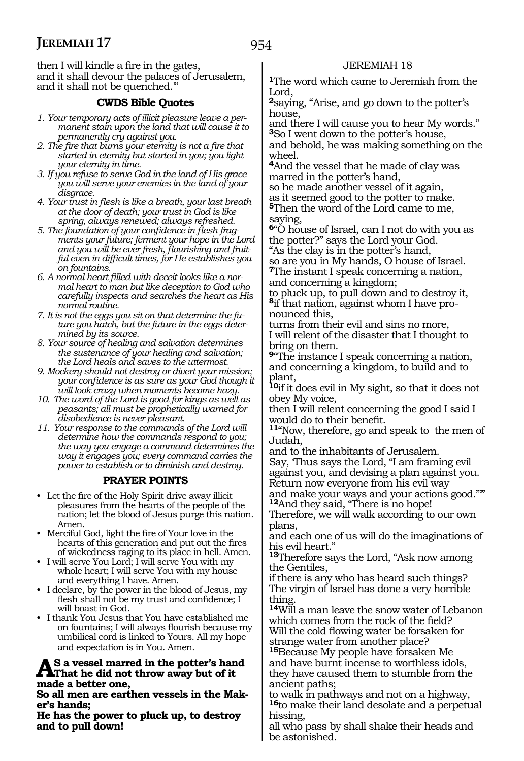954

then I will kindle a fire in the gates, and it shall devour the palaces of Jerusalem, and it shall not be quenched.'"

#### **CWDS Bible Quotes**

- *1. Your temporary acts of illicit pleasure leave a permanent stain upon the land that will cause it to permanently cry against you.*
- *2. The fire that burns your eternity is not a fire that started in eternity but started in you; you light your eternity in time.*
- *3. If you refuse to serve God in the land of His grace you will serve your enemies in the land of your disgrace.*
- *4. Your trust in flesh is like a breath, your last breath at the door of death; your trust in God is like spring, always renewed; always refreshed.*
- *5. The foundation of your confidence in flesh fragments your future; ferment your hope in the Lord and you will be ever fresh, flourishing and fruitful even in difficult times, for He establishes you on fountains.*
- *6. A normal heart filled with deceit looks like a normal heart to man but like deception to God who carefully inspects and searches the heart as His normal routine.*
- *7. It is not the eggs you sit on that determine the future you hatch, but the future in the eggs determined by its source.*
- *8. Your source of healing and salvation determines the sustenance of your healing and salvation; the Lord heals and saves to the uttermost.*
- *9. Mockery should not destroy or divert your mission; your confidence is as sure as your God though it will look crazy when moments become hazy.*
- *10. The word of the Lord is good for kings as well as peasants; all must be prophetically warned for disobedience is never pleasant.*
- *11. Your response to the commands of the Lord will determine how the commands respond to you; the way you engage a command determines the way it engages you; every command carries the power to establish or to diminish and destroy.*

#### **PRAYER POINTS**

- Let the fire of the Holy Spirit drive away illicit pleasures from the hearts of the people of the nation; let the blood of Jesus purge this nation. Amen.
- Merciful God, light the fire of Your love in the hearts of this generation and put out the fires of wickedness raging to its place in hell. Amen.
- I will serve You Lord; I will serve You with my whole heart; I will serve You with my house and everything I have. Amen.
- I declare, by the power in the blood of Jesus, my flesh shall not be my trust and confidence; I will boast in God.
- I thank You Jesus that You have established me on fountains; I will always flourish because my umbilical cord is linked to Yours. All my hope and expectation is in You. Amen.

## **As a vessel marred in the potter's hand That he did not throw away but of it made a better one,**

**So all men are earthen vessels in the Maker's hands;**

**He has the power to pluck up, to destroy and to pull down!**

### JEREMIAH 18

**<sup>1</sup>**The word which came to Jeremiah from the Lord,

**<sup>2</sup>**saying, "Arise, and go down to the potter's house,

and there I will cause you to hear My words." **<sup>3</sup>**So I went down to the potter's house,

and behold, he was making something on the wheel.

**<sup>4</sup>**And the vessel that he made of clay was marred in the potter's hand,

so he made another vessel of it again, as it seemed good to the potter to make. **<sup>5</sup>**Then the word of the Lord came to me, saying,

**<sup>6</sup>**"O house of Israel, can I not do with you as the potter?" says the Lord your God.

"As the clay is in the potter's hand, so are you in My hands, O house of Israel. **<sup>7</sup>**The instant I speak concerning a nation,

and concerning a kingdom; to pluck up, to pull down and to destroy it, **8**if that nation, against whom I have pro-

nounced this, turns from their evil and sins no more,

I will relent of the disaster that I thought to bring on them.

**<sup>9</sup>**"The instance I speak concerning a nation, and concerning a kingdom, to build and to plant,

**<sup>10</sup>**if it does evil in My sight, so that it does not obey My voice,

then I will relent concerning the good I said I

11"Now, therefore, go and speak to the men of Judah,

and to the inhabitants of Jerusalem. Say, 'Thus says the Lord, "I am framing evil against you, and devising a plan against you. Return now everyone from his evil way

and make your ways and your actions good."'" **<sup>12</sup>**And they said, "There is no hope!

Therefore, we will walk according to our own plans,

and each one of us will do the imaginations of his evil heart."

**<sup>13</sup>**Therefore says the Lord, "Ask now among the Gentiles,

if there is any who has heard such things? The virgin of Israel has done a very horrible thing.

**<sup>14</sup>**Will a man leave the snow water of Lebanon which comes from the rock of the field? Will the cold flowing water be forsaken for strange water from another place?

**<sup>15</sup>**Because My people have forsaken Me and have burnt incense to worthless idols, they have caused them to stumble from the ancient paths;

to walk in pathways and not on a highway, **<sup>16</sup>**to make their land desolate and a perpetual hissing,

all who pass by shall shake their heads and be astonished.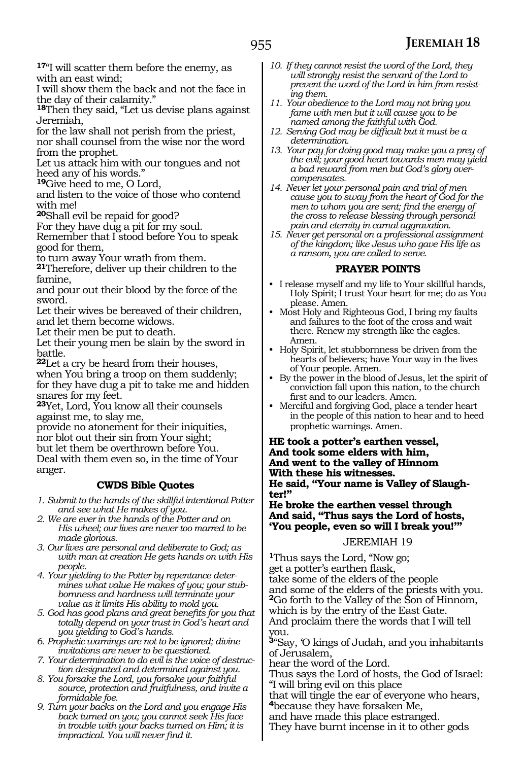**<sup>17</sup>**"I will scatter them before the enemy, as with an east wind;

I will show them the back and not the face in the day of their calamity."

**<sup>18</sup>**Then they said, "Let us devise plans against Jeremiah,

for the law shall not perish from the priest, nor shall counsel from the wise nor the word

from the prophet. Let us attack him with our tongues and not heed any of his words."

**<sup>19</sup>**Give heed to me, O Lord,

and listen to the voice of those who contend with me!

**<sup>20</sup>**Shall evil be repaid for good?

For they have dug a pit for my soul.

Remember that I stood before You to speak good for them,

to turn away Your wrath from them.

**<sup>21</sup>**Therefore, deliver up their children to the famine,

and pour out their blood by the force of the sword.

Let their wives be bereaved of their children, and let them become widows.

Let their men be put to death.

Let their young men be slain by the sword in battle.

**<sup>22</sup>**Let a cry be heard from their houses, when You bring a troop on them suddenly; for they have dug a pit to take me and hidden snares for my feet.

**<sup>23</sup>**Yet, Lord, You know all their counsels against me, to slay me,

provide no atonement for their iniquities, nor blot out their sin from Your sight; but let them be overthrown before You. Deal with them even so, in the time of Your anger.

#### **CWDS Bible Quotes**

*1. Submit to the hands of the skillful intentional Potter and see what He makes of you.*

- *2. We are ever in the hands of the Potter and on His wheel; our lives are never too marred to be made glorious.*
- *3. Our lives are personal and deliberate to God; as with man at creation He gets hands on with His people.*

*4. Your yielding to the Potter by repentance determines what value He makes of you; your stubbornness and hardness will terminate your value as it limits His ability to mold you.*

- *5. God has good plans and great benefits for you that totally depend on your trust in God's heart and you yielding to God's hands.*
- *6. Prophetic warnings are not to be ignored; divine invitations are never to be questioned.*
- *7. Your determination to do evil is the voice of destruction designated and determined against you.*
- *8. You forsake the Lord, you forsake your faithful source, protection and fruitfulness, and invite a formidable foe.*
- *9. Turn your backs on the Lord and you engage His back turned on you; you cannot seek His face in trouble with your backs turned on Him; it is impractical. You will never find it.*
- *10. If they cannot resist the word of the Lord, they will strongly resist the servant of the Lord to prevent the word of the Lord in him from resisting them.*
- *11. Your obedience to the Lord may not bring you fame with men but it will cause you to be named among the faithful with God.*
- *12. Serving God may be difficult but it must be a determination.*
- *13. Your pay for doing good may make you a prey of the evil; your good heart towards men may yield a bad reward from men but God's glory overcompensates.*
- *14. Never let your personal pain and trial of men cause you to sway from the heart of God for the men to whom you are sent; find the energy of the cross to release blessing through personal pain and eternity in carnal aggravation.*
- *15. Never get personal on a professional assignment of the kingdom; like Jesus who gave His life as a ransom, you are called to serve.*

### **PRAYER POINTS**

- I release myself and my life to Your skillful hands, Holy Spirit; I trust Your heart for me; do as You please. Amen.
- Most Holy and Righteous God, I bring my faults and failures to the foot of the cross and wait there. Renew my strength like the eagles. Amen.
- Holy Spirit, let stubbornness be driven from the hearts of believers; have Your way in the lives of Your people. Amen.
- By the power in the blood of Jesus, let the spirit of conviction fall upon this nation, to the church first and to our leaders. Amen.
- Merciful and forgiving God, place a tender heart in the people of this nation to hear and to heed prophetic warnings. Amen.

**He took a potter's earthen vessel, And took some elders with him, And went to the valley of Hinnom With these his witnesses. He said, "Your name is Valley of Slaughter!"**

**He broke the earthen vessel through And said, "Thus says the Lord of hosts, 'You people, even so will I break you!'"**

#### JEREMIAH 19

**<sup>1</sup>**Thus says the Lord, "Now go; get a potter's earthen flask, take some of the elders of the people and some of the elders of the priests with you. **<sup>2</sup>**Go forth to the Valley of the Son of Hinnom, which is by the entry of the East Gate. And proclaim there the words that I will tell you.

**<sup>3</sup>**"Say, 'O kings of Judah, and you inhabitants of Jerusalem,

hear the word of the Lord.

Thus says the Lord of hosts, the God of Israel: "I will bring evil on this place

that will tingle the ear of everyone who hears, **<sup>4</sup>**because they have forsaken Me,

and have made this place estranged.

They have burnt incense in it to other gods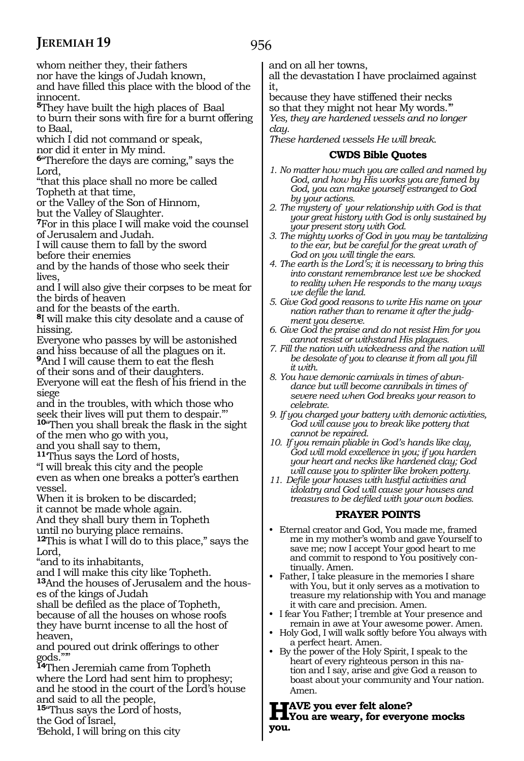956

whom neither they, their fathers

nor have the kings of Judah known,

and have filled this place with the blood of the innocent.

**<sup>5</sup>**They have built the high places of Baal to burn their sons with fire for a burnt offering to Baal,

which I did not command or speak,

nor did it enter in My mind.

**<sup>6</sup>**"Therefore the days are coming," says the Lord,

"that this place shall no more be called Topheth at that time,

or the Valley of the Son of Hinnom,

but the Valley of Slaughter.

**<sup>7</sup>**For in this place I will make void the counsel of Jerusalem and Judah.

I will cause them to fall by the sword

before their enemies

and by the hands of those who seek their lives,

and I will also give their corpses to be meat for the birds of heaven

and for the beasts of the earth.

**<sup>8</sup>**I will make this city desolate and a cause of hissing.

Everyone who passes by will be astonished and hiss because of all the plagues on it.

**<sup>9</sup>**And I will cause them to eat the flesh

of their sons and of their daughters.

Everyone will eat the flesh of his friend in the siege

and in the troubles, with which those who seek their lives will put them to despair."' **<sup>10</sup>**"Then you shall break the flask in the sight of the men who go with you,

and you shall say to them,

**<sup>11</sup>**'Thus says the Lord of hosts,

"I will break this city and the people

even as when one breaks a potter's earthen vessel.

When it is broken to be discarded;

it cannot be made whole again.

And they shall bury them in Topheth

until no burying place remains.

**<sup>12</sup>**This is what I will do to this place," says the Lord,

"and to its inhabitants,

and I will make this city like Topheth.

**13**And the houses of Jerusalem and the houses of the kings of Judah

shall be defiled as the place of Topheth, because of all the houses on whose roofs

they have burnt incense to all the host of heaven,

and poured out drink offerings to other gods.

**<sup>14</sup>**Then Jeremiah came from Topheth where the Lord had sent him to prophesy; and he stood in the court of the Lord's house and said to all the people,

**<sup>15</sup>**"Thus says the Lord of hosts,

the God of Israel,

'Behold, I will bring on this city

and on all her towns,

all the devastation I have proclaimed against it,

because they have stiffened their necks so that they might not hear My words.'" *Yes, they are hardened vessels and no longer clay.*

*These hardened vessels He will break.*

#### **CWDS Bible Quotes**

*1. No matter how much you are called and named by God, and how by His works you are famed by God, you can make yourself estranged to God by your actions.*

- *2. The mystery of your relationship with God is that your great history with God is only sustained by your present story with God.*
- *3. The mighty works of God in you may be tantalizing to the ear, but be careful for the great wrath of God on you will tingle the ears.*
- *4. The earth is the Lord's; it is necessary to bring this into constant remembrance lest we be shocked to reality when He responds to the many ways we defile the land.*
- *5. Give God good reasons to write His name on your nation rather than to rename it after the judgment you deserve.*
- *6. Give God the praise and do not resist Him for you cannot resist or withstand His plagues.*
- *7. Fill the nation with wickedness and the nation will be desolate of you to cleanse it from all you fill it with.*
- *8. You have demonic carnivals in times of abundance but will become cannibals in times of severe need when God breaks your reason to celebrate.*
- *9. If you charged your battery with demonic activities, God will cause you to break like pottery that cannot be repaired.*

*10. If you remain pliable in God's hands like clay, God will mold excellence in you; if you harden your heart and necks like hardened clay; God will cause you to splinter like broken pottery.*

*11. Defile your houses with lustful activities and idolatry and God will cause your houses and treasures to be defiled with your own bodies.*

#### **PRAYER POINTS**

- Eternal creator and God, You made me, framed me in my mother's womb and gave Yourself to save me; now I accept Your good heart to me and commit to respond to You positively continually. Amen.
- Father, I take pleasure in the memories I share with You, but it only serves as a motivation to treasure my relationship with You and manage it with care and precision. Amen.
- I fear You Father; I tremble at Your presence and remain in awe at Your awesome power. Amen.
- Holy God, I will walk softly before You always with a perfect heart. Amen.
- By the power of the Holy Spirit, I speak to the heart of every righteous person in this nation and I say, arise and give God a reason to boast about your community and Your nation. Amen.

**Have you ever felt alone? You are weary, for everyone mocks you.**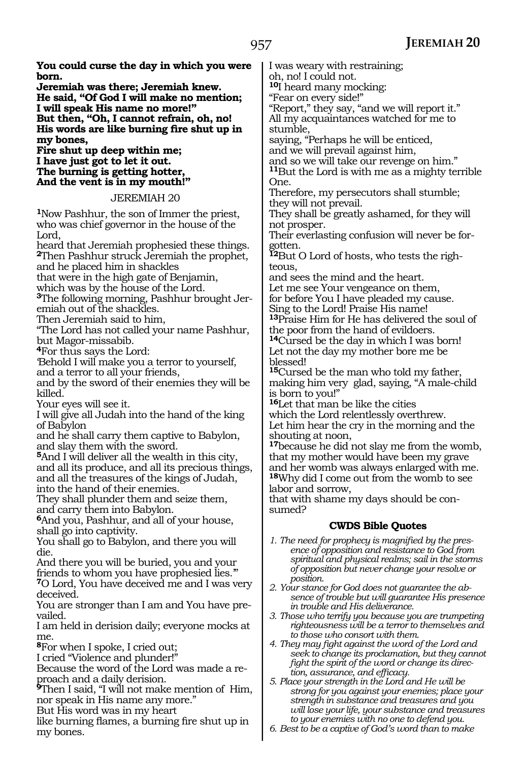**You could curse the day in which you were born. Jeremiah was there; Jeremiah knew. He said, "Of God I will make no mention; I will speak His name no more!" But then, "Oh, I cannot refrain, oh, no! His words are like burning fire shut up in my bones, Fire shut up deep within me; I have just got to let it out. The burning is getting hotter, And the vent is in my mouth!"**  JEREMIAH 20 **<sup>1</sup>**Now Pashhur, the son of Immer the priest, who was chief governor in the house of the Lord, heard that Jeremiah prophesied these things. **<sup>2</sup>**Then Pashhur struck Jeremiah the prophet, and he placed him in shackles that were in the high gate of Benjamin, which was by the house of the Lord. **3**The following morning, Pashhur brought Jeremiah out of the shackles. Then Jeremiah said to him, "The Lord has not called your name Pashhur, but Magor-missabib. **<sup>4</sup>**For thus says the Lord: 'Behold I will make you a terror to yourself, and a terror to all your friends, and by the sword of their enemies they will be killed. Your eyes will see it. I will give all Judah into the hand of the king of Babylon and he shall carry them captive to Babylon, and slay them with the sword. **<sup>5</sup>**And I will deliver all the wealth in this city, and all its produce, and all its precious things, and all the treasures of the kings of Judah, into the hand of their enemies. They shall plunder them and seize them, and carry them into Babylon. **<sup>6</sup>**And you, Pashhur, and all of your house, shall go into captivity. You shall go to Babylon, and there you will die. And there you will be buried, you and your friends to whom you have prophesied lies.'" **<sup>7</sup>**O Lord, You have deceived me and I was very deceived. You are stronger than I am and You have prevailed. I am held in derision daily; everyone mocks at me. **<sup>8</sup>**For when I spoke, I cried out; I cried "Violence and plunder!" Because the word of the Lord was made a reproach and a daily derision. **<sup>9</sup>**Then I said, "I will not make mention of Him, nor speak in His name any more." But His word was in my heart like burning flames, a burning fire shut up in I was weary with restraining; oh, no! I could not. **<sup>10</sup>**I heard many mocking: "Fear on every side!" "Report," they say, "and we will report it." All my acquaintances watched for me to stumble, saying, "Perhaps he will be enticed, and we will prevail against him, and so we will take our revenge on him." **<sup>11</sup>**But the Lord is with me as a mighty terrible One. Therefore, my persecutors shall stumble; they will not prevail. They shall be greatly ashamed, for they will not prosper. Their everlasting confusion will never be forgotten. **12**But O Lord of hosts, who tests the righteous, and sees the mind and the heart. Let me see Your vengeance on them, for before You I have pleaded my cause. Sing to the Lord! Praise His name! **<sup>13</sup>**Praise Him for He has delivered the soul of the poor from the hand of evildoers. **<sup>14</sup>**Cursed be the day in which I was born! Let not the day my mother bore me be blessed! **<sup>15</sup>**Cursed be the man who told my father, making him very glad, saying, "A male-child is born to you!" **<sup>16</sup>**Let that man be like the cities which the Lord relentlessly overthrew. Let him hear the cry in the morning and the shouting at noon, **<sup>17</sup>**because he did not slay me from the womb, that my mother would have been my grave and her womb was always enlarged with me. **<sup>18</sup>**Why did I come out from the womb to see labor and sorrow, that with shame my days should be consumed? **CWDS Bible Quotes** *1. The need for prophecy is magnified by the presence of opposition and resistance to God from spiritual and physical realms; sail in the storms of opposition but never change your resolve or position. 2. Your stance for God does not guarantee the absence of trouble but will guarantee His presence in trouble and His deliverance. 3. Those who terrify you because you are trumpeting righteousness will be a terror to themselves and to those who consort with them. 4. They may fight against the word of the Lord and seek to change its proclamation, but they cannot fight the spirit of the word or change its direction, assurance, and efficacy. 5. Place your strength in the Lord and He will be strong for you against your enemies; place your strength in substance and treasures and you will lose your life, your substance and treasures to your enemies with no one to defend you.*

my bones.

*6. Best to be a captive of God's word than to make*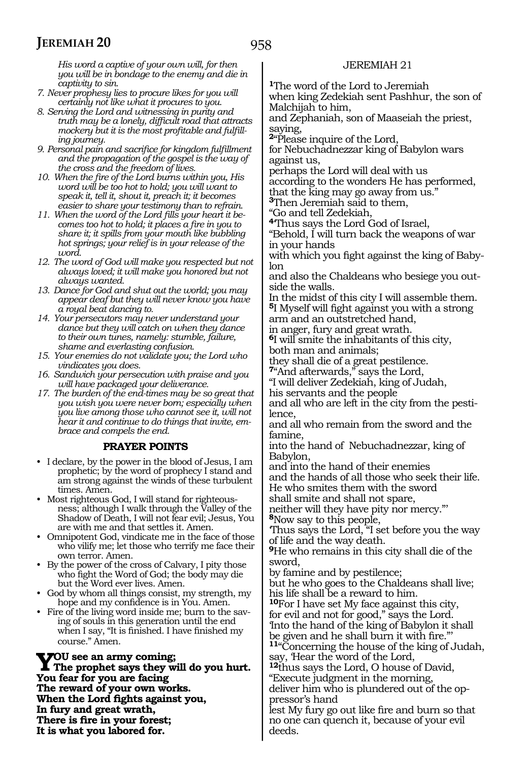*His word a captive of your own will, for then you will be in bondage to the enemy and die in captivity to sin.*

- *7. Never prophesy lies to procure likes for you will certainly not like what it procures to you.*
- *8. Serving the Lord and witnessing in purity and truth may be a lonely, difficult road that attracts mockery but it is the most profitable and fulfilling journey.*
- *9. Personal pain and sacrifice for kingdom fulfillment and the propagation of the gospel is the way of the cross and the freedom of lives.*
- *10. When the fire of the Lord burns within you, His word will be too hot to hold; you will want to speak it, tell it, shout it, preach it; it becomes easier to share your testimony than to refrain.*
- *11. When the word of the Lord fills your heart it becomes too hot to hold; it places a fire in you to share it; it spills from your mouth like bubbling hot springs; your relief is in your release of the word.*
- *12. The word of God will make you respected but not always loved; it will make you honored but not always wanted.*
- *13. Dance for God and shut out the world; you may appear deaf but they will never know you have a royal beat dancing to.*
- *14. Your persecutors may never understand your dance but they will catch on when they dance to their own tunes, namely: stumble, failure, shame and everlasting confusion.*
- *15. Your enemies do not validate you; the Lord who vindicates you does.*
- *16. Sandwich your persecution with praise and you will have packaged your deliverance.*
- *17. The burden of the end-times may be so great that you wish you were never born; especially when you live among those who cannot see it, will not hear it and continue to do things that invite, embrace and compels the end.*

#### **PRAYER POINTS**

- I declare, by the power in the blood of Jesus, I am prophetic; by the word of prophecy I stand and am strong against the winds of these turbulent times. Amen.
- Most righteous God, I will stand for righteousness; although I walk through the Valley of the Shadow of Death, I will not fear evil; Jesus, You are with me and that settles it. Amen.
- Omnipotent God, vindicate me in the face of those who vilify me; let those who terrify me face their own terror. Amen.
- By the power of the cross of Calvary, I pity those who fight the Word of God; the body may die but the Word ever lives. Amen.
- God by whom all things consist, my strength, my hope and my confidence is in You. Amen.
- Fire of the living word inside me; burn to the saving of souls in this generation until the end when I say, "It is finished. I have finished my course." Amen.

**Y**OU see an army coming;<br>The prophet says they will do you hurt. **You fear for you are facing The reward of your own works. When the Lord fights against you, In fury and great wrath, There is fire in your forest; It is what you labored for.**

#### JEREMIAH 21

**<sup>1</sup>**The word of the Lord to Jeremiah

when king Zedekiah sent Pashhur, the son of Malchijah to him,

and Zephaniah, son of Maaseiah the priest, saying,

**<sup>2</sup>**"Please inquire of the Lord,

for Nebuchadnezzar king of Babylon wars against us,

perhaps the Lord will deal with us

according to the wonders He has performed,

that the king may go away from us."

**<sup>3</sup>**Then Jeremiah said to them,

"Go and tell Zedekiah,

**<sup>4</sup>**'Thus says the Lord God of Israel,

"Behold, I will turn back the weapons of war in your hands

with which you fight against the king of Babylon

and also the Chaldeans who besiege you outside the walls.

In the midst of this city I will assemble them. **<sup>5</sup>**I Myself will fight against you with a strong

arm and an outstretched hand,

in anger, fury and great wrath.

**<sup>6</sup>**I will smite the inhabitants of this city, both man and animals;

they shall die of a great pestilence.

**<sup>7</sup>**"And afterwards," says the Lord,

"I will deliver Zedekiah, king of Judah,

his servants and the people

and all who are left in the city from the pestilence,

and all who remain from the sword and the famine,

into the hand of Nebuchadnezzar, king of Babylon,

and into the hand of their enemies and the hands of all those who seek their life. He who smites them with the sword

shall smite and shall not spare,

neither will they have pity nor mercy."'

**<sup>8</sup>**Now say to this people,

'Thus says the Lord, "I set before you the way of life and the way death.

**<sup>9</sup>**He who remains in this city shall die of the sword,

by famine and by pestilence;

but he who goes to the Chaldeans shall live; his life shall be a reward to him.

**<sup>10</sup>**For I have set My face against this city, for evil and not for good," says the Lord. 'Into the hand of the king of Babylon it shall

11"Concerning the house of the king of Judah, say, 'Hear the word of the Lord,

**<sup>12</sup>**thus says the Lord, O house of David, "Execute judgment in the morning, deliver him who is plundered out of the op-

pressor's hand

lest My fury go out like fire and burn so that no one can quench it, because of your evil deeds.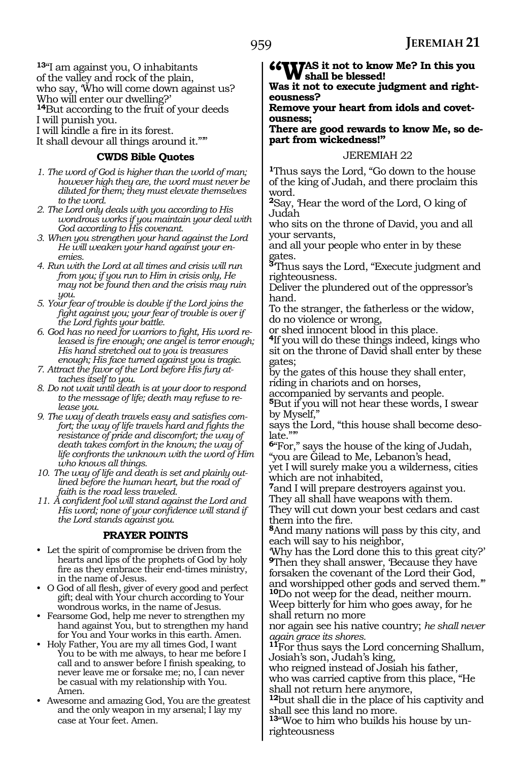**<sup>13</sup>**"I am against you, O inhabitants of the valley and rock of the plain, who say, 'Who will come down against us? Who will enter our dwelling?' **<sup>14</sup>**But according to the fruit of your deeds

I will punish you.

I will kindle a fire in its forest.

It shall devour all things around it.""

#### **CWDS Bible Quotes**

- *1. The word of God is higher than the world of man; however high they are, the word must never be diluted for them; they must elevate themselves to the word.*
- *2. The Lord only deals with you according to His wondrous works if you maintain your deal with God according to His covenant.*
- *3. When you strengthen your hand against the Lord He will weaken your hand against your enemies.*
- *4. Run with the Lord at all times and crisis will run from you; if you run to Him in crisis only, He may not be found then and the crisis may ruin you.*
- *5. Your fear of trouble is double if the Lord joins the fight against you; your fear of trouble is over if the Lord fights your battle.*
- *6. God has no need for warriors to fight, His word released is fire enough; one angel is terror enough; His hand stretched out to you is treasures enough; His face turned against you is tragic.*
- *7. Attract the favor of the Lord before His fury attaches itself to you.*
- *8. Do not wait until death is at your door to respond to the message of life; death may refuse to release you.*
- *9. The way of death travels easy and satisfies comfort; the way of life travels hard and fights the resistance of pride and discomfort; the way of death takes comfort in the known; the way of life confronts the unknown with the word of Him who knows all things.*
- *10. The way of life and death is set and plainly outlined before the human heart, but the road of faith is the road less traveled.*
- *11. A confident fool will stand against the Lord and His word; none of your confidence will stand if the Lord stands against you.*

#### **PRAYER POINTS**

- Let the spirit of compromise be driven from the hearts and lips of the prophets of God by holy fire as they embrace their end-times ministry, in the name of Jesus.
- O God of all flesh, giver of every good and perfect gift; deal with Your church according to Your wondrous works, in the name of Jesus.
- Fearsome God, help me never to strengthen my hand against You, but to strengthen my hand for You and Your works in this earth. Amen.
- Holy Father, You are my all times God, I want You to be with me always, to hear me before I call and to answer before I finish speaking, to never leave me or forsake me; no, I can never be casual with my relationship with You. Amen.
- Awesome and amazing God, You are the greatest and the only weapon in my arsenal; I lay my case at Your feet. Amen.

**"Was it not to know Me? In this you shall be blessed!**

**Was it not to execute judgment and righteousness?**

#### **Remove your heart from idols and covetousness;**

**There are good rewards to know Me, so depart from wickedness!"**

#### JEREMIAH 22

**<sup>1</sup>**Thus says the Lord, "Go down to the house of the king of Judah, and there proclaim this word.

**<sup>2</sup>**Say, 'Hear the word of the Lord, O king of Judah

who sits on the throne of David, you and all your servants,

and all your people who enter in by these gates.

**<sup>3</sup>**'Thus says the Lord, "Execute judgment and righteousness.

Deliver the plundered out of the oppressor's hand.

To the stranger, the fatherless or the widow, do no violence or wrong,

or shed innocent blood in this place.

**<sup>4</sup>**If you will do these things indeed, kings who sit on the throne of David shall enter by these gates;

by the gates of this house they shall enter, riding in chariots and on horses,

accompanied by servants and people.

**<sup>5</sup>**But if you will not hear these words, I swear by Myself,"

says the Lord, "this house shall become deso $l$ ate.""

**<sup>6</sup>**"For," says the house of the king of Judah, "you are Gilead to Me, Lebanon's head,

yet I will surely make you a wilderness, cities which are not inhabited,

**<sup>7</sup>**and I will prepare destroyers against you. They all shall have weapons with them.

They will cut down your best cedars and cast them into the fire.

**<sup>8</sup>**And many nations will pass by this city, and each will say to his neighbor,

'Why has the Lord done this to this great city?' **<sup>9</sup>**Then they shall answer, 'Because they have forsaken the covenant of the Lord their God, and worshipped other gods and served them.'" **<sup>10</sup>**Do not weep for the dead, neither mourn. Weep bitterly for him who goes away, for he shall return no more

nor again see his native country; *he shall never again grace its shores.*

**<sup>11</sup>**For thus says the Lord concerning Shallum, Josiah's son, Judah's king,

who reigned instead of Josiah his father, who was carried captive from this place, "He shall not return here anymore,

**<sup>12</sup>**but shall die in the place of his captivity and shall see this land no more.

**<sup>13</sup>**"Woe to him who builds his house by un- righteousness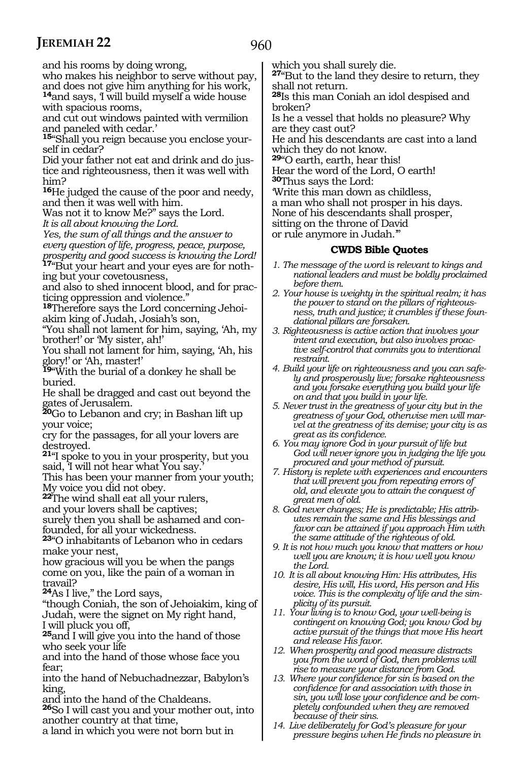960

and his rooms by doing wrong,

who makes his neighbor to serve without pay, and does not give him anything for his work,

<sup>14</sup>and says, I will build myself a wide house with spacious rooms,

and cut out windows painted with vermilion and paneled with cedar.'

**15**"Shall you reign because you enclose yourself in cedar?

Did your father not eat and drink and do justice and righteousness, then it was well with him?

**<sup>16</sup>**He judged the cause of the poor and needy, and then it was well with him.

Was not it to know Me?" says the Lord.

*It is all about knowing the Lord.*

*Yes, the sum of all things and the answer to every question of life, progress, peace, purpose,* 

*prosperity and good success is knowing the Lord!* **17**"But your heart and your eyes are for nothing but your covetousness,

and also to shed innocent blood, and for practicing oppression and violence.

**18**Therefore says the Lord concerning Jehoiakim king of Judah, Josiah's son,

"You shall not lament for him, saying, 'Ah, my brother!' or 'My sister, ah!'

You shall not lament for him, saying, 'Ah, his glory!' or 'Ah, master!'

**<sup>19</sup>**"With the burial of a donkey he shall be buried.

He shall be dragged and cast out beyond the gates of Jerusalem.

**<sup>20</sup>**Go to Lebanon and cry; in Bashan lift up your voice;

cry for the passages, for all your lovers are destroyed.

**<sup>21</sup>**"I spoke to you in your prosperity, but you said, I will not hear what You say.

This has been your manner from your youth; My voice you did not obey.

**<sup>22</sup>**The wind shall eat all your rulers,

and your lovers shall be captives;

surely then you shall be ashamed and confounded, for all your wickedness.

**<sup>23</sup>**"O inhabitants of Lebanon who in cedars make your nest,

how gracious will you be when the pangs come on you, like the pain of a woman in travail?

**<sup>24</sup>**As I live," the Lord says,

"though Coniah, the son of Jehoiakim, king of Judah, were the signet on My right hand, I will pluck you off,

**<sup>25</sup>**and I will give you into the hand of those who seek your life

and into the hand of those whose face you fear;

into the hand of Nebuchadnezzar, Babylon's king,

and into the hand of the Chaldeans.

**<sup>26</sup>**So I will cast you and your mother out, into another country at that time,

a land in which you were not born but in

which you shall surely die.

**<sup>27</sup>**"But to the land they desire to return, they shall not return.

**<sup>28</sup>**Is this man Coniah an idol despised and broken?

Is he a vessel that holds no pleasure? Why are they cast out?

He and his descendants are cast into a land which they do not know.

**<sup>29</sup>**"O earth, earth, hear this!

Hear the word of the Lord, O earth! **<sup>30</sup>**Thus says the Lord:

'Write this man down as childless,

a man who shall not prosper in his days.

None of his descendants shall prosper,

sitting on the throne of David

or rule anymore in Judah.'

- *1. The message of the word is relevant to kings and national leaders and must be boldly proclaimed before them.*
- *2. Your house is weighty in the spiritual realm; it has the power to stand on the pillars of righteousness, truth and justice; it crumbles if these foundational pillars are forsaken.*
- *3. Righteousness is active action that involves your intent and execution, but also involves proactive self-control that commits you to intentional restraint.*
- *4. Build your life on righteousness and you can safely and prosperously live; forsake righteousness and you forsake everything you build your life on and that you build in your life.*
- *5. Never trust in the greatness of your city but in the greatness of your God, otherwise men will marvel at the greatness of its demise; your city is as great as its confidence.*
- *6. You may ignore God in your pursuit of life but God will never ignore you in judging the life you procured and your method of pursuit.*
- *7. History is replete with experiences and encounters that will prevent you from repeating errors of old, and elevate you to attain the conquest of great men of old.*
- *8. God never changes; He is predictable; His attributes remain the same and His blessings and favor can be attained if you approach Him with the same attitude of the righteous of old.*
- *9. It is not how much you know that matters or how well you are known; it is how well you know the Lord.*
- *10. It is all about knowing Him: His attributes, His desire, His will, His word, His person and His voice. This is the complexity of life and the simplicity of its pursuit.*
- *11. Your living is to know God, your well-being is contingent on knowing God; you know God by active pursuit of the things that move His heart and release His favor.*
- *12. When prosperity and good measure distracts you from the word of God, then problems will rise to measure your distance from God.*
- *13. Where your confidence for sin is based on the confidence for and association with those in sin, you will lose your confidence and be completely confounded when they are removed because of their sins.*
- *14. Live deliberately for God's pleasure for your pressure begins when He finds no pleasure in*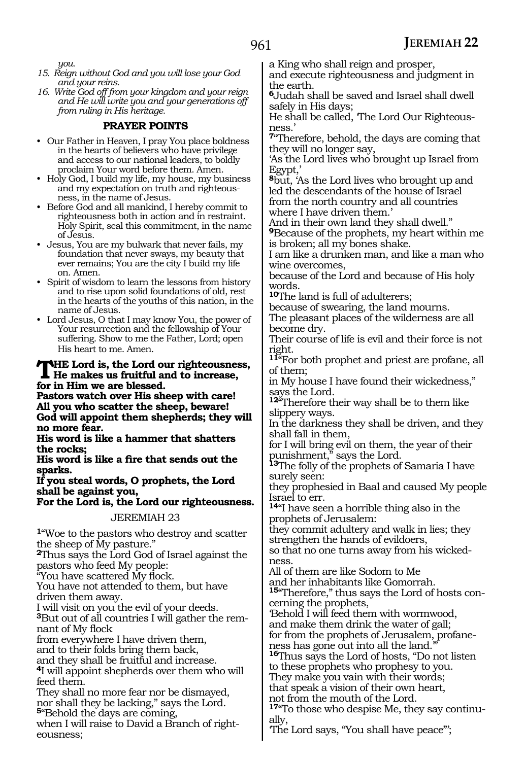*you.*

- *15. Reign without God and you will lose your God and your reins.*
- *16. Write God off from your kingdom and your reign and He will write you and your generations off from ruling in His heritage.*

### **PRAYER POINTS**

- Our Father in Heaven, I pray You place boldness in the hearts of believers who have privileg and access to our national leaders, to boldly proclaim Your word before them. Amen.
- Holy God, I build my life, my house, my business and my expectation on truth and righteousness, in the name of Jesus.
- Before God and all mankind, I hereby commit to righteousness both in action and in restraint. Holy Spirit, seal this commitment, in the name of Jesus.
- Jesus, You are my bulwark that never fails, my foundation that never sways, my beauty that ever remains; You are the city I build my life on. Amen.
- Spirit of wisdom to learn the lessons from history and to rise upon solid foundations of old, rest in the hearts of the youths of this nation, in the name of Jesus.
- Lord Jesus, O that I may know You, the power of Your resurrection and the fellowship of Your suffering. Show to me the Father, Lord; open His heart to me. Amen.

## **The Lord is, the Lord our righteousness, He makes us fruitful and to increase, for in Him we are blessed.**

**Pastors watch over His sheep with care! All you who scatter the sheep, beware! God will appoint them shepherds; they will no more fear.**

**His word is like a hammer that shatters the rocks;**

**His word is like a fire that sends out the sparks.**

#### **If you steal words, O prophets, the Lord shall be against you,**

**For the Lord is, the Lord our righteousness.**

JEREMIAH 23

**<sup>1</sup>**"Woe to the pastors who destroy and scatter the sheep of My pasture."

**<sup>2</sup>**Thus says the Lord God of Israel against the pastors who feed My people:

"You have scattered My flock.

You have not attended to them, but have driven them away.

I will visit on you the evil of your deeds.

**3**But out of all countries I will gather the remnant of My flock

from everywhere I have driven them,

and to their folds bring them back,

and they shall be fruitful and increase.

**<sup>4</sup>**I will appoint shepherds over them who will feed them.

They shall no more fear nor be dismayed, nor shall they be lacking," says the Lord. **<sup>5</sup>**"Behold the days are coming,

when I will raise to David a Branch of righteousness;

a King who shall reign and prosper,

and execute righteousness and judgment in the earth.

**<sup>6</sup>**Judah shall be saved and Israel shall dwell safely in His days;

He shall be called, 'The Lord Our Righteousness.'

**<sup>7</sup>**"Therefore, behold, the days are coming that they will no longer say,

'As the Lord lives who brought up Israel from Egypt,

**<sup>8</sup>**but, 'As the Lord lives who brought up and led the descendants of the house of Israel from the north country and all countries where I have driven them.'

And in their own land they shall dwell." **<sup>9</sup>**Because of the prophets, my heart within me is broken; all my bones shake.

I am like a drunken man, and like a man who wine overcomes,

because of the Lord and because of His holy words.

**<sup>10</sup>**The land is full of adulterers;

because of swearing, the land mourns.

The pleasant places of the wilderness are all become dry.

Their course of life is evil and their force is not right.

11<sup>"</sup>For both prophet and priest are profane, all of them;

in My house I have found their wickedness," says the Lord.

**<sup>12</sup>**"Therefore their way shall be to them like slippery ways.

In the darkness they shall be driven, and they shall fall in them,

for I will bring evil on them, the year of their punishment," says the Lord.

**<sup>13</sup>**The folly of the prophets of Samaria I have surely seen:

they prophesied in Baal and caused My people Israel to err.

**<sup>14</sup>**"I have seen a horrible thing also in the prophets of Jerusalem:

they commit adultery and walk in lies; they strengthen the hands of evildoers,

so that no one turns away from his wicked- ness.

All of them are like Sodom to Me

and her inhabitants like Gomorrah.

**15**"Therefore," thus says the Lord of hosts concerning the prophets,

'Behold I will feed them with wormwood, and make them drink the water of gall; for from the prophets of Jerusalem, profaneness has gone out into all the land.

**<sup>16</sup>**Thus says the Lord of hosts, "Do not listen to these prophets who prophesy to you. They make you vain with their words;

that speak a vision of their own heart,

not from the mouth of the Lord.

**<sup>17</sup>**"To those who despise Me, they say continu- ally,

'The Lord says, "You shall have peace"';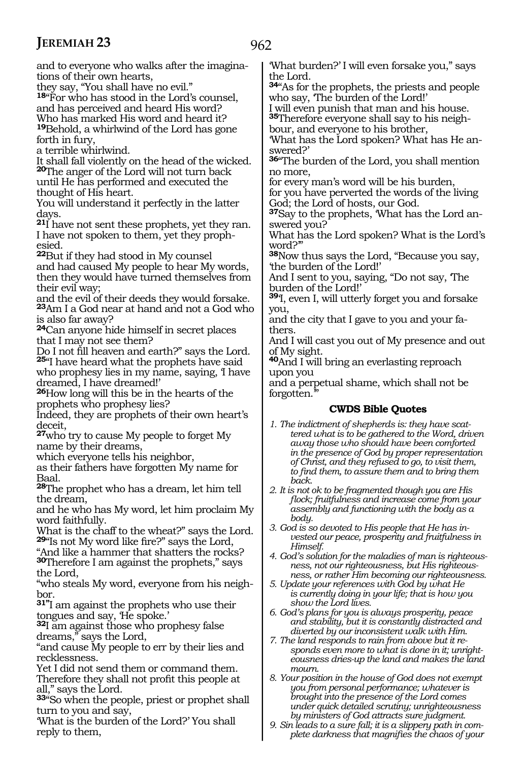and to everyone who walks after the imaginations of their own hearts,

they say, "You shall have no evil."

**<sup>18</sup>**"For who has stood in the Lord's counsel, and has perceived and heard His word? Who has marked His word and heard it? **<sup>19</sup>**Behold, a whirlwind of the Lord has gone forth in fury,

a terrible whirlwind.

It shall fall violently on the head of the wicked. **<sup>20</sup>**The anger of the Lord will not turn back

until He has performed and executed the thought of His heart.

You will understand it perfectly in the latter days.

**<sup>21</sup>**I have not sent these prophets, yet they ran. I have not spoken to them, yet they prophesied.

**<sup>22</sup>**But if they had stood in My counsel and had caused My people to hear My words, then they would have turned themselves from their evil way;

and the evil of their deeds they would forsake. **<sup>23</sup>**Am I a God near at hand and not a God who is also far away?

**<sup>24</sup>**Can anyone hide himself in secret places

that I may not see them?<br>Do I not fill heaven and earth?" says the Lord. 25"I have heard what the prophets have said who prophesy lies in my name, saying, 'I have

dreamed, I have dreamed!' **<sup>26</sup>**How long will this be in the hearts of the prophets who prophesy lies?

Indeed, they are prophets of their own heart's deceit,

**<sup>27</sup>**who try to cause My people to forget My name by their dreams,

which everyone tells his neighbor,

as their fathers have forgotten My name for Baal.

**<sup>28</sup>**The prophet who has a dream, let him tell the dream,

and he who has My word, let him proclaim My word faithfully.

What is the chaff to the wheat?" says the Lord. **<sup>29</sup>**"Is not My word like fire?" says the Lord,

"And like a hammer that shatters the rocks? **<sup>30</sup>**Therefore I am against the prophets," says the Lord,

"who steals My word, everyone from his neighbor.

**31"**I am against the prophets who use their tongues and say, 'He spoke.'

**<sup>32</sup>**I am against those who prophesy false dreams," says the Lord,

"and cause My people to err by their lies and recklessness.

Yet I did not send them or command them. Therefore they shall not profit this people at all," says the Lord.

**<sup>33</sup>**"So when the people, priest or prophet shall turn to you and say,

'What is the burden of the Lord?' You shall reply to them,

'What burden?' I will even forsake you," says the Lord.

**<sup>34</sup>**"As for the prophets, the priests and people who say, 'The burden of the Lord!'

I will even punish that man and his house. **35**Therefore everyone shall say to his neigh-

bour, and everyone to his brother,

'What has the Lord spoken? What has He answered?'

**<sup>36</sup>**"The burden of the Lord, you shall mention no more,

for every man's word will be his burden,

for you have perverted the words of the living God; the Lord of hosts, our God.

**37**Say to the prophets, 'What has the Lord answered you?

What has the Lord spoken? What is the Lord's word?'"

**<sup>38</sup>**Now thus says the Lord, "Because you say, 'the burden of the Lord!'

And I sent to you, saying, "Do not say, 'The burden of the Lord!'

**<sup>39</sup>**'I, even I, will utterly forget you and forsake you,

and the city that I gave to you and your fathers.

And I will cast you out of My presence and out of My sight.

**<sup>40</sup>**And I will bring an everlasting reproach upon you

and a perpetual shame, which shall not be forgotten.

- *1. The indictment of shepherds is: they have scattered what is to be gathered to the Word, driven away those who should have been comforted in the presence of God by proper representation of Christ, and they refused to go, to visit them, to find them, to assure them and to bring them back.*
- *2. It is not ok to be fragmented though you are His flock; fruitfulness and increase come from your assembly and functioning with the body as a body.*
- *3. God is so devoted to His people that He has invested our peace, prosperity and fruitfulness in Himself.*
- *4. God's solution for the maladies of man is righteousness, not our righteousness, but His righteousness, or rather Him becoming our righteousness.*
- *5. Update your references with God by what He is currently doing in your life; that is how you show the Lord lives.*
- *6. God's plans for you is always prosperity, peace and stability, but it is constantly distracted and diverted by our inconsistent walk with Him.*
- *7. The land responds to rain from above but it responds even more to what is done in it; unrighteousness dries-up the land and makes the land mourn.*
- *8. Your position in the house of God does not exempt you from personal performance; whatever is brought into the presence of the Lord comes under quick detailed scrutiny; unrighteousness by ministers of God attracts sure judgment.*
- *9. Sin leads to a sure fall; it is a slippery path in complete darkness that magnifies the chaos of your*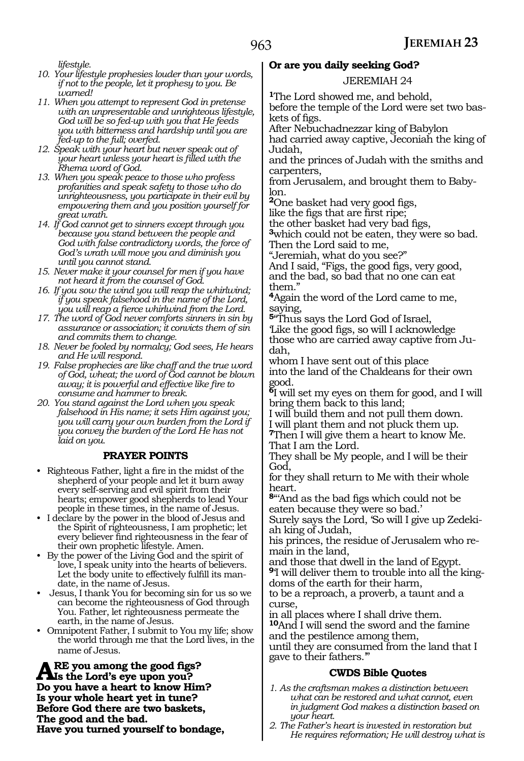*lifestyle.*

- *10. Your lifestyle prophesies louder than your words, if not to the people, let it prophesy to you. Be warned!*
- *11. When you attempt to represent God in pretense with an unpresentable and unrighteous lifestyle, God will be so fed-up with you that He feeds you with bitterness and hardship until you are fed-up to the full; overfed.*
- *12. Speak with your heart but never speak out of your heart unless your heart is filled with the Rhema word of God.*
- *13. When you speak peace to those who profess profanities and speak safety to those who do unrighteousness, you participate in their evil by empowering them and you position yourself for great wrath.*
- *14. If God cannot get to sinners except through you because you stand between the people and God with false contradictory words, the force of God's wrath will move you and diminish you until you cannot stand.*
- *15. Never make it your counsel for men if you have not heard it from the counsel of God.*
- *16. If you sow the wind you will reap the whirlwind; if you speak falsehood in the name of the Lord, you will reap a fierce whirlwind from the Lord.*
- *17. The word of God never comforts sinners in sin by assurance or association; it convicts them of sin and commits them to change.*
- *18. Never be fooled by normalcy; God sees, He hears and He will respond.*
- *19. False prophecies are like chaff and the true word of God, wheat; the word of God cannot be blown away; it is powerful and effective like fire to consume and hammer to break.*
- *20. You stand against the Lord when you speak falsehood in His name; it sets Him against you; you will carry your own burden from the Lord if you convey the burden of the Lord He has not laid on you.*

#### **PRAYER POINTS**

- Righteous Father, light a fire in the midst of the shepherd of your people and let it burn away every self-serving and evil spirit from their hearts; empower good shepherds to lead Your people in these times, in the name of Jesus.
- I declare by the power in the blood of Jesus and the Spirit of righteousness, I am prophetic; let every believer find righteousness in the fear of their own prophetic lifestyle. Amen.
- By the power of the Living God and the spirit of love, I speak unity into the hearts of believers. Let the body unite to effectively fulfill its mandate, in the name of Jesus.
- Jesus, I thank You for becoming sin for us so we can become the righteousness of God through You. Father, let righteousness permeate the earth, in the name of Jesus.
- Omnipotent Father, I submit to You my life; show the world through me that the Lord lives, in the name of Jesus.

ARE you among the good figs?<br> **Als the Lord's eye upon you?**<br> **De you have a boat to linear High Do you have a heart to know Him? Is your whole heart yet in tune? Before God there are two baskets, The good and the bad. Have you turned yourself to bondage,**

### **Or are you daily seeking God?**

#### JEREMIAH 24

**<sup>1</sup>**The Lord showed me, and behold,

before the temple of the Lord were set two bas- kets of figs.

After Nebuchadnezzar king of Babylon had carried away captive, Jeconiah the king of

Judah,

and the princes of Judah with the smiths and carpenters,

from Jerusalem, and brought them to Baby- lon.

**<sup>2</sup>**One basket had very good figs,

like the figs that are first ripe;<br>the other basket had very bad figs,

3which could not be eaten, they were so bad. Then the Lord said to me,

"Jeremiah, what do you see?"

And I said, "Figs, the good figs, very good, and the bad, so bad that no one can eat them."

**<sup>4</sup>**Again the word of the Lord came to me, saying,

**<sup>5</sup>**"Thus says the Lord God of Israel,

'Like the good figs, so will I acknowledge those who are carried away captive from Judah,

whom I have sent out of this place into the land of the Chaldeans for their own good.

**<sup>6</sup>**I will set my eyes on them for good, and I will bring them back to this land;

I will build them and not pull them down. I will plant them and not pluck them up.

**<sup>7</sup>**Then I will give them a heart to know Me. That I am the Lord.

They shall be My people, and I will be their God,

for they shall return to Me with their whole heart.

**<sup>8</sup>**"'And as the bad figs which could not be eaten because they were so bad.'

Surely says the Lord, 'So will I give up Zedekiah king of Judah,

his princes, the residue of Jerusalem who remain in the land,

and those that dwell in the land of Egypt. **9**'I will deliver them to trouble into all the kingdoms of the earth for their harm,

to be a reproach, a proverb, a taunt and a curse,

in all places where I shall drive them.

**<sup>10</sup>**And I will send the sword and the famine and the pestilence among them,

until they are consumed from the land that I gave to their fathers.'"

- *1. As the craftsman makes a distinction between what can be restored and what cannot, even in judgment God makes a distinction based on your heart.*
- *2. The Father's heart is invested in restoration but He requires reformation; He will destroy what is*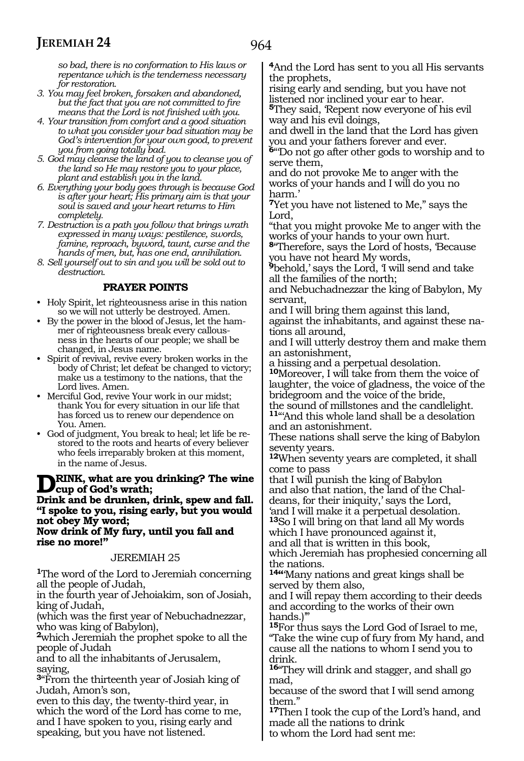*so bad, there is no conformation to His laws or* 

*repentance which is the tenderness necessary for restoration.*

- *3. You may feel broken, forsaken and abandoned, but the fact that you are not committed to fire means that the Lord is not finished with you.*
- *4. Your transition from comfort and a good situation to what you consider your bad situation may be God's intervention for your own good, to prevent you from going totally bad.*
- *5. God may cleanse the land of you to cleanse you of the land so He may restore you to your place, plant and establish you in the land.*
- *6. Everything your body goes through is because God is after your heart; His primary aim is that your soul is saved and your heart returns to Him completely.*
- *7. Destruction is a path you follow that brings wrath expressed in many ways: pestilence, swords, famine, reproach, byword, taunt, curse and the hands of men, but, has one end, annihilation.*
- *8. Sell yourself out to sin and you will be sold out to destruction.*

#### **PRAYER POINTS**

- Holy Spirit, let righteousness arise in this nation so we will not utterly be destroyed. Amen.
- By the power in the blood of Jesus, let the hammer of righteousness break every callousness in the hearts of our people; we shall be changed, in Jesus name.
- Spirit of revival, revive every broken works in the body of Christ; let defeat be changed to victory; make us a testimony to the nations, that the Lord lives. Amen.
- Merciful God, revive Your work in our midst; thank You for every situation in our life that has forced us to renew our dependence on You. Amen.
- God of judgment, You break to heal; let life be restored to the roots and hearts of every believer who feels irreparably broken at this moment, in the name of Jesus.

#### **Drink, what are you drinking? The wine cup of God's wrath;**

**Drink and be drunken, drink, spew and fall. "I spoke to you, rising early, but you would not obey My word;**

#### **Now drink of My fury, until you fall and rise no more!"**

#### JEREMIAH 25

**<sup>1</sup>**The word of the Lord to Jeremiah concerning all the people of Judah,

in the fourth year of Jehoiakim, son of Josiah, king of Judah,

(which was the first year of Nebuchadnezzar, who was king of Babylon),

**<sup>2</sup>**which Jeremiah the prophet spoke to all the people of Judah

and to all the inhabitants of Jerusalem, saying,

**<sup>3</sup>**"From the thirteenth year of Josiah king of Judah, Amon's son,

even to this day, the twenty-third year, in which the word of the Lord has come to me, and I have spoken to you, rising early and speaking, but you have not listened.

**<sup>4</sup>**And the Lord has sent to you all His servants the prophets,

rising early and sending, but you have not listened nor inclined your ear to hear. **5**They said, Repent now everyone of his evil way and his evil doings,

and dwell in the land that the Lord has given you and your fathers forever and ever.

**<sup>6</sup>**"'Do not go after other gods to worship and to serve them,

and do not provoke Me to anger with the works of your hands and I will do you no harm.'

**<sup>7</sup>**Yet you have not listened to Me," says the Lord.

"that you might provoke Me to anger with the works of your hands to your own hurt.

**<sup>8</sup>**"Therefore, says the Lord of hosts, 'Because you have not heard My words,

<sup>9</sup>behold,' says the Lord, I will send and take all the families of the north;

and Nebuchadnezzar the king of Babylon, My servant,

and I will bring them against this land, against the inhabitants, and against these nations all around,

and I will utterly destroy them and make them an astonishment,

a hissing and a perpetual desolation.

**<sup>10</sup>**Moreover, I will take from them the voice of laughter, the voice of gladness, the voice of the bridegroom and the voice of the bride,

the sound of millstones and the candlelight. **<sup>11</sup>**"'And this whole land shall be a desolation and an astonishment.

These nations shall serve the king of Babylon seventy years.

**<sup>12</sup>**When seventy years are completed, it shall come to pass

that I will punish the king of Babylon and also that nation, the land of the Chaldeans, for their iniquity,' says the Lord, 'and I will make it a perpetual desolation.

**<sup>13</sup>**So I will bring on that land all My words which I have pronounced against it,

and all that is written in this book,

which Jeremiah has prophesied concerning all the nations.

**14"**'Many nations and great kings shall be served by them also,

and I will repay them according to their deeds and according to the works of their own hands.<sup>"</sup>

**<sup>15</sup>**For thus says the Lord God of Israel to me, "Take the wine cup of fury from My hand, and cause all the nations to whom I send you to drink.

**<sup>16</sup>**"They will drink and stagger, and shall go mad,

because of the sword that I will send among them."

**<sup>17</sup>**Then I took the cup of the Lord's hand, and made all the nations to drink

to whom the Lord had sent me: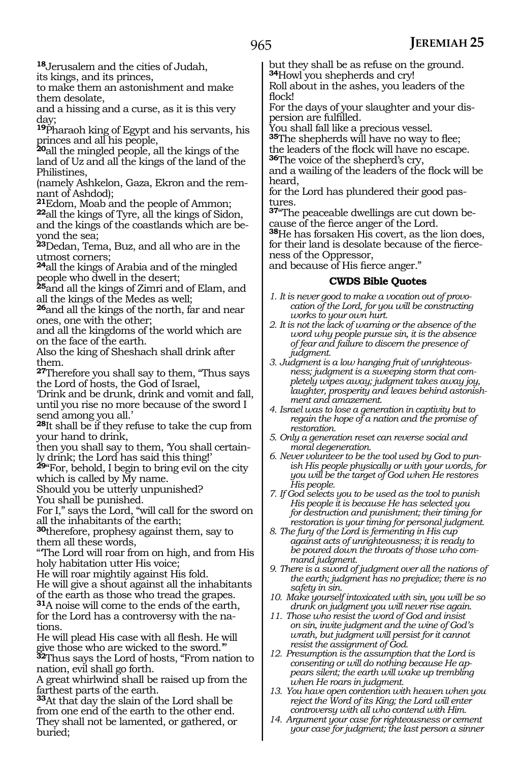**<sup>18</sup>**Jerusalem and the cities of Judah, its kings, and its princes,

to make them an astonishment and make them desolate,

and a hissing and a curse, as it is this very day;

**<sup>19</sup>**Pharaoh king of Egypt and his servants, his princes and all his people,

**<sup>20</sup>**all the mingled people, all the kings of the land of Uz and all the kings of the land of the Philistines,

(namely Ashkelon, Gaza, Ekron and the rem-<br>nant of Ashdod);<br><sup>21</sup>Edom, Moab and the people of Ammon;

**22**all the kings of Tyre, all the kings of Sidon, and the kings of the coastlands which are be- yond the sea;

**<sup>23</sup>**Dedan, Tema, Buz, and all who are in the utmost corners;

**<sup>24</sup>**all the kings of Arabia and of the mingled people who dwell in the desert;

**<sup>25</sup>**and all the kings of Zimri and of Elam, and all the kings of the Medes as well;

**<sup>26</sup>**and all the kings of the north, far and near ones, one with the other;

and all the kingdoms of the world which are on the face of the earth.

Also the king of Sheshach shall drink after them.

**<sup>27</sup>**Therefore you shall say to them, "Thus says the Lord of hosts, the God of Israel,

'Drink and be drunk, drink and vomit and fall, until you rise no more because of the sword I send among you all.'

**<sup>28</sup>**It shall be if they refuse to take the cup from your hand to drink,

then you shall say to them, 'You shall certain- ly drink; the Lord has said this thing!'

**<sup>29</sup>**"For, behold, I begin to bring evil on the city which is called by My name.

Should you be utterly unpunished?

You shall be punished.

For I," says the Lord, "will call for the sword on all the inhabitants of the earth;

**<sup>30</sup>**therefore, prophesy against them, say to them all these words,

"'The Lord will roar from on high, and from His holy habitation utter His voice;

He will roar mightily against His fold.

He will give a shout against all the inhabitants of the earth as those who tread the grapes.

**<sup>31</sup>**A noise will come to the ends of the earth, for the Lord has a controversy with the nations.

He will plead His case with all flesh. He will give those who are wicked to the sword.'"

**<sup>32</sup>**Thus says the Lord of hosts, "From nation to nation, evil shall go forth.

A great whirlwind shall be raised up from the farthest parts of the earth.

**<sup>33</sup>**At that day the slain of the Lord shall be from one end of the earth to the other end. They shall not be lamented, or gathered, or buried;

but they shall be as refuse on the ground. **<sup>34</sup>**Howl you shepherds and cry!

Roll about in the ashes, you leaders of the flock!

For the days of your slaughter and your dis- persion are fulfilled.

You shall fall like a precious vessel.

**<sup>35</sup>**The shepherds will have no way to flee; the leaders of the flock will have no escape.

**<sup>36</sup>**The voice of the shepherd's cry,

and a wailing of the leaders of the flock will be heard,

for the Lord has plundered their good pastures.

**37**"The peaceable dwellings are cut down be-

38He has forsaken His covert, as the lion does, for their land is desolate because of the fierceness of the Oppressor,

and because of His fierce anger."

#### **CWDS Bible Quotes**

- *1. It is never good to make a vocation out of provocation of the Lord, for you will be constructing works to your own hurt.*
- *2. It is not the lack of warning or the absence of the word why people pursue sin, it is the absence of fear and failure to discern the presence of judgment.*
- *3. Judgment is a low hanging fruit of unrighteousness; judgment is a sweeping storm that completely wipes away; judgment takes away joy, laughter, prosperity and leaves behind astonishment and amazement.*
- *4. Israel was to lose a generation in captivity but to regain the hope of a nation and the promise of restoration.*
- *5. Only a generation reset can reverse social and moral degeneration.*
- *6. Never volunteer to be the tool used by God to punish His people physically or with your words, for you will be the target of God when He restores His people.*

*7. If God selects you to be used as the tool to punish His people it is because He has selected you for destruction and punishment; their timing for restoration is your timing for personal judgment.*

*8. The fury of the Lord is fermenting in His cup against acts of unrighteousness; it is ready to be poured down the throats of those who command judgment.*

*9. There is a sword of judgment over all the nations of the earth; judgment has no prejudice; there is no safety in sin.*

*10. Make yourself intoxicated with sin, you will be so drunk on judgment you will never rise again.*

*11. Those who resist the word of God and insist on sin, invite judgment and the wine of God's wrath, but judgment will persist for it cannot resist the assignment of God.*

*12. Presumption is the assumption that the Lord is consenting or will do nothing because He appears silent; the earth will wake up trembling when He roars in judgment.*

*13. You have open contention with heaven when you reject the Word of its King; the Lord will enter controversy with all who contend with Him.*

*14. Argument your case for righteousness or cement your case for judgment; the last person a sinner*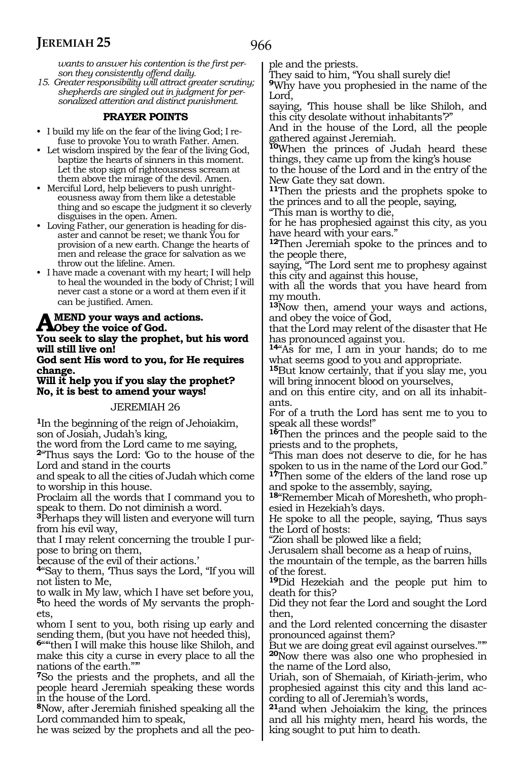*wants to answer his contention is the first per-*

*son they consistently offend daily. 15. Greater responsibility will attract greater scrutiny; shepherds are singled out in judgment for personalized attention and distinct punishment.*

#### **PRAYER POINTS**

- I build my life on the fear of the living God; I refuse to provoke You to wrath Father. Amen.
- Let wisdom inspired by the fear of the living God, baptize the hearts of sinners in this moment. Let the stop sign of righteousness scream at them above the mirage of the devil. Amen.
- Merciful Lord, help believers to push unrighteousness away from them like a detestable thing and so escape the judgment it so cleverly disguises in the open. Amen.
- Loving Father, our generation is heading for disaster and cannot be reset; we thank You for provision of a new earth. Change the hearts of men and release the grace for salvation as we throw out the lifeline. Amen.
- I have made a covenant with my heart; I will help to heal the wounded in the body of Christ; I will never cast a stone or a word at them even if it can be justified. Amen.

# **AMEND** your ways and actions.<br> **Property the voice of God.**<br> **Veu soals to alay the number, but**

**You seek to slay the prophet, but his word will still live on!**

**God sent His word to you, for He requires change.**

**Will it help you if you slay the prophet? No, it is best to amend your ways!**

#### JEREMIAH 26

**<sup>1</sup>**In the beginning of the reign of Jehoiakim, son of Josiah, Judah's king,

the word from the Lord came to me saying,

**<sup>2</sup>**"Thus says the Lord: 'Go to the house of the Lord and stand in the courts

and speak to all the cities of Judah which come to worship in this house.

Proclaim all the words that I command you to speak to them. Do not diminish a word.

**<sup>3</sup>**Perhaps they will listen and everyone will turn from his evil way,

that I may relent concerning the trouble I pur- pose to bring on them,

because of the evil of their actions.'

**<sup>4</sup>**"Say to them, 'Thus says the Lord, "If you will not listen to Me,

to walk in My law, which I have set before you, **5**to heed the words of My servants the prophets,

whom I sent to you, both rising up early and sending them, (but you have not heeded this),

**<sup>6</sup>**"'"then I will make this house like Shiloh, and make this city a curse in every place to all the nations of the earth."'"

**<sup>7</sup>**So the priests and the prophets, and all the people heard Jeremiah speaking these words in the house of the Lord.

**<sup>8</sup>**Now, after Jeremiah finished speaking all the Lord commanded him to speak,

he was seized by the prophets and all the peo-

ple and the priests.

They said to him, "You shall surely die!

**<sup>9</sup>**Why have you prophesied in the name of the Lord,

saying, 'This house shall be like Shiloh, and this city desolate without inhabitants'?"

And in the house of the Lord, all the people gathered against Jeremiah.

**<sup>10</sup>**When the princes of Judah heard these things, they came up from the king's house

to the house of the Lord and in the entry of the New Gate they sat down.

**<sup>11</sup>**Then the priests and the prophets spoke to the princes and to all the people, saying,

"This man is worthy to die, for he has prophesied against this city, as you

have heard with your ears." **<sup>12</sup>**Then Jeremiah spoke to the princes and to the people there,

saying, "The Lord sent me to prophesy against this city and against this house,

with all the words that you have heard from my mouth.

**<sup>13</sup>**Now then, amend your ways and actions, and obey the voice of God,

that the Lord may relent of the disaster that He has pronounced against you.

**<sup>14</sup>**"As for me, I am in your hands; do to me what seems good to you and appropriate.

**<sup>15</sup>**But know certainly, that if you slay me, you will bring innocent blood on yourselves,

and on this entire city, and on all its inhabitants.

For of a truth the Lord has sent me to you to speak all these words!"

**<sup>16</sup>**Then the princes and the people said to the priests and to the prophets,

"This man does not deserve to die, for he has spoken to us in the name of the Lord our God."

**<sup>17</sup>**Then some of the elders of the land rose up and spoke to the assembly, saying,

**<sup>18</sup>**"Remember Micah of Moresheth, who proph- esied in Hezekiah's days.

He spoke to all the people, saying, 'Thus says the Lord of hosts:

"Zion shall be plowed like a field;

Jerusalem shall become as a heap of ruins,

the mountain of the temple, as the barren hills of the forest.

**<sup>19</sup>**Did Hezekiah and the people put him to death for this?

Did they not fear the Lord and sought the Lord then,

and the Lord relented concerning the disaster pronounced against them?

But we are doing great evil against ourselves."" **<sup>20</sup>**Now there was also one who prophesied in the name of the Lord also,

Uriah, son of Shemaiah, of Kiriath-jerim, who prophesied against this city and this land ac- cording to all of Jeremiah's words,

**<sup>21</sup>**and when Jehoiakim the king, the princes and all his mighty men, heard his words, the king sought to put him to death.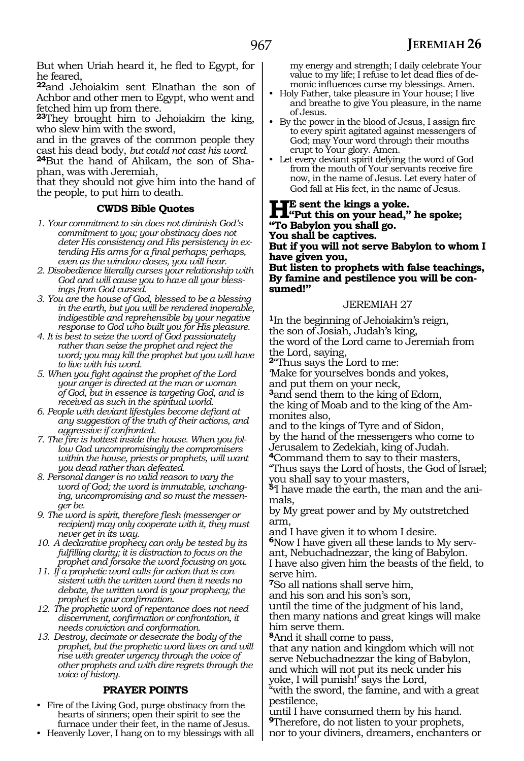But when Uriah heard it, he fled to Egypt, for he feared,

**<sup>22</sup>**and Jehoiakim sent Elnathan the son of Achbor and other men to Egypt, who went and fetched him up from there.

**<sup>23</sup>**They brought him to Jehoiakim the king, who slew him with the sword,

and in the graves of the common people they cast his dead body, *but could not cast his word.*

**24**But the hand of Ahikam, the son of Shaphan, was with Jeremiah,

that they should not give him into the hand of the people, to put him to death.

#### **CWDS Bible Quotes**

- *1. Your commitment to sin does not diminish God's commitment to you; your obstinacy does not deter His consistency and His persistency in extending His arms for a final perhaps; perhaps, even as the window closes, you will hear.*
- *2. Disobedience literally curses your relationship with God and will cause you to have all your blessings from God cursed.*
- *3. You are the house of God, blessed to be a blessing in the earth, but you will be rendered inoperable, indigestible and reprehensible by your negative response to God who built you for His pleasure.*
- *4. It is best to seize the word of God passionately rather than seize the prophet and reject the word; you may kill the prophet but you will have to live with his word.*
- *5. When you fight against the prophet of the Lord your anger is directed at the man or woman of God, but in essence is targeting God, and is received as such in the spiritual world.*
- *6. People with deviant lifestyles become defiant at any suggestion of the truth of their actions, and aggressive if confronted.*
- *7. The fire is hottest inside the house. When you follow God uncompromisingly the compromisers within the house, priests or prophets, will want you dead rather than defeated.*
- *8. Personal danger is no valid reason to vary the word of God; the word is immutable, unchanging, uncompromising and so must the messenger be.*
- *9. The word is spirit, therefore flesh (messenger or recipient) may only cooperate with it, they must never get in its way.*
- *10. A declarative prophecy can only be tested by its fulfilling clarity; it is distraction to focus on the prophet and forsake the word focusing on you.*
- *11. If a prophetic word calls for action that is consistent with the written word then it needs no debate, the written word is your prophecy; the prophet is your confirmation.*
- *12. The prophetic word of repentance does not need discernment, confirmation or confrontation, it needs conviction and conformation.*
- *13. Destroy, decimate or desecrate the body of the prophet, but the prophetic word lives on and will rise with greater urgency through the voice of other prophets and with dire regrets through the voice of history.*

#### **PRAYER POINTS**

- Fire of the Living God, purge obstinacy from the hearts of sinners; open their spirit to see the furnace under their feet, in the name of Jesus.
- Heavenly Lover, I hang on to my blessings with all

my energy and strength; I daily celebrate Your value to my life; I refuse to let dead flies of demonic influences curse my blessings. Amen.

- Holy Father, take pleasure in Your house; I live and breathe to give You pleasure, in the name of Jesus.
- By the power in the blood of Jesus, I assign fire to every spirit agitated against messengers of God; may Your word through their mouths erupt to Your glory. Amen.
- Let every deviant spirit defying the word of God from the mouth of Your servants receive fire now, in the name of Jesus. Let every hater of God fall at His feet, in the name of Jesus.

**HE** sent the kings a yoke.<br>
"Put this on your head," he spoke;<br>
"Re Rabylen your aboll go **"To Babylon you shall go.**

**You shall be captives.**

**But if you will not serve Babylon to whom I have given you,**

**But listen to prophets with false teachings, By famine and pestilence you will be consumed!"**

#### JEREMIAH 27

**<sup>1</sup>**In the beginning of Jehoiakim's reign, the son of Josiah, Judah's king, the word of the Lord came to Jeremiah from the Lord, saying,

**<sup>2</sup>**"Thus says the Lord to me:

'Make for yourselves bonds and yokes,

and put them on your neck,

**<sup>3</sup>**and send them to the king of Edom, the king of Moab and to the king of the Ammonites also,

and to the kings of Tyre and of Sidon, by the hand of the messengers who come to Jerusalem to Zedekiah, king of Judah.

**<sup>4</sup>**Command them to say to their masters,

"Thus says the Lord of hosts, the God of Israel; you shall say to your masters,

**<sup>5</sup>**'I have made the earth, the man and the ani- mals,

by My great power and by My outstretched arm,

and I have given it to whom I desire. **6**Now I have given all these lands to My servant, Nebuchadnezzar, the king of Babylon. I have also given him the beasts of the field, to serve him.

**<sup>7</sup>**So all nations shall serve him,

and his son and his son's son, until the time of the judgment of his land, then many nations and great kings will make him serve them.

**<sup>8</sup>**And it shall come to pass,

that any nation and kingdom which will not serve Nebuchadnezzar the king of Babylon, and which will not put its neck under his yoke, I will punish!' says the Lord,

"with the sword, the famine, and with a great pestilence,

until I have consumed them by his hand. **<sup>9</sup>**Therefore, do not listen to your prophets, nor to your diviners, dreamers, enchanters or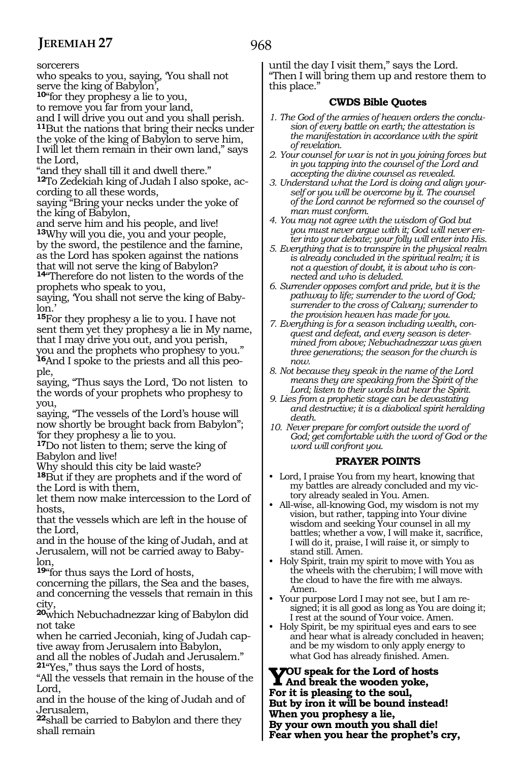sorcerers

who speaks to you, saying, 'You shall not serve the king of Babylon',

**<sup>10</sup>**"for they prophesy a lie to you,

to remove you far from your land,

and I will drive you out and you shall perish. **<sup>11</sup>**But the nations that bring their necks under the yoke of the king of Babylon to serve him, I will let them remain in their own land," says the Lord,

"and they shall till it and dwell there."

**12**To Zedekiah king of Judah I also spoke, according to all these words,

saying "Bring your necks under the yoke of the king of Babylon,

and serve him and his people, and live! **<sup>13</sup>**Why will you die, you and your people, by the sword, the pestilence and the famine, as the Lord has spoken against the nations that will not serve the king of Babylon?

**<sup>14</sup>**"Therefore do not listen to the words of the prophets who speak to you,

saying, 'You shall not serve the king of Babylon.'

**<sup>15</sup>**For they prophesy a lie to you. I have not sent them yet they prophesy a lie in My name, that I may drive you out, and you perish,

you and the prophets who prophesy to you." **16**And I spoke to the priests and all this people,

saying, "Thus says the Lord, 'Do not listen to the words of your prophets who prophesy to you,

saying, "The vessels of the Lord's house will now shortly be brought back from Babylon"; 'for they prophesy a lie to you.

**<sup>17</sup>**Do not listen to them; serve the king of Babylon and live!

Why should this city be laid waste?

**<sup>18</sup>**But if they are prophets and if the word of the Lord is with them,

let them now make intercession to the Lord of hosts,

that the vessels which are left in the house of the Lord,

and in the house of the king of Judah, and at Jerusalem, will not be carried away to Babylon,

**<sup>19</sup>**"for thus says the Lord of hosts,

concerning the pillars, the Sea and the bases, and concerning the vessels that remain in this city,

**<sup>20</sup>**which Nebuchadnezzar king of Babylon did not take

when he carried Jeconiah, king of Judah captive away from Jerusalem into Babylon,

and all the nobles of Judah and Jerusalem." **<sup>21</sup>**"Yes," thus says the Lord of hosts,

"All the vessels that remain in the house of the Lord,

and in the house of the king of Judah and of Jerusalem,

**<sup>22</sup>**shall be carried to Babylon and there they shall remain

until the day I visit them," says the Lord. "Then I will bring them up and restore them to this place."

#### **CWDS Bible Quotes**

- *1. The God of the armies of heaven orders the conclusion of every battle on earth; the attestation is the manifestation in accordance with the spirit of revelation.*
- *2. Your counsel for war is not in you joining forces but in you tapping into the counsel of the Lord and accepting the divine counsel as revealed.*
- *3. Understand what the Lord is doing and align yourself or you will be overcome by it. The counsel of the Lord cannot be reformed so the counsel of man must conform.*
- *4. You may not agree with the wisdom of God but you must never argue with it; God will never enter into your debate; your folly will enter into His.*
- *5. Everything that is to transpire in the physical realm is already concluded in the spiritual realm; it is not a question of doubt, it is about who is connected and who is deluded.*
- *6. Surrender opposes comfort and pride, but it is the pathway to life; surrender to the word of God; surrender to the cross of Calvary; surrender to the provision heaven has made for you.*
- *7. Everything is for a season including wealth, conquest and defeat, and every season is determined from above; Nebuchadnezzar was given three generations; the season for the church is now.*
- *8. Not because they speak in the name of the Lord means they are speaking from the Spirit of the Lord; listen to their words but hear the Spirit.*
- *9. Lies from a prophetic stage can be devastating and destructive; it is a diabolical spirit heralding death.*
- *10. Never prepare for comfort outside the word of God; get comfortable with the word of God or the word will confront you.*

#### **PRAYER POINTS**

- Lord, I praise You from my heart, knowing that my battles are already concluded and my victory already sealed in You. Amen.
- All-wise, all-knowing God, my wisdom is not my vision, but rather, tapping into Your divine wisdom and seeking Your counsel in all my battles; whether a vow, I will make it, sacrifice, I will do it, praise, I will raise it, or simply to stand still. Amen.
- Holy Spirit, train my spirit to move with You as the wheels with the cherubim; I will move with the cloud to have the fire with me always. Amen.
- Your purpose Lord I may not see, but I am resigned; it is all good as long as You are doing it; I rest at the sound of Your voice. Amen.
- Holy Spirit, be my spiritual eyes and ears to see and hear what is already concluded in heaven; and be my wisdom to only apply energy to what God has already finished. Amen.

**You speak for the Lord of hosts And break the wooden yoke, For it is pleasing to the soul, But by iron it will be bound instead! When you prophesy a lie, By your own mouth you shall die! Fear when you hear the prophet's cry,**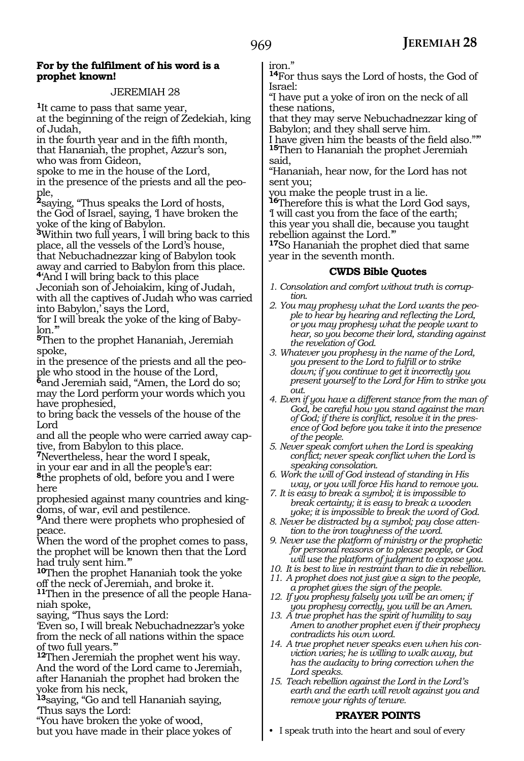#### **For by the fulfilment of his word is a prophet known!**

#### JEREMIAH 28

**<sup>1</sup>**It came to pass that same year, at the beginning of the reign of Zedekiah, king of Judah,

in the fourth year and in the fifth month, that Hananiah, the prophet, Azzur's son, who was from Gideon,

spoke to me in the house of the Lord, in the presence of the priests and all the people,

**<sup>2</sup>**saying, "Thus speaks the Lord of hosts, the God of Israel, saying, 'I have broken the yoke of the king of Babylon.

**<sup>3</sup>**Within two full years, I will bring back to this place, all the vessels of the Lord's house, that Nebuchadnezzar king of Babylon took away and carried to Babylon from this place.

**<sup>4</sup>**'And I will bring back to this place Jeconiah son of Jehoiakim, king of Judah, with all the captives of Judah who was carried into Babylon,' says the Lord,

'for I will break the yoke of the king of Baby $lon.$ "

**<sup>5</sup>**Then to the prophet Hananiah, Jeremiah spoke,

in the presence of the priests and all the people who stood in the house of the Lord,

**<sup>6</sup>**and Jeremiah said, "Amen, the Lord do so; may the Lord perform your words which you have prophesied,

to bring back the vessels of the house of the Lord

and all the people who were carried away captive, from Babylon to this place.

**<sup>7</sup>**Nevertheless, hear the word I speak,

in your ear and in all the people's ear:

**<sup>8</sup>**the prophets of old, before you and I were here

prophesied against many countries and kingdoms, of war, evil and pestilence.

**<sup>9</sup>**And there were prophets who prophesied of peace.

When the word of the prophet comes to pass, the prophet will be known then that the Lord had truly sent him.'"

**<sup>10</sup>**Then the prophet Hananiah took the yoke off the neck of Jeremiah, and broke it.

**11**Then in the presence of all the people Hananiah spoke,

saying, "Thus says the Lord:

'Even so, I will break Nebuchadnezzar's yoke from the neck of all nations within the space of two full years.'"

**<sup>12</sup>**Then Jeremiah the prophet went his way. And the word of the Lord came to Jeremiah, after Hananiah the prophet had broken the yoke from his neck,

**<sup>13</sup>**saying, "Go and tell Hananiah saying, 'Thus says the Lord:

"You have broken the yoke of wood,

but you have made in their place yokes of

iron."

**<sup>14</sup>**For thus says the Lord of hosts, the God of Israel:

"I have put a yoke of iron on the neck of all these nations,

that they may serve Nebuchadnezzar king of Babylon; and they shall serve him.

I have given him the beasts of the field also."'" **<sup>15</sup>**Then to Hananiah the prophet Jeremiah said,

"Hananiah, hear now, for the Lord has not sent you;

you make the people trust in a lie.

**<sup>16</sup>**Therefore this is what the Lord God says, 'I will cast you from the face of the earth; this year you shall die, because you taught rebellion against the Lord.'"

**<sup>17</sup>**So Hananiah the prophet died that same year in the seventh month.

#### **CWDS Bible Quotes**

- *1. Consolation and comfort without truth is corruption.*
- *2. You may prophesy what the Lord wants the people to hear by hearing and reflecting the Lord, or you may prophesy what the people want to hear, so you become their lord, standing against the revelation of God.*
- *3. Whatever you prophesy in the name of the Lord, you present to the Lord to fulfill or to strike down; if you continue to get it incorrectly you present yourself to the Lord for Him to strike you out.*
- *4. Even if you have a different stance from the man of God, be careful how you stand against the man of God; if there is conflict, resolve it in the presence of God before you take it into the presence of the people.*
- *5. Never speak comfort when the Lord is speaking conflict; never speak conflict when the Lord is speaking consolation.*
- *6. Work the will of God instead of standing in His way, or you will force His hand to remove you.*
- *7. It is easy to break a symbol; it is impossible to break certainty; it is easy to break a wooden yoke; it is impossible to break the word of God.*
- *8. Never be distracted by a symbol; pay close attention to the iron toughness of the word.*
- *9. Never use the platform of ministry or the prophetic for personal reasons or to please people, or God will use the platform of judgment to expose you.*
- *10. It is best to live in restraint than to die in rebellion.*
- *11. A prophet does not just give a sign to the people, a prophet gives the sign of the people.*
- *12. If you prophesy falsely you will be an omen; if you prophesy correctly, you will be an Amen.*
- *13. A true prophet has the spirit of humility to say Amen to another prophet even if their prophecy contradicts his own word.*
- *14. A true prophet never speaks even when his conviction varies; he is willing to walk away, but has the audacity to bring correction when the Lord speaks.*
- *15. Teach rebellion against the Lord in the Lord's earth and the earth will revolt against you and remove your rights of tenure.*

#### **PRAYER POINTS**

• I speak truth into the heart and soul of every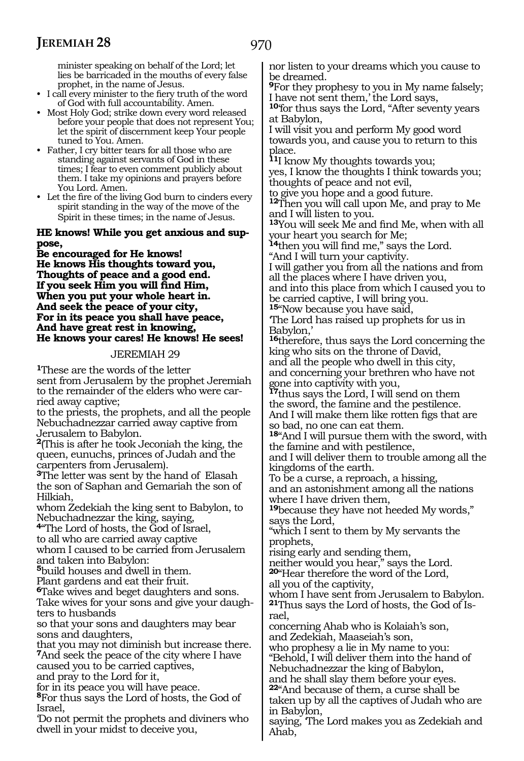970

minister speaking on behalf of the Lord; let lies be barricaded in the mouths of every false prophet, in the name of Jesus.

- I call every minister to the fiery truth of the word of God with full accountability. Amen.
- Most Holy God; strike down every word released before your people that does not represent You; let the spirit of discernment keep Your people tuned to You. Amen.
- Father, I cry bitter tears for all those who are standing against servants of God in these times; I fear to even comment publicly about them. I take my opinions and prayers before You Lord. Amen.
- Let the fire of the living God burn to cinders every spirit standing in the way of the move of the Spirit in these times; in the name of Jesus.

#### **He knows! While you get anxious and suppose,**

**Be encouraged for He knows! He knows His thoughts toward you, Thoughts of peace and a good end. If you seek Him you will find Him, When you put your whole heart in. And seek the peace of your city, For in its peace you shall have peace, And have great rest in knowing, He knows your cares! He knows! He sees!**

#### JEREMIAH 29

**<sup>1</sup>**These are the words of the letter sent from Jerusalem by the prophet Jeremiah to the remainder of the elders who were carried away captive;

to the priests, the prophets, and all the people Nebuchadnezzar carried away captive from Jerusalem to Babylon.

**<sup>2</sup>**(This is after he took Jeconiah the king, the queen, eunuchs, princes of Judah and the carpenters from Jerusalem).

**<sup>3</sup>**The letter was sent by the hand of Elasah the son of Saphan and Gemariah the son of Hilkiah,

whom Zedekiah the king sent to Babylon, to Nebuchadnezzar the king, saying,

**<sup>4</sup>**"The Lord of hosts, the God of Israel,

to all who are carried away captive whom I caused to be carried from Jerusalem and taken into Babylon:

**<sup>5</sup>**build houses and dwell in them.

Plant gardens and eat their fruit.

**<sup>6</sup>**Take wives and beget daughters and sons. Take wives for your sons and give your daughters to husbands

so that your sons and daughters may bear sons and daughters,

that you may not diminish but increase there. **<sup>7</sup>**And seek the peace of the city where I have caused you to be carried captives,

and pray to the Lord for it,

for in its peace you will have peace.

**<sup>8</sup>**For thus says the Lord of hosts, the God of Israel,

'Do not permit the prophets and diviners who dwell in your midst to deceive you,

nor listen to your dreams which you cause to be dreamed.

**<sup>9</sup>**For they prophesy to you in My name falsely; I have not sent them,' the Lord says,

**<sup>10</sup>**'for thus says the Lord, "After seventy years at Babylon,

I will visit you and perform My good word towards you, and cause you to return to this place.

**<sup>11</sup>**I know My thoughts towards you; yes, I know the thoughts I think towards you;

thoughts of peace and not evil,

to give you hope and a good future.

**<sup>12</sup>**Then you will call upon Me, and pray to Me and I will listen to you.

**<sup>13</sup>**You will seek Me and find Me, when with all your heart you search for Me;

**<sup>14</sup>**then you will find me," says the Lord.

"And I will turn your captivity. I will gather you from all the nations and from all the places where I have driven you,

and into this place from which I caused you to be carried captive, I will bring you. **<sup>15</sup>**"Now because you have said,

'The Lord has raised up prophets for us in Babylon,'

**<sup>16</sup>**therefore, thus says the Lord concerning the king who sits on the throne of David, and all the people who dwell in this city, and concerning your brethren who have not gone into captivity with you,

**<sup>17</sup>**thus says the Lord, I will send on them the sword, the famine and the pestilence. And I will make them like rotten figs that are so bad, no one can eat them.

**<sup>18</sup>**"And I will pursue them with the sword, with the famine and with pestilence,

and I will deliver them to trouble among all the kingdoms of the earth.

To be a curse, a reproach, a hissing, and an astonishment among all the nations where I have driven them,

**<sup>19</sup>**because they have not heeded My words," says the Lord,

"which I sent to them by My servants the prophets,

rising early and sending them,

neither would you hear," says the Lord.

**<sup>20</sup>**"Hear therefore the word of the Lord,

all you of the captivity,

whom I have sent from Jerusalem to Babylon. **21**Thus says the Lord of hosts, the God of Israel,

concerning Ahab who is Kolaiah's son, and Zedekiah, Maaseiah's son,

who prophesy a lie in My name to you:

"Behold, I will deliver them into the hand of Nebuchadnezzar the king of Babylon,

and he shall slay them before your eyes. **<sup>22</sup>**"And because of them, a curse shall be taken up by all the captives of Judah who are in Babylon,

saying, 'The Lord makes you as Zedekiah and Ahab,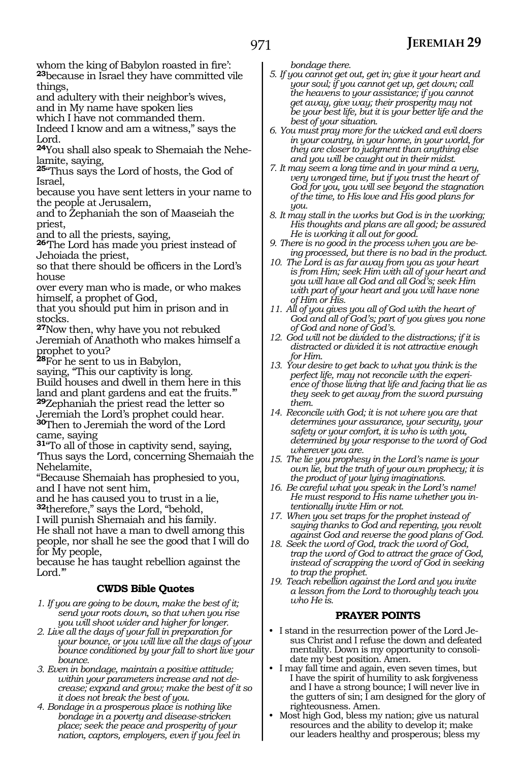whom the king of Babylon roasted in fire': **<sup>23</sup>**because in Israel they have committed vile things,

and adultery with their neighbor's wives, and in My name have spoken lies

which I have not commanded them.

Indeed I know and am a witness," says the Lord.

**24**You shall also speak to Shemaiah the Nehelamite, saying,

**<sup>25</sup>**"Thus says the Lord of hosts, the God of Israel,

because you have sent letters in your name to the people at Jerusalem,

and to Zephaniah the son of Maaseiah the priest,

and to all the priests, saying,

**<sup>26</sup>**'The Lord has made you priest instead of Jehoiada the priest,

so that there should be officers in the Lord's house

over every man who is made, or who makes himself, a prophet of God,

that you should put him in prison and in stocks.

**<sup>27</sup>**Now then, why have you not rebuked Jeremiah of Anathoth who makes himself a prophet to you?

**<sup>28</sup>**For he sent to us in Babylon,

saying, "This our captivity is long.

Build houses and dwell in them here in this land and plant gardens and eat the fruits.'" **<sup>29</sup>**Zephaniah the priest read the letter so

Jeremiah the Lord's prophet could hear. **<sup>30</sup>**Then to Jeremiah the word of the Lord came, saying

**<sup>31</sup>**"To all of those in captivity send, saying, 'Thus says the Lord, concerning Shemaiah the Nehelamite,

"Because Shemaiah has prophesied to you, and I have not sent him,

and he has caused you to trust in a lie, **<sup>32</sup>**therefore," says the Lord, "behold,

I will punish Shemaiah and his family.

He shall not have a man to dwell among this people, nor shall he see the good that I will do for My people,

because he has taught rebellion against the Lord."

#### **CWDS Bible Quotes**

*1. If you are going to be down, make the best of it; send your roots down, so that when you rise you will shoot wider and higher for longer.*

- *2. Live all the days of your fall in preparation for your bounce, or you will live all the days of your bounce conditioned by your fall to short live your bounce.*
- *3. Even in bondage, maintain a positive attitude; within your parameters increase and not decrease; expand and grow; make the best of it so it does not break the best of you.*
- *4. Bondage in a prosperous place is nothing like bondage in a poverty and disease-stricken place; seek the peace and prosperity of your nation, captors, employers, even if you feel in*

*bondage there.*

- *5. If you cannot get out, get in; give it your heart and your soul; if you cannot get up, get down; call the heavens to your assistance; if you cannot get away, give way; their prosperity may not be your best life, but it is your better life and the best of your situation.*
- *6. You must pray more for the wicked and evil doers in your country, in your home, in your world, for they are closer to judgment than anything else and you will be caught out in their midst.*
- *7. It may seem a long time and in your mind a very, very wronged time, but if you trust the heart of God for you, you will see beyond the stagnation of the time, to His love and His good plans for you.*
- *8. It may stall in the works but God is in the working; His thoughts and plans are all good; be assured He is working it all out for good.*
- *9. There is no good in the process when you are being processed, but there is no bad in the product.*
- *10. The Lord is as far away from you as your heart is from Him; seek Him with all of your heart and you will have all God and all God's; seek Him with part of your heart and you will have none of Him or His.*
- *11. All of you gives you all of God with the heart of God and all of God's; part of you gives you none of God and none of God's.*
- *12. God will not be divided to the distractions; if it is distracted or divided it is not attractive enough for Him.*
- *13. Your desire to get back to what you think is the perfect life, may not reconcile with the experience of those living that life and facing that lie as they seek to get away from the sword pursuing them.*
- *14. Reconcile with God; it is not where you are that determines your assurance, your security, your safety or your comfort, it is who is with you, determined by your response to the word of God wherever you are.*
- *15. The lie you prophesy in the Lord's name is your own lie, but the truth of your own prophecy; it is the product of your lying imaginations.*
- *16. Be careful what you speak in the Lord's name! He must respond to His name whether you intentionally invite Him or not.*
- *17. When you set traps for the prophet instead of saying thanks to God and repenting, you revolt against God and reverse the good plans of God.*
- *18. Seek the word of God, track the word of God, trap the word of God to attract the grace of God, instead of scrapping the word of God in seeking to trap the prophet.*
- *19. Teach rebellion against the Lord and you invite a lesson from the Lord to thoroughly teach you who He is.*

#### **PRAYER POINTS**

- I stand in the resurrection power of the Lord Jesus Christ and I refuse the down and defeated mentality. Down is my opportunity to consolidate my best position. Amen.
- I may fall time and again, even seven times, but I have the spirit of humility to ask forgiveness and I have a strong bounce; I will never live in the gutters of sin; I am designed for the glory of righteousness. Amen.
- Most high God, bless my nation; give us natural resources and the ability to develop it; make our leaders healthy and prosperous; bless my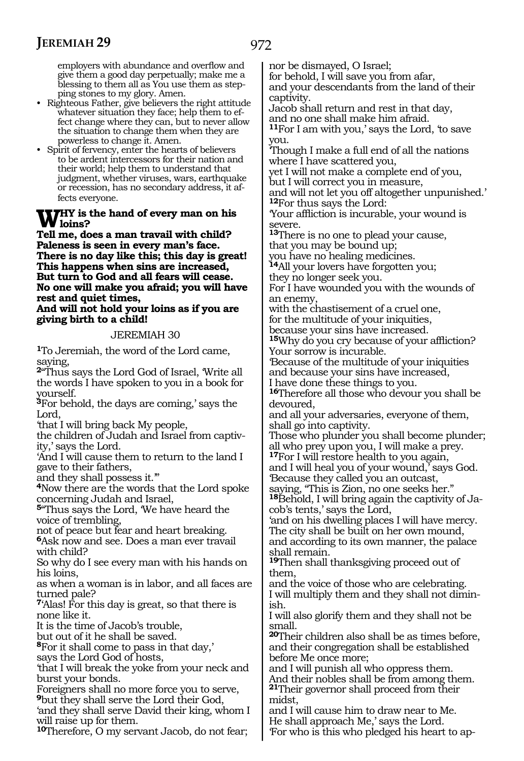employers with abundance and overflow and give them a good day perpetually; make me a blessing to them all as You use them as stepping stones to my glory. Amen.

- Righteous Father, give believers the right attitude whatever situation they face; help them to effect change where they can, but to never allow the situation to change them when they are powerless to change it. Amen.
- Spirit of fervency, enter the hearts of believers to be ardent intercessors for their nation and their world; help them to understand that judgment, whether viruses, wars, earthquake or recession, has no secondary address, it affects everyone.

# **WHY** is the hand of every man on his local points?

**Tell me, does a man travail with child? Paleness is seen in every man's face. There is no day like this; this day is great! This happens when sins are increased, But turn to God and all fears will cease. No one will make you afraid; you will have rest and quiet times,**

**And will not hold your loins as if you are giving birth to a child!** 

JEREMIAH 30

**<sup>1</sup>**To Jeremiah, the word of the Lord came, saying,

**<sup>2</sup>**"Thus says the Lord God of Israel, 'Write all the words I have spoken to you in a book for yourself.

**<sup>3</sup>**For behold, the days are coming,' says the Lord,

'that I will bring back My people,

the children of Judah and Israel from captiv- ity,' says the Lord.

'And I will cause them to return to the land I gave to their fathers,

and they shall possess it.'"

**<sup>4</sup>**Now there are the words that the Lord spoke concerning Judah and Israel,

**<sup>5</sup>**"Thus says the Lord, 'We have heard the voice of trembling,

not of peace but fear and heart breaking. **<sup>6</sup>**Ask now and see. Does a man ever travail

with child?

So why do I see every man with his hands on his loins,

as when a woman is in labor, and all faces are turned pale?

**<sup>7</sup>**'Alas! For this day is great, so that there is none like it.

It is the time of Jacob's trouble,

but out of it he shall be saved.

**<sup>8</sup>**For it shall come to pass in that day,' says the Lord God of hosts,

'that I will break the yoke from your neck and burst your bonds.

Foreigners shall no more force you to serve, **<sup>9</sup>**but they shall serve the Lord their God,

'and they shall serve David their king, whom I will raise up for them.

**<sup>10</sup>**Therefore, O my servant Jacob, do not fear;

nor be dismayed, O Israel;

for behold, I will save you from afar, and your descendants from the land of their captivity.

Jacob shall return and rest in that day, and no one shall make him afraid.

**<sup>11</sup>**For I am with you,' says the Lord, 'to save you.

'Though I make a full end of all the nations where I have scattered you,

yet I will not make a complete end of you, but I will correct you in measure,

and will not let you off altogether unpunished.' **<sup>12</sup>**For thus says the Lord:

'Your affliction is incurable, your wound is severe.

**<sup>13</sup>**There is no one to plead your cause, that you may be bound up;

you have no healing medicines.

**<sup>14</sup>**All your lovers have forgotten you; they no longer seek you.

For I have wounded you with the wounds of an enemy,

with the chastisement of a cruel one,

for the multitude of your iniquities,

because your sins have increased.

**<sup>15</sup>**Why do you cry because of your affliction? Your sorrow is incurable.

'Because of the multitude of your iniquities and because your sins have increased,

I have done these things to you.

**<sup>16</sup>**Therefore all those who devour you shall be devoured,

and all your adversaries, everyone of them, shall go into captivity.

Those who plunder you shall become plunder; all who prey upon you, I will make a prey.

**<sup>17</sup>**For I will restore health to you again, and I will heal you of your wound,' says God. 'Because they called you an outcast,

saying, "This is Zion, no one seeks her." **18**Behold, I will bring again the captivity of Jacob's tents,' says the Lord,

'and on his dwelling places I will have mercy. The city shall be built on her own mound, and according to its own manner, the palace shall remain.

**<sup>19</sup>**Then shall thanksgiving proceed out of them,

and the voice of those who are celebrating. I will multiply them and they shall not diminish.

I will also glorify them and they shall not be small.

**<sup>20</sup>**Their children also shall be as times before, and their congregation shall be established before Me once more;

and I will punish all who oppress them. And their nobles shall be from among them. **<sup>21</sup>**Their governor shall proceed from their midst,

and I will cause him to draw near to Me. He shall approach Me,' says the Lord. 'For who is this who pledged his heart to ap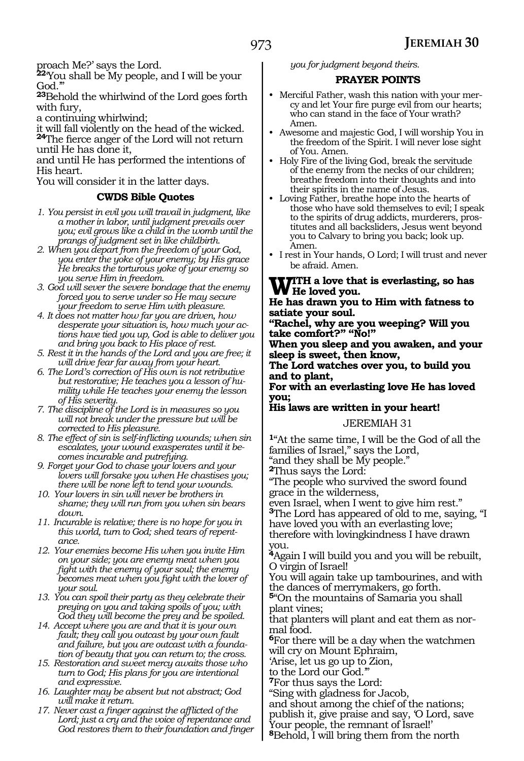proach Me?' says the Lord.

**<sup>22</sup>**'You shall be My people, and I will be your God.'

**<sup>23</sup>**Behold the whirlwind of the Lord goes forth with fury,

a continuing whirlwind;

it will fall violently on the head of the wicked. **<sup>24</sup>**The fierce anger of the Lord will not return until He has done it,

and until He has performed the intentions of His heart.

You will consider it in the latter days.

#### **CWDS Bible Quotes**

- *1. You persist in evil you will travail in judgment, like a mother in labor, until judgment prevails over you; evil grows like a child in the womb until the prangs of judgment set in like childbirth.*
- *2. When you depart from the freedom of your God, you enter the yoke of your enemy; by His grace He breaks the torturous yoke of your enemy so you serve Him in freedom.*
- *3. God will sever the severe bondage that the enemy forced you to serve under so He may secure your freedom to serve Him with pleasure.*
- *4. It does not matter how far you are driven, how desperate your situation is, how much your actions have tied you up, God is able to deliver you and bring you back to His place of rest.*
- *5. Rest it in the hands of the Lord and you are free; it will drive fear far away from your heart.*
- *6. The Lord's correction of His own is not retributive but restorative; He teaches you a lesson of humility while He teaches your enemy the lesson of His severity.*
- *7. The discipline of the Lord is in measures so you will not break under the pressure but will be corrected to His pleasure.*
- *8. The effect of sin is self-inflicting wounds; when sin escalates, your wound exasperates until it becomes incurable and putrefying.*
- *9. Forget your God to chase your lovers and your lovers will forsake you when He chastises you; there will be none left to tend your wounds.*
- *10. Your lovers in sin will never be brothers in shame; they will run from you when sin bears down.*
- *11. Incurable is relative; there is no hope for you in this world, turn to God; shed tears of repentance.*
- *12. Your enemies become His when you invite Him on your side; you are enemy meat when you fight with the enemy of your soul; the enemy becomes meat when you fight with the lover of your soul.*
- *13. You can spoil their party as they celebrate their preying on you and taking spoils of you; with God they will become the prey and be spoiled.*
- *14. Accept where you are and that it is your own fault; they call you outcast by your own fault and failure, but you are outcast with a foundation of beauty that you can return to; the cross.*
- *15. Restoration and sweet mercy awaits those who turn to God; His plans for you are intentional and expressive.*
- *16. Laughter may be absent but not abstract; God will make it return.*
- *17. Never cast a finger against the afflicted of the Lord; just a cry and the voice of repentance and God restores them to their foundation and finger*

*you for judgment beyond theirs.*

#### **PRAYER POINTS**

- Merciful Father, wash this nation with your mercy and let Your fire purge evil from our hearts; who can stand in the face of Your wrath? Amen.
- Awesome and majestic God, I will worship You in the freedom of the Spirit. I will never lose sight of You. Amen.
- Holy Fire of the living God, break the servitude of the enemy from the necks of our children; breathe freedom into their thoughts and into their spirits in the name of Jesus.
- Loving Father, breathe hope into the hearts of those who have sold themselves to evil; I speak to the spirits of drug addicts, murderers, prostitutes and all backsliders, Jesus went beyond you to Calvary to bring you back; look up. Amen.
- I rest in Your hands, O Lord; I will trust and never be afraid. Amen.

#### **With a love that is everlasting, so has He loved you.**

#### **He has drawn you to Him with fatness to satiate your soul.**

**"Rachel, why are you weeping? Will you take comfort?" "No!"**

**When you sleep and you awaken, and your sleep is sweet, then know,**

**The Lord watches over you, to build you and to plant,**

**For with an everlasting love He has loved you;** 

#### **His laws are written in your heart!** JEREMIAH 31

**<sup>1</sup>**"At the same time, I will be the God of all the families of Israel," says the Lord,

"and they shall be My people."

**<sup>2</sup>**Thus says the Lord:

"The people who survived the sword found grace in the wilderness,

even Israel, when I went to give him rest." **<sup>3</sup>**The Lord has appeared of old to me, saying, "I have loved you with an everlasting love;

therefore with lovingkindness I have drawn you.

**<sup>4</sup>**Again I will build you and you will be rebuilt, O virgin of Israel!

You will again take up tambourines, and with the dances of merrymakers, go forth.

**<sup>5</sup>**"On the mountains of Samaria you shall plant vines;

that planters will plant and eat them as normal food.

**<sup>6</sup>**For there will be a day when the watchmen will cry on Mount Ephraim,

'Arise, let us go up to Zion,

to the Lord our God.'"

**<sup>7</sup>**For thus says the Lord:

"Sing with gladness for Jacob,

and shout among the chief of the nations; publish it, give praise and say, 'O Lord, save Your people, the remnant of Israel!'

**<sup>8</sup>**Behold, I will bring them from the north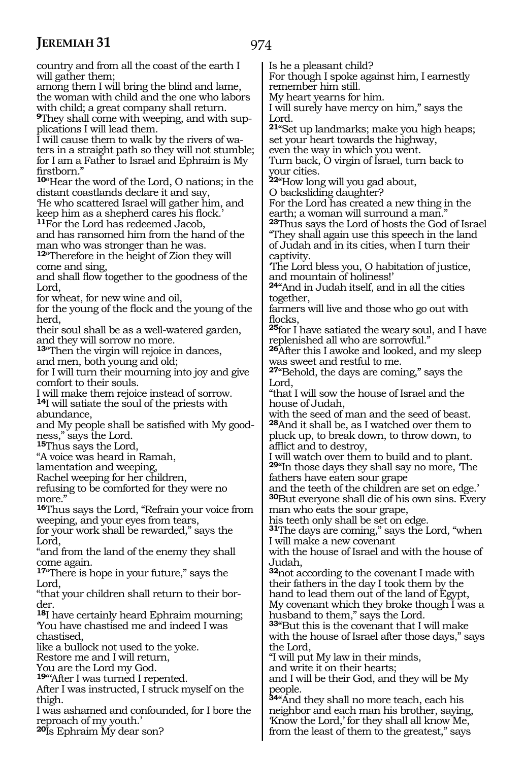will gather them:

country and from all the coast of the earth I

among them I will bring the blind and lame, the woman with child and the one who labors with child; a great company shall return. **9**They shall come with weeping, and with supplications I will lead them. I will cause them to walk by the rivers of waters in a straight path so they will not stumble; for I am a Father to Israel and Ephraim is My firstborn." **<sup>10</sup>**"Hear the word of the Lord, O nations; in the distant coastlands declare it and say, 'He who scattered Israel will gather him, and keep him as a shepherd cares his flock.' **<sup>11</sup>**For the Lord has redeemed Jacob, and has ransomed him from the hand of the man who was stronger than he was. **<sup>12</sup>**"Therefore in the height of Zion they will come and sing, and shall flow together to the goodness of the Lord, for wheat, for new wine and oil, for the young of the flock and the young of the herd, their soul shall be as a well-watered garden, and they will sorrow no more. **<sup>13</sup>**"Then the virgin will rejoice in dances, and men, both young and old; for I will turn their mourning into joy and give comfort to their souls. I will make them rejoice instead of sorrow. **<sup>14</sup>**I will satiate the soul of the priests with abundance, and My people shall be satisfied with My goodness," says the Lord. **<sup>15</sup>**Thus says the Lord, "A voice was heard in Ramah, lamentation and weeping, Rachel weeping for her children, refusing to be comforted for they were no more." **<sup>16</sup>**Thus says the Lord, "Refrain your voice from weeping, and your eyes from tears, for your work shall be rewarded," says the Lord, "and from the land of the enemy they shall come again. **<sup>17</sup>**"There is hope in your future," says the Lord, "that your children shall return to their bor- der. **<sup>18</sup>**I have certainly heard Ephraim mourning; 'You have chastised me and indeed I was chastised, like a bullock not used to the yoke. Restore me and I will return, You are the Lord my God. **<sup>19</sup>**"'After I was turned I repented. After I was instructed, I struck myself on the thigh. I was ashamed and confounded, for I bore the reproach of my youth.' **<sup>20</sup>**Is Ephraim My dear son? Lord. your cities. captivity. together, flocks, Lord, Judah, the Lord, people.

Is he a pleasant child?

For though I spoke against him, I earnestly remember him still.

My heart yearns for him.

I will surely have mercy on him," says the

**<sup>21</sup>**"Set up landmarks; make you high heaps; set your heart towards the highway,

even the way in which you went. Turn back, O virgin of Israel, turn back to

**<sup>22</sup>**"How long will you gad about,

O backsliding daughter?

For the Lord has created a new thing in the earth; a woman will surround a man."

**<sup>23</sup>**Thus says the Lord of hosts the God of Israel "They shall again use this speech in the land of Judah and in its cities, when I turn their

'The Lord bless you, O habitation of justice, and mountain of holiness!'

**<sup>24</sup>**"And in Judah itself, and in all the cities

farmers will live and those who go out with

**<sup>25</sup>**for I have satiated the weary soul, and I have replenished all who are sorrowful."

**<sup>26</sup>**After this I awoke and looked, and my sleep was sweet and restful to me.

**<sup>27</sup>**"Behold, the days are coming," says the

"that I will sow the house of Israel and the house of Judah,

with the seed of man and the seed of beast. **<sup>28</sup>**And it shall be, as I watched over them to pluck up, to break down, to throw down, to afflict and to destroy,

I will watch over them to build and to plant. **<sup>29</sup>**"In those days they shall say no more, 'The fathers have eaten sour grape

and the teeth of the children are set on edge.'

**<sup>30</sup>**But everyone shall die of his own sins. Every man who eats the sour grape,

his teeth only shall be set on edge.

**<sup>31</sup>**The days are coming," says the Lord, "when I will make a new covenant

with the house of Israel and with the house of

**<sup>32</sup>**not according to the covenant I made with their fathers in the day I took them by the hand to lead them out of the land of Egypt, My covenant which they broke though I was a husband to them," says the Lord.

**<sup>33</sup>**"But this is the covenant that I will make with the house of Israel after those days," says

"I will put My law in their minds,

and write it on their hearts;

and I will be their God, and they will be My

**<sup>34</sup>**"And they shall no more teach, each his neighbor and each man his brother, saying, 'Know the Lord,' for they shall all know Me, from the least of them to the greatest," says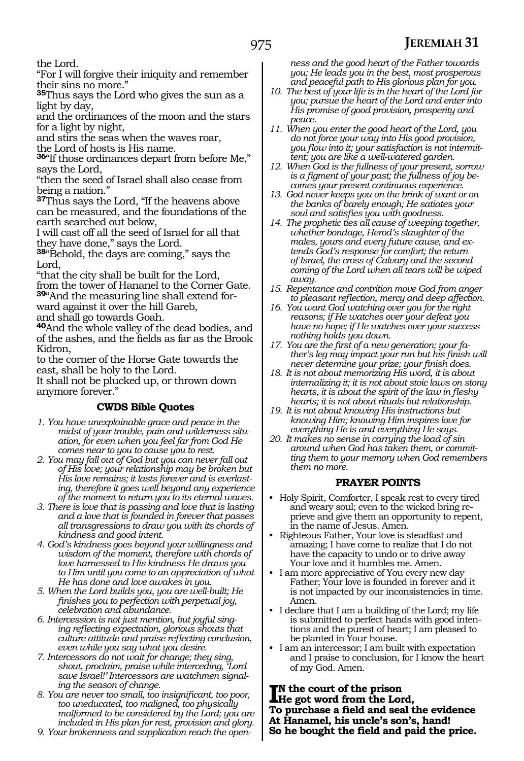the Lord.

"For I will forgive their iniquity and remember their sins no more."

**<sup>35</sup>**Thus says the Lord who gives the sun as a light by day,

and the ordinances of the moon and the stars for a light by night,

and stirs the seas when the waves roar, the Lord of hosts is His name.

**<sup>36</sup>**"If those ordinances depart from before Me," says the Lord,

"then the seed of Israel shall also cease from being a nation."

**<sup>37</sup>**Thus says the Lord, "If the heavens above can be measured, and the foundations of the earth searched out below,

I will cast off all the seed of Israel for all that they have done," says the Lord.

**<sup>38</sup>**"Behold, the days are coming," says the Lord,

"that the city shall be built for the Lord, from the tower of Hananel to the Corner Gate. **39**"And the measuring line shall extend forward against it over the hill Gareb, and shall go towards Goah.

**<sup>40</sup>**And the whole valley of the dead bodies, and of the ashes, and the fields as far as the Brook Kidron,

to the corner of the Horse Gate towards the east, shall be holy to the Lord.

It shall not be plucked up, or thrown down anymore forever."

#### **CWDS Bible Quotes**

- *1. You have unexplainable grace and peace in the midst of your trouble, pain and wilderness situation, for even when you feel far from God He comes near to you to cause you to rest.*
- *2. You may fall out of God but you can never fall out of His love; your relationship may be broken but His love remains; it lasts forever and is everlasting, therefore it goes well beyond any experience of the moment to return you to its eternal waves.*
- *3. There is love that is passing and love that is lasting and a love that is founded in forever that passes all transgressions to draw you with its chords of kindness and good intent.*
- *4. God's kindness goes beyond your willingness and wisdom of the moment, therefore with chords of love harnessed to His kindness He draws you to Him until you come to an appreciation of what He has done and love awakes in you.*
- *5. When the Lord builds you, you are well-built; He finishes you to perfection with perpetual joy, celebration and abundance.*
- *6. Intercession is not just mention, but joyful singing reflecting expectation, glorious shouts that culture attitude and praise reflecting conclusion, even while you say what you desire.*
- *7. Intercessors do not wait for change; they sing, shout, proclaim, praise while interceding, 'Lord save Israel!' Intercessors are watchmen signaling the season of change.*
- *8. You are never too small, too insignificant, too poor, too uneducated, too maligned, too physically malformed to be considered by the Lord; you are included in His plan for rest, provision and glory.*
- *9. Your brokenness and supplication reach the open-*

*ness and the good heart of the Father towards you; He leads you in the best, most prosperous and peaceful path to His glorious plan for you.*

- *10. The best of your life is in the heart of the Lord for you; pursue the heart of the Lord and enter into His promise of good provision, prosperity and peace.*
- *11. When you enter the good heart of the Lord, you do not force your way into His good provision, you flow into it; your satisfaction is not intermittent; you are like a well-watered garden.*
- *12. When God is the fullness of your present, sorrow is a figment of your past; the fullness of joy becomes your present continuous experience.*
- *13. God never keeps you on the brink of want or on the banks of barely enough; He satiates your soul and satisfies you with goodness.*
- *14. The prophetic ties all cause of weeping together, whether bondage, Herod's slaughter of the males, yours and every future cause, and extends God's response for comfort; the return of Israel, the cross of Calvary and the second coming of the Lord when all tears will be wiped away.*
- *15. Repentance and contrition move God from anger to pleasant reflection, mercy and deep affection.*
- *16. You want God watching over you for the right reasons; if He watches over your defeat you have no hope; if He watches over your success nothing holds you down.*
- *17. You are the first of a new generation; your father's leg may impact your run but his finish will never determine your prize; your finish does.*
- *18. It is not about memorizing His word, it is about internalizing it; it is not about stoic laws on stony hearts, it is about the spirit of the law in fleshy hearts; it is not about rituals but relationship.*
- *19. It is not about knowing His instructions but knowing Him; knowing Him inspires love for everything He is and everything He says.*
- *20. It makes no sense in carrying the load of sin around when God has taken them, or committing them to your memory when God remembers them no more.*

#### **PRAYER POINTS**

- Holy Spirit, Comforter, I speak rest to every tired and weary soul; even to the wicked bring reprieve and give them an opportunity to repent, in the name of Jesus. Amen.
- Righteous Father, Your love is steadfast and amazing; I have come to realize that I do not have the capacity to undo or to drive away Your love and it humbles me. Amen.
- I am more appreciative of You every new day Father; Your love is founded in forever and it is not impacted by our inconsistencies in time. Amen.
- I declare that I am a building of the Lord; my life is submitted to perfect hands with good intentions and the purest of heart; I am pleased to be planted in Your house.
- I am an intercessor; I am built with expectation and I praise to conclusion, for I know the heart of my God. Amen.

**I**N the court of the prison<br>He got word from the Lord,<br>To guarantee a field and soal is **n the court of the prison To purchase a field and seal the evidence At Hanamel, his uncle's son's, hand! So he bought the field and paid the price.**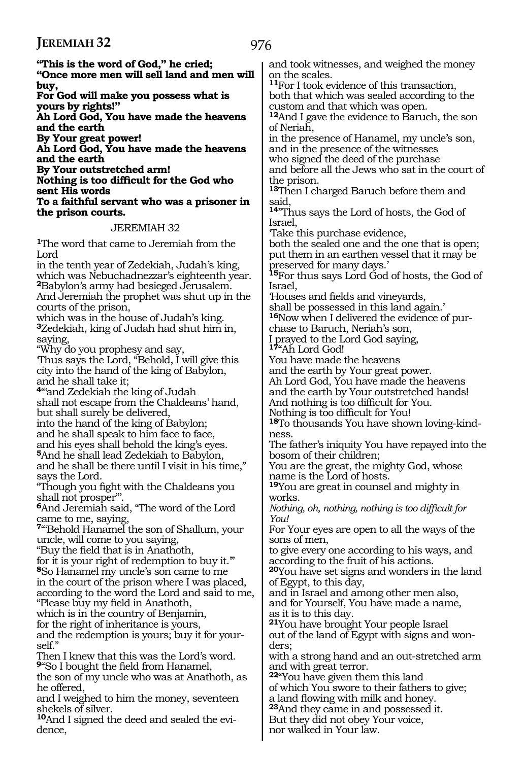| "This is the word of God," he cried;<br>"Once more men will sell land and men will                                                                 | and took witnesses, and weighed the money<br>on the scales.                                           |
|----------------------------------------------------------------------------------------------------------------------------------------------------|-------------------------------------------------------------------------------------------------------|
| buy,<br>For God will make you possess what is                                                                                                      | <sup>11</sup> For I took evidence of this transaction,<br>both that which was sealed according to the |
| yours by rights!"<br>Ah Lord God, You have made the heavens                                                                                        | custom and that which was open.<br><sup>12</sup> And I gave the evidence to Baruch, the son           |
| and the earth<br>By Your great power!                                                                                                              | of Neriah,<br>in the presence of Hanamel, my uncle's son,                                             |
| Ah Lord God, You have made the heavens<br>and the earth                                                                                            | and in the presence of the witnesses                                                                  |
| By Your outstretched arm!                                                                                                                          | who signed the deed of the purchase<br>and before all the Jews who sat in the court of                |
| Nothing is too difficult for the God who<br>sent His words                                                                                         | the prison.<br><sup>13</sup> Then I charged Baruch before them and                                    |
| To a faithful servant who was a prisoner in                                                                                                        | said.                                                                                                 |
| the prison courts.                                                                                                                                 | <sup>14</sup> "Thus says the Lord of hosts, the God of<br>Israel,                                     |
| JEREMIAH 32                                                                                                                                        | Take this purchase evidence,                                                                          |
| The word that came to Jeremiah from the<br>Lord                                                                                                    | both the sealed one and the one that is open;<br>put them in an earthen vessel that it may be         |
| in the tenth year of Zedekiah, Judah's king,<br>which was Nebuchadnezzar's eighteenth year.<br><sup>2</sup> Babylon's army had besieged Jerusalem. | preserved for many days.'<br><sup>15</sup> For thus says Lord God of hosts, the God of<br>lsrael,     |
| And Jeremiah the prophet was shut up in the                                                                                                        | Houses and fields and vineyards,                                                                      |
| courts of the prison,<br>which was in the house of Judah's king.                                                                                   | shall be possessed in this land again.'<br><sup>16</sup> Now when I delivered the evidence of pur-    |
| <sup>3</sup> Zedekiah, king of Judah had shut him in,                                                                                              | chase to Baruch, Neriah's son,                                                                        |
| saying,                                                                                                                                            | I prayed to the Lord God saying,                                                                      |
| "Why do you prophesy and say,<br>Thus says the Lord, "Behold, I will give this                                                                     | <sup>17</sup> "Ah Lord God!<br>You have made the heavens                                              |
| city into the hand of the king of Babylon,                                                                                                         | and the earth by Your great power.                                                                    |
| and he shall take it;                                                                                                                              | Ah Lord God, You have made the heavens                                                                |
| <sup>4"'</sup> and Zedekiah the king of Judah                                                                                                      | and the earth by Your outstretched hands!                                                             |
| shall not escape from the Chaldeans' hand,<br>but shall surely be delivered,                                                                       | And nothing is too difficult for You.<br>Nothing is too difficult for You!                            |
| into the hand of the king of Babylon;                                                                                                              | <sup>18</sup> To thousands You have shown loving-kind-                                                |
| and he shall speak to him face to face,                                                                                                            | ness.                                                                                                 |
| and his eyes shall behold the king's eyes.                                                                                                         | The father's iniquity You have repayed into the                                                       |
| <sup>5</sup> And he shall lead Zedekiah to Babylon,<br>and he shall be there until I visit in his time,"                                           | bosom of their children;<br>You are the great, the mighty God, whose                                  |
| says the Lord.                                                                                                                                     | name is the Lord of hosts.                                                                            |
| "Though you fight with the Chaldeans you                                                                                                           | <sup>19</sup> You are great in counsel and mighty in                                                  |
| shall not prosper".<br>6And Jeremiah said, "The word of the Lord                                                                                   | works.<br>Nothing, oh, nothing, nothing is too difficult for                                          |
| came to me, saying,                                                                                                                                | You!                                                                                                  |
| <sup>7</sup> "Behold Hanamel the son of Shallum, your                                                                                              | For Your eyes are open to all the ways of the                                                         |
| uncle, will come to you saying,                                                                                                                    | sons of men,                                                                                          |
| "Buy the field that is in Anathoth,<br>for it is your right of redemption to buy it."                                                              | to give every one according to his ways, and<br>according to the fruit of his actions.                |
| <sup>8</sup> So Hanamel my uncle's son came to me                                                                                                  | 20You have set signs and wonders in the land                                                          |
| in the court of the prison where I was placed,                                                                                                     | of Egypt, to this day,                                                                                |
| according to the word the Lord and said to me,                                                                                                     | and in Israel and among other men also,                                                               |
| "Please buy my field in Anathoth,<br>which is in the country of Benjamin,                                                                          | and for Yourself, You have made a name,<br>as it is to this day.                                      |
| for the right of inheritance is yours,                                                                                                             | <sup>21</sup> You have brought Your people Israel                                                     |
| and the redemption is yours; buy it for your-<br>self."                                                                                            | out of the land of Egypt with signs and won-<br>ders;                                                 |
| Then I knew that this was the Lord's word.<br><sup>9</sup> "So I bought the field from Hanamel,                                                    | with a strong hand and an out-stretched arm<br>and with great terror.                                 |
| the son of my uncle who was at Anathoth, as                                                                                                        | <sup>22</sup> You have given them this land                                                           |
| he offered,                                                                                                                                        | of which You swore to their fathers to give;                                                          |
| and I weighed to him the money, seventeen                                                                                                          | a land flowing with milk and honey.                                                                   |
| shekels of silver.<br><b>10</b> And I signed the deed and sealed the evi-                                                                          | <sup>23</sup> And they came in and possessed it.<br>But they did not obey Your voice,                 |
| dence,                                                                                                                                             | nor walked in Your law.                                                                               |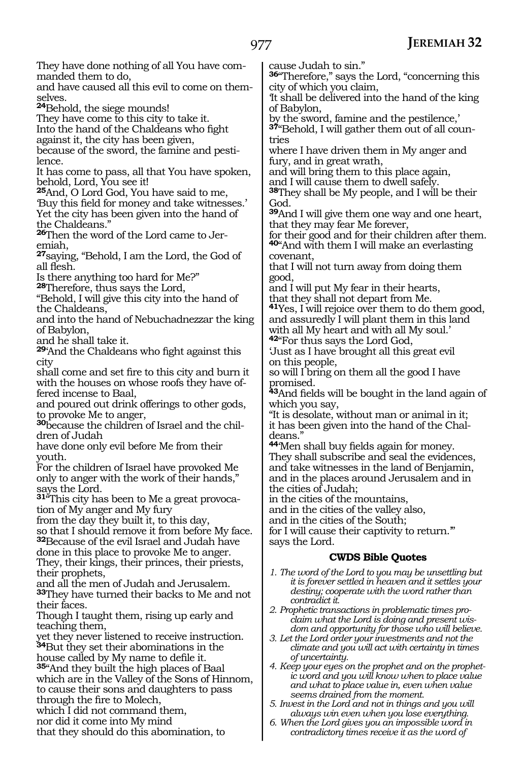**<sup>36</sup>**"Therefore," says the Lord, "concerning this

**CWDS Bible Quotes**

cause Judah to sin."

and have caused all this evil to come on themselves. **<sup>24</sup>**Behold, the siege mounds! They have come to this city to take it. Into the hand of the Chaldeans who fight against it, the city has been given, because of the sword, the famine and pestilence. It has come to pass, all that You have spoken, behold, Lord, You see it! **<sup>25</sup>**And, O Lord God, You have said to me, 'Buy this field for money and take witnesses.' Yet the city has been given into the hand of the Chaldeans." **26**Then the word of the Lord came to Jeremiah, **<sup>27</sup>**saying, "Behold, I am the Lord, the God of all flesh. Is there anything too hard for Me?" **<sup>28</sup>**Therefore, thus says the Lord, "Behold, I will give this city into the hand of the Chaldeans, and into the hand of Nebuchadnezzar the king of Babylon, and he shall take it. **<sup>29</sup>**'And the Chaldeans who fight against this shall come and set fire to this city and burn it with the houses on whose roofs they have offered incense to Baal, and poured out drink offerings to other gods, to provoke Me to anger, **<sup>30</sup>**because the children of Israel and the chil- dren of Judah have done only evil before Me from their youth. For the children of Israel have provoked Me only to anger with the work of their hands," says the Lord. **31**"This city has been to Me a great provocation of My anger and My fury from the day they built it, to this day, so that I should remove it from before My face. **<sup>32</sup>**Because of the evil Israel and Judah have done in this place to provoke Me to anger. They, their kings, their princes, their priests, their prophets, and all the men of Judah and Jerusalem. **<sup>33</sup>**They have turned their backs to Me and not their faces. Though I taught them, rising up early and teaching them, yet they never listened to receive instruction. **<sup>34</sup>**But they set their abominations in the house called by My name to defile it. **<sup>35</sup>**"And they built the high places of Baal which are in the Valley of the Sons of Hinnom, to cause their sons and daughters to pass through the fire to Molech, which I did not command them, nor did it come into My mind that they should do this abomination, to city of which you claim, 'It shall be delivered into the hand of the king of Babylon, by the sword, famine and the pestilence,' **37**"Behold, I will gather them out of all countries where I have driven them in My anger and fury, and in great wrath, and will bring them to this place again, and I will cause them to dwell safely. **<sup>38</sup>**They shall be My people, and I will be their God. **<sup>39</sup>**And I will give them one way and one heart, that they may fear Me forever, for their good and for their children after them. **<sup>40</sup>**"And with them I will make an everlasting covenant, that I will not turn away from doing them good, and I will put My fear in their hearts, that they shall not depart from Me. **<sup>41</sup>**Yes, I will rejoice over them to do them good, and assuredly I will plant them in this land with all My heart and with all My soul.' **<sup>42</sup>**"For thus says the Lord God, 'Just as I have brought all this great evil on this people, so will I bring on them all the good I have promised. **<sup>43</sup>**And fields will be bought in the land again of which you say, "It is desolate, without man or animal in it; it has been given into the hand of the Chal- deans." **<sup>44</sup>**'Men shall buy fields again for money. They shall subscribe and seal the evidences, and take witnesses in the land of Benjamin, and in the places around Jerusalem and in the cities of Judah; in the cities of the mountains, and in the cities of the valley also, and in the cities of the South; for I will cause their captivity to return.'" says the Lord. *1. The word of the Lord to you may be unsettling but it is forever settled in heaven and it settles your destiny; cooperate with the word rather than contradict it. 2. Prophetic transactions in problematic times proclaim what the Lord is doing and present wisdom and opportunity for those who will believe. 3. Let the Lord order your investments and not the climate and you will act with certainty in times of uncertainty. 4. Keep your eyes on the prophet and on the prophetic word and you will know when to place value and what to place value in, even when value seems drained from the moment. 5. Invest in the Lord and not in things and you will always win even when you lose everything. 6. When the Lord gives you an impossible word in contradictory times receive it as the word of* 

They have done nothing of all You have com-

manded them to do,

city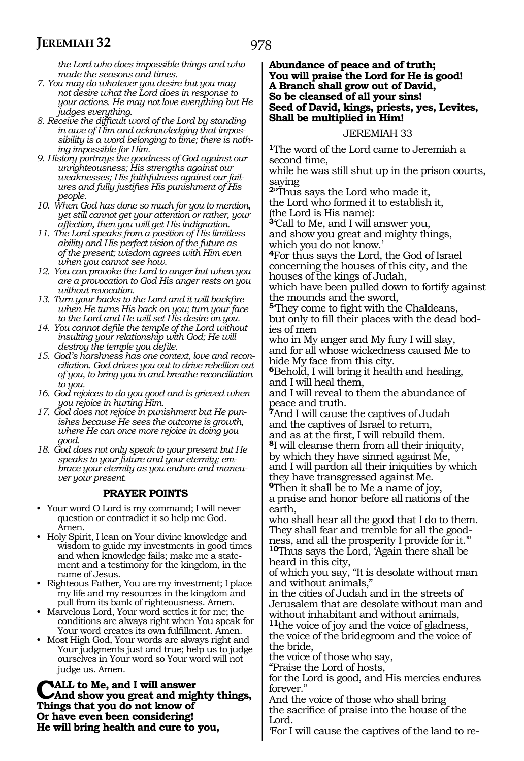978

*the Lord who does impossible things and who made the seasons and times.*

- *7. You may do whatever you desire but you may not desire what the Lord does in response to your actions. He may not love everything but He judges everything.*
- *8. Receive the difficult word of the Lord by standing in awe of Him and acknowledging that impossibility is a word belonging to time; there is nothing impossible for Him.*
- *9. History portrays the goodness of God against our unrighteousness; His strengths against our weaknesses; His faithfulness against our failures and fully justifies His punishment of His people.*
- *10. When God has done so much for you to mention, yet still cannot get your attention or rather, your affection, then you will get His indignation.*
- *11. The Lord speaks from a position of His limitless ability and His perfect vision of the future as of the present; wisdom agrees with Him even when you cannot see how.*
- *12. You can provoke the Lord to anger but when you are a provocation to God His anger rests on you without revocation.*
- *13. Turn your backs to the Lord and it will backfire when He turns His back on you; turn your face to the Lord and He will set His desire on you.*
- *14. You cannot defile the temple of the Lord without insulting your relationship with God; He will destroy the temple you defile.*
- *15. God's harshness has one context, love and reconciliation. God drives you out to drive rebellion out of you, to bring you in and breathe reconciliation to you.*
- *16. God rejoices to do you good and is grieved when you rejoice in hurting Him.*
- *17. God does not rejoice in punishment but He punishes because He sees the outcome is growth, where He can once more rejoice in doing you good.*
- *18. God does not only speak to your present but He speaks to your future and your eternity; embrace your eternity as you endure and maneuver your present.*

#### **PRAYER POINTS**

- Your word O Lord is my command; I will never question or contradict it so help me God. Amen.
- Holy Spirit, I lean on Your divine knowledge and wisdom to guide my investments in good times and when knowledge fails; make me a statement and a testimony for the kingdom, in the name of Jesus.
- Righteous Father, You are my investment; I place my life and my resources in the kingdom and pull from its bank of righteousness. Amen.
- Marvelous Lord, Your word settles it for me; the conditions are always right when You speak for Your word creates its own fulfillment. Amen.
- Most High God, Your words are always right and Your judgments just and true; help us to judge ourselves in Your word so Your word will not judge us. Amen.

**CALL to Me, and I will answer<br>
CAnd show you great and mighty things,**<br>
Things that you do not know of **Things that you do not know of Or have even been considering! He will bring health and cure to you,**

#### **Abundance of peace and of truth; You will praise the Lord for He is good! A Branch shall grow out of David, So be cleansed of all your sins! Seed of David, kings, priests, yes, Levites, Shall be multiplied in Him!**

#### JEREMIAH 33

**<sup>1</sup>**The word of the Lord came to Jeremiah a second time,

while he was still shut up in the prison courts, saying

**<sup>2</sup>**"Thus says the Lord who made it, the Lord who formed it to establish it, (the Lord is His name):

**<sup>3</sup>**'Call to Me, and I will answer you, and show you great and mighty things, which you do not know.'

**<sup>4</sup>**For thus says the Lord, the God of Israel concerning the houses of this city, and the houses of the kings of Judah,

which have been pulled down to fortify against the mounds and the sword,

**<sup>5</sup>**'They come to fight with the Chaldeans, but only to fill their places with the dead bodies of men

who in My anger and My fury I will slay, and for all whose wickedness caused Me to hide My face from this city.

**<sup>6</sup>**Behold, I will bring it health and healing, and I will heal them,

and I will reveal to them the abundance of peace and truth.

**<sup>7</sup>**And I will cause the captives of Judah and the captives of Israel to return, and as at the first, I will rebuild them. **<sup>8</sup>**I will cleanse them from all their iniquity, by which they have sinned against Me, and I will pardon all their iniquities by which they have transgressed against Me.

**<sup>9</sup>**Then it shall be to Me a name of joy, a praise and honor before all nations of the earth,

who shall hear all the good that I do to them. They shall fear and tremble for all the goodness, and all the prosperity I provide for it.'" **<sup>10</sup>**Thus says the Lord, 'Again there shall be heard in this city,

of which you say, "It is desolate without man and without animals,"

in the cities of Judah and in the streets of Jerusalem that are desolate without man and without inhabitant and without animals,

**<sup>11</sup>**the voice of joy and the voice of gladness, the voice of the bridegroom and the voice of the bride,

the voice of those who say,

"Praise the Lord of hosts,

for the Lord is good, and His mercies endures forever."

And the voice of those who shall bring the sacrifice of praise into the house of the Lord.

'For I will cause the captives of the land to re-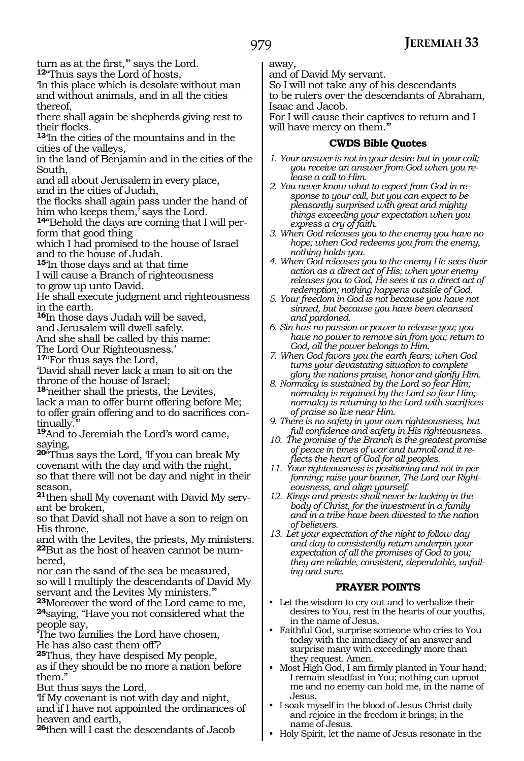turn as at the first,'" says the Lord. **12**"Thus says the Lord of hosts,

'In this place which is desolate without man and without animals, and in all the cities thereof,

there shall again be shepherds giving rest to their flocks.

**<sup>13</sup>**'In the cities of the mountains and in the cities of the valleys,

in the land of Benjamin and in the cities of the South,

and all about Jerusalem in every place,

and in the cities of Judah,

the flocks shall again pass under the hand of him who keeps them,' says the Lord.

**<sup>14</sup>**"Behold the days are coming that I will per- form that good thing

which I had promised to the house of Israel and to the house of Judah.

**<sup>15</sup>**'In those days and at that time

I will cause a Branch of righteousness to grow up unto David.

He shall execute judgment and righteousness in the earth.

**<sup>16</sup>**In those days Judah will be saved,

and Jerusalem will dwell safely.

And she shall be called by this name:

The Lord Our Righteousness.'

**<sup>17</sup>**"For thus says the Lord,

'David shall never lack a man to sit on the throne of the house of Israel;

**<sup>18</sup>**'neither shall the priests, the Levites, lack a man to offer burnt offering before Me; to offer grain offering and to do sacrifices continually.

**<sup>19</sup>**And to Jeremiah the Lord's word came, saying,

**<sup>20</sup>**"Thus says the Lord, 'If you can break My covenant with the day and with the night, so that there will not be day and night in their season,

**21**then shall My covenant with David My servant be broken,

so that David shall not have a son to reign on His throne,

and with the Levites, the priests, My ministers. **22**But as the host of heaven cannot be numbered,

nor can the sand of the sea be measured, so will I multiply the descendants of David My servant and the Levites My ministers.'"

**<sup>23</sup>**Moreover the word of the Lord came to me, **<sup>24</sup>**saying, "Have you not considered what the people say,

'The two families the Lord have chosen, He has also cast them off'?

**<sup>25</sup>**Thus, they have despised My people, as if they should be no more a nation before them."

But thus says the Lord,

'If My covenant is not with day and night, and if I have not appointed the ordinances of heaven and earth,

**<sup>26</sup>**then will I cast the descendants of Jacob

away,

and of David My servant.

So I will not take any of his descendants to be rulers over the descendants of Abraham, Isaac and Jacob.

For I will cause their captives to return and I will have mercy on them."

#### **CWDS Bible Quotes**

*1. Your answer is not in your desire but in your call; you receive an answer from God when you release a call to Him.*

*2. You never know what to expect from God in response to your call, but you can expect to be pleasantly surprised with great and mighty things exceeding your expectation when you express a cry of faith.*

*3. When God releases you to the enemy you have no hope; when God redeems you from the enemy, nothing holds you.*

*4. When God releases you to the enemy He sees their action as a direct act of His; when your enemy releases you to God, He sees it as a direct act of redemption; nothing happens outside of God.*

*5. Your freedom in God is not because you have not sinned, but because you have been cleansed and pardoned.*

*6. Sin has no passion or power to release you; you have no power to remove sin from you; return to God, all the power belongs to Him.*

*7. When God favors you the earth fears; when God turns your devastating situation to complete glory the nations praise, honor and glorify Him.*

*8. Normalcy is sustained by the Lord so fear Him; normalcy is regained by the Lord so fear Him; normalcy is returning to the Lord with sacrifices of praise so live near Him.*

*9. There is no safety in your own righteousness, but full confidence and safety in His righteousness.*

*10. The promise of the Branch is the greatest promise of peace in times of war and turmoil and it reflects the heart of God for all peoples.*

*11. Your righteousness is positioning and not in performing; raise your banner, The Lord our Righteousness, and align yourself.*

*12. Kings and priests shall never be lacking in the body of Christ, for the investment in a family and in a tribe have been divested to the nation of believers.*

*13. Let your expectation of the night to follow day and day to consistently return underpin your expectation of all the promises of God to you; they are reliable, consistent, dependable, unfailing and sure.*

#### **PRAYER POINTS**

• Let the wisdom to cry out and to verbalize their desires to You, rest in the hearts of our youths, in the name of Jesus.

• Faithful God, surprise someone who cries to You today with the immediacy of an answer and surprise many with exceedingly more than they request. Amen.

• Most High God, I am firmly planted in Your hand; I remain steadfast in You; nothing can uproot me and no enemy can hold me, in the name of Jesus.

• I soak myself in the blood of Jesus Christ daily and rejoice in the freedom it brings; in the name of Jesus.

• Holy Spirit, let the name of Jesus resonate in the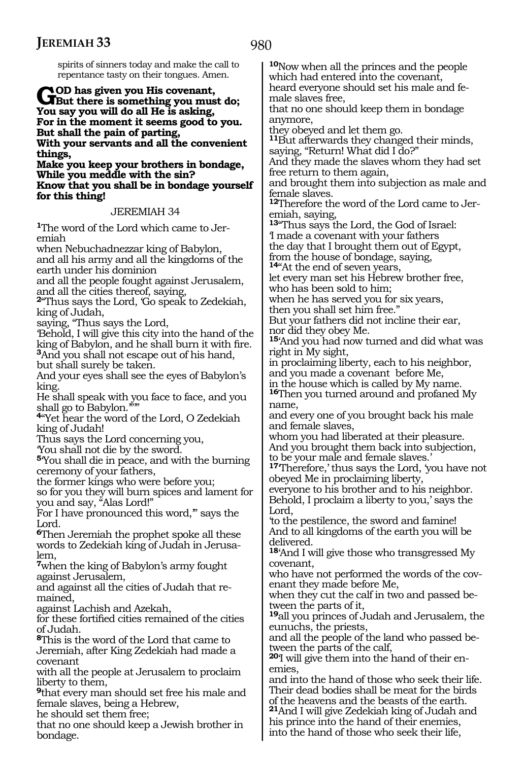980

spirits of sinners today and make the call to repentance tasty on their tongues. Amen.

**GOD has given you His covenant,<br>
<b>GBut there is something you must do;**<br>
You gay you will do all He is eatling. **You say you will do all He is asking, For in the moment it seems good to you. But shall the pain of parting, With your servants and all the convenient things,**

**Make you keep your brothers in bondage, While you meddle with the sin? Know that you shall be in bondage yourself for this thing!**

#### JEREMIAH 34

**1**The word of the Lord which came to Jeremiah

when Nebuchadnezzar king of Babylon, and all his army and all the kingdoms of the earth under his dominion

and all the people fought against Jerusalem, and all the cities thereof, saying,

**<sup>2</sup>**"Thus says the Lord, 'Go speak to Zedekiah, king of Judah,

saying, "Thus says the Lord,

'Behold, I will give this city into the hand of the king of Babylon, and he shall burn it with fire. **<sup>3</sup>**And you shall not escape out of his hand,

but shall surely be taken. And your eyes shall see the eyes of Babylon's king.

He shall speak with you face to face, and you shall go to Babylon.""

**<sup>4</sup>**"Yet hear the word of the Lord, O Zedekiah king of Judah!

Thus says the Lord concerning you,

'You shall not die by the sword.

**<sup>5</sup>**'You shall die in peace, and with the burning ceremony of your fathers,

the former kings who were before you;

so for you they will burn spices and lament for you and say, "Alas Lord!"

For I have pronounced this word,'" says the Lord.

**<sup>6</sup>**Then Jeremiah the prophet spoke all these words to Zedekiah king of Judah in Jerusalem,

**<sup>7</sup>**when the king of Babylon's army fought against Jerusalem,

and against all the cities of Judah that remained,

against Lachish and Azekah,

for these fortified cities remained of the cities of Judah.

**<sup>8</sup>**This is the word of the Lord that came to Jeremiah, after King Zedekiah had made a covenant

with all the people at Jerusalem to proclaim liberty to them,

**<sup>9</sup>**that every man should set free his male and female slaves, being a Hebrew,

he should set them free;

that no one should keep a Jewish brother in bondage.

**<sup>10</sup>**Now when all the princes and the people which had entered into the covenant, heard everyone should set his male and fe- male slaves free,

that no one should keep them in bondage anymore,

they obeyed and let them go.

**<sup>11</sup>**But afterwards they changed their minds, saying, "Return! What did I do?"

And they made the slaves whom they had set free return to them again,

and brought them into subjection as male and female slaves.

**<sup>12</sup>**Therefore the word of the Lord came to Jer- emiah, saying,

**<sup>13</sup>**"Thus says the Lord, the God of Israel: 'I made a covenant with your fathers the day that I brought them out of Egypt,

from the house of bondage, saying,

**<sup>14</sup>**"At the end of seven years,

let every man set his Hebrew brother free, who has been sold to him;

when he has served you for six years, then you shall set him free."

But your fathers did not incline their ear,

nor did they obey Me.

**<sup>15</sup>**'And you had now turned and did what was right in My sight,

in proclaiming liberty, each to his neighbor, and you made a covenant before Me,

in the house which is called by My name.

**<sup>16</sup>**Then you turned around and profaned My name,

and every one of you brought back his male and female slaves,

whom you had liberated at their pleasure. And you brought them back into subjection, to be your male and female slaves.'

**<sup>17</sup>**'Therefore,' thus says the Lord, 'you have not obeyed Me in proclaiming liberty,

everyone to his brother and to his neighbor. Behold, I proclaim a liberty to you,' says the Lord,

'to the pestilence, the sword and famine! And to all kingdoms of the earth you will be delivered.

**<sup>18</sup>**'And I will give those who transgressed My covenant,

who have not performed the words of the covenant they made before Me,

when they cut the calf in two and passed between the parts of it,

**<sup>19</sup>**all you princes of Judah and Jerusalem, the eunuchs, the priests,

and all the people of the land who passed between the parts of the calf,

**20**'I will give them into the hand of their enemies,

and into the hand of those who seek their life. Their dead bodies shall be meat for the birds of the heavens and the beasts of the earth. **<sup>21</sup>**And I will give Zedekiah king of Judah and

his prince into the hand of their enemies, into the hand of those who seek their life,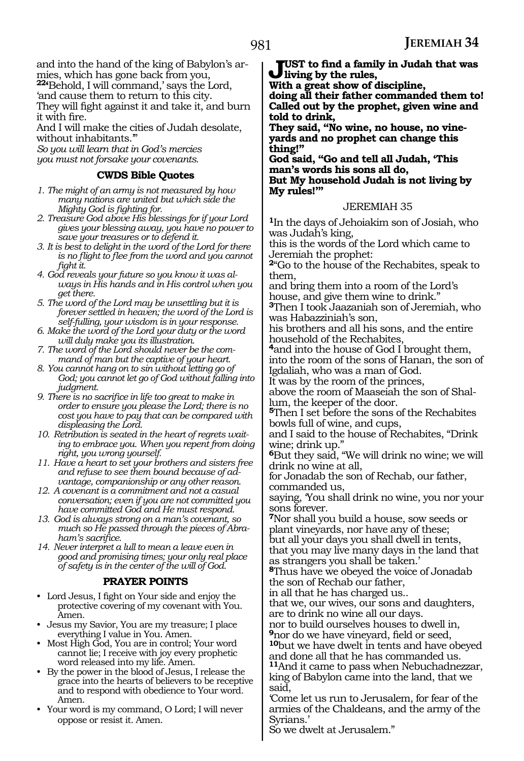and into the hand of the king of Babylon's armies, which has gone back from you, **22'**Behold, I will command,' says the Lord, 'and cause them to return to this city.

They will fight against it and take it, and burn it with fire.

And I will make the cities of Judah desolate, without inhabitants.'"

*So you will learn that in God's mercies you must not forsake your covenants.*

#### **CWDS Bible Quotes**

- *1. The might of an army is not measured by how many nations are united but which side the Mighty God is fighting for.*
- *2. Treasure God above His blessings for if your Lord gives your blessing away, you have no power to save your treasures or to defend it.*
- *3. It is best to delight in the word of the Lord for there is no flight to flee from the word and you cannot fight it.*
- *4. God reveals your future so you know it was always in His hands and in His control when you get there.*
- *5. The word of the Lord may be unsettling but it is forever settled in heaven; the word of the Lord is self-fulling, your wisdom is in your response.*
- *6. Make the word of the Lord your duty or the word will duly make you its illustration.*
- *7. The word of the Lord should never be the command of man but the captive of your heart.*
- *8. You cannot hang on to sin without letting go of God; you cannot let go of God without falling into judgment.*
- *9. There is no sacrifice in life too great to make in order to ensure you please the Lord; there is no cost you have to pay that can be compared with displeasing the Lord.*
- *10. Retribution is seated in the heart of regrets waiting to embrace you. When you repent from doing right, you wrong yourself.*
- *11. Have a heart to set your brothers and sisters free and refuse to see them bound because of advantage, companionship or any other reason.*
- *12. A covenant is a commitment and not a casual conversation; even if you are not committed you have committed God and He must respond.*
- *13. God is always strong on a man's covenant, so much so He passed through the pieces of Abraham's sacrifice.*
- *14. Never interpret a lull to mean a leave even in good and promising times; your only real place of safety is in the center of the will of God.*

#### **PRAYER POINTS**

- Lord Jesus, I fight on Your side and enjoy the protective covering of my covenant with You. Amen.
- Jesus my Savior, You are my treasure; I place everything I value in You. Amen.
- Most High God, You are in control; Your word cannot lie; I receive with joy every prophetic word released into my life. Amen.
- By the power in the blood of Jesus, I release the grace into the hearts of believers to be receptive and to respond with obedience to Your word. Amen.
- Your word is my command, O Lord; I will never oppose or resist it. Amen.

**Just to find a family in Judah that was living by the rules,** 

**With a great show of discipline,** 

**doing all their father commanded them to! Called out by the prophet, given wine and told to drink,** 

**They said, "No wine, no house, no vineyards and no prophet can change this thing!"** 

**God said, "Go and tell all Judah, 'This man's words his sons all do, But My household Judah is not living by My rules!'"** 

#### JEREMIAH 35

**<sup>1</sup>**In the days of Jehoiakim son of Josiah, who was Judah's king,

this is the words of the Lord which came to Jeremiah the prophet:

**<sup>2</sup>**"Go to the house of the Rechabites, speak to them,

and bring them into a room of the Lord's house, and give them wine to drink."

**<sup>3</sup>**Then I took Jaazaniah son of Jeremiah, who was Habazziniah's son,

his brothers and all his sons, and the entire household of the Rechabites,

**<sup>4</sup>**and into the house of God I brought them, into the room of the sons of Hanan, the son of Igdaliah, who was a man of God.

It was by the room of the princes, above the room of Maaseiah the son of Shallum, the keeper of the door.

**<sup>5</sup>**Then I set before the sons of the Rechabites bowls full of wine, and cups,

and I said to the house of Rechabites, "Drink wine; drink up.'

**<sup>6</sup>**But they said, "We will drink no wine; we will drink no wine at all,

for Jonadab the son of Rechab, our father, commanded us,

saying, 'You shall drink no wine, you nor your sons forever.

**<sup>7</sup>**Nor shall you build a house, sow seeds or plant vineyards, nor have any of these; but all your days you shall dwell in tents, that you may live many days in the land that as strangers you shall be taken.'

**<sup>8</sup>**Thus have we obeyed the voice of Jonadab the son of Rechab our father,

in all that he has charged us..

that we, our wives, our sons and daughters, are to drink no wine all our days.

nor to build ourselves houses to dwell in, **<sup>9</sup>**nor do we have vineyard, field or seed,

**<sup>10</sup>**but we have dwelt in tents and have obeyed and done all that he has commanded us. **<sup>11</sup>**And it came to pass when Nebuchadnezzar,

king of Babylon came into the land, that we said,

'Come let us run to Jerusalem, for fear of the armies of the Chaldeans, and the army of the Syrians.'

So we dwelt at Jerusalem."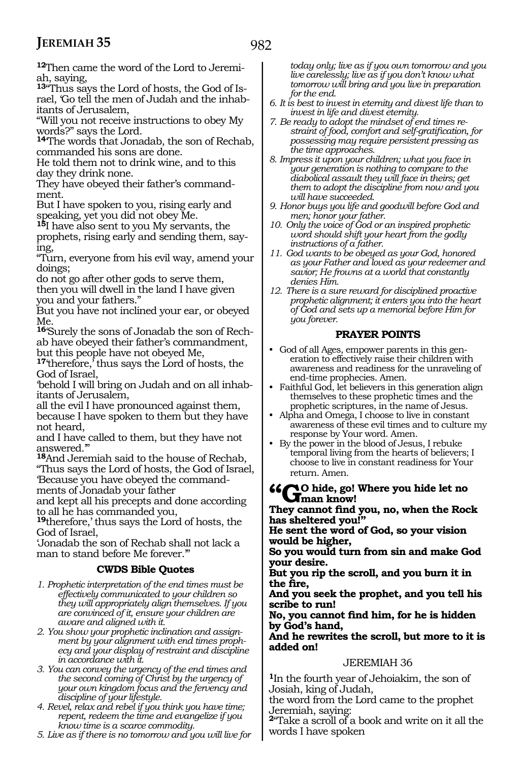**12**Then came the word of the Lord to Jeremiah, saying,

**13**"Thus says the Lord of hosts, the God of Israel, 'Go tell the men of Judah and the inhabitants of Jerusalem,

"Will you not receive instructions to obey My words?" says the Lord.

**<sup>14</sup>**'The words that Jonadab, the son of Rechab, commanded his sons are done.

He told them not to drink wine, and to this day they drink none.

They have obeyed their father's commandment.

But I have spoken to you, rising early and speaking, yet you did not obey Me.

**<sup>15</sup>**I have also sent to you My servants, the prophets, rising early and sending them, say- ing,

"Turn, everyone from his evil way, amend your doings;

do not go after other gods to serve them, then you will dwell in the land I have given you and your fathers."

But you have not inclined your ear, or obeyed Me.

**<sup>16</sup>**'Surely the sons of Jonadab the son of Rech- ab have obeyed their father's commandment, but this people have not obeyed Me,

**<sup>17</sup>**'therefore,' thus says the Lord of hosts, the God of Israel,

'behold I will bring on Judah and on all inhab- itants of Jerusalem,

all the evil I have pronounced against them, because I have spoken to them but they have not heard,

and I have called to them, but they have not answered.'"

**<sup>18</sup>**And Jeremiah said to the house of Rechab, "Thus says the Lord of hosts, the God of Israel, 'Because you have obeyed the command-

ments of Jonadab your father

and kept all his precepts and done according to all he has commanded you,

**<sup>19</sup>**therefore,' thus says the Lord of hosts, the God of Israel,

'Jonadab the son of Rechab shall not lack a man to stand before Me forever."

#### **CWDS Bible Quotes**

- *1. Prophetic interpretation of the end times must be effectively communicated to your children so they will appropriately align themselves. If you are convinced of it, ensure your children are aware and aligned with it.*
- *2. You show your prophetic inclination and assignment by your alignment with end times prophecy and your display of restraint and discipline in accordance with it.*
- *3. You can convey the urgency of the end times and the second coming of Christ by the urgency of your own kingdom focus and the fervency and discipline of your lifestyle.*

*4. Revel, relax and rebel if you think you have time; repent, redeem the time and evangelize if you know time is a scarce commodity.*

*5. Live as if there is no tomorrow and you will live for* 

*today only; live as if you own tomorrow and you live carelessly; live as if you don't know what tomorrow will bring and you live in preparation for the end.* 

- *6. It is best to invest in eternity and divest life than to invest in life and divest eternity.*
- *7. Be ready to adopt the mindset of end times restraint of food, comfort and self-gratification, for possessing may require persistent pressing as the time approaches.*

*8. Impress it upon your children; what you face in your generation is nothing to compare to the diabolical assault they will face in theirs; get them to adopt the discipline from now and you will have succeeded.* 

- *9. Honor buys you life and goodwill before God and men; honor your father.*
- *10. Only the voice of God or an inspired prophetic word should shift your heart from the godly instructions of a father.*
- *11. God wants to be obeyed as your God, honored as your Father and loved as your redeemer and savior; He frowns at a world that constantly denies Him.*
- *12. There is a sure reward for disciplined proactive prophetic alignment; it enters you into the heart of God and sets up a memorial before Him for you forever.*

#### **PRAYER POINTS**

- God of all Ages, empower parents in this generation to effectively raise their children with awareness and readiness for the unraveling of end-time prophecies. Amen.
- Faithful God, let believers in this generation align themselves to these prophetic times and the prophetic scriptures, in the name of Jesus.
- Alpha and Omega, I choose to live in constant awareness of these evil times and to culture my response by Your word. Amen.

• By the power in the blood of Jesus, I rebuke temporal living from the hearts of believers; I choose to live in constant readiness for Your return. Amen.

#### **"Go hide, go! Where you hide let no man know!**

**They cannot find you, no, when the Rock has sheltered you!"**

**He sent the word of God, so your vision would be higher,**

**So you would turn from sin and make God your desire.**

**But you rip the scroll, and you burn it in the fire,**

**And you seek the prophet, and you tell his scribe to run!**

**No, you cannot find him, for he is hidden by God's hand,**

**And he rewrites the scroll, but more to it is added on!**

#### JEREMIAH 36

**<sup>1</sup>**In the fourth year of Jehoiakim, the son of Josiah, king of Judah,

the word from the Lord came to the prophet Jeremiah, saying:

**<sup>2</sup>**"Take a scroll of a book and write on it all the words I have spoken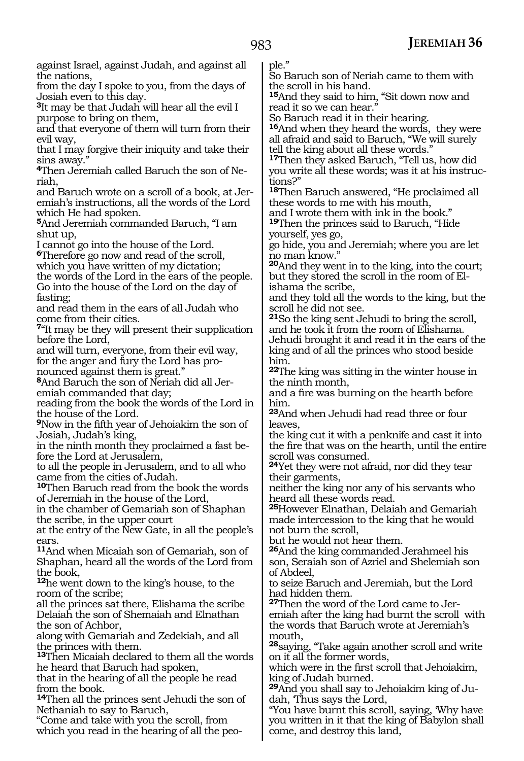against Israel, against Judah, and against all the nations,

from the day I spoke to you, from the days of Josiah even to this day.

**<sup>3</sup>**It may be that Judah will hear all the evil I purpose to bring on them,

and that everyone of them will turn from their evil way,

that I may forgive their iniquity and take their sins away."

**4**Then Jeremiah called Baruch the son of Neriah,

and Baruch wrote on a scroll of a book, at Jeremiah's instructions, all the words of the Lord which He had spoken.

**<sup>5</sup>**And Jeremiah commanded Baruch, "I am shut up,

I cannot go into the house of the Lord.

**<sup>6</sup>**Therefore go now and read of the scroll, which you have written of my dictation; the words of the Lord in the ears of the people. Go into the house of the Lord on the day of

fasting; and read them in the ears of all Judah who

come from their cities.

<sup>7"</sup>It may be they will present their supplication before the Lord,

and will turn, everyone, from their evil way, for the anger and fury the Lord has pronounced against them is great."

**8**And Baruch the son of Neriah did all Jeremiah commanded that day;

reading from the book the words of the Lord in the house of the Lord.

**<sup>9</sup>**Now in the fifth year of Jehoiakim the son of Josiah, Judah's king,

in the ninth month they proclaimed a fast be- fore the Lord at Jerusalem,

to all the people in Jerusalem, and to all who came from the cities of Judah.

**<sup>10</sup>**Then Baruch read from the book the words of Jeremiah in the house of the Lord,

in the chamber of Gemariah son of Shaphan the scribe, in the upper court

at the entry of the New Gate, in all the people's ears.

**<sup>11</sup>**And when Micaiah son of Gemariah, son of Shaphan, heard all the words of the Lord from the book,

**<sup>12</sup>**he went down to the king's house, to the room of the scribe;

all the princes sat there, Elishama the scribe Delaiah the son of Shemaiah and Elnathan the son of Achbor,

along with Gemariah and Zedekiah, and all the princes with them.

**<sup>13</sup>**Then Micaiah declared to them all the words he heard that Baruch had spoken,

that in the hearing of all the people he read from the book.

**<sup>14</sup>**Then all the princes sent Jehudi the son of Nethaniah to say to Baruch,

"Come and take with you the scroll, from which you read in the hearing of all the people."

So Baruch son of Neriah came to them with the scroll in his hand.

**<sup>15</sup>**And they said to him, "Sit down now and read it so we can hear."

So Baruch read it in their hearing.

**<sup>16</sup>**And when they heard the words, they were all afraid and said to Baruch, "We will surely tell the king about all these words."

**<sup>17</sup>**Then they asked Baruch, "Tell us, how did you write all these words; was it at his instructions?"

**<sup>18</sup>**Then Baruch answered, "He proclaimed all these words to me with his mouth,

and I wrote them with ink in the book."

**<sup>19</sup>**Then the princes said to Baruch, "Hide yourself, yes go,

go hide, you and Jeremiah; where you are let no man know."

**<sup>20</sup>**And they went in to the king, into the court; but they stored the scroll in the room of Elishama the scribe,

and they told all the words to the king, but the scroll he did not see.

**<sup>21</sup>**So the king sent Jehudi to bring the scroll, and he took it from the room of Elishama.

Jehudi brought it and read it in the ears of the king and of all the princes who stood beside him.

**<sup>22</sup>**The king was sitting in the winter house in the ninth month,

and a fire was burning on the hearth before him.

**<sup>23</sup>**And when Jehudi had read three or four leaves,

the king cut it with a penknife and cast it into the fire that was on the hearth, until the entire scroll was consumed.

**<sup>24</sup>**Yet they were not afraid, nor did they tear their garments,

neither the king nor any of his servants who heard all these words read.

**<sup>25</sup>**However Elnathan, Delaiah and Gemariah made intercession to the king that he would not burn the scroll,

but he would not hear them.

**<sup>26</sup>**And the king commanded Jerahmeel his son, Seraiah son of Azriel and Shelemiah son of Abdeel,

to seize Baruch and Jeremiah, but the Lord had hidden them.

**27**Then the word of the Lord came to Jeremiah after the king had burnt the scroll with the words that Baruch wrote at Jeremiah's mouth,

**<sup>28</sup>**saying, "Take again another scroll and write on it all the former words,

which were in the first scroll that Jehoiakim, king of Judah burned.

**29**And you shall say to Jehoiakim king of Judah, 'Thus says the Lord,

"You have burnt this scroll, saying, 'Why have you written in it that the king of Babylon shall come, and destroy this land,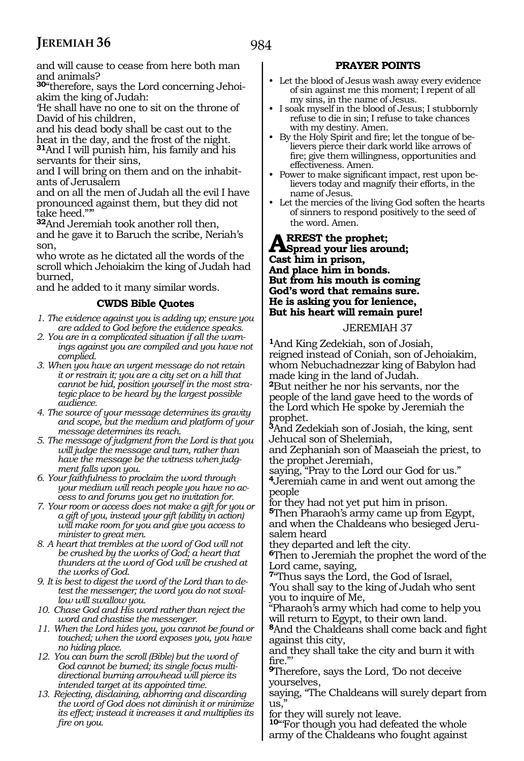and will cause to cease from here both man and animals?

**30**"therefore, says the Lord concerning Jehoiakim the king of Judah:

'He shall have no one to sit on the throne of David of his children,

and his dead body shall be cast out to the heat in the day, and the frost of the night. **<sup>31</sup>**And I will punish him, his family and his servants for their sins,

and I will bring on them and on the inhabitants of Jerusalem

and on all the men of Judah all the evil I have pronounced against them, but they did not take heed."'"

**<sup>32</sup>**And Jeremiah took another roll then, and he gave it to Baruch the scribe, Neriah's son,

who wrote as he dictated all the words of the scroll which Jehoiakim the king of Judah had burned,

and he added to it many similar words.

#### **CWDS Bible Quotes**

- *1. The evidence against you is adding up; ensure you are added to God before the evidence speaks.*
- *2. You are in a complicated situation if all the warnings against you are compiled and you have not complied.*
- *3. When you have an urgent message do not retain it or restrain it; you are a city set on a hill that cannot be hid, position yourself in the most strategic place to be heard by the largest possible audience.*
- *4. The source of your message determines its gravity and scope, but the medium and platform of your message determines its reach.*
- *5. The message of judgment from the Lord is that you will judge the message and turn, rather than have the message be the witness when judgment falls upon you.*
- *6. Your faithfulness to proclaim the word through your medium will reach people you have no access to and forums you get no invitation for.*
- *7. Your room or access does not make a gift for you or a gift of you, instead your gift (ability in action) will make room for you and give you access to minister to great men.*
- *8. A heart that trembles at the word of God will not be crushed by the works of God; a heart that thunders at the word of God will be crushed at the works of God.*
- *9. It is best to digest the word of the Lord than to detest the messenger; the word you do not swallow will swallow you.*
- *10. Chase God and His word rather than reject the word and chastise the messenger.*
- *11. When the Lord hides you, you cannot be found or touched; when the word exposes you, you have no hiding place.*
- *12. You can burn the scroll (Bible) but the word of God cannot be burned; its single focus multidirectional burning arrowhead will pierce its intended target at its appointed time.*
- *13. Rejecting, disdaining, abhorring and discarding the word of God does not diminish it or minimize its effect; instead it increases it and multiplies its fire on you.*

#### **PRAYER POINTS**

- Let the blood of Jesus wash away every evidence of sin against me this moment; I repent of all my sins, in the name of Jesus.
- I soak myself in the blood of Jesus; I stubbornly refuse to die in sin; I refuse to take chances with my destiny. Amen.
- By the Holy Spirit and fire; let the tongue of believers pierce their dark world like arrows of fire; give them willingness, opportunities and effectiveness. Amen.
- Power to make significant impact, rest upon believers today and magnify their efforts, in the name of Jesus.
- Let the mercies of the living God soften the hearts of sinners to respond positively to the seed of the word. Amen.

#### **ARREST the prophet;<br>
<b>ASpread your lies around;**<br> **Cost him in prices Cast him in prison, And place him in bonds. But from his mouth is coming God's word that remains sure. He is asking you for lenience, But his heart will remain pure!**

#### JEREMIAH 37

**<sup>1</sup>**And King Zedekiah, son of Josiah, reigned instead of Coniah, son of Jehoiakim, whom Nebuchadnezzar king of Babylon had made king in the land of Judah. **<sup>2</sup>**But neither he nor his servants, nor the people of the land gave heed to the words of the Lord which He spoke by Jeremiah the prophet.

**<sup>3</sup>**And Zedekiah son of Josiah, the king, sent Jehucal son of Shelemiah,

and Zephaniah son of Maaseiah the priest, to the prophet Jeremiah,

saying, "Pray to the Lord our God for us." **<sup>4</sup>**Jeremiah came in and went out among the people

for they had not yet put him in prison. **<sup>5</sup>**Then Pharaoh's army came up from Egypt, and when the Chaldeans who besieged Jerusalem heard

they departed and left the city.

**<sup>6</sup>**Then to Jeremiah the prophet the word of the Lord came, saying,

**<sup>7</sup>**"Thus says the Lord, the God of Israel, 'You shall say to the king of Judah who sent you to inquire of Me,

"Pharaoh's army which had come to help you will return to Egypt, to their own land.

**<sup>8</sup>**And the Chaldeans shall come back and fight against this city,

and they shall take the city and burn it with fire."'

**<sup>9</sup>**Therefore, says the Lord, 'Do not deceive yourselves,

saying, "The Chaldeans will surely depart from us,"

for they will surely not leave.

**<sup>10</sup>**"'For though you had defeated the whole army of the Chaldeans who fought against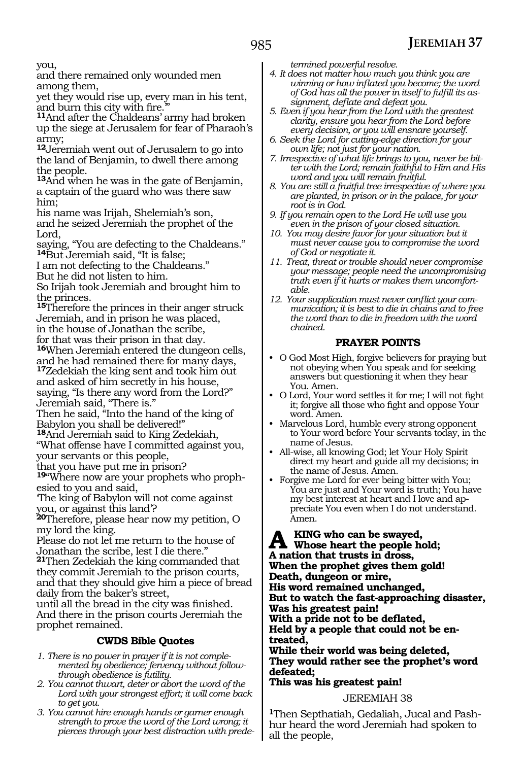you,

and there remained only wounded men among them,

yet they would rise up, every man in his tent,

<sup>11</sup>And after the Chaldeans' army had broken up the siege at Jerusalem for fear of Pharaoh's army;

**<sup>12</sup>**Jeremiah went out of Jerusalem to go into the land of Benjamin, to dwell there among the people.

**<sup>13</sup>**And when he was in the gate of Benjamin, a captain of the guard who was there saw him;

his name was Irijah, Shelemiah's son, and he seized Jeremiah the prophet of the Lord,

saying, "You are defecting to the Chaldeans." **<sup>14</sup>**But Jeremiah said, "It is false;

I am not defecting to the Chaldeans."

But he did not listen to him.

So Irijah took Jeremiah and brought him to the princes.

**<sup>15</sup>**Therefore the princes in their anger struck Jeremiah, and in prison he was placed, in the house of Jonathan the scribe, for that was their prison in that day.

**<sup>16</sup>**When Jeremiah entered the dungeon cells, and he had remained there for many days,

**<sup>17</sup>**Zedekiah the king sent and took him out and asked of him secretly in his house, saying, "Is there any word from the Lord?" Jeremiah said, "There is."

Then he said, "Into the hand of the king of Babylon you shall be delivered!"

**<sup>18</sup>**And Jeremiah said to King Zedekiah,

"What offense have I committed against you, your servants or this people,

that you have put me in prison?

**19**"Where now are your prophets who prophesied to you and said,

'The king of Babylon will not come against you, or against this land'?

**<sup>20</sup>**Therefore, please hear now my petition, O my lord the king.

Please do not let me return to the house of Jonathan the scribe, lest I die there."

**<sup>21</sup>**Then Zedekiah the king commanded that they commit Jeremiah to the prison courts, and that they should give him a piece of bread daily from the baker's street,

until all the bread in the city was finished. And there in the prison courts Jeremiah the prophet remained.

#### **CWDS Bible Quotes**

- *1. There is no power in prayer if it is not complemented by obedience; fervency without followthrough obedience is futility.*
- *2. You cannot thwart, deter or abort the word of the Lord with your strongest effort; it will come back to get you.*
- *3. You cannot hire enough hands or garner enough strength to prove the word of the Lord wrong; it pierces through your best distraction with prede-*

*termined powerful resolve.*

- *4. It does not matter how much you think you are winning or how inflated you become; the word of God has all the power in itself to fulfill its assignment, deflate and defeat you.*
- *5. Even if you hear from the Lord with the greatest clarity, ensure you hear from the Lord before every decision, or you will ensnare yourself.*
- *6. Seek the Lord for cutting-edge direction for your own life; not just for your nation.*
- *7. Irrespective of what life brings to you, never be bitter with the Lord; remain faithful to Him and His word and you will remain fruitful.*
- *8. You are still a fruitful tree irrespective of where you are planted, in prison or in the palace, for your root is in God.*
- *9. If you remain open to the Lord He will use you even in the prison of your closed situation.*
- *10. You may desire favor for your situation but it must never cause you to compromise the word of God or negotiate it.*
- *11. Treat, threat or trouble should never compromise your message; people need the uncompromising truth even if it hurts or makes them uncomfortable.*
- *12. Your supplication must never conflict your communication; it is best to die in chains and to free the word than to die in freedom with the word chained.*

#### **PRAYER POINTS**

- O God Most High, forgive believers for praying but not obeying when You speak and for seeking answers but questioning it when they hear You. Amen.
- O Lord, Your word settles it for me; I will not fight it; forgive all those who fight and oppose Your word. Amen.
- Marvelous Lord, humble every strong opponent to Your word before Your servants today, in the name of Jesus.
- All-wise, all knowing God; let Your Holy Spirit direct my heart and guide all my decisions; in the name of Jesus. Amen.
- Forgive me Lord for ever being bitter with You; You are just and Your word is truth; You have my best interest at heart and I love and appreciate You even when I do not understand. Amen.

A KING who can be swayed,<br> **A** whose heart the people hold;<br>
A notion that trusts in drags **A nation that trusts in dross, When the prophet gives them gold! Death, dungeon or mire, His word remained unchanged, But to watch the fast-approaching disaster, Was his greatest pain!**

**With a pride not to be deflated, Held by a people that could not be en- treated,**

**While their world was being deleted, They would rather see the prophet's word defeated; This was his greatest pain!**

JEREMIAH 38

**1**Then Septhatiah, Gedaliah, Jucal and Pashhur heard the word Jeremiah had spoken to all the people,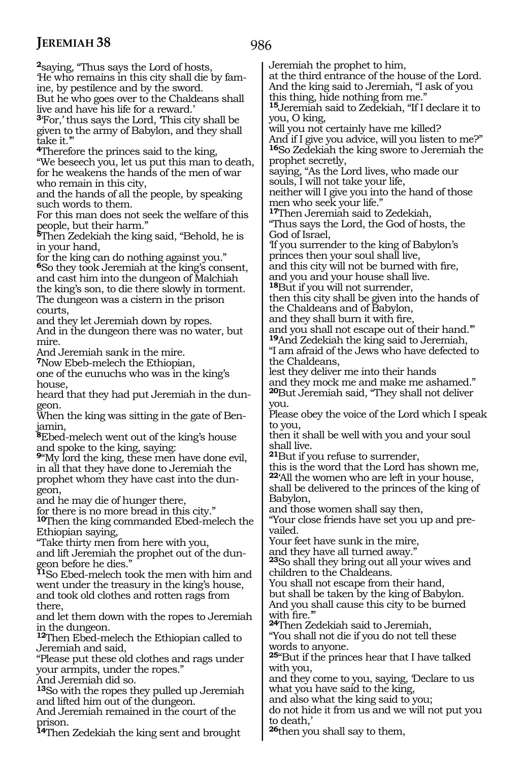**<sup>2</sup>**saying, "Thus says the Lord of hosts, 'He who remains in this city shall die by famine, by pestilence and by the sword. But he who goes over to the Chaldeans shall live and have his life for a reward.' **<sup>3</sup>**'For,' thus says the Lord, 'This city shall be given to the army of Babylon, and they shall take it.'" **<sup>4</sup>**Therefore the princes said to the king, "We beseech you, let us put this man to death, for he weakens the hands of the men of war who remain in this city, and the hands of all the people, by speaking such words to them. For this man does not seek the welfare of this people, but their harm." **<sup>5</sup>**Then Zedekiah the king said, "Behold, he is in your hand, for the king can do nothing against you." **<sup>6</sup>**So they took Jeremiah at the king's consent, and cast him into the dungeon of Malchiah the king's son, to die there slowly in torment. The dungeon was a cistern in the prison courts, and they let Jeremiah down by ropes. And in the dungeon there was no water, but mire. And Jeremiah sank in the mire. **<sup>7</sup>**Now Ebeb-melech the Ethiopian, one of the eunuchs who was in the king's house, heard that they had put Jeremiah in the dungeon. When the king was sitting in the gate of Ben-<br>jamin, **<sup>8</sup>**Ebed-melech went out of the king's house and spoke to the king, saying: **<sup>9</sup>**"My lord the king, these men have done evil, in all that they have done to Jeremiah the prophet whom they have cast into the dun- geon, and he may die of hunger there, for there is no more bread in this city." **<sup>10</sup>**Then the king commanded Ebed-melech the Ethiopian saying, "Take thirty men from here with you, and lift Jeremiah the prophet out of the dun- geon before he dies." **<sup>11</sup>**So Ebed-melech took the men with him and went under the treasury in the king's house, and took old clothes and rotten rags from there, and let them down with the ropes to Jeremiah in the dungeon. **<sup>12</sup>**Then Ebed-melech the Ethiopian called to Jeremiah and said, "Please put these old clothes and rags under your armpits, under the ropes." And Jeremiah did so. **<sup>13</sup>**So with the ropes they pulled up Jeremiah and lifted him out of the dungeon. And Jeremiah remained in the court of the prison. Jeremiah the prophet to him, at the third entrance of the house of the Lord. And the king said to Jeremiah, "I ask of you this thing, hide nothing from me." **<sup>15</sup>**Jeremiah said to Zedekiah, "If I declare it to you, O king, will you not certainly have me killed? And if I give you advice, will you listen to me?" **<sup>16</sup>**So Zedekiah the king swore to Jeremiah the prophet secretly, saying, "As the Lord lives, who made our souls, I will not take your life, neither will I give you into the hand of those men who seek your life." **<sup>17</sup>**Then Jeremiah said to Zedekiah, "Thus says the Lord, the God of hosts, the God of Israel, 'If you surrender to the king of Babylon's princes then your soul shall live, and this city will not be burned with fire, and you and your house shall live. **<sup>18</sup>**But if you will not surrender, then this city shall be given into the hands of the Chaldeans and of Babylon, and they shall burn it with fire, and you shall not escape out of their hand.'" **<sup>19</sup>**And Zedekiah the king said to Jeremiah, "I am afraid of the Jews who have defected to the Chaldeans, lest they deliver me into their hands and they mock me and make me ashamed." **<sup>20</sup>**But Jeremiah said, "They shall not deliver you. Please obey the voice of the Lord which I speak to you, then it shall be well with you and your soul shall live. **<sup>21</sup>**But if you refuse to surrender, this is the word that the Lord has shown me, **<sup>22</sup>**'All the women who are left in your house, shall be delivered to the princes of the king of Babylon, and those women shall say then, "Your close friends have set you up and prevailed. Your feet have sunk in the mire, and they have all turned away." **<sup>23</sup>**So shall they bring out all your wives and children to the Chaldeans. You shall not escape from their hand, but shall be taken by the king of Babylon. And you shall cause this city to be burned with fire.'" **<sup>24</sup>**Then Zedekiah said to Jeremiah, "You shall not die if you do not tell these words to anyone. **<sup>25</sup>**"But if the princes hear that I have talked with you, and they come to you, saying, 'Declare to us what you have said to the king, and also what the king said to you; do not hide it from us and we will not put you to death,'

**<sup>14</sup>**Then Zedekiah the king sent and brought

**<sup>26</sup>**then you shall say to them,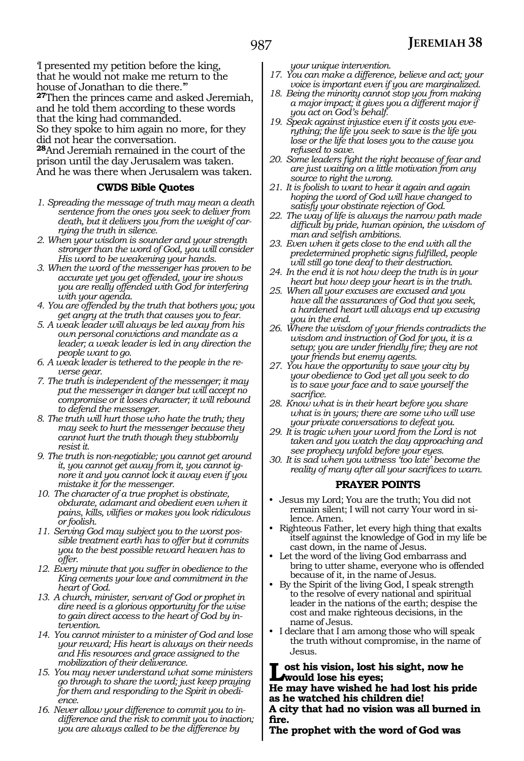'I presented my petition before the king, that he would not make me return to the house of Jonathan to die there.'"

**<sup>27</sup>**Then the princes came and asked Jeremiah, and he told them according to these words that the king had commanded.

So they spoke to him again no more, for they did not hear the conversation.

**<sup>28</sup>**And Jeremiah remained in the court of the prison until the day Jerusalem was taken. And he was there when Jerusalem was taken.

#### **CWDS Bible Quotes**

- *1. Spreading the message of truth may mean a death sentence from the ones you seek to deliver from death, but it delivers you from the weight of carrying the truth in silence.*
- *2. When your wisdom is sounder and your strength stronger than the word of God, you will consider His word to be weakening your hands.*
- *3. When the word of the messenger has proven to be accurate yet you get offended, your ire shows you are really offended with God for interfering with your agenda.*
- *4. You are offended by the truth that bothers you; you get angry at the truth that causes you to fear.*
- *5. A weak leader will always be led away from his own personal convictions and mandate as a leader; a weak leader is led in any direction the people want to go.*
- *6. A weak leader is tethered to the people in the reverse gear.*
- *7. The truth is independent of the messenger; it may put the messenger in danger but will accept no compromise or it loses character; it will rebound to defend the messenger.*
- *8. The truth will hurt those who hate the truth; they may seek to hurt the messenger because they cannot hurt the truth though they stubbornly resist it.*
- *9. The truth is non-negotiable; you cannot get around it, you cannot get away from it, you cannot ignore it and you cannot lock it away even if you mistake it for the messenger.*
- *10. The character of a true prophet is obstinate, obdurate, adamant and obedient even when it pains, kills, vilifies or makes you look ridiculous or foolish.*
- *11. Serving God may subject you to the worst possible treatment earth has to offer but it commits you to the best possible reward heaven has to offer.*
- *12. Every minute that you suffer in obedience to the King cements your love and commitment in the heart of God.*
- *13. A church, minister, servant of God or prophet in dire need is a glorious opportunity for the wise to gain direct access to the heart of God by intervention.*
- *14. You cannot minister to a minister of God and lose your reward; His heart is always on their needs and His resources and grace assigned to the mobilization of their deliverance.*
- *15. You may never understand what some ministers go through to share the word; just keep praying for them and responding to the Spirit in obedience.*
- *16. Never allow your difference to commit you to indifference and the risk to commit you to inaction; you are always called to be the difference by*

*your unique intervention.*

- *17. You can make a difference, believe and act; your voice is important even if you are marginalized.*
- *18. Being the minority cannot stop you from making a major impact; it gives you a different major if you act on God's behalf.*
- *19. Speak against injustice even if it costs you everything; the life you seek to save is the life you lose or the life that loses you to the cause you refused to save.*
- *20. Some leaders fight the right because of fear and are just waiting on a little motivation from any source to right the wrong.*
- *21. It is foolish to want to hear it again and again hoping the word of God will have changed to satisfy your obstinate rejection of God.*
- *22. The way of life is always the narrow path made difficult by pride, human opinion, the wisdom of man and selfish ambitions.*
- *23. Even when it gets close to the end with all the predetermined prophetic signs fulfilled, people will still go tone deaf to their destruction.*
- *24. In the end it is not how deep the truth is in your heart but how deep your heart is in the truth.*
- *25. When all your excuses are excused and you have all the assurances of God that you seek, a hardened heart will always end up excusing you in the end.*
- *26. Where the wisdom of your friends contradicts the wisdom and instruction of God for you, it is a setup; you are under friendly fire; they are not your friends but enemy agents.*
- *27. You have the opportunity to save your city by your obedience to God yet all you seek to do is to save your face and to save yourself the sacrifice.*
- *28. Know what is in their heart before you share what is in yours; there are some who will use your private conversations to defeat you.*
- *29. It is tragic when your word from the Lord is not taken and you watch the day approaching and see prophecy unfold before your eyes.*
- *30. It is sad when you witness 'too late' become the reality of many after all your sacrifices to warn.*

#### **PRAYER POINTS**

- Jesus my Lord; You are the truth; You did not remain silent; I will not carry Your word in silence. Amen.
- Righteous Father, let every high thing that exalts itself against the knowledge of God in my life be cast down, in the name of Jesus.
- Let the word of the living God embarrass and bring to utter shame, everyone who is offended because of it, in the name of Jesus.
- By the Spirit of the living God, I speak strength to the resolve of every national and spiritual leader in the nations of the earth; despise the cost and make righteous decisions, in the name of Jesus.
- I declare that I am among those who will speak the truth without compromise, in the name of Jesus.

**Lost his vision, lost his sight, now he would lose his eyes; He may have wished he had lost his pride** 

**as he watched his children die! A city that had no vision was all burned in fire.**

**The prophet with the word of God was**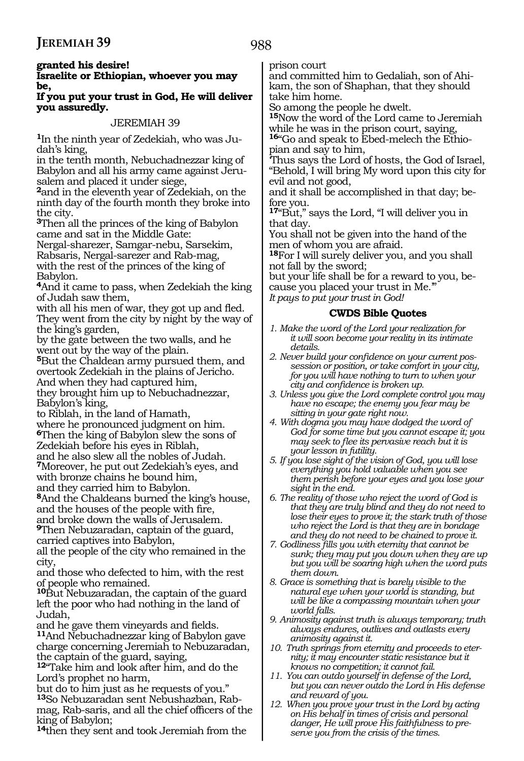#### **Israelite or Ethiopian, whoever you may be,**

#### **If you put your trust in God, He will deliver you assuredly.**

#### JEREMIAH 39

**<sup>1</sup>**In the ninth year of Zedekiah, who was Ju- dah's king,

in the tenth month, Nebuchadnezzar king of Babylon and all his army came against Jeru- salem and placed it under siege,

**<sup>2</sup>**and in the eleventh year of Zedekiah, on the ninth day of the fourth month they broke into the city.

**<sup>3</sup>**Then all the princes of the king of Babylon came and sat in the Middle Gate:

Nergal-sharezer, Samgar-nebu, Sarsekim, Rabsaris, Nergal-sarezer and Rab-mag, with the rest of the princes of the king of Babylon.

**<sup>4</sup>**And it came to pass, when Zedekiah the king of Judah saw them,

with all his men of war, they got up and fled. They went from the city by night by the way of the king's garden,

by the gate between the two walls, and he went out by the way of the plain.

**<sup>5</sup>**But the Chaldean army pursued them, and overtook Zedekiah in the plains of Jericho. And when they had captured him,

they brought him up to Nebuchadnezzar, Babylon's king,

to Riblah, in the land of Hamath,

where he pronounced judgment on him. **<sup>6</sup>**Then the king of Babylon slew the sons of Zedekiah before his eyes in Riblah,

and he also slew all the nobles of Judah. **<sup>7</sup>**Moreover, he put out Zedekiah's eyes, and with bronze chains he bound him,

and they carried him to Babylon. **<sup>8</sup>**And the Chaldeans burned the king's house, and the houses of the people with fire,

and broke down the walls of Jerusalem. **<sup>9</sup>**Then Nebuzaradan, captain of the guard, carried captives into Babylon,

all the people of the city who remained in the city,

and those who defected to him, with the rest of people who remained.

**<sup>10</sup>**But Nebuzaradan, the captain of the guard left the poor who had nothing in the land of Judah,

and he gave them vineyards and fields. **<sup>11</sup>**And Nebuchadnezzar king of Babylon gave charge concerning Jeremiah to Nebuzaradan, the captain of the guard, saying,

**<sup>12</sup>**"Take him and look after him, and do the Lord's prophet no harm,

but do to him just as he requests of you." **13**So Nebuzaradan sent Nebushazban, Rabmag, Rab-saris, and all the chief officers of the king of Babylon;

**<sup>14</sup>**then they sent and took Jeremiah from the

prison court

and committed him to Gedaliah, son of Ahikam, the son of Shaphan, that they should take him home.

So among the people he dwelt.

**<sup>15</sup>**Now the word of the Lord came to Jeremiah while he was in the prison court, saying, **16**"Go and speak to Ebed-melech the Ethio-

pian and say to him,

'Thus says the Lord of hosts, the God of Israel, "Behold, I will bring My word upon this city for evil and not good,

and it shall be accomplished in that day; before you.

**<sup>17</sup>**"But," says the Lord, "I will deliver you in that day.

You shall not be given into the hand of the men of whom you are afraid.

**<sup>18</sup>**For I will surely deliver you, and you shall not fall by the sword;

but your life shall be for a reward to you, because you placed your trust in Me.'" *It pays to put your trust in God!*

#### **CWDS Bible Quotes**

- *1. Make the word of the Lord your realization for it will soon become your reality in its intimate details.*
- *2. Never build your confidence on your current possession or position, or take comfort in your city, for you will have nothing to turn to when your city and confidence is broken up.*
- *3. Unless you give the Lord complete control you may have no escape; the enemy you fear may be sitting in your gate right now.*
- *4. With dogma you may have dodged the word of God for some time but you cannot escape it; you may seek to flee its pervasive reach but it is your lesson in futility.*
- *5. If you lose sight of the vision of God, you will lose everything you hold valuable when you see them perish before your eyes and you lose your sight in the end.*
- *6. The reality of those who reject the word of God is that they are truly blind and they do not need to lose their eyes to prove it; the stark truth of those who reject the Lord is that they are in bondage and they do not need to be chained to prove it.*
- *7. Godliness fills you with eternity that cannot be sunk; they may put you down when they are up but you will be soaring high when the word puts them down.*
- *8. Grace is something that is barely visible to the natural eye when your world is standing, but will be like a compassing mountain when your world falls.*
- *9. Animosity against truth is always temporary; truth always endures, outlives and outlasts every animosity against it.*
- *10. Truth springs from eternity and proceeds to eternity; it may encounter static resistance but it knows no competition; it cannot fail.*
- *11. You can outdo yourself in defense of the Lord, but you can never outdo the Lord in His defense and reward of you.*
- *12. When you prove your trust in the Lord by acting on His behalf in times of crisis and personal danger, He will prove His faithfulness to preserve you from the crisis of the times.*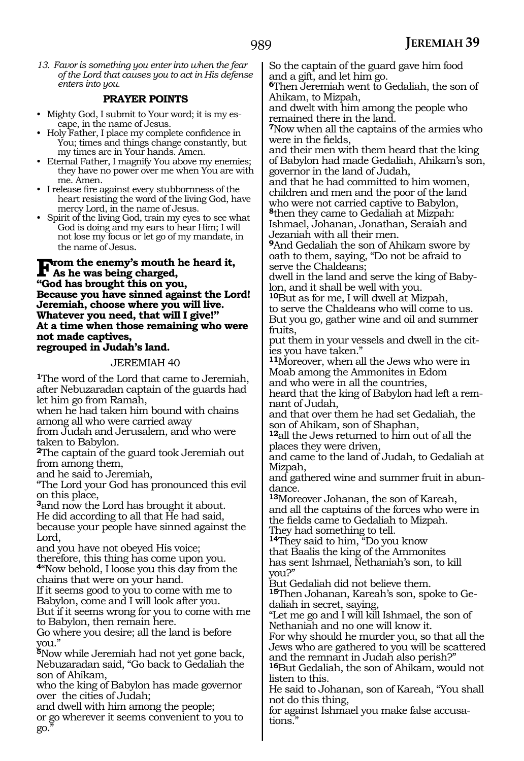*13. Favor is something you enter into when the fear of the Lord that causes you to act in His defense enters into you.*

#### **PRAYER POINTS**

- Mighty God, I submit to Your word; it is my escape, in the name of Jesus.
- Holy Father, I place my complete confidence in You; times and things change constantly, but my times are in Your hands. Amen.
- Eternal Father, I magnify You above my enemies; they have no power over me when You are with me. Amen.
- I release fire against every stubbornness of the heart resisting the word of the living God, have mercy Lord, in the name of Jesus.
- Spirit of the living God, train my eyes to see what God is doing and my ears to hear Him; I will not lose my focus or let go of my mandate, in the name of Jesus.

#### **From the enemy's mouth he heard it,**<br> **As he was being charged,**<br> **As he heart this as recovered "God has brought this on you, Because you have sinned against the Lord! Jeremiah, choose where you will live. Whatever you need, that will I give!" At a time when those remaining who were not made captives, regrouped in Judah's land.**

#### JEREMIAH 40

**<sup>1</sup>**The word of the Lord that came to Jeremiah, after Nebuzaradan captain of the guards had let him go from Ramah,

when he had taken him bound with chains among all who were carried away

from Judah and Jerusalem, and who were taken to Babylon.

**<sup>2</sup>**The captain of the guard took Jeremiah out from among them,

and he said to Jeremiah,

"The Lord your God has pronounced this evil on this place,

**<sup>3</sup>**and now the Lord has brought it about. He did according to all that He had said, because your people have sinned against the Lord,

and you have not obeyed His voice; therefore, this thing has come upon you. **<sup>4</sup>**"Now behold, I loose you this day from the chains that were on your hand.

If it seems good to you to come with me to Babylon, come and I will look after you. But if it seems wrong for you to come with me to Babylon, then remain here.

Go where you desire; all the land is before you."

**<sup>5</sup>**Now while Jeremiah had not yet gone back, Nebuzaradan said, "Go back to Gedaliah the son of Ahikam,

who the king of Babylon has made governor over the cities of Judah;

and dwell with him among the people; or go wherever it seems convenient to you to go."

So the captain of the guard gave him food and a gift, and let him go.

**<sup>6</sup>**Then Jeremiah went to Gedaliah, the son of Ahikam, to Mizpah,

and dwelt with him among the people who remained there in the land.

**<sup>7</sup>**Now when all the captains of the armies who were in the fields,

and their men with them heard that the king of Babylon had made Gedaliah, Ahikam's son, governor in the land of Judah,

and that he had committed to him women, children and men and the poor of the land who were not carried captive to Babylon, **<sup>8</sup>**then they came to Gedaliah at Mizpah:

Ishmael, Johanan, Jonathan, Seraiah and Jezaniah with all their men.

**<sup>9</sup>**And Gedaliah the son of Ahikam swore by oath to them, saying, "Do not be afraid to serve the Chaldeans;

dwell in the land and serve the king of Babylon, and it shall be well with you.

**<sup>10</sup>**But as for me, I will dwell at Mizpah, to serve the Chaldeans who will come to us. But you go, gather wine and oil and summer fruits,

put them in your vessels and dwell in the cities you have taken."

**<sup>11</sup>**Moreover, when all the Jews who were in Moab among the Ammonites in Edom and who were in all the countries,

heard that the king of Babylon had left a remnant of Judah,

and that over them he had set Gedaliah, the son of Ahikam, son of Shaphan,

**<sup>12</sup>**all the Jews returned to him out of all the places they were driven,

and came to the land of Judah, to Gedaliah at Mizpah,

and gathered wine and summer fruit in abundance.

**<sup>13</sup>**Moreover Johanan, the son of Kareah, and all the captains of the forces who were in the fields came to Gedaliah to Mizpah.

They had something to tell.

**<sup>14</sup>**They said to him, "Do you know that Baalis the king of the Ammonites has sent Ishmael, Nethaniah's son, to kill you?"

But Gedaliah did not believe them.

**<sup>15</sup>**Then Johanan, Kareah's son, spoke to Ge- daliah in secret, saying,

"Let me go and I will kill Ishmael, the son of Nethaniah and no one will know it.

For why should he murder you, so that all the Jews who are gathered to you will be scattered and the remnant in Judah also perish?"

**<sup>16</sup>**But Gedaliah, the son of Ahikam, would not listen to this.

He said to Johanan, son of Kareah, "You shall not do this thing,

for against Ishmael you make false accusations.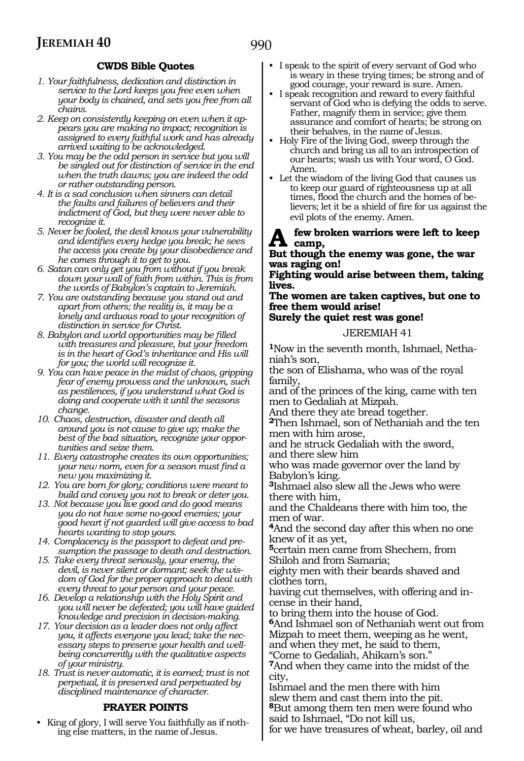#### **CWDS Bible Quotes**

- *1. Your faithfulness, dedication and distinction in service to the Lord keeps you free even when your body is chained, and sets you free from all chains.*
- *2. Keep on consistently keeping on even when it appears you are making no impact; recognition is assigned to every faithful work and has already arrived waiting to be acknowledged.*
- *3. You may be the odd person in service but you will be singled out for distinction of service in the end when the truth dawns; you are indeed the odd or rather outstanding person.*
- *4. It is a sad conclusion when sinners can detail the faults and failures of believers and their indictment of God, but they were never able to recognize it.*
- *5. Never be fooled, the devil knows your vulnerability and identifies every hedge you break; he sees the access you create by your disobedience and he comes through it to get to you.*
- *6. Satan can only get you from without if you break down your wall of faith from within. This is from the words of Babylon's captain to Jeremiah.*
- *7. You are outstanding because you stand out and apart from others; the reality is, it may be a lonely and arduous road to your recognition of distinction in service for Christ.*
- *8. Babylon and world opportunities may be filled with treasures and pleasure, but your freedom is in the heart of God's inheritance and His will for you; the world will recognize it.*
- *9. You can have peace in the midst of chaos, gripping fear of enemy prowess and the unknown, such as pestilences, if you understand what God is doing and cooperate with it until the seasons change.*
- *10. Chaos, destruction, disaster and death all around you is not cause to give up; make the best of the bad situation, recognize your opportunities and seize them.*
- *11. Every catastrophe creates its own opportunities; your new norm, even for a season must find a new you maximizing it.*
- *12. You are born for glory; conditions were meant to build and convey you not to break or deter you.*
- *13. Not because you live good and do good means you do not have some no-good enemies; your good heart if not guarded will give access to bad hearts wanting to stop yours.*
- *14. Complacency is the passport to defeat and presumption the passage to death and destruction.*
- *15. Take every threat seriously, your enemy, the devil, is never silent or dormant; seek the wisdom of God for the proper approach to deal with every threat to your person and your peace.*
- *16. Develop a relationship with the Holy Spirit and you will never be defeated; you will have guided knowledge and precision in decision-making.*
- *17. Your decision as a leader does not only affect you, it affects everyone you lead; take the necessary steps to preserve your health and wellbeing concurrently with the qualitative aspects of your ministry.*
- *18. Trust is never automatic, it is earned; trust is not perpetual, it is preserved and perpetuated by disciplined maintenance of character.*

#### **PRAYER POINTS**

• King of glory, I will serve You faithfully as if nothing else matters, in the name of Jesus.

- I speak to the spirit of every servant of God who is weary in these trying times; be strong and of good courage, your reward is sure. Amen.
- I speak recognition and reward to every faithful servant of God who is defying the odds to serve. Father, magnify them in service; give them assurance and comfort of hearts; be strong on their behalves, in the name of Jesus.
- Holy Fire of the living God, sweep through the church and bring us all to an introspection of our hearts; wash us with Your word, O God. Amen.
- Let the wisdom of the living God that causes us to keep our guard of righteousness up at all times, flood the church and the homes of believers; let it be a shield of fire for us against the evil plots of the enemy. Amen.

#### **A few broken warriors were left to keep**   $A \text{ cm}$ <sub>camp</sub>

**But though the enemy was gone, the war was raging on!**

**Fighting would arise between them, taking lives.**

**The women are taken captives, but one to free them would arise! Surely the quiet rest was gone!**

### JEREMIAH 41

**1**Now in the seventh month, Ishmael, Nethaniah's son,

the son of Elishama, who was of the royal family,

and of the princes of the king, came with ten men to Gedaliah at Mizpah.

And there they ate bread together.

**<sup>2</sup>**Then Ishmael, son of Nethaniah and the ten men with him arose,

and he struck Gedaliah with the sword, and there slew him

who was made governor over the land by Babylon's king.

**<sup>3</sup>**Ishmael also slew all the Jews who were there with him,

and the Chaldeans there with him too, the men of war.

**<sup>4</sup>**And the second day after this when no one knew of it as yet,

**<sup>5</sup>**certain men came from Shechem, from Shiloh and from Samaria;

eighty men with their beards shaved and clothes torn,

having cut themselves, with offering and incense in their hand,

to bring them into the house of God. **<sup>6</sup>**And Ishmael son of Nethaniah went out from Mizpah to meet them, weeping as he went, and when they met, he said to them,

"Come to Gedaliah, Ahikam's son."

**<sup>7</sup>**And when they came into the midst of the city,

Ishmael and the men there with him slew them and cast them into the pit. **<sup>8</sup>**But among them ten men were found who

said to Ishmael, "Do not kill us,

for we have treasures of wheat, barley, oil and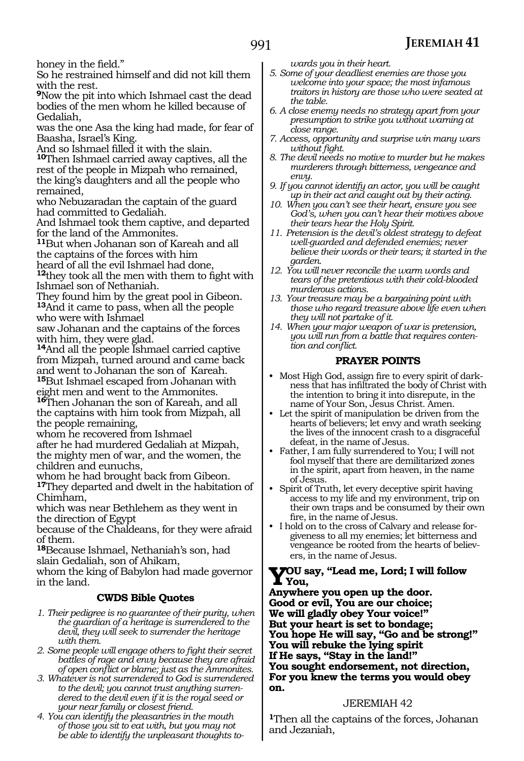honey in the field."

So he restrained himself and did not kill them with the rest.

**<sup>9</sup>**Now the pit into which Ishmael cast the dead bodies of the men whom he killed because of Gedaliah,

was the one Asa the king had made, for fear of Baasha, Israel's King.

And so Ishmael filled it with the slain.

**<sup>10</sup>**Then Ishmael carried away captives, all the rest of the people in Mizpah who remained, the king's daughters and all the people who remained,

who Nebuzaradan the captain of the guard had committed to Gedaliah.

And Ishmael took them captive, and departed for the land of the Ammonites.

**<sup>11</sup>**But when Johanan son of Kareah and all the captains of the forces with him

heard of all the evil Ishmael had done,

**<sup>12</sup>**they took all the men with them to fight with Ishmael son of Nethaniah.

They found him by the great pool in Gibeon. **<sup>13</sup>**And it came to pass, when all the people who were with Ishmael

saw Johanan and the captains of the forces with him, they were glad.

**<sup>14</sup>**And all the people Ishmael carried captive from Mizpah, turned around and came back and went to Johanan the son of Kareah. **<sup>15</sup>**But Ishmael escaped from Johanan with

eight men and went to the Ammonites.

**<sup>16</sup>**Then Johanan the son of Kareah, and all the captains with him took from Mizpah, all the people remaining,

whom he recovered from Ishmael

after he had murdered Gedaliah at Mizpah, the mighty men of war, and the women, the children and eunuchs,

whom he had brought back from Gibeon.

**<sup>17</sup>**They departed and dwelt in the habitation of Chimham,

which was near Bethlehem as they went in the direction of Egypt

because of the Chaldeans, for they were afraid of them.

**<sup>18</sup>**Because Ishmael, Nethaniah's son, had slain Gedaliah, son of Ahikam,

whom the king of Babylon had made governor in the land.

#### **CWDS Bible Quotes**

- *1. Their pedigree is no guarantee of their purity, when the guardian of a heritage is surrendered to the devil, they will seek to surrender the heritage with them.*
- *2. Some people will engage others to fight their secret battles of rage and envy because they are afraid of open conflict or blame; just as the Ammonites.*
- *3. Whatever is not surrendered to God is surrendered to the devil; you cannot trust anything surrendered to the devil even if it is the royal seed or your near family or closest friend.*
- *4. You can identify the pleasantries in the mouth of those you sit to eat with, but you may not be able to identify the unpleasant thoughts to-*

*wards you in their heart.*

- *5. Some of your deadliest enemies are those you welcome into your space; the most infamous traitors in history are those who were seated at the table.*
- *6. A close enemy needs no strategy apart from your presumption to strike you without warning at close range.*
- *7. Access, opportunity and surprise win many wars without fight.*
- *8. The devil needs no motive to murder but he makes murderers through bitterness, vengeance and envy.*
- *9. If you cannot identify an actor, you will be caught up in their act and caught out by their acting.*
- *10. When you can't see their heart, ensure you see God's, when you can't hear their motives above their tears hear the Holy Spirit.*
- *11. Pretension is the devil's oldest strategy to defeat well-guarded and defended enemies; never believe their words or their tears; it started in the garden.*
- *12. You will never reconcile the warm words and tears of the pretentious with their cold-blooded murderous actions.*
- *13. Your treasure may be a bargaining point with those who regard treasure above life even when they will not partake of it.*
- *14. When your major weapon of war is pretension, you will run from a battle that requires contention and conflict.*

#### **PRAYER POINTS**

- Most High God, assign fire to every spirit of darkness that has infiltrated the body of Christ with the intention to bring it into disrepute, in the name of Your Son, Jesus Christ. Amen.
- Let the spirit of manipulation be driven from the hearts of believers; let envy and wrath seeking the lives of the innocent crash to a disgraceful defeat, in the name of Jesus.
- Father, I am fully surrendered to You; I will not fool myself that there are demilitarized zones in the spirit, apart from heaven, in the name of Jesus.
- Spirit of Truth, let every deceptive spirit having access to my life and my environment, trip on their own traps and be consumed by their own fire, in the name of Jesus.
- I hold on to the cross of Calvary and release forgiveness to all my enemies; let bitterness and vengeance be rooted from the hearts of believers, in the name of Jesus.

#### **You say, "Lead me, Lord; I will follow You,**

**Anywhere you open up the door. Good or evil, You are our choice; We will gladly obey Your voice!" But your heart is set to bondage; You hope He will say, "Go and be strong!" You will rebuke the lying spirit If He says, "Stay in the land!" You sought endorsement, not direction, For you knew the terms you would obey on.**

#### JEREMIAH 42

**<sup>1</sup>**Then all the captains of the forces, Johanan and Jezaniah,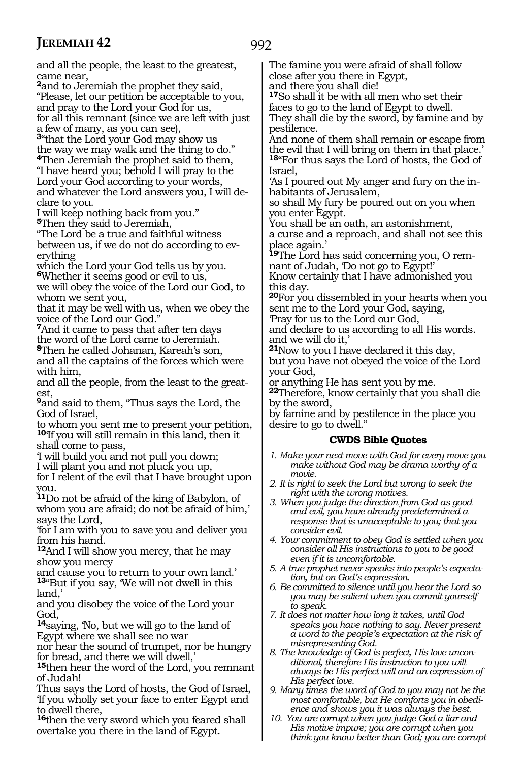and all the people, the least to the greatest, came near, **<sup>2</sup>**and to Jeremiah the prophet they said, "Please, let our petition be acceptable to you, and pray to the Lord your God for us, for all this remnant (since we are left with just a few of many, as you can see), **<sup>3</sup>**"that the Lord your God may show us the way we may walk and the thing to do." **<sup>4</sup>**Then Jeremiah the prophet said to them, "I have heard you; behold I will pray to the Lord your God according to your words, and whatever the Lord answers you, I will declare to you. I will keep nothing back from you." **<sup>5</sup>**Then they said to Jeremiah, "The Lord be a true and faithful witness between us, if we do not do according to everything which the Lord your God tells us by you. **<sup>6</sup>**Whether it seems good or evil to us, we will obey the voice of the Lord our God, to whom we sent you, that it may be well with us, when we obey the voice of the Lord our God." **<sup>7</sup>**And it came to pass that after ten days the word of the Lord came to Jeremiah. **<sup>8</sup>**Then he called Johanan, Kareah's son, and all the captains of the forces which were with him, and all the people, from the least to the greatest, **<sup>9</sup>**and said to them, "Thus says the Lord, the God of Israel, to whom you sent me to present your petition, **<sup>10</sup>**'If you will still remain in this land, then it shall come to pass, 'I will build you and not pull you down; I will plant you and not pluck you up, for I relent of the evil that I have brought upon you. **<sup>11</sup>**Do not be afraid of the king of Babylon, of whom you are afraid; do not be afraid of him,' says the Lord, 'for I am with you to save you and deliver you from his hand. **<sup>12</sup>**And I will show you mercy, that he may show you mercy and cause you to return to your own land.' **<sup>13</sup>**"But if you say, 'We will not dwell in this land,' and you disobey the voice of the Lord your God, **<sup>14</sup>**saying, 'No, but we will go to the land of Egypt where we shall see no war nor hear the sound of trumpet, nor be hungry for bread, and there we will dwell,' **<sup>15</sup>**then hear the word of the Lord, you remnant of Judah! Thus says the Lord of hosts, the God of Israel, The famine you were afraid of shall follow close after you there in Egypt, and there you shall die! **<sup>17</sup>**So shall it be with all men who set their faces to go to the land of Egypt to dwell. They shall die by the sword, by famine and by pestilence. And none of them shall remain or escape from the evil that I will bring on them in that place.' **<sup>18</sup>**"For thus says the Lord of hosts, the God of Israel, 'As I poured out My anger and fury on the inhabitants of Jerusalem, so shall My fury be poured out on you when you enter Egypt. You shall be an oath, an astonishment, a curse and a reproach, and shall not see this place again.' **19**The Lord has said concerning you, O remnant of Judah, 'Do not go to Egypt!' Know certainly that I have admonished you this day. **<sup>20</sup>**For you dissembled in your hearts when you sent me to the Lord your God, saying, 'Pray for us to the Lord our God, and declare to us according to all His words. and we will do it,' **<sup>21</sup>**Now to you I have declared it this day, but you have not obeyed the voice of the Lord your God, or anything He has sent you by me. **<sup>22</sup>**Therefore, know certainly that you shall die by the sword, by famine and by pestilence in the place you desire to go to dwell." **CWDS Bible Quotes** *1. Make your next move with God for every move you make without God may be drama worthy of a movie. 2. It is right to seek the Lord but wrong to seek the right with the wrong motives. 3. When you judge the direction from God as good and evil, you have already predetermined a response that is unacceptable to you; that you consider evil. 4. Your commitment to obey God is settled when you consider all His instructions to you to be good even if it is uncomfortable. 5. A true prophet never speaks into people's expectation, but on God's expression. 6. Be committed to silence until you hear the Lord so you may be salient when you commit yourself to speak. 7. It does not matter how long it takes, until God speaks you have nothing to say. Never present a word to the people's expectation at the risk of misrepresenting God. 8. The knowledge of God is perfect, His love unconditional, therefore His instruction to you will always be His perfect will and an expression of His perfect love.*

'If you wholly set your face to enter Egypt and

**<sup>16</sup>**then the very sword which you feared shall overtake you there in the land of Egypt.

to dwell there,

*9. Many times the word of God to you may not be the most comfortable, but He comforts you in obedience and shows you it was always the best.*

*10. You are corrupt when you judge God a liar and His motive impure; you are corrupt when you think you know better than God; you are corrupt*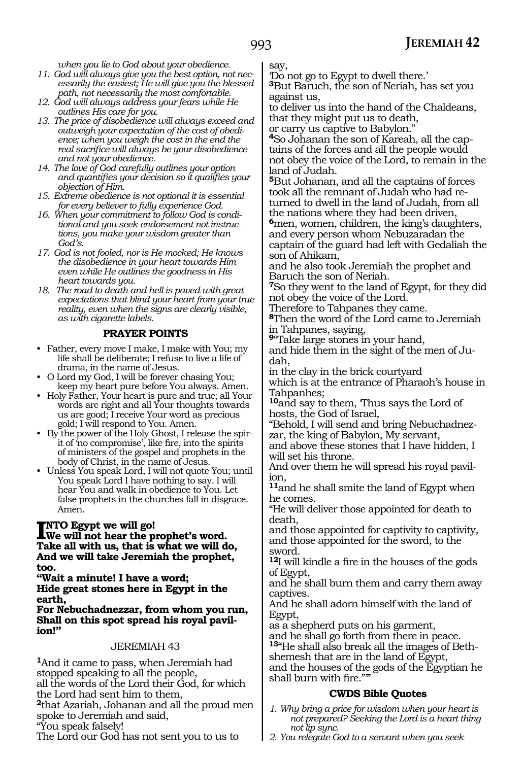993

*when you lie to God about your obedience.*

- *11. God will always give you the best option, not necessarily the easiest; He will give you the blessed path, not necessarily the most comfortable.*
- *12. God will always address your fears while He outlines His care for you.*
- *13. The price of disobedience will always exceed and outweigh your expectation of the cost of obedience; when you weigh the cost in the end the real sacrifice will always be your disobedience and not your obedience.*
- *14. The love of God carefully outlines your option and quantifies your decision so it qualifies your objection of Him.*
- *15. Extreme obedience is not optional it is essential for every believer to fully experience God.*
- *16. When your commitment to follow God is conditional and you seek endorsement not instructions, you make your wisdom greater than God's.*
- *17. God is not fooled, nor is He mocked; He knows the disobedience in your heart towards Him even while He outlines the goodness in His heart towards you.*
- *18. The road to death and hell is paved with great expectations that blind your heart from your true reality, even when the signs are clearly visible, as with cigarette labels.*

#### **PRAYER POINTS**

- Father, every move I make, I make with You; my life shall be deliberate; I refuse to live a life of drama, in the name of Jesus.
- O Lord my God, I will be forever chasing You; keep my heart pure before You always. Amen.
- Holy Father, Your heart is pure and true; all Your words are right and all Your thoughts towards us are good; I receive Your word as precious gold; I will respond to You. Amen.
- By the power of the Holy Ghost, I release the spirit of 'no compromise', like fire, into the spirits of ministers of the gospel and prophets in the body of Christ, in the name of Jesus.
- Unless You speak Lord, I will not quote You; until You speak Lord I have nothing to say. I will hear You and walk in obedience to You. Let false prophets in the churches fall in disgrace. Amen.

#### **NTO** Egypt we will go!

**INTO Egypt we will go!**<br>We will not hear the prophet's word.<br>Take all with we that is what we will d **Take all with us, that is what we will do, And we will take Jeremiah the prophet, too.**

**"Wait a minute! I have a word; Hide great stones here in Egypt in the earth,**

**For Nebuchadnezzar, from whom you run, Shall on this spot spread his royal pavilion!"**

#### JEREMIAH 43

**<sup>1</sup>**And it came to pass, when Jeremiah had stopped speaking to all the people, all the words of the Lord their God, for which the Lord had sent him to them,

**<sup>2</sup>**that Azariah, Johanan and all the proud men spoke to Jeremiah and said,

"You speak falsely!

The Lord our God has not sent you to us to

say,

'Do not go to Egypt to dwell there.'

**<sup>3</sup>**But Baruch, the son of Neriah, has set you against us,

to deliver us into the hand of the Chaldeans, that they might put us to death,

or carry us captive to Babylon."

**4**So Johanan the son of Kareah, all the captains of the forces and all the people would not obey the voice of the Lord, to remain in the land of Judah.

**<sup>5</sup>**But Johanan, and all the captains of forces took all the remnant of Judah who had returned to dwell in the land of Judah, from all the nations where they had been driven, **<sup>6</sup>**men, women, children, the king's daughters, and every person whom Nebuzaradan the captain of the guard had left with Gedaliah the son of Ahikam,

and he also took Jeremiah the prophet and Baruch the son of Neriah.

**<sup>7</sup>**So they went to the land of Egypt, for they did not obey the voice of the Lord.

Therefore to Tahpanes they came.

**<sup>8</sup>**Then the word of the Lord came to Jeremiah in Tahpanes, saying,

**<sup>9</sup>**"Take large stones in your hand,

and hide them in the sight of the men of Judah,

in the clay in the brick courtyard which is at the entrance of Pharaoh's house in Tahpanhes;

**<sup>10</sup>**and say to them, 'Thus says the Lord of hosts, the God of Israel,

"Behold, I will send and bring Nebuchadnez- zar, the king of Babylon, My servant,

and above these stones that I have hidden, I will set his throne.

And over them he will spread his royal pavil- ion,

**<sup>11</sup>**and he shall smite the land of Egypt when he comes.

"He will deliver those appointed for death to death,

and those appointed for captivity to captivity, and those appointed for the sword, to the sword.

**<sup>12</sup>**I will kindle a fire in the houses of the gods of Egypt,

and he shall burn them and carry them away captives.

And he shall adorn himself with the land of Egypt,

as a shepherd puts on his garment,

and he shall go forth from there in peace.

**13**"He shall also break all the images of Bethshemesh that are in the land of Egypt,

and the houses of the gods of the Egyptian he shall burn with fire.""

#### **CWDS Bible Quotes**

- *1. Why bring a price for wisdom when your heart is not prepared? Seeking the Lord is a heart thing not lip sync.*
- *2. You relegate God to a servant when you seek*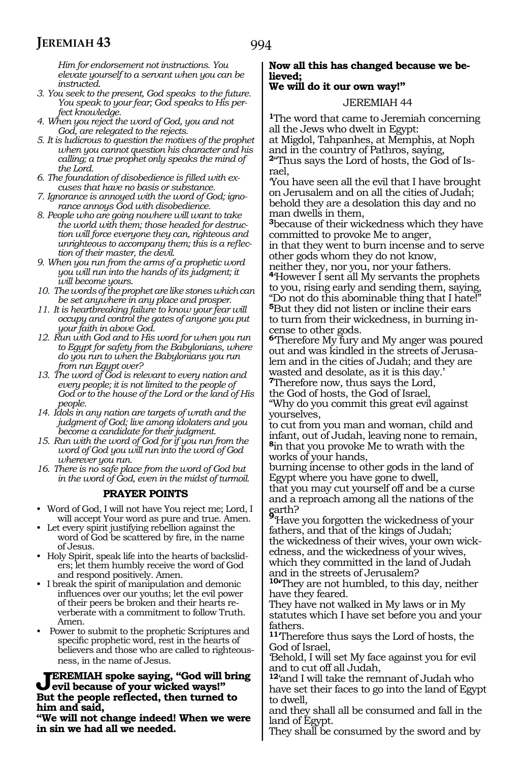*Him for endorsement not instructions. You elevate yourself to a servant when you can be instructed.*

- *3. You seek to the present, God speaks to the future. You speak to your fear; God speaks to His perfect knowledge.*
- *4. When you reject the word of God, you and not God, are relegated to the rejects.*
- *5. It is ludicrous to question the motives of the prophet when you cannot question his character and his calling; a true prophet only speaks the mind of the Lord.*
- *6. The foundation of disobedience is filled with excuses that have no basis or substance.*
- *7. Ignorance is annoyed with the word of God; ignorance annoys God with disobedience.*
- *8. People who are going nowhere will want to take the world with them; those headed for destruction will force everyone they can, righteous and unrighteous to accompany them; this is a reflection of their master, the devil.*
- *9. When you run from the arms of a prophetic word you will run into the hands of its judgment; it will become yours.*
- *10. The words of the prophet are like stones which can be set anywhere in any place and prosper.*
- *11. It is heartbreaking failure to know your fear will occupy and control the gates of anyone you put your faith in above God.*
- *12. Run with God and to His word for when you run to Egypt for safety from the Babylonians, where do you run to when the Babylonians you run from run Egypt over?*
- *13. The word of God is relevant to every nation and every people; it is not limited to the people of God or to the house of the Lord or the land of His people.*
- *14. Idols in any nation are targets of wrath and the judgment of God; live among idolaters and you become a candidate for their judgment.*
- *15. Run with the word of God for if you run from the word of God you will run into the word of God wherever you run.*
- *16. There is no safe place from the word of God but in the word of God, even in the midst of turmoil.*

### **PRAYER POINTS**

- Word of God, I will not have You reject me; Lord, I will accept Your word as pure and true. Amen.
- Let every spirit justifying rebellion against the word of God be scattered by fire, in the name of Jesus.
- Holy Spirit, speak life into the hearts of backsliders; let them humbly receive the word of God and respond positively. Amen.
- I break the spirit of manipulation and demonic influences over our youths; let the evil power of their peers be broken and their hearts reverberate with a commitment to follow Truth. Amen.
- Power to submit to the prophetic Scriptures and specific prophetic word, rest in the hearts of believers and those who are called to righteousness, in the name of Jesus.

#### **Jeremiah spoke saying, "God will bring evil because of your wicked ways!" But the people reflected, then turned to him and said,**

**"We will not change indeed! When we were in sin we had all we needed.** 

#### **Now all this has changed because we believed;**

#### **We will do it our own way!"**

#### JEREMIAH 44

**<sup>1</sup>**The word that came to Jeremiah concerning all the Jews who dwelt in Egypt:

at Migdol, Tahpanhes, at Memphis, at Noph and in the country of Pathros, saying, **2**"Thus says the Lord of hosts, the God of Is-

rael,

'You have seen all the evil that I have brought on Jerusalem and on all the cities of Judah; behold they are a desolation this day and no man dwells in them,

**<sup>3</sup>**because of their wickedness which they have committed to provoke Me to anger,

in that they went to burn incense and to serve other gods whom they do not know,

neither they, nor you, nor your fathers. **<sup>4</sup>**'However I sent all My servants the prophets to you, rising early and sending them, saying, "Do not do this abominable thing that I hate!" **<sup>5</sup>**But they did not listen or incline their ears to turn from their wickedness, in burning incense to other gods.

**<sup>6</sup>**'Therefore My fury and My anger was poured out and was kindled in the streets of Jerusalem and in the cities of Judah; and they are wasted and desolate, as it is this day.'

**<sup>7</sup>**Therefore now, thus says the Lord, the God of hosts, the God of Israel,

"Why do you commit this great evil against yourselves,

to cut from you man and woman, child and infant, out of Judah, leaving none to remain, **<sup>8</sup>**in that you provoke Me to wrath with the works of your hands,

burning incense to other gods in the land of Egypt where you have gone to dwell, that you may cut yourself off and be a curse and a reproach among all the nations of the

earth? **<sup>9</sup>**'Have you forgotten the wickedness of your fathers, and that of the kings of Judah; the wickedness of their wives, your own wickedness, and the wickedness of your wives, which they committed in the land of Judah and in the streets of Jerusalem?

**10'**They are not humbled, to this day, neither have they feared.

They have not walked in My laws or in My statutes which I have set before you and your fathers.

**<sup>11</sup>**'Therefore thus says the Lord of hosts, the God of Israel,

'Behold, I will set My face against you for evil and to cut off all Judah,

**<sup>12</sup>**'and I will take the remnant of Judah who have set their faces to go into the land of Egypt to dwell,

and they shall all be consumed and fall in the land of Egypt.

They shall be consumed by the sword and by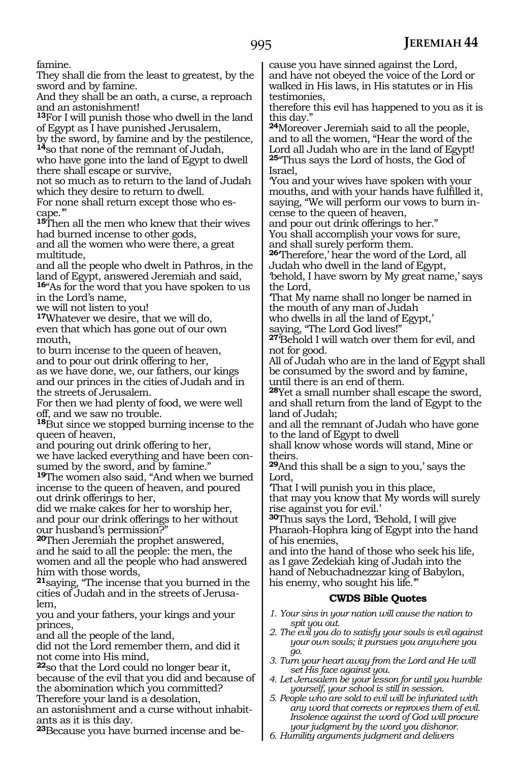famine.

They shall die from the least to greatest, by the sword and by famine.

And they shall be an oath, a curse, a reproach and an astonishment!

**<sup>13</sup>**For I will punish those who dwell in the land of Egypt as I have punished Jerusalem,

by the sword, by famine and by the pestilence, **<sup>14</sup>**so that none of the remnant of Judah,

who have gone into the land of Egypt to dwell there shall escape or survive,

not so much as to return to the land of Judah which they desire to return to dwell.

For none shall return except those who es- cape.'"

**<sup>15</sup>**Then all the men who knew that their wives had burned incense to other gods,

and all the women who were there, a great multitude,

and all the people who dwelt in Pathros, in the land of Egypt, answered Jeremiah and said,

**<sup>16</sup>**"As for the word that you have spoken to us in the Lord's name,

we will not listen to you!

**<sup>17</sup>**Whatever we desire, that we will do, even that which has gone out of our own mouth,

to burn incense to the queen of heaven, and to pour out drink offering to her, as we have done, we, our fathers, our kings and our princes in the cities of Judah and in

the streets of Jerusalem. For then we had plenty of food, we were well

off, and we saw no trouble.

**<sup>18</sup>**But since we stopped burning incense to the queen of heaven,

and pouring out drink offering to her, we have lacked everything and have been consumed by the sword, and by famine."

**<sup>19</sup>**The women also said, "And when we burned incense to the queen of heaven, and poured out drink offerings to her,

did we make cakes for her to worship her, and pour our drink offerings to her without our husband's permission?"

**<sup>20</sup>**Then Jeremiah the prophet answered, and he said to all the people: the men, the women and all the people who had answered him with those words,

**<sup>21</sup>**saying, "The incense that you burned in the cities of Judah and in the streets of Jerusalem,

you and your fathers, your kings and your princes,

and all the people of the land,

did not the Lord remember them, and did it not come into His mind,

**<sup>22</sup>**so that the Lord could no longer bear it, because of the evil that you did and because of the abomination which you committed?

Therefore your land is a desolation, an astonishment and a curse without inhabitants as it is this day.

**23**Because you have burned incense and be-

cause you have sinned against the Lord, and have not obeyed the voice of the Lord or walked in His laws, in His statutes or in His testimonies,

therefore this evil has happened to you as it is this day.

**<sup>24</sup>**Moreover Jeremiah said to all the people, and to all the women, "Hear the word of the Lord all Judah who are in the land of Egypt! **<sup>25</sup>**"Thus says the Lord of hosts, the God of Israel,

'You and your wives have spoken with your mouths, and with your hands have fulfilled it, saying, "We will perform our vows to burn incense to the queen of heaven,

and pour out drink offerings to her." You shall accomplish your vows for sure, and shall surely perform them.

**<sup>26</sup>**'Therefore,' hear the word of the Lord, all Judah who dwell in the land of Egypt, 'behold, I have sworn by My great name,' says

the Lord, 'That My name shall no longer be named in the mouth of any man of Judah

who dwells in all the land of Egypt,'

saying, "The Lord God lives!"

**<sup>27</sup>**'Behold I will watch over them for evil, and not for good.

All of Judah who are in the land of Egypt shall be consumed by the sword and by famine, until there is an end of them.

**<sup>28</sup>**Yet a small number shall escape the sword, and shall return from the land of Egypt to the land of Judah;

and all the remnant of Judah who have gone to the land of Egypt to dwell

shall know whose words will stand, Mine or theirs.

**<sup>29</sup>**And this shall be a sign to you,' says the Lord,

'That I will punish you in this place,

that may you know that My words will surely rise against you for evil.'

**<sup>30</sup>**Thus says the Lord, 'Behold, I will give Pharaoh-Hophra king of Egypt into the hand of his enemies,

and into the hand of those who seek his life, as I gave Zedekiah king of Judah into the hand of Nebuchadnezzar king of Babylon, his enemy, who sought his life.'"

#### **CWDS Bible Quotes**

- *1. Your sins in your nation will cause the nation to spit you out.*
- *2. The evil you do to satisfy your souls is evil against your own souls; it pursues you anywhere you go.*
- *3. Turn your heart away from the Lord and He will set His face against you.*
- *4. Let Jerusalem be your lesson for until you humble yourself, your school is still in session.*
- *5. People who are sold to evil will be infuriated with any word that corrects or reproves them of evil. Insolence against the word of God will procure your judgment by the word you dishonor.*
- *6. Humility arguments judgment and delivers*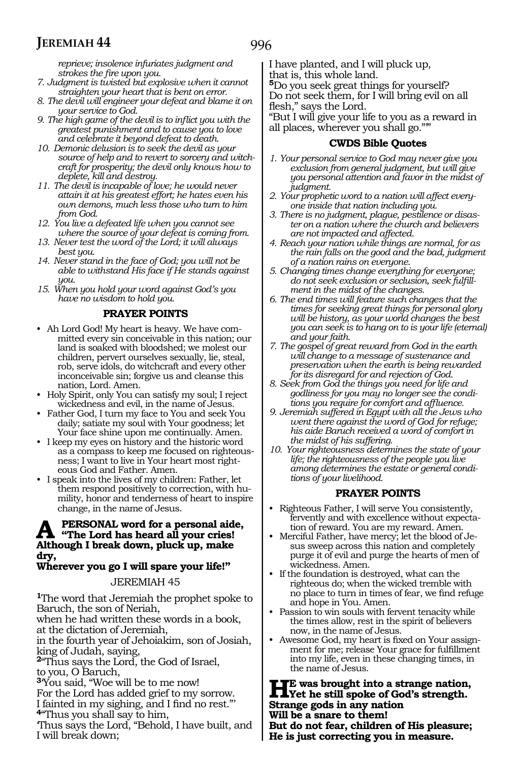996

*reprieve; insolence infuriates judgment and strokes the fire upon you.*

- *7. Judgment is twisted but explosive when it cannot straighten your heart that is bent on error.*
- *8. The devil will engineer your defeat and blame it on your service to God.*
- *9. The high game of the devil is to inflict you with the greatest punishment and to cause you to love and celebrate it beyond defeat to death.*
- *10. Demonic delusion is to seek the devil as your source of help and to revert to sorcery and witchcraft for prosperity; the devil only knows how to deplete, kill and destroy.*
- *11. The devil is incapable of love; he would never attain it at his greatest effort; he hates even his own demons, much less those who turn to him from God.*
- *12. You live a defeated life when you cannot see where the source of your defeat is coming from.*
- *13. Never test the word of the Lord; it will always best you.*
- *14. Never stand in the face of God; you will not be able to withstand His face if He stands against you.*
- *15. When you hold your word against God's you have no wisdom to hold you.*

#### **PRAYER POINTS**

- Ah Lord God! My heart is heavy. We have committed every sin conceivable in this nation; our land is soaked with bloodshed; we molest our children, pervert ourselves sexually, lie, steal, rob, serve idols, do witchcraft and every other inconceivable sin; forgive us and cleanse this nation, Lord. Amen.
- Holy Spirit, only You can satisfy my soul; I reject wickedness and evil, in the name of Jesus.
- Father God, I turn my face to You and seek You daily; satiate my soul with Your goodness; let Your face shine upon me continually. Amen.
- I keep my eyes on history and the historic word as a compass to keep me focused on righteousness; I want to live in Your heart most righteous God and Father. Amen.
- I speak into the lives of my children: Father, let them respond positively to correction, with humility, honor and tenderness of heart to inspire change, in the name of Jesus.

### **A personal word for a personal aide, "The Lord has heard all your cries! Although I break down, pluck up, make dry,**

### **Wherever you go I will spare your life!"**

#### JEREMIAH 45

**<sup>1</sup>**The word that Jeremiah the prophet spoke to Baruch, the son of Neriah, when he had written these words in a book, at the dictation of Jeremiah,

in the fourth year of Jehoiakim, son of Josiah, king of Judah, saying,

**<sup>2</sup>**"Thus says the Lord, the God of Israel, to you, O Baruch,

**<sup>3</sup>**'You said, "Woe will be to me now! For the Lord has added grief to my sorrow.

- I fainted in my sighing, and I find no rest."' **4**"Thus you shall say to him,
- 'Thus says the Lord, "Behold, I have built, and I will break down;

I have planted, and I will pluck up,

that is, this whole land.

**<sup>5</sup>**Do you seek great things for yourself? Do not seek them, for I will bring evil on all flesh," says the Lord.

"But I will give your life to you as a reward in all places, wherever you shall go."'"

#### **CWDS Bible Quotes**

- *1. Your personal service to God may never give you exclusion from general judgment, but will give you personal attention and favor in the midst of judgment.*
- *2. Your prophetic word to a nation will affect everyone inside that nation including you.*
- *3. There is no judgment, plague, pestilence or disaster on a nation where the church and believers are not impacted and affected.*
- *4. Reach your nation while things are normal, for as the rain falls on the good and the bad, judgment of a nation rains on everyone.*
- *5. Changing times change everything for everyone; do not seek exclusion or seclusion, seek fulfillment in the midst of the changes.*
- *6. The end times will feature such changes that the times for seeking great things for personal glory will be history, as your world changes the best you can seek is to hang on to is your life (eternal) and your faith.*
- *7. The gospel of great reward from God in the earth will change to a message of sustenance and preservation when the earth is being rewarded for its disregard for and rejection of God.*
- *8. Seek from God the things you need for life and godliness for you may no longer see the conditions you require for comfort and affluence.*
- *9. Jeremiah suffered in Egypt with all the Jews who went there against the word of God for refuge; his aide Baruch received a word of comfort in the midst of his suffering.*
- *10. Your righteousness determines the state of your life; the righteousness of the people you live among determines the estate or general conditions of your livelihood.*

#### **PRAYER POINTS**

- Righteous Father, I will serve You consistently, fervently and with excellence without expectation of reward. You are my reward. Amen.
- Merciful Father, have mercy; let the blood of Jesus sweep across this nation and completely purge it of evil and purge the hearts of men of wickedness. Amen.
- If the foundation is destroyed, what can the righteous do; when the wicked tremble with no place to turn in times of fear, we find refuge and hope in You. Amen.
- Passion to win souls with fervent tenacity while the times allow, rest in the spirit of believers now, in the name of Jesus.
- Awesome God, my heart is fixed on Your assignment for me; release Your grace for fulfillment into my life, even in these changing times, in the name of Jesus.

**HE** was brought into a strange nation,<br>
Yet he still spoke of God's strength.<br>
Strange gods in our nation. **Strange gods in any nation Will be a snare to them! But do not fear, children of His pleasure; He is just correcting you in measure.**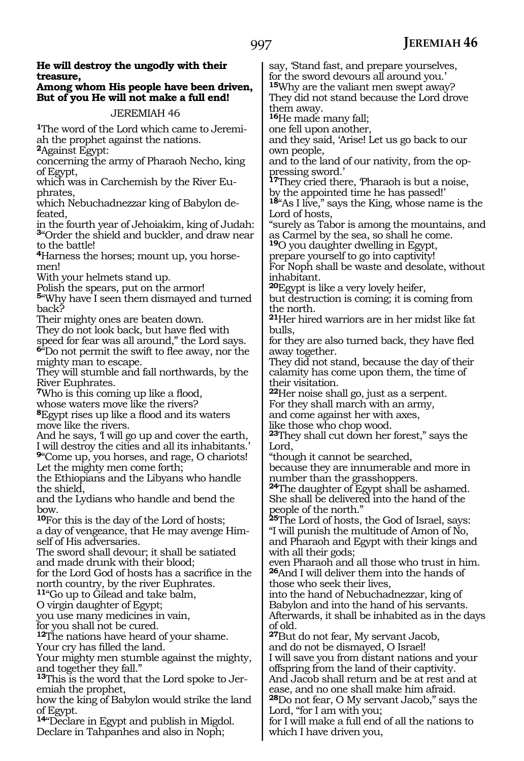| He will destroy the ungodly with their<br>treasure,<br>Among whom His people have been driven,<br>But of you He will not make a full end!<br>JEREMIAH 46 | say, Stand fast, and prepare yourselves,<br>for the sword devours all around you.'<br><sup>15</sup> Why are the valiant men swept away?<br>They did not stand because the Lord drove<br>them away. |
|----------------------------------------------------------------------------------------------------------------------------------------------------------|----------------------------------------------------------------------------------------------------------------------------------------------------------------------------------------------------|
|                                                                                                                                                          | <sup>16</sup> He made many fall;                                                                                                                                                                   |
| <b>The word of the Lord which came to Jeremi-</b><br>ah the prophet against the nations.<br><sup>2</sup> Against Egypt:                                  | one fell upon another,<br>and they said, 'Arise! Let us go back to our<br>own people,                                                                                                              |
| concerning the army of Pharaoh Necho, king                                                                                                               | and to the land of our nativity, from the op-                                                                                                                                                      |
| of Egypt,<br>which was in Carchemish by the River Eu-                                                                                                    | pressing sword.<br><sup>17</sup> They cried there, Pharaoh is but a noise,                                                                                                                         |
| phrates,                                                                                                                                                 | by the appointed time he has passed!'                                                                                                                                                              |
| which Nebuchadnezzar king of Babylon de-<br>feated,                                                                                                      | <sup>18</sup> "As I live," says the King, whose name is the<br>Lord of hosts.                                                                                                                      |
| in the fourth year of Jehoiakim, king of Judah:<br><sup>3</sup> "Order the shield and buckler, and draw near                                             | "surely as Tabor is among the mountains, and<br>as Carmel by the sea, so shall he come.                                                                                                            |
| to the battle!                                                                                                                                           | <sup>19</sup> O you daughter dwelling in Egypt,                                                                                                                                                    |
| <sup>4</sup> Harness the horses; mount up, you horse-<br>men!                                                                                            | prepare yourself to go into captivity!<br>For Noph shall be waste and desolate, without                                                                                                            |
| With your helmets stand up.                                                                                                                              | inhabitant.                                                                                                                                                                                        |
| Polish the spears, put on the armor!                                                                                                                     | <sup>20</sup> Egypt is like a very lovely heifer,                                                                                                                                                  |
| 5"Why have I seen them dismayed and turned                                                                                                               | but destruction is coming; it is coming from                                                                                                                                                       |
| back?                                                                                                                                                    | the north.                                                                                                                                                                                         |
| Their mighty ones are beaten down.                                                                                                                       | <sup>21</sup> Her hired warriors are in her midst like fat                                                                                                                                         |
| They do not look back, but have fled with                                                                                                                | bulls.                                                                                                                                                                                             |
| speed for fear was all around," the Lord says.<br>$64^{\circ}$ Do not permit the swift to flee away, nor the                                             | for they are also turned back, they have fled<br>away together.                                                                                                                                    |
| mighty man to escape.                                                                                                                                    | They did not stand, because the day of their                                                                                                                                                       |
| They will stumble and fall northwards, by the                                                                                                            | calamity has come upon them, the time of                                                                                                                                                           |
| River Euphrates.                                                                                                                                         | their visitation.                                                                                                                                                                                  |
| <b>7</b> Who is this coming up like a flood,                                                                                                             | <sup>22</sup> Her noise shall go, just as a serpent.                                                                                                                                               |
| whose waters move like the rivers?<br><sup>8</sup> Egypt rises up like a flood and its waters                                                            | For they shall march with an army,                                                                                                                                                                 |
| move like the rivers.                                                                                                                                    | and come against her with axes,<br>like those who chop wood.                                                                                                                                       |
| And he says, I will go up and cover the earth,                                                                                                           | <sup>23</sup> They shall cut down her forest," says the                                                                                                                                            |
| I will destroy the cities and all its inhabitants.                                                                                                       | Lord,                                                                                                                                                                                              |
| 9"Come up, you horses, and rage, O chariots!                                                                                                             | "though it cannot be searched,                                                                                                                                                                     |
| Let the mighty men come forth;<br>the Ethiopians and the Libyans who handle                                                                              | because they are innumerable and more in                                                                                                                                                           |
| the shield,                                                                                                                                              | number than the grasshoppers.<br><sup>24</sup> The daughter of Egypt shall be ashamed.                                                                                                             |
| and the Lydians who handle and bend the                                                                                                                  | She shall be delivered into the hand of the                                                                                                                                                        |
| bow.                                                                                                                                                     | people of the north."                                                                                                                                                                              |
| <sup>10</sup> For this is the day of the Lord of hosts;                                                                                                  | <sup>25</sup> The Lord of hosts, the God of Israel, says:                                                                                                                                          |
| a day of vengeance, that He may avenge Him-<br>self of His adversaries.                                                                                  | "I will punish the multitude of Amon of No,<br>and Pharaoh and Egypt with their kings and                                                                                                          |
| The sword shall devour; it shall be satiated                                                                                                             | with all their gods;                                                                                                                                                                               |
| and made drunk with their blood;                                                                                                                         | even Pharaoh and all those who trust in him.                                                                                                                                                       |
| for the Lord God of hosts has a sacrifice in the                                                                                                         | <sup>26</sup> And I will deliver them into the hands of                                                                                                                                            |
| north country, by the river Euphrates.<br><sup>11</sup> "Go up to Gilead and take balm,                                                                  | those who seek their lives,                                                                                                                                                                        |
| O virgin daughter of Egypt;                                                                                                                              | into the hand of Nebuchadnezzar, king of<br>Babylon and into the hand of his servants.                                                                                                             |
| you use many medicines in vain,                                                                                                                          | Afterwards, it shall be inhabited as in the days                                                                                                                                                   |
| for you shall not be cured.                                                                                                                              | of old.                                                                                                                                                                                            |
| <sup>12</sup> The nations have heard of your shame.                                                                                                      | <sup>27</sup> But do not fear, My servant Jacob,                                                                                                                                                   |
| Your cry has filled the land.                                                                                                                            | and do not be dismayed, O Israel!                                                                                                                                                                  |
| Your mighty men stumble against the mighty,<br>and together they fall."                                                                                  | I will save you from distant nations and your<br>offspring from the land of their captivity.                                                                                                       |
| <sup>13</sup> This is the word that the Lord spoke to Jer-                                                                                               | And Jacob shall return and be at rest and at                                                                                                                                                       |
| emiah the prophet,                                                                                                                                       | ease, and no one shall make him afraid.                                                                                                                                                            |
| how the king of Babylon would strike the land                                                                                                            | <sup>28</sup> Do not fear, O My servant Jacob," says the                                                                                                                                           |
| of Egypt.                                                                                                                                                | Lord, "for I am with you;                                                                                                                                                                          |
| <sup>14</sup> Declare in Egypt and publish in Migdol.<br>Declare in Tahpanhes and also in Noph;                                                          | for I will make a full end of all the nations to<br>which I have driven you,                                                                                                                       |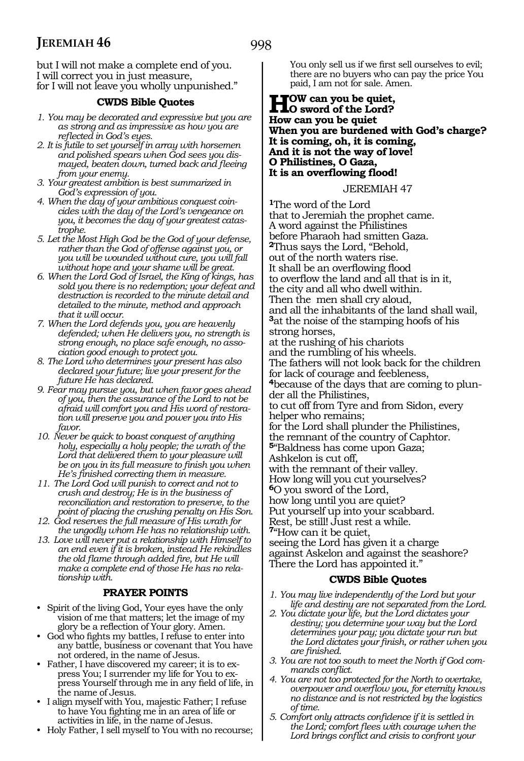but I will not make a complete end of you. I will correct you in just measure, for I will not leave you wholly unpunished."

#### **CWDS Bible Quotes**

- *1. You may be decorated and expressive but you are as strong and as impressive as how you are reflected in God's eyes.*
- *2. It is futile to set yourself in array with horsemen and polished spears when God sees you dismayed, beaten down, turned back and fleeing from your enemy.*
- *3. Your greatest ambition is best summarized in God's expression of you.*
- *4. When the day of your ambitious conquest coincides with the day of the Lord's vengeance on you, it becomes the day of your greatest catastrophe.*
- *5. Let the Most High God be the God of your defense, rather than the God of offense against you, or you will be wounded without cure, you will fall without hope and your shame will be great.*
- *6. When the Lord God of Israel, the King of kings, has sold you there is no redemption; your defeat and destruction is recorded to the minute detail and detailed to the minute, method and approach that it will occur.*
- *7. When the Lord defends you, you are heavenly defended; when He delivers you, no strength is strong enough, no place safe enough, no association good enough to protect you.*
- *8. The Lord who determines your present has also declared your future; live your present for the future He has declared.*
- *9. Fear may pursue you, but when favor goes ahead of you, then the assurance of the Lord to not be afraid will comfort you and His word of restoration will preserve you and power you into His favor.*
- *10. Never be quick to boast conquest of anything holy, especially a holy people; the wrath of the Lord that delivered them to your pleasure will be on you in its full measure to finish you when He's finished correcting them in measure.*
- *11. The Lord God will punish to correct and not to crush and destroy; He is in the business of reconciliation and restoration to preserve, to the point of placing the crushing penalty on His Son.*
- *12. God reserves the full measure of His wrath for the ungodly whom He has no relationship with.*
- *13. Love will never put a relationship with Himself to an end even if it is broken, instead He rekindles the old flame through added fire, but He will make a complete end of those He has no relationship with.*

#### **PRAYER POINTS**

- Spirit of the living God, Your eyes have the only vision of me that matters; let the image of my glory be a reflection of Your glory. Amen.
- God who fights my battles, I refuse to enter into any battle, business or covenant that You have not ordered, in the name of Jesus.
- Father, I have discovered my career; it is to express You; I surrender my life for You to express Yourself through me in any field of life, in the name of Jesus.
- I align myself with You, majestic Father; I refuse to have You fighting me in an area of life or activities in life, in the name of Jesus.
- Holy Father, I sell myself to You with no recourse;

You only sell us if we first sell ourselves to evil; there are no buyers who can pay the price You paid, I am not for sale. Amen.

#### **How can you be quiet, O sword of the Lord? How can you be quiet When you are burdened with God's charge? It is coming, oh, it is coming, And it is not the way of love! O Philistines, O Gaza, It is an overflowing flood!**

#### JEREMIAH 47

**<sup>1</sup>**The word of the Lord that to Jeremiah the prophet came. A word against the Philistines before Pharaoh had smitten Gaza. **<sup>2</sup>**Thus says the Lord, "Behold, out of the north waters rise. It shall be an overflowing flood to overflow the land and all that is in it, the city and all who dwell within. Then the men shall cry aloud, and all the inhabitants of the land shall wail, **<sup>3</sup>**at the noise of the stamping hoofs of his strong horses, at the rushing of his chariots and the rumbling of his wheels. The fathers will not look back for the children for lack of courage and feebleness, **<sup>4</sup>**because of the days that are coming to plun- der all the Philistines, to cut off from Tyre and from Sidon, every helper who remains; for the Lord shall plunder the Philistines, the remnant of the country of Caphtor. **<sup>5</sup>**"Baldness has come upon Gaza; Ashkelon is cut off, with the remnant of their valley. How long will you cut yourselves? **<sup>6</sup>**O you sword of the Lord, how long until you are quiet? Put yourself up into your scabbard. Rest, be still! Just rest a while. **<sup>7</sup>**"How can it be quiet, seeing the Lord has given it a charge against Askelon and against the seashore? There the Lord has appointed it."

#### **CWDS Bible Quotes**

- *1. You may live independently of the Lord but your life and destiny are not separated from the Lord.*
- *2. You dictate your life, but the Lord dictates your destiny; you determine your way but the Lord determines your pay; you dictate your run but the Lord dictates your finish, or rather when you are finished.*
- *3. You are not too south to meet the North if God commands conflict.*
- *4. You are not too protected for the North to overtake, overpower and overflow you, for eternity knows no distance and is not restricted by the logistics of time.*
- *5. Comfort only attracts confidence if it is settled in the Lord; comfort flees with courage when the Lord brings conflict and crisis to confront your*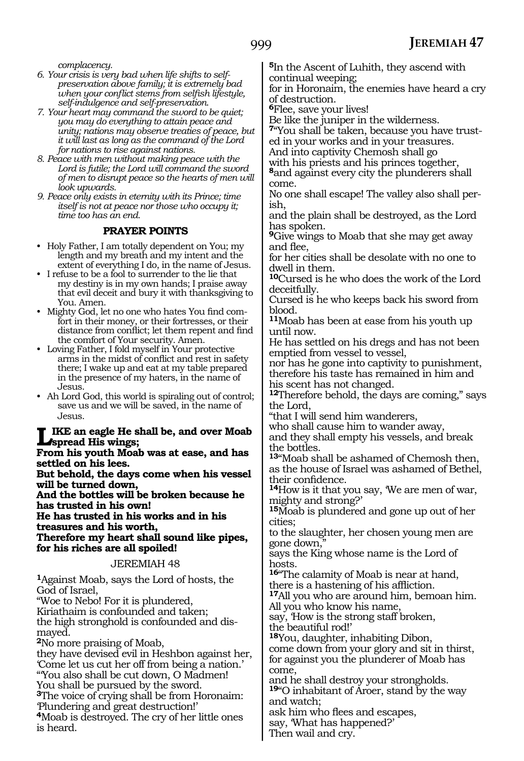*complacency.*

- *6. Your crisis is very bad when life shifts to selfpreservation above family; it is extremely bad when your conflict stems from selfish lifestyle, self-indulgence and self-preservation.*
- *7. Your heart may command the sword to be quiet; you may do everything to attain peace and unity; nations may observe treaties of peace, but it will last as long as the command of the Lord for nations to rise against nations.*
- *8. Peace with men without making peace with the Lord is futile; the Lord will command the sword of men to disrupt peace so the hearts of men will look upwards.*
- *9. Peace only exists in eternity with its Prince; time itself is not at peace nor those who occupy it; time too has an end.*

#### **PRAYER POINTS**

- Holy Father, I am totally dependent on You; my length and my breath and my intent and the extent of everything I do, in the name of Jesus.
- I refuse to be a fool to surrender to the lie that my destiny is in my own hands; I praise away that evil deceit and bury it with thanksgiving to You. Amen.
- Mighty God, let no one who hates You find comfort in their money, or their fortresses, or their distance from conflict; let them repent and find the comfort of Your security. Amen.
- Loving Father, I fold myself in Your protective arms in the midst of conflict and rest in safety there; I wake up and eat at my table prepared in the presence of my haters, in the name of Jesus.
- Ah Lord God, this world is spiraling out of control; save us and we will be saved, in the name of Jesus.

#### **Like an eagle He shall be, and over Moab spread His wings;**

**From his youth Moab was at ease, and has settled on his lees.**

**But behold, the days come when his vessel will be turned down,**

**And the bottles will be broken because he has trusted in his own!**

**He has trusted in his works and in his treasures and his worth, Therefore my heart shall sound like pipes, for his riches are all spoiled!** 

#### JEREMIAH 48

**<sup>1</sup>**Against Moab, says the Lord of hosts, the God of Israel,

"Woe to Nebo! For it is plundered, Kiriathaim is confounded and taken; the high stronghold is confounded and dismayed. **<sup>2</sup>**No more praising of Moab, they have devised evil in Heshbon against her,

'Come let us cut her off from being a nation.' "'You also shall be cut down, O Madmen! You shall be pursued by the sword.

**<sup>3</sup>**The voice of crying shall be from Horonaim: 'Plundering and great destruction!'

**<sup>4</sup>**Moab is destroyed. The cry of her little ones is heard.

**<sup>5</sup>**In the Ascent of Luhith, they ascend with continual weeping;

for in Horonaim, the enemies have heard a cry of destruction.

**<sup>6</sup>**Flee, save your lives!

Be like the juniper in the wilderness.

**7**"You shall be taken, because you have trusted in your works and in your treasures.

And into captivity Chemosh shall go

with his priests and his princes together,

**<sup>8</sup>**and against every city the plunderers shall come.

No one shall escape! The valley also shall perish,

and the plain shall be destroyed, as the Lord has spoken.

**<sup>9</sup>**Give wings to Moab that she may get away and flee,

for her cities shall be desolate with no one to dwell in them.

**<sup>10</sup>**Cursed is he who does the work of the Lord deceitfully.

Cursed is he who keeps back his sword from blood.

**<sup>11</sup>**Moab has been at ease from his youth up until now.

He has settled on his dregs and has not been emptied from vessel to vessel,

nor has he gone into captivity to punishment, therefore his taste has remained in him and his scent has not changed.

**<sup>12</sup>**Therefore behold, the days are coming," says the Lord,

"that I will send him wanderers,

who shall cause him to wander away, and they shall empty his vessels, and break the bottles.

**<sup>13</sup>**"Moab shall be ashamed of Chemosh then, as the house of Israel was ashamed of Bethel,

**14**How is it that you say, 'We are men of war, mighty and strong?'

**<sup>15</sup>**Moab is plundered and gone up out of her cities;

to the slaughter, her chosen young men are gone down.

says the King whose name is the Lord of hosts.

**<sup>16</sup>**"The calamity of Moab is near at hand, there is a hastening of his affliction.

**<sup>17</sup>**All you who are around him, bemoan him. All you who know his name,

say, 'How is the strong staff broken, the beautiful rod!'

**<sup>18</sup>**You, daughter, inhabiting Dibon,

come down from your glory and sit in thirst, for against you the plunderer of Moab has come,

and he shall destroy your strongholds. **<sup>19</sup>**"O inhabitant of Aroer, stand by the way and watch;

ask him who flees and escapes,

say, 'What has happened?'

Then wail and cry.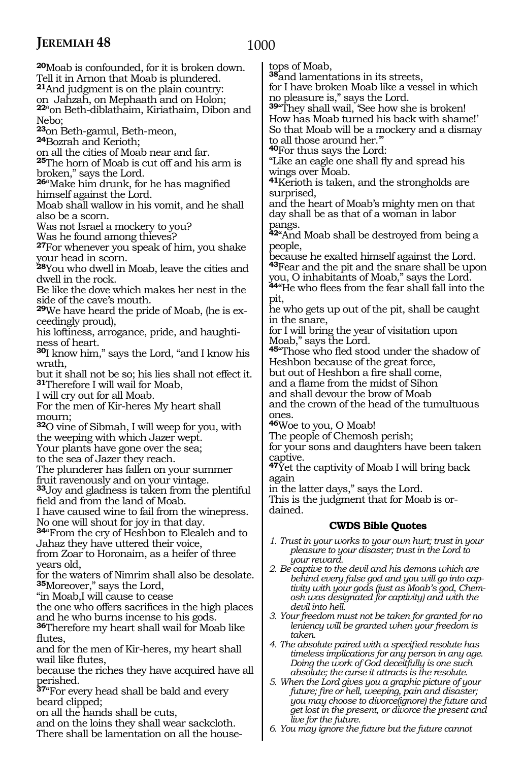### 1000

**<sup>20</sup>**Moab is confounded, for it is broken down. Tell it in Arnon that Moab is plundered. **<sup>21</sup>**And judgment is on the plain country: on Jahzah, on Mephaath and on Holon; **<sup>22</sup>**"on Beth-diblathaim, Kiriathaim, Dibon and Nebo; **<sup>23</sup>**on Beth-gamul, Beth-meon, **24**Bozrah and Kerioth; on all the cities of Moab near and far. **<sup>25</sup>**The horn of Moab is cut off and his arm is broken," says the Lord. **<sup>26</sup>**"Make him drunk, for he has magnified himself against the Lord. Moab shall wallow in his vomit, and he shall also be a scorn. Was not Israel a mockery to you? Was he found among thieves? **<sup>27</sup>**For whenever you speak of him, you shake your head in scorn. **<sup>28</sup>**You who dwell in Moab, leave the cities and dwell in the rock. Be like the dove which makes her nest in the side of the cave's mouth. **29**We have heard the pride of Moab, (he is exceedingly proud), his loftiness, arrogance, pride, and haughtiness of heart. **<sup>30</sup>**I know him," says the Lord, "and I know his wrath, but it shall not be so; his lies shall not effect it. **<sup>31</sup>**Therefore I will wail for Moab, I will cry out for all Moab. For the men of Kir-heres My heart shall mourn; **<sup>32</sup>**O vine of Sibmah, I will weep for you, with the weeping with which Jazer wept. Your plants have gone over the sea; to the sea of Jazer they reach. The plunderer has fallen on your summer fruit ravenously and on your vintage. **<sup>33</sup>**Joy and gladness is taken from the plentiful field and from the land of Moab. I have caused wine to fail from the winepress. No one will shout for joy in that day. **<sup>34</sup>**"From the cry of Heshbon to Elealeh and to Jahaz they have uttered their voice, from Zoar to Horonaim, as a heifer of three years old, for the waters of Nimrim shall also be desolate. **<sup>35</sup>**Moreover," says the Lord, "in Moab,I will cause to cease the one who offers sacrifices in the high places and he who burns incense to his gods. **<sup>36</sup>**Therefore my heart shall wail for Moab like flutes, and for the men of Kir-heres, my heart shall wail like flutes, because the riches they have acquired have all perished. **<sup>37</sup>**"For every head shall be bald and every beard clipped;

on all the hands shall be cuts,

and on the loins they shall wear sackcloth. There shall be lamentation on all the housetops of Moab,

**<sup>38</sup>**and lamentations in its streets, for I have broken Moab like a vessel in which

no pleasure is," says the Lord.

**<sup>39</sup>**"They shall wail, 'See how she is broken! How has Moab turned his back with shame!' So that Moab will be a mockery and a dismay to all those around her.'"

**<sup>40</sup>**For thus says the Lord:

"Like an eagle one shall fly and spread his wings over Moab.

**<sup>41</sup>**Kerioth is taken, and the strongholds are surprised,

and the heart of Moab's mighty men on that day shall be as that of a woman in labor pangs.

**<sup>42</sup>**"And Moab shall be destroyed from being a people,

because he exalted himself against the Lord. **<sup>43</sup>**Fear and the pit and the snare shall be upon you, O inhabitants of Moab," says the Lord.

**<sup>44</sup>**"He who flees from the fear shall fall into the pit,

he who gets up out of the pit, shall be caught in the snare,

for I will bring the year of visitation upon Moab," says the Lord.

**<sup>45</sup>**"Those who fled stood under the shadow of Heshbon because of the great force,

but out of Heshbon a fire shall come,

and a flame from the midst of Sihon

and shall devour the brow of Moab

and the crown of the head of the tumultuous ones.

**<sup>46</sup>**Woe to you, O Moab!

The people of Chemosh perish;

for your sons and daughters have been taken captive.

**<sup>47</sup>**Yet the captivity of Moab I will bring back again

in the latter days," says the Lord.

This is the judgment that for Moab is or- dained.

#### **CWDS Bible Quotes**

- *1. Trust in your works to your own hurt; trust in your pleasure to your disaster; trust in the Lord to your reward.*
- *2. Be captive to the devil and his demons which are behind every false god and you will go into captivity with your gods (just as Moab's god, Chemosh was designated for captivity) and with the devil into hell.*
- *3. Your freedom must not be taken for granted for no leniency will be granted when your freedom is taken.*
- *4. The absolute paired with a specified resolute has timeless implications for any person in any age. Doing the work of God deceitfully is one such absolute; the curse it attracts is the resolute.*

*5. When the Lord gives you a graphic picture of your future; fire or hell, weeping, pain and disaster; you may choose to divorce(ignore) the future and get lost in the present, or divorce the present and live for the future.*

*6. You may ignore the future but the future cannot*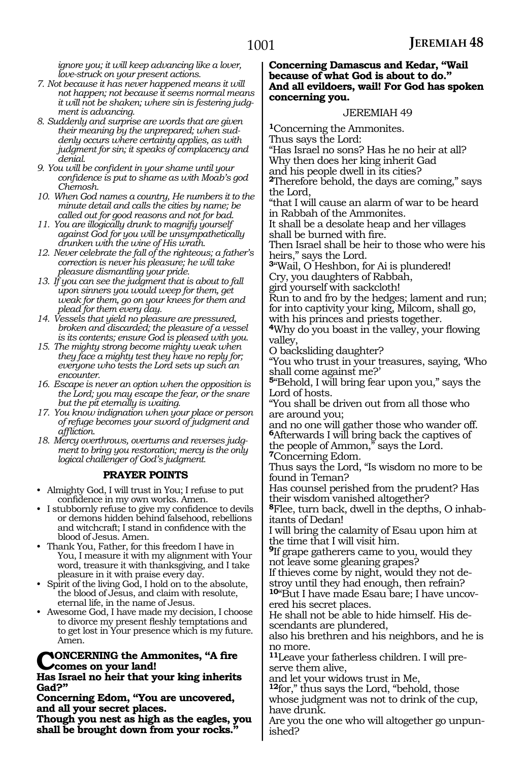*ignore you; it will keep advancing like a lover, love-struck on your present actions.*

- *7. Not because it has never happened means it will not happen; not because it seems normal means it will not be shaken; where sin is festering judgment is advancing.*
- *8. Suddenly and surprise are words that are given their meaning by the unprepared; when suddenly occurs where certainty applies, as with judgment for sin; it speaks of complacency and denial.*
- *9. You will be confident in your shame until your confidence is put to shame as with Moab's god Chemosh.*
- *10. When God names a country, He numbers it to the minute detail and calls the cities by name; be called out for good reasons and not for bad.*
- *11. You are illogically drunk to magnify yourself against God for you will be unsympathetically drunken with the wine of His wrath.*
- *12. Never celebrate the fall of the righteous; a father's correction is never his pleasure; he will take pleasure dismantling your pride.*
- *13. If you can see the judgment that is about to fall upon sinners you would weep for them, get weak for them, go on your knees for them and plead for them every day.*
- *14. Vessels that yield no pleasure are pressured, broken and discarded; the pleasure of a vessel is its contents; ensure God is pleased with you.*
- *15. The mighty strong become mighty weak when they face a mighty test they have no reply for; everyone who tests the Lord sets up such an encounter.*
- *16. Escape is never an option when the opposition is the Lord; you may escape the fear, or the snare but the pit eternally is waiting.*
- *17. You know indignation when your place or person of refuge becomes your sword of judgment and affliction.*
- *18. Mercy overthrows, overturns and reverses judgment to bring you restoration; mercy is the only logical challenger of God's judgment.*

# **PRAYER POINTS**

- Almighty God, I will trust in You; I refuse to put confidence in my own works. Amen.
- I stubbornly refuse to give my confidence to devils or demons hidden behind falsehood, rebellions and witchcraft; I stand in confidence with the blood of Jesus. Amen.
- Thank You, Father, for this freedom I have in You, I measure it with my alignment with Your word, treasure it with thanksgiving, and I take pleasure in it with praise every day.
- Spirit of the living God, I hold on to the absolute, the blood of Jesus, and claim with resolute, eternal life, in the name of Jesus.
- Awesome God, I have made my decision, I choose to divorce my present fleshly temptations and to get lost in Your presence which is my future. Amen.

#### **NONCERNING** the Ammonites, "A fire **comes on your land!**

#### **Has Israel no heir that your king inherits Gad?"**

**Concerning Edom, "You are uncovered, and all your secret places.**

**Though you nest as high as the eagles, you shall be brought down from your rocks."** 

#### **Concerning Damascus and Kedar, "Wail because of what God is about to do." And all evildoers, wail! For God has spoken concerning you.**

#### JEREMIAH 49

**<sup>1</sup>**Concerning the Ammonites. Thus says the Lord: "Has Israel no sons? Has he no heir at all? Why then does her king inherit Gad and his people dwell in its cities? **<sup>2</sup>**Therefore behold, the days are coming," says the Lord, "that I will cause an alarm of war to be heard in Rabbah of the Ammonites.

It shall be a desolate heap and her villages shall be burned with fire.

Then Israel shall be heir to those who were his heirs," says the Lord.

**<sup>3</sup>**"Wail, O Heshbon, for Ai is plundered! Cry, you daughters of Rabbah,

gird yourself with sackcloth!

Run to and fro by the hedges; lament and run; for into captivity your king, Milcom, shall go,

with his princes and priests together.

**<sup>4</sup>**Why do you boast in the valley, your flowing valley,

O backsliding daughter?

"You who trust in your treasures, saying, 'Who shall come against me?'

**<sup>5</sup>**"Behold, I will bring fear upon you," says the Lord of hosts.

"You shall be driven out from all those who are around you;

and no one will gather those who wander off. **<sup>6</sup>**Afterwards I will bring back the captives of the people of Ammon," says the Lord.

**<sup>7</sup>**Concerning Edom.

Thus says the Lord, "Is wisdom no more to be found in Teman?

Has counsel perished from the prudent? Has their wisdom vanished altogether?

**<sup>8</sup>**Flee, turn back, dwell in the depths, O inhab- itants of Dedan!

I will bring the calamity of Esau upon him at the time that I will visit him.

**<sup>9</sup>**If grape gatherers came to you, would they

not leave some gleaning grapes?<br>If thieves come by night, would they not destroy until they had enough, then refrain?

**<sup>10</sup>**"But I have made Esau bare; I have uncov- ered his secret places.

He shall not be able to hide himself. His de- scendants are plundered,

also his brethren and his neighbors, and he is no more.

**11**Leave your fatherless children. I will preserve them alive,

and let your widows trust in Me,

**<sup>12</sup>**for," thus says the Lord, "behold, those whose judgment was not to drink of the cup, have drunk.

Are you the one who will altogether go unpun- ished?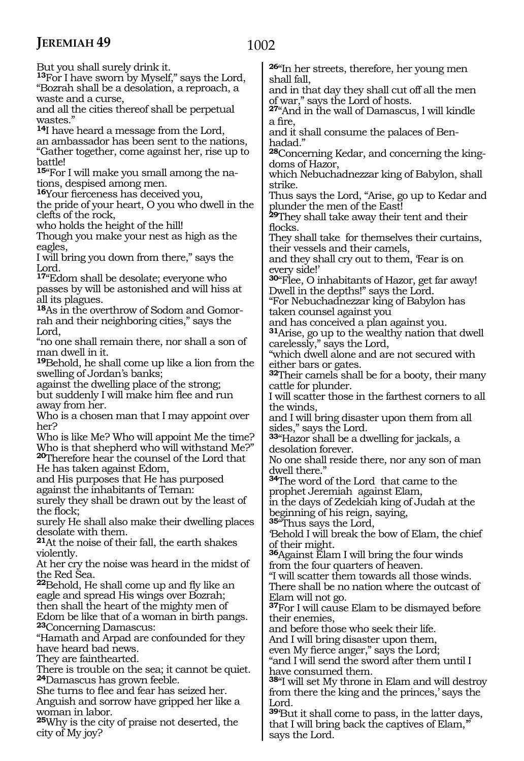1002

But you shall surely drink it. **<sup>13</sup>**For I have sworn by Myself," says the Lord, "Bozrah shall be a desolation, a reproach, a waste and a curse, and all the cities thereof shall be perpetual wastes." **<sup>14</sup>**I have heard a message from the Lord, an ambassador has been sent to the nations, "Gather together, come against her, rise up to battle! **15**"For I will make you small among the nations, despised among men. **<sup>16</sup>**Your fierceness has deceived you, the pride of your heart, O you who dwell in the clefts of the rock, who holds the height of the hill! Though you make your nest as high as the eagles, I will bring you down from there," says the Lord. **<sup>17</sup>**"Edom shall be desolate; everyone who passes by will be astonished and will hiss at all its plagues. **18**As in the overthrow of Sodom and Gomorrah and their neighboring cities," says the Lord, "no one shall remain there, nor shall a son of man dwell in it. **<sup>19</sup>**Behold, he shall come up like a lion from the swelling of Jordan's banks; against the dwelling place of the strong; but suddenly I will make him flee and run away from her. Who is a chosen man that I may appoint over her? Who is like Me? Who will appoint Me the time? Who is that shepherd who will withstand Me?" **<sup>20</sup>**Therefore hear the counsel of the Lord that He has taken against Edom, and His purposes that He has purposed against the inhabitants of Teman: surely they shall be drawn out by the least of the flock; surely He shall also make their dwelling places desolate with them. **<sup>21</sup>**At the noise of their fall, the earth shakes violently. At her cry the noise was heard in the midst of the Red Sea. **<sup>22</sup>**Behold, He shall come up and fly like an eagle and spread His wings over Bozrah; then shall the heart of the mighty men of Edom be like that of a woman in birth pangs. **<sup>23</sup>**Concerning Damascus: "Hamath and Arpad are confounded for they have heard bad news. They are fainthearted. There is trouble on the sea; it cannot be quiet. **<sup>24</sup>**Damascus has grown feeble.

She turns to flee and fear has seized her. Anguish and sorrow have gripped her like a woman in labor.

**<sup>25</sup>**Why is the city of praise not deserted, the city of My joy?

**<sup>26</sup>**"In her streets, therefore, her young men shall fall,

and in that day they shall cut off all the men of war," says the Lord of hosts.

**<sup>27</sup>**"And in the wall of Damascus, l will kindle a fire,

and it shall consume the palaces of Benhadad."

**<sup>28</sup>**Concerning Kedar, and concerning the king- doms of Hazor,

which Nebuchadnezzar king of Babylon, shall strike.

Thus says the Lord, "Arise, go up to Kedar and plunder the men of the East!

**<sup>29</sup>**They shall take away their tent and their flocks.

They shall take for themselves their curtains, their vessels and their camels,

and they shall cry out to them, 'Fear is on every side!'

**<sup>30</sup>**"Flee, O inhabitants of Hazor, get far away! Dwell in the depths!" says the Lord.

"For Nebuchadnezzar king of Babylon has taken counsel against you

and has conceived a plan against you.

**<sup>31</sup>**Arise, go up to the wealthy nation that dwell carelessly," says the Lord,

"which dwell alone and are not secured with either bars or gates.

**<sup>32</sup>**Their camels shall be for a booty, their many cattle for plunder.

I will scatter those in the farthest corners to all the winds,

and I will bring disaster upon them from all sides," says the Lord.

**<sup>33</sup>**"Hazor shall be a dwelling for jackals, a desolation forever.

No one shall reside there, nor any son of man dwell there."

**<sup>34</sup>**The word of the Lord that came to the prophet Jeremiah against Elam,

in the days of Zedekiah king of Judah at the beginning of his reign, saying,

**<sup>35</sup>**"Thus says the Lord,

'Behold I will break the bow of Elam, the chief of their might.

**<sup>36</sup>**Against Elam I will bring the four winds from the four quarters of heaven.

"I will scatter them towards all those winds.

There shall be no nation where the outcast of Elam will not go.

**<sup>37</sup>**For I will cause Elam to be dismayed before their enemies,

and before those who seek their life.

And I will bring disaster upon them,

even My fierce anger," says the Lord;

"and I will send the sword after them until I have consumed them.

**<sup>38</sup>**"I will set My throne in Elam and will destroy from there the king and the princes,' says the Lord.

**<sup>39</sup>**'But it shall come to pass, in the latter days, that I will bring back the captives of Elam,'" says the Lord.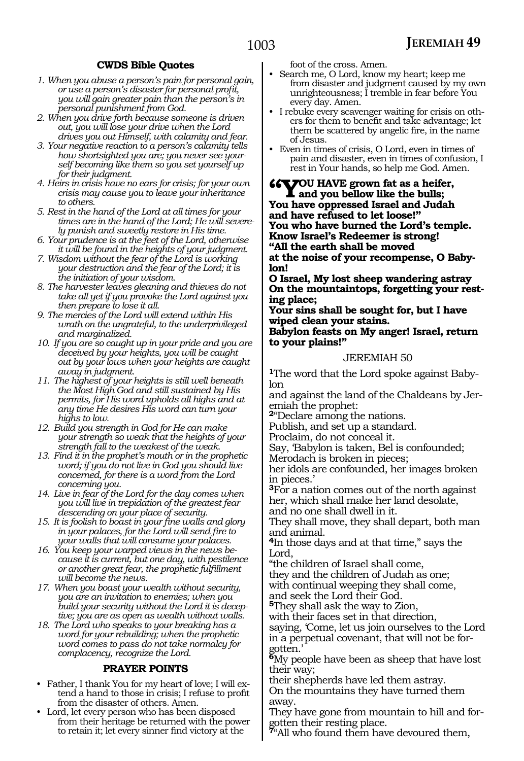### **CWDS Bible Quotes**

- *1. When you abuse a person's pain for personal gain, or use a person's disaster for personal profit, you will gain greater pain than the person's in personal punishment from God.*
- *2. When you drive forth because someone is driven out, you will lose your drive when the Lord drives you out Himself, with calamity and fear.*
- *3. Your negative reaction to a person's calamity tells how shortsighted you are; you never see yourself becoming like them so you set yourself up for their judgment.*
- *4. Heirs in crisis have no ears for crisis; for your own crisis may cause you to leave your inheritance to others.*
- *5. Rest in the hand of the Lord at all times for your times are in the hand of the Lord; He will severely punish and sweetly restore in His time.*
- *6. Your prudence is at the feet of the Lord, otherwise it will be found in the heights of your judgment.*
- *7. Wisdom without the fear of the Lord is working your destruction and the fear of the Lord; it is the initiation of your wisdom.*
- *8. The harvester leaves gleaning and thieves do not take all yet if you provoke the Lord against you then prepare to lose it all.*
- *9. The mercies of the Lord will extend within His wrath on the ungrateful, to the underprivileged and marginalized.*
- *10. If you are so caught up in your pride and you are deceived by your heights, you will be caught out by your lows when your heights are caught away in judgment.*
- *11. The highest of your heights is still well beneath the Most High God and still sustained by His permits, for His word upholds all highs and at any time He desires His word can turn your highs to low.*
- *12. Build you strength in God for He can make your strength so weak that the heights of your strength fall to the weakest of the weak.*
- *13. Find it in the prophet's mouth or in the prophetic word; if you do not live in God you should live concerned, for there is a word from the Lord concerning you.*
- *14. Live in fear of the Lord for the day comes when you will live in trepidation of the greatest fear descending on your place of security.*
- *15. It is foolish to boast in your fine walls and glory in your palaces, for the Lord will send fire to your walls that will consume your palaces.*
- *16. You keep your warped views in the news because it is current, but one day, with pestilence or another great fear, the prophetic fulfillment will become the news.*
- *17. When you boast your wealth without security, you are an invitation to enemies; when you build your security without the Lord it is deceptive; you are as open as wealth without walls.*
- *18. The Lord who speaks to your breaking has a word for your rebuilding; when the prophetic word comes to pass do not take normalcy for complacency, recognize the Lord.*

#### **PRAYER POINTS**

- Father, I thank You for my heart of love; I will extend a hand to those in crisis; I refuse to profit from the disaster of others. Amen.
- Lord, let every person who has been disposed from their heritage be returned with the power to retain it; let every sinner find victory at the

foot of the cross. Amen.

- Search me, O Lord, know my heart; keep me from disaster and judgment caused by my own unrighteousness; I tremble in fear before You every day. Amen.
- I rebuke every scavenger waiting for crisis on others for them to benefit and take advantage; let them be scattered by angelic fire, in the name of Jesus.
- Even in times of crisis, O Lord, even in times of pain and disaster, even in times of confusion, I rest in Your hands, so help me God. Amen.
- **"You have grown fat as a heifer, and you bellow like the bulls;**

**You have oppressed Israel and Judah and have refused to let loose!" You who have burned the Lord's temple. Know Israel's Redeemer is strong! "All the earth shall be moved**

**at the noise of your recompense, O Baby- lon!**

**O Israel, My lost sheep wandering astray On the mountaintops, forgetting your rest- ing place;**

**Your sins shall be sought for, but I have wiped clean your stains.**

**Babylon feasts on My anger! Israel, return to your plains!"**

#### JEREMIAH 50

**<sup>1</sup>**The word that the Lord spoke against Baby- lon

and against the land of the Chaldeans by Jer- emiah the prophet:

**<sup>2</sup>**"Declare among the nations.

Publish, and set up a standard.

Proclaim, do not conceal it.

Say, 'Babylon is taken, Bel is confounded;

Merodach is broken in pieces;

her idols are confounded, her images broken in pieces.'

**<sup>3</sup>**For a nation comes out of the north against her, which shall make her land desolate,

and no one shall dwell in it.

They shall move, they shall depart, both man and animal.

**<sup>4</sup>**In those days and at that time," says the Lord,

"the children of Israel shall come,

they and the children of Judah as one; with continual weeping they shall come, and seek the Lord their God.

**<sup>5</sup>**They shall ask the way to Zion,

with their faces set in that direction,

saying, 'Come, let us join ourselves to the Lord in a perpetual covenant, that will not be forgotten.'

**<sup>6</sup>**My people have been as sheep that have lost their way;

their shepherds have led them astray.

On the mountains they have turned them away.

They have gone from mountain to hill and for- gotten their resting place.

**<sup>7</sup>**"All who found them have devoured them,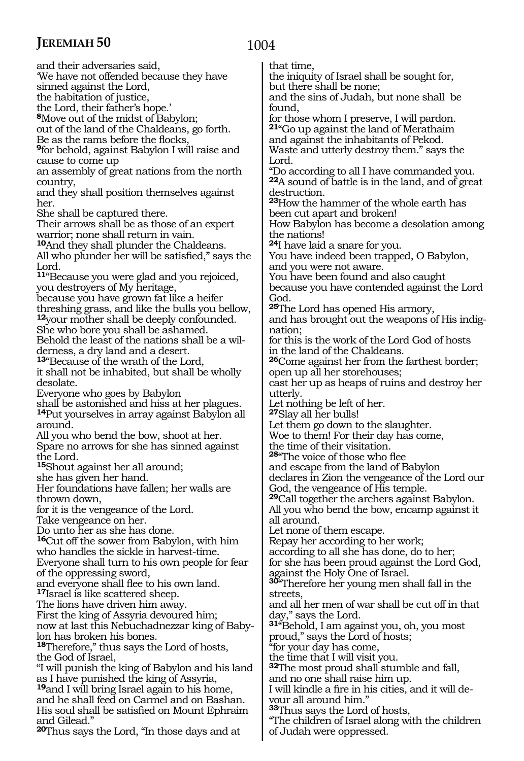and their adversaries said, 'We have not offended because they have sinned against the Lord, the habitation of justice, the Lord, their father's hope.' **<sup>8</sup>**Move out of the midst of Babylon; out of the land of the Chaldeans, go forth. Be as the rams before the flocks, **<sup>9</sup>**for behold, against Babylon I will raise and cause to come up an assembly of great nations from the north country, and they shall position themselves against her. She shall be captured there. Their arrows shall be as those of an expert warrior; none shall return in vain. **<sup>10</sup>**And they shall plunder the Chaldeans. All who plunder her will be satisfied," says the Lord. **<sup>11</sup>**"Because you were glad and you rejoiced, you destroyers of My heritage, because you have grown fat like a heifer threshing grass, and like the bulls you bellow, **<sup>12</sup>**your mother shall be deeply confounded. She who bore you shall be ashamed. Behold the least of the nations shall be a wilderness, a dry land and a desert. **<sup>13</sup>**"Because of the wrath of the Lord, it shall not be inhabited, but shall be wholly desolate. Everyone who goes by Babylon shall be astonished and hiss at her plagues. **<sup>14</sup>**Put yourselves in array against Babylon all around. All you who bend the bow, shoot at her. Spare no arrows for she has sinned against the Lord. **<sup>15</sup>**Shout against her all around; she has given her hand. Her foundations have fallen; her walls are thrown down, for it is the vengeance of the Lord. Take vengeance on her. Do unto her as she has done. **<sup>16</sup>**Cut off the sower from Babylon, with him who handles the sickle in harvest-time. Everyone shall turn to his own people for fear of the oppressing sword, and everyone shall flee to his own land. **<sup>17</sup>**Israel is like scattered sheep. The lions have driven him away. First the king of Assyria devoured him; now at last this Nebuchadnezzar king of Baby- lon has broken his bones. **<sup>18</sup>**Therefore," thus says the Lord of hosts, the God of Israel, "I will punish the king of Babylon and his land as I have punished the king of Assyria, **<sup>19</sup>**and I will bring Israel again to his home, and he shall feed on Carmel and on Bashan. His soul shall be satisfied on Mount Ephraim and Gilead."

**<sup>20</sup>**Thus says the Lord, "In those days and at

# 1004

that time,

the iniquity of Israel shall be sought for, but there shall be none;

and the sins of Judah, but none shall be found,

for those whom I preserve, I will pardon. **<sup>21</sup>**"Go up against the land of Merathaim and against the inhabitants of Pekod. Waste and utterly destroy them." says the Lord.

"Do according to all I have commanded you. **<sup>22</sup>**A sound of battle is in the land, and of great destruction.

**<sup>23</sup>**How the hammer of the whole earth has been cut apart and broken!

How Babylon has become a desolation among the nations!

**<sup>24</sup>**I have laid a snare for you.

You have indeed been trapped, O Babylon, and you were not aware.

You have been found and also caught

because you have contended against the Lord God.

**<sup>25</sup>**The Lord has opened His armory,

and has brought out the weapons of His indignation;

for this is the work of the Lord God of hosts in the land of the Chaldeans.

**<sup>26</sup>**Come against her from the farthest border; open up all her storehouses;

cast her up as heaps of ruins and destroy her utterly.

Let nothing be left of her.

**<sup>27</sup>**Slay all her bulls!

Let them go down to the slaughter.

Woe to them! For their day has come,

the time of their visitation.

**<sup>28</sup>**"The voice of those who flee and escape from the land of Babylon

declares in Zion the vengeance of the Lord our

God, the vengeance of His temple.

**<sup>29</sup>**Call together the archers against Babylon. All you who bend the bow, encamp against it all around.

Let none of them escape.

Repay her according to her work;

according to all she has done, do to her; for she has been proud against the Lord God, against the Holy One of Israel.

**<sup>30</sup>**"Therefore her young men shall fall in the streets,

and all her men of war shall be cut off in that day," says the Lord.

**<sup>31</sup>**"Behold, I am against you, oh, you most proud," says the Lord of hosts;

"for your day has come,

the time that I will visit you.

**<sup>32</sup>**The most proud shall stumble and fall,

and no one shall raise him up.

I will kindle a fire in his cities, and it will devour all around him."

**<sup>33</sup>**Thus says the Lord of hosts,

"The children of Israel along with the children of Judah were oppressed.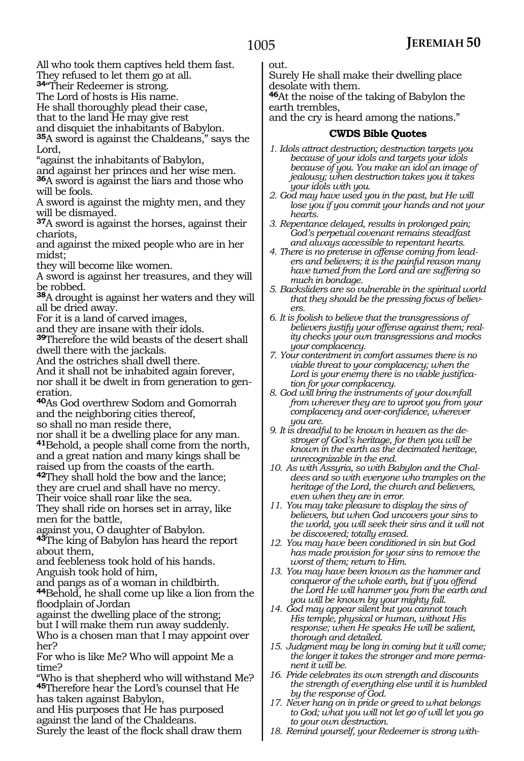All who took them captives held them fast.

They refused to let them go at all.

**<sup>34</sup>**"Their Redeemer is strong. The Lord of hosts is His name.

He shall thoroughly plead their case,

that to the land He may give rest

and disquiet the inhabitants of Babylon.

**<sup>35</sup>**A sword is against the Chaldeans," says the Lord,

"against the inhabitants of Babylon,

and against her princes and her wise men.

**<sup>36</sup>**A sword is against the liars and those who will be fools.

A sword is against the mighty men, and they will be dismayed.

**<sup>37</sup>**A sword is against the horses, against their chariots,

and against the mixed people who are in her midst;

they will become like women.

A sword is against her treasures, and they will be robbed.

**<sup>38</sup>**A drought is against her waters and they will all be dried away.

For it is a land of carved images,

and they are insane with their idols.

**<sup>39</sup>**Therefore the wild beasts of the desert shall dwell there with the jackals.

And the ostriches shall dwell there.

And it shall not be inhabited again forever, nor shall it be dwelt in from generation to generation.

**<sup>40</sup>**As God overthrew Sodom and Gomorrah and the neighboring cities thereof, so shall no man reside there,

nor shall it be a dwelling place for any man. **<sup>41</sup>**Behold, a people shall come from the north, and a great nation and many kings shall be raised up from the coasts of the earth.

**<sup>42</sup>**They shall hold the bow and the lance; they are cruel and shall have no mercy.

Their voice shall roar like the sea.

They shall ride on horses set in array, like men for the battle,

against you, O daughter of Babylon.

**<sup>43</sup>**The king of Babylon has heard the report about them,

and feebleness took hold of his hands. Anguish took hold of him,

and pangs as of a woman in childbirth. **<sup>44</sup>**Behold, he shall come up like a lion from the

floodplain of Jordan

against the dwelling place of the strong;

but I will make them run away suddenly.

Who is a chosen man that I may appoint over her?

For who is like Me? Who will appoint Me a time?

"Who is that shepherd who will withstand Me? **<sup>45</sup>**Therefore hear the Lord's counsel that He has taken against Babylon,

and His purposes that He has purposed against the land of the Chaldeans.

Surely the least of the flock shall draw them

out.

Surely He shall make their dwelling place desolate with them.

**<sup>46</sup>**At the noise of the taking of Babylon the earth trembles,

and the cry is heard among the nations."

# **CWDS Bible Quotes**

- *1. Idols attract destruction; destruction targets you because of your idols and targets your idols because of you. You make an idol an image of jealousy; when destruction takes you it takes your idols with you.*
- *2. God may have used you in the past, but He will lose you if you commit your hands and not your hearts.*
- *3. Repentance delayed, results in prolonged pain; God's perpetual covenant remains steadfast and always accessible to repentant hearts.*
- *4. There is no pretense in offense coming from leaders and believers; it is the painful reason many have turned from the Lord and are suffering so much in bondage.*
- *5. Backsliders are so vulnerable in the spiritual world that they should be the pressing focus of believers.*
- *6. It is foolish to believe that the transgressions of believers justify your offense against them; reality checks your own transgressions and mocks your complacency.*
- *7. Your contentment in comfort assumes there is no viable threat to your complacency; when the Lord is your enemy there is no viable justification for your complacency.*
- *8. God will bring the instruments of your downfall from wherever they are to uproot you from your complacency and over-confidence, wherever you are.*
- *9. It is dreadful to be known in heaven as the destroyer of God's heritage, for then you will be known in the earth as the decimated heritage, unrecognizable in the end.*
- *10. As with Assyria, so with Babylon and the Chaldees and so with everyone who tramples on the heritage of the Lord, the church and believers, even when they are in error.*
- *11. You may take pleasure to display the sins of believers, but when God uncovers your sins to the world, you will seek their sins and it will not be discovered; totally erased.*
- *12. You may have been conditioned in sin but God has made provision for your sins to remove the worst of them; return to Him.*
- *13. You may have been known as the hammer and conqueror of the whole earth, but if you offend the Lord He will hammer you from the earth and you will be known by your mighty fall.*
- *14. God may appear silent but you cannot touch His temple, physical or human, without His response; when He speaks He will be salient, thorough and detailed.*
- *15. Judgment may be long in coming but it will come; the longer it takes the stronger and more permanent it will be.*
- *16. Pride celebrates its own strength and discounts the strength of everything else until it is humbled by the response of God.*
- *17. Never hang on in pride or greed to what belongs to God; what you will not let go of will let you go to your own destruction.*
- *18. Remind yourself, your Redeemer is strong with-*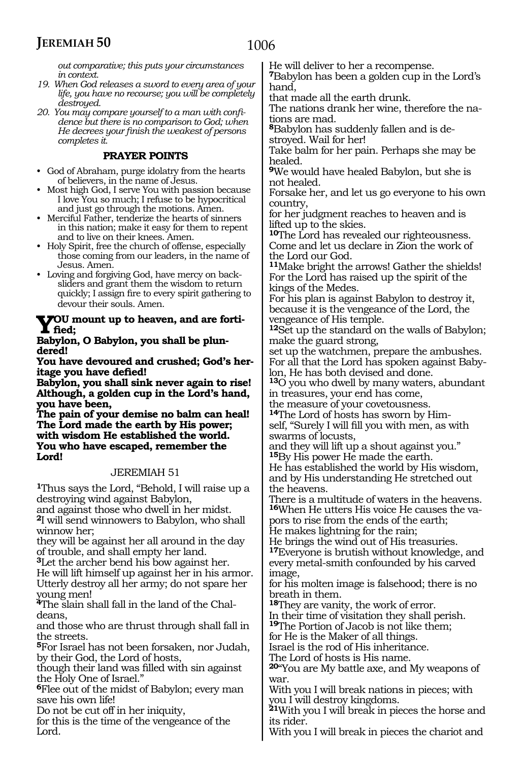*out comparative; this puts your circumstances in context.*

*19. When God releases a sword to every area of your life, you have no recourse; you will be completely destroyed.*

*20. You may compare yourself to a man with confidence but there is no comparison to God; when He decrees your finish the weakest of persons completes it.*

# **PRAYER POINTS**

- God of Abraham, purge idolatry from the hearts of believers, in the name of Jesus.
- Most high God, I serve You with passion because I love You so much; I refuse to be hypocritical and just go through the motions. Amen.
- Merciful Father, tenderize the hearts of sinners in this nation; make it easy for them to repent and to live on their knees. Amen.
- Holy Spirit, free the church of offense, especially those coming from our leaders, in the name of Jesus. Amen.
- Loving and forgiving God, have mercy on backsliders and grant them the wisdom to return quickly; I assign fire to every spirit gathering to devour their souls. Amen.

# **You mount up to heaven, and are fortified;**

#### **Babylon, O Babylon, you shall be plundered!**

**You have devoured and crushed; God's heritage you have defied!**

**Babylon, you shall sink never again to rise! Although, a golden cup in the Lord's hand, you have been,**

**The pain of your demise no balm can heal! The Lord made the earth by His power; with wisdom He established the world. You who have escaped, remember the Lord!**

# JEREMIAH 51

**<sup>1</sup>**Thus says the Lord, "Behold, I will raise up a destroying wind against Babylon,

and against those who dwell in her midst. **<sup>2</sup>**I will send winnowers to Babylon, who shall winnow her;

they will be against her all around in the day of trouble, and shall empty her land.

**<sup>3</sup>**Let the archer bend his bow against her. He will lift himself up against her in his armor. Utterly destroy all her army; do not spare her young men!

**<sup>4</sup>**The slain shall fall in the land of the Chal- deans,

and those who are thrust through shall fall in the streets.

**<sup>5</sup>**For Israel has not been forsaken, nor Judah, by their God, the Lord of hosts,

though their land was filled with sin against the Holy One of Israel."

**<sup>6</sup>**Flee out of the midst of Babylon; every man save his own life!

Do not be cut off in her iniquity,

for this is the time of the vengeance of the Lord.

He will deliver to her a recompense.

**<sup>7</sup>**Babylon has been a golden cup in the Lord's hand,

that made all the earth drunk.

The nations drank her wine, therefore the na- tions are mad.

**<sup>8</sup>**Babylon has suddenly fallen and is de- stroyed. Wail for her!

Take balm for her pain. Perhaps she may be healed.

**<sup>9</sup>**We would have healed Babylon, but she is not healed.

Forsake her, and let us go everyone to his own country,

for her judgment reaches to heaven and is lifted up to the skies.

**<sup>10</sup>**The Lord has revealed our righteousness. Come and let us declare in Zion the work of the Lord our God.

**<sup>11</sup>**Make bright the arrows! Gather the shields! For the Lord has raised up the spirit of the kings of the Medes.

For his plan is against Babylon to destroy it, because it is the vengeance of the Lord, the vengeance of His temple.

**<sup>12</sup>**Set up the standard on the walls of Babylon; make the guard strong,

set up the watchmen, prepare the ambushes. For all that the Lord has spoken against Babylon, He has both devised and done.

**<sup>13</sup>**O you who dwell by many waters, abundant in treasures, your end has come,

the measure of your covetousness.

**14**The Lord of hosts has sworn by Himself, "Surely I will fill you with men, as with swarms of locusts,

and they will lift up a shout against you." **<sup>15</sup>**By His power He made the earth.

He has established the world by His wisdom, and by His understanding He stretched out the heavens.

There is a multitude of waters in the heavens. **16**When He utters His voice He causes the vapors to rise from the ends of the earth; He makes lightning for the rain;

He brings the wind out of His treasuries.

**<sup>17</sup>**Everyone is brutish without knowledge, and every metal-smith confounded by his carved image,

for his molten image is falsehood; there is no breath in them.

**<sup>18</sup>**They are vanity, the work of error. In their time of visitation they shall perish.

**<sup>19</sup>**The Portion of Jacob is not like them; for He is the Maker of all things.

Israel is the rod of His inheritance.

The Lord of hosts is His name.

**<sup>20</sup>**"You are My battle axe, and My weapons of war.

With you I will break nations in pieces; with you I will destroy kingdoms.

**<sup>21</sup>**With you I will break in pieces the horse and its rider.

With you I will break in pieces the chariot and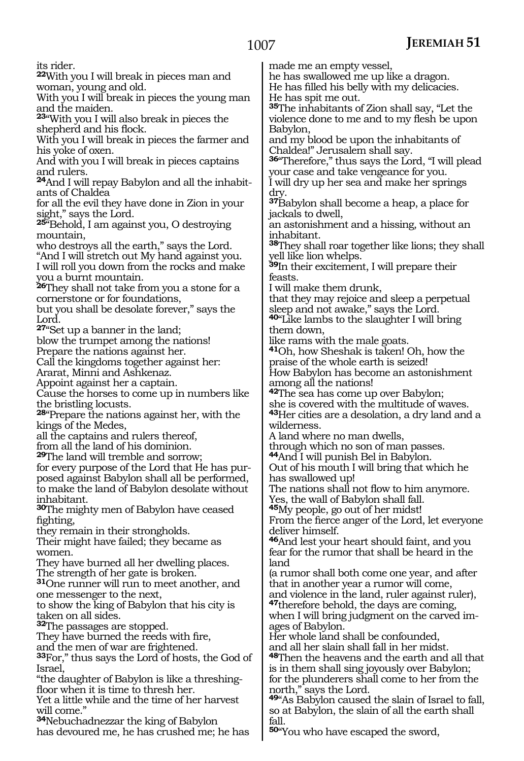its rider.

**<sup>22</sup>**With you I will break in pieces man and woman, young and old.

With you I will break in pieces the young man and the maiden.

**<sup>23</sup>**"With you I will also break in pieces the shepherd and his flock.

With you I will break in pieces the farmer and his yoke of oxen.

And with you I will break in pieces captains and rulers.

**<sup>24</sup>**And I will repay Babylon and all the inhabit- ants of Chaldea

for all the evil they have done in Zion in your sight," says the Lord.

**<sup>25</sup>**"Behold, I am against you, O destroying mountain,

who destroys all the earth," says the Lord. "And I will stretch out My hand against you. I will roll you down from the rocks and make you a burnt mountain.

**<sup>26</sup>**They shall not take from you a stone for a cornerstone or for foundations,

but you shall be desolate forever," says the Lord.

**<sup>27</sup>**"Set up a banner in the land;

blow the trumpet among the nations! Prepare the nations against her.

Call the kingdoms together against her:

Ararat, Minni and Ashkenaz.

Appoint against her a captain.

Cause the horses to come up in numbers like the bristling locusts.

**<sup>28</sup>**"Prepare the nations against her, with the kings of the Medes,

all the captains and rulers thereof,

from all the land of his dominion.

**<sup>29</sup>**The land will tremble and sorrow;

for every purpose of the Lord that He has purposed against Babylon shall all be performed, to make the land of Babylon desolate without inhabitant.

**<sup>30</sup>**The mighty men of Babylon have ceased fighting,

they remain in their strongholds.

Their might have failed; they became as women.

They have burned all her dwelling places. The strength of her gate is broken.

**<sup>31</sup>**One runner will run to meet another, and one messenger to the next,

to show the king of Babylon that his city is taken on all sides.

**<sup>32</sup>**The passages are stopped.

They have burned the reeds with fire,

and the men of war are frightened.

**<sup>33</sup>**For," thus says the Lord of hosts, the God of Israel,

"the daughter of Babylon is like a threshingfloor when it is time to thresh her.

Yet a little while and the time of her harvest will come."

**<sup>34</sup>**Nebuchadnezzar the king of Babylon has devoured me, he has crushed me; he has made me an empty vessel,

he has swallowed me up like a dragon.

He has filled his belly with my delicacies. He has spit me out.

**<sup>35</sup>**The inhabitants of Zion shall say, "Let the violence done to me and to my flesh be upon Babylon,

and my blood be upon the inhabitants of Chaldea!" Jerusalem shall say.

**<sup>36</sup>**"Therefore," thus says the Lord, "I will plead your case and take vengeance for you.

I will dry up her sea and make her springs dry.

**<sup>37</sup>**Babylon shall become a heap, a place for jackals to dwell,

an astonishment and a hissing, without an inhabitant.

**<sup>38</sup>**They shall roar together like lions; they shall yell like lion whelps.

**<sup>39</sup>**In their excitement, I will prepare their feasts.

I will make them drunk,

that they may rejoice and sleep a perpetual sleep and not awake," says the Lord.

**<sup>40</sup>**"Like lambs to the slaughter I will bring them down,

like rams with the male goats.

**<sup>41</sup>**Oh, how Sheshak is taken! Oh, how the praise of the whole earth is seized!

How Babylon has become an astonishment among all the nations!

**<sup>42</sup>**The sea has come up over Babylon; she is covered with the multitude of waves. **<sup>43</sup>**Her cities are a desolation, a dry land and a wilderness.

A land where no man dwells,

through which no son of man passes.

**<sup>44</sup>**And I will punish Bel in Babylon.

Out of his mouth I will bring that which he has swallowed up!

The nations shall not flow to him anymore.

Yes, the wall of Babylon shall fall.

**<sup>45</sup>**My people, go out of her midst!

From the fierce anger of the Lord, let everyone deliver himself.

**<sup>46</sup>**And lest your heart should faint, and you fear for the rumor that shall be heard in the land

(a rumor shall both come one year, and after that in another year a rumor will come,

and violence in the land, ruler against ruler), **<sup>47</sup>**therefore behold, the days are coming,

when I will bring judgment on the carved im- ages of Babylon.

Her whole land shall be confounded, and all her slain shall fall in her midst.

**<sup>48</sup>**Then the heavens and the earth and all that is in them shall sing joyously over Babylon; for the plunderers shall come to her from the north," says the Lord.

**<sup>49</sup>**"As Babylon caused the slain of Israel to fall, so at Babylon, the slain of all the earth shall fall.

**<sup>50</sup>**"You who have escaped the sword,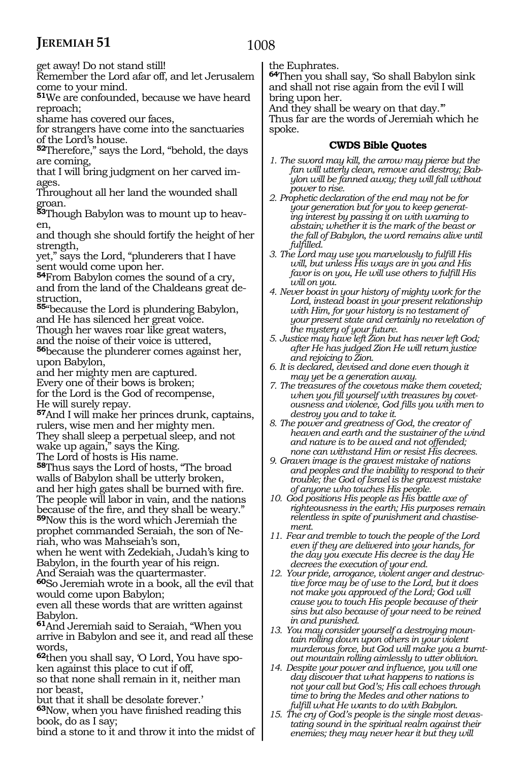get away! Do not stand still!

Remember the Lord afar off, and let Jerusalem come to your mind.

**<sup>51</sup>**We are confounded, because we have heard reproach;

shame has covered our faces,

for strangers have come into the sanctuaries of the Lord's house.

**<sup>52</sup>**Therefore," says the Lord, "behold, the days are coming,

that I will bring judgment on her carved im- ages.

Throughout all her land the wounded shall groan.

**53**Though Babylon was to mount up to heav-<br>en,

and though she should fortify the height of her strength,

yet," says the Lord, "plunderers that I have sent would come upon her.

**<sup>54</sup>**From Babylon comes the sound of a cry, and from the land of the Chaldeans great destruction,

**<sup>55</sup>**"because the Lord is plundering Babylon, and He has silenced her great voice. Though her waves roar like great waters, and the noise of their voice is uttered,

**<sup>56</sup>**because the plunderer comes against her, upon Babylon,

and her mighty men are captured. Every one of their bows is broken; for the Lord is the God of recompense, He will surely repay.

**<sup>57</sup>**And I will make her princes drunk, captains, rulers, wise men and her mighty men. They shall sleep a perpetual sleep, and not wake up again," says the King. The Lord of hosts is His name.

**<sup>58</sup>**Thus says the Lord of hosts, "The broad walls of Babylon shall be utterly broken, and her high gates shall be burned with fire. The people will labor in vain, and the nations because of the fire, and they shall be weary." **<sup>59</sup>**Now this is the word which Jeremiah the prophet commanded Seraiah, the son of Neriah, who was Mahseiah's son,

when he went with Zedekiah, Judah's king to Babylon, in the fourth year of his reign. And Seraiah was the quartermaster.

**<sup>60</sup>**So Jeremiah wrote in a book, all the evil that would come upon Babylon;

even all these words that are written against Babylon.

**<sup>61</sup>**And Jeremiah said to Seraiah, "When you arrive in Babylon and see it, and read all these words,

**<sup>62</sup>**then you shall say, 'O Lord, You have spo- ken against this place to cut if off,

so that none shall remain in it, neither man nor beast,

but that it shall be desolate forever.'

**<sup>63</sup>**Now, when you have finished reading this book, do as I say;

bind a stone to it and throw it into the midst of

the Euphrates.

**<sup>64</sup>**Then you shall say, 'So shall Babylon sink and shall not rise again from the evil I will bring upon her.

And they shall be weary on that day.'" Thus far are the words of Jeremiah which he spoke.

### **CWDS Bible Quotes**

- *1. The sword may kill, the arrow may pierce but the fan will utterly clean, remove and destroy; Babylon will be fanned away; they will fall without power to rise.*
- *2. Prophetic declaration of the end may not be for your generation but for you to keep generating interest by passing it on with warning to abstain; whether it is the mark of the beast or the fall of Babylon, the word remains alive until fulfilled.*
- *3. The Lord may use you marvelously to fulfill His will, but unless His ways are in you and His favor is on you, He will use others to fulfill His will on you.*
- *4. Never boast in your history of mighty work for the Lord, instead boast in your present relationship with Him, for your history is no testament of your present state and certainly no revelation of the mystery of your future.*
- *5. Justice may have left Zion but has never left God; after He has judged Zion He will return justice and rejoicing to Zion.*
- *6. It is declared, devised and done even though it may yet be a generation away.*
- *7. The treasures of the covetous make them coveted; when you fill yourself with treasures by covetousness and violence, God fills you with men to destroy you and to take it.*
- *8. The power and greatness of God, the creator of heaven and earth and the sustainer of the wind and nature is to be awed and not offended; none can withstand Him or resist His decrees.*
- *9. Graven image is the gravest mistake of nations and peoples and the inability to respond to their trouble; the God of Israel is the gravest mistake of anyone who touches His people.*
- *10. God positions His people as His battle axe of righteousness in the earth; His purposes remain relentless in spite of punishment and chastisement.*
- *11. Fear and tremble to touch the people of the Lord even if they are delivered into your hands, for the day you execute His decree is the day He decrees the execution of your end.*
- *12. Your pride, arrogance, violent anger and destructive force may be of use to the Lord, but it does not make you approved of the Lord; God will cause you to touch His people because of their sins but also because of your need to be reined in and punished.*
- *13. You may consider yourself a destroying mountain rolling down upon others in your violent murderous force, but God will make you a burntout mountain rolling aimlessly to utter oblivion.*
- *14. Despite your power and influence, you will one day discover that what happens to nations is not your call but God's; His call echoes through time to bring the Medes and other nations to fulfill what He wants to do with Babylon.*
- *15. The cry of God's people is the single most devastating sound in the spiritual realm against their enemies; they may never hear it but they will*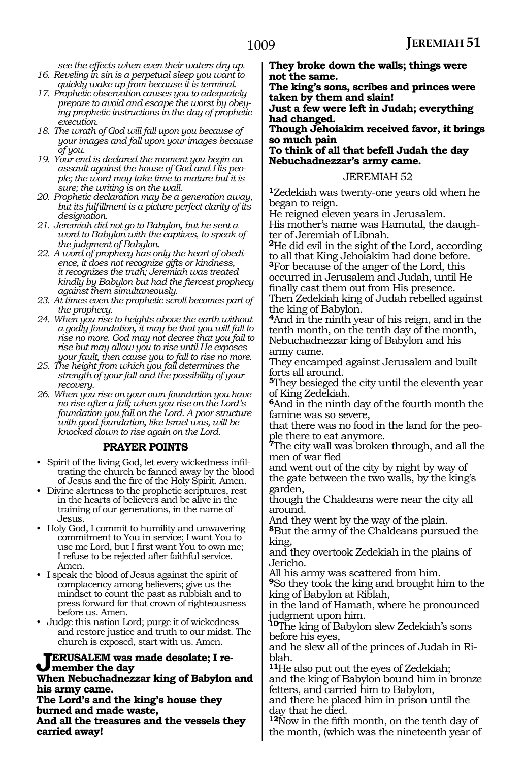*see the effects when even their waters dry up. 16. Reveling in sin is a perpetual sleep you want to* 

- *quickly wake up from because it is terminal. 17. Prophetic observation causes you to adequately prepare to avoid and escape the worst by obeying prophetic instructions in the day of prophetic execution.*
- *18. The wrath of God will fall upon you because of your images and fall upon your images because of you.*
- *19. Your end is declared the moment you begin an assault against the house of God and His people; the word may take time to mature but it is sure; the writing is on the wall.*
- *20. Prophetic declaration may be a generation away, but its fulfillment is a picture perfect clarity of its designation.*
- *21. Jeremiah did not go to Babylon, but he sent a word to Babylon with the captives, to speak of the judgment of Babylon.*
- *22. A word of prophecy has only the heart of obedience, it does not recognize gifts or kindness, it recognizes the truth; Jeremiah was treated kindly by Babylon but had the fiercest prophecy against them simultaneously.*
- *23. At times even the prophetic scroll becomes part of the prophecy.*
- *24. When you rise to heights above the earth without a godly foundation, it may be that you will fall to rise no more. God may not decree that you fail to rise but may allow you to rise until He exposes your fault, then cause you to fall to rise no more.*
- *25. The height from which you fall determines the strength of your fall and the possibility of your recovery.*
- *26. When you rise on your own foundation you have no rise after a fall; when you rise on the Lord's foundation you fall on the Lord. A poor structure with good foundation, like Israel was, will be knocked down to rise again on the Lord.*

#### **PRAYER POINTS**

- Spirit of the living God, let every wickedness infiltrating the church be fanned away by the blood of Jesus and the fire of the Holy Spirit. Amen.
- Divine alertness to the prophetic scriptures, rest in the hearts of believers and be alive in the training of our generations, in the name of Jesus.
- Holy God, I commit to humility and unwavering commitment to You in service; I want You to use me Lord, but I first want You to own me; I refuse to be rejected after faithful service. Amen.
- I speak the blood of Jesus against the spirit of complacency among believers; give us the mindset to count the past as rubbish and to press forward for that crown of righteousness before us. Amen.
- Judge this nation Lord; purge it of wickedness and restore justice and truth to our midst. The church is exposed, start with us. Amen.

# **Jerusalem was made desolate; I re- member the day**

#### **When Nebuchadnezzar king of Babylon and his army came.**

**The Lord's and the king's house they burned and made waste,**

**And all the treasures and the vessels they carried away!**

**They broke down the walls; things were not the same.**

**The king's sons, scribes and princes were taken by them and slain!**

**Just a few were left in Judah; everything had changed.**

**Though Jehoiakim received favor, it brings so much pain**

**To think of all that befell Judah the day Nebuchadnezzar's army came.**

# JEREMIAH 52

**<sup>1</sup>**Zedekiah was twenty-one years old when he began to reign.

He reigned eleven years in Jerusalem. His mother's name was Hamutal, the daughter of Jeremiah of Libnah.

**<sup>2</sup>**He did evil in the sight of the Lord, according to all that King Jehoiakim had done before. **<sup>3</sup>**For because of the anger of the Lord, this occurred in Jerusalem and Judah, until He finally cast them out from His presence.

Then Zedekiah king of Judah rebelled against the king of Babylon.

**<sup>4</sup>**And in the ninth year of his reign, and in the tenth month, on the tenth day of the month, Nebuchadnezzar king of Babylon and his army came.

They encamped against Jerusalem and built forts all around.

**<sup>5</sup>**They besieged the city until the eleventh year of King Zedekiah.

**<sup>6</sup>**And in the ninth day of the fourth month the famine was so severe,

that there was no food in the land for the people there to eat anymore.

**<sup>7</sup>**The city wall was broken through, and all the men of war fled

and went out of the city by night by way of the gate between the two walls, by the king's garden,

though the Chaldeans were near the city all around.

And they went by the way of the plain.

**<sup>8</sup>**But the army of the Chaldeans pursued the king,

and they overtook Zedekiah in the plains of Jericho.

All his army was scattered from him.

**<sup>9</sup>**So they took the king and brought him to the king of Babylon at Riblah,

in the land of Hamath, where he pronounced judgment upon him.

**<sup>10</sup>**The king of Babylon slew Zedekiah's sons before his eyes,

and he slew all of the princes of Judah in Ri- blah.

**<sup>11</sup>**He also put out the eyes of Zedekiah; and the king of Babylon bound him in bronze

fetters, and carried him to Babylon, and there he placed him in prison until the day that he died.

**<sup>12</sup>**Now in the fifth month, on the tenth day of the month, (which was the nineteenth year of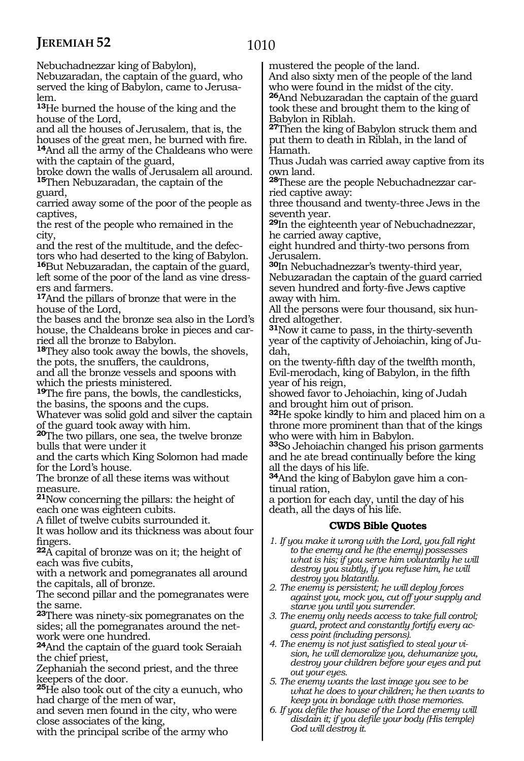1010

Nebuchadnezzar king of Babylon),

Nebuzaradan, the captain of the guard, who served the king of Babylon, came to Jerusa- lem.

**<sup>13</sup>**He burned the house of the king and the house of the Lord,

and all the houses of Jerusalem, that is, the

<sup>14</sup>And all the army of the Chaldeans who were with the captain of the guard,

broke down the walls of Jerusalem all around. **<sup>15</sup>**Then Nebuzaradan, the captain of the

guard,

carried away some of the poor of the people as captives,

the rest of the people who remained in the city,

and the rest of the multitude, and the defectors who had deserted to the king of Babylon. **<sup>16</sup>**But Nebuzaradan, the captain of the guard,

left some of the poor of the land as vine dressers and farmers.

**<sup>17</sup>**And the pillars of bronze that were in the house of the Lord,

the bases and the bronze sea also in the Lord's house, the Chaldeans broke in pieces and carried all the bronze to Babylon.

**<sup>18</sup>**They also took away the bowls, the shovels, the pots, the snuffers, the cauldrons,

and all the bronze vessels and spoons with which the priests ministered.

**<sup>19</sup>**The fire pans, the bowls, the candlesticks, the basins, the spoons and the cups.

Whatever was solid gold and silver the captain of the guard took away with him.

**<sup>20</sup>**The two pillars, one sea, the twelve bronze bulls that were under it

and the carts which King Solomon had made for the Lord's house.

The bronze of all these items was without measure.

**<sup>21</sup>**Now concerning the pillars: the height of each one was eighteen cubits.

A fillet of twelve cubits surrounded it.

It was hollow and its thickness was about four fingers.

**<sup>22</sup>**A capital of bronze was on it; the height of each was five cubits,

with a network and pomegranates all around the capitals, all of bronze.

The second pillar and the pomegranates were the same.

**<sup>23</sup>**There was ninety-six pomegranates on the sides; all the pomegranates around the net- work were one hundred.

**<sup>24</sup>**And the captain of the guard took Seraiah the chief priest,

Zephaniah the second priest, and the three keepers of the door.

**<sup>25</sup>**He also took out of the city a eunuch, who had charge of the men of war,

and seven men found in the city, who were close associates of the king,

with the principal scribe of the army who

mustered the people of the land.

And also sixty men of the people of the land who were found in the midst of the city. **<sup>26</sup>**And Nebuzaradan the captain of the guard took these and brought them to the king of Babylon in Riblah.

**<sup>27</sup>**Then the king of Babylon struck them and put them to death in Riblah, in the land of Hamath.

Thus Judah was carried away captive from its own land.

**<sup>28</sup>**These are the people Nebuchadnezzar car- ried captive away:

three thousand and twenty-three Jews in the seventh year.

**<sup>29</sup>**In the eighteenth year of Nebuchadnezzar, he carried away captive,

eight hundred and thirty-two persons from Jerusalem.

**<sup>30</sup>**In Nebuchadnezzar's twenty-third year, Nebuzaradan the captain of the guard carried seven hundred and forty-five Jews captive away with him.

All the persons were four thousand, six hundred altogether.

**<sup>31</sup>**Now it came to pass, in the thirty-seventh year of the captivity of Jehoiachin, king of Judah,

on the twenty-fifth day of the twelfth month, Evil-merodach, king of Babylon, in the fifth year of his reign,

showed favor to Jehoiachin, king of Judah and brought him out of prison.

**<sup>32</sup>**He spoke kindly to him and placed him on a throne more prominent than that of the kings who were with him in Babylon.

**<sup>33</sup>**So Jehoiachin changed his prison garments and he ate bread continually before the king all the days of his life.

**34**And the king of Babylon gave him a continual ration,

a portion for each day, until the day of his death, all the days of his life.

# **CWDS Bible Quotes**

- *1. If you make it wrong with the Lord, you fall right to the enemy and he (the enemy) possesses what is his; if you serve him voluntarily he will destroy you subtly, if you refuse him, he will destroy you blatantly.*
- *2. The enemy is persistent; he will deploy forces against you, mock you, cut off your supply and starve you until you surrender.*
- *3. The enemy only needs access to take full control; guard, protect and constantly fortify every access point (including persons).*
- *4. The enemy is not just satisfied to steal your vision, he will demoralize you, dehumanize you, destroy your children before your eyes and put out your eyes.*
- *5. The enemy wants the last image you see to be what he does to your children; he then wants to keep you in bondage with those memories.*
- *6. If you defile the house of the Lord the enemy will disdain it; if you defile your body (His temple) God will destroy it.*